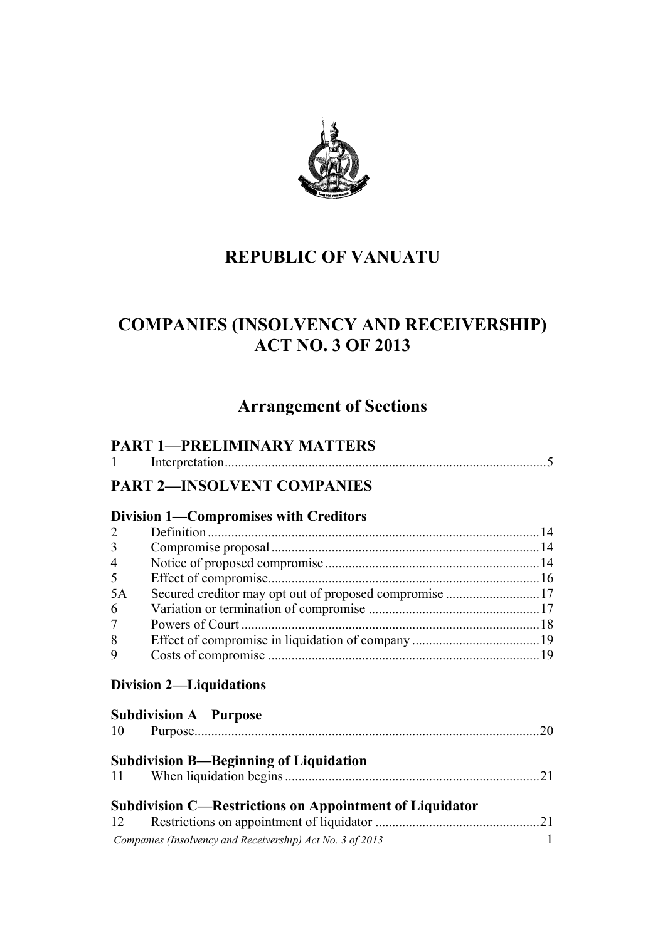

# **REPUBLIC OF VANUATU**

# **COMPANIES (INSOLVENCY AND RECEIVERSHIP) ACT NO. 3 OF 2013**

# **Arrangement of Sections**

|                | <b>PART 1-PRELIMINARY MATTERS</b>                              |              |
|----------------|----------------------------------------------------------------|--------------|
| -1             |                                                                |              |
|                | <b>PART 2-INSOLVENT COMPANIES</b>                              |              |
|                | <b>Division 1—Compromises with Creditors</b>                   |              |
| 2              |                                                                |              |
| 3              |                                                                |              |
| $\overline{4}$ |                                                                |              |
| 5              |                                                                |              |
| 5A             | Secured creditor may opt out of proposed compromise 17         |              |
| 6              |                                                                |              |
| 7              |                                                                |              |
| 8              |                                                                |              |
| 9              |                                                                |              |
|                | <b>Division 2-Liquidations</b>                                 |              |
|                | <b>Subdivision A</b> Purpose                                   |              |
|                |                                                                | .20          |
|                | <b>Subdivision B-Beginning of Liquidation</b>                  |              |
| 11             |                                                                | 21           |
|                | <b>Subdivision C—Restrictions on Appointment of Liquidator</b> |              |
| 12             |                                                                |              |
|                | Companies (Insolvency and Receivership) Act No. 3 of 2013      | $\mathbf{1}$ |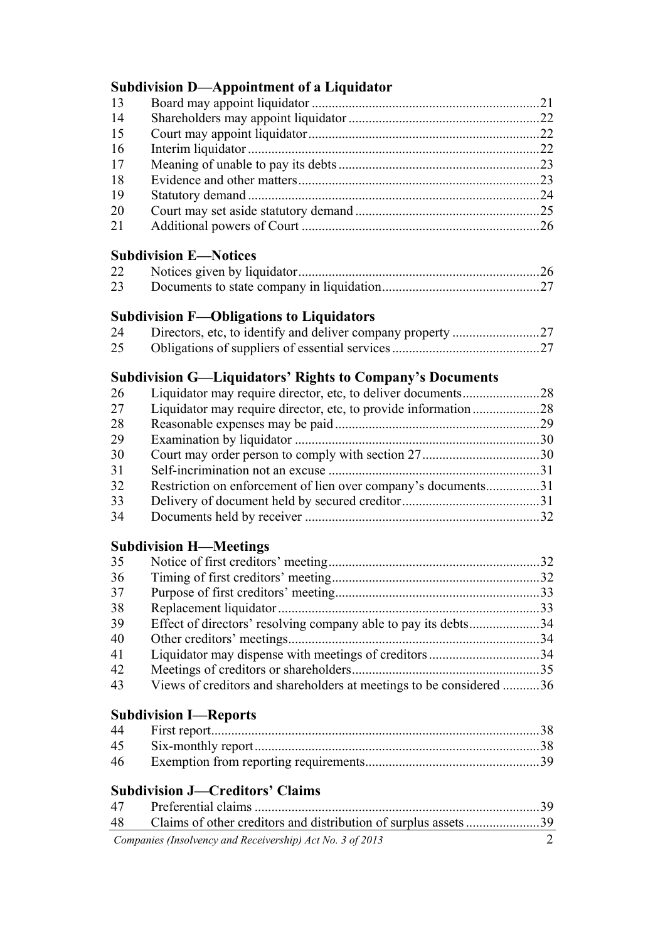# **Subdivision D—Appointment of a Liquidator**

| 13 |  |
|----|--|
| 14 |  |
| 15 |  |
| 16 |  |
| 17 |  |
| 18 |  |
| 19 |  |
| 20 |  |
| 21 |  |

# **Subdivision E—Notices**

| 22 |  |
|----|--|
| 23 |  |

## **Subdivision F—Obligations to Liquidators**

| 24 |  |
|----|--|
| 25 |  |

## **Subdivision G—Liquidators' Rights to Company's Documents**

| 26 |                                                               |  |
|----|---------------------------------------------------------------|--|
| 27 |                                                               |  |
| 28 |                                                               |  |
| 29 |                                                               |  |
| 30 |                                                               |  |
| 31 |                                                               |  |
| 32 | Restriction on enforcement of lien over company's documents31 |  |
| 33 |                                                               |  |
| 34 |                                                               |  |

## **Subdivision H—Meetings**

| 35 |                                                                     |  |
|----|---------------------------------------------------------------------|--|
| 36 |                                                                     |  |
| 37 |                                                                     |  |
| 38 |                                                                     |  |
| 39 | Effect of directors' resolving company able to pay its debts34      |  |
| 40 |                                                                     |  |
| 41 |                                                                     |  |
| 42 |                                                                     |  |
| 43 | Views of creditors and shareholders at meetings to be considered 36 |  |

## **Subdivision I—Reports**

| 46 |  |
|----|--|

# **Subdivision J—Creditors' Claims**

| 47 |                                                           |  |
|----|-----------------------------------------------------------|--|
| 48 |                                                           |  |
|    | Companies (Insolvency and Receivership) Act No. 3 of 2013 |  |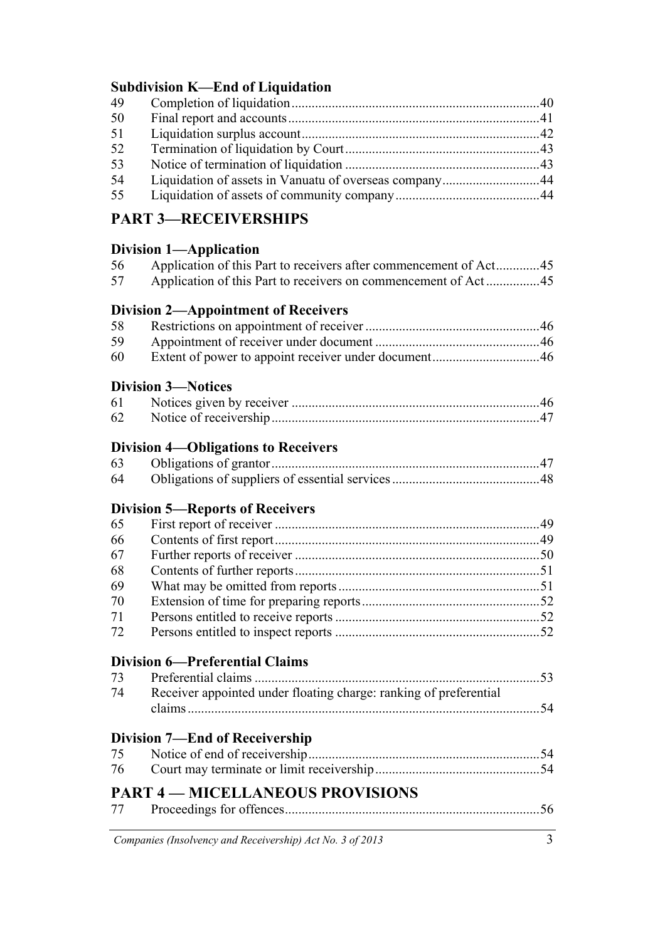# **Subdivision K—End of Liquidation**

| 49 |  |
|----|--|
| 50 |  |
| 51 |  |
| 52 |  |
| 53 |  |
| 54 |  |
| 55 |  |
|    |  |

# **PART 3—RECEIVERSHIPS**

# **Division 1—Application**

| 56<br>57 | Application of this Part to receivers after commencement of Act 45<br>Application of this Part to receivers on commencement of Act45 |  |
|----------|--------------------------------------------------------------------------------------------------------------------------------------|--|
|          | <b>Division 2—Appointment of Receivers</b>                                                                                           |  |
| 58       |                                                                                                                                      |  |
| 59       |                                                                                                                                      |  |
| 60       |                                                                                                                                      |  |
|          | <b>Division 3-Notices</b>                                                                                                            |  |
| 61       |                                                                                                                                      |  |
| 62       |                                                                                                                                      |  |
|          | <b>Division 4—Obligations to Receivers</b>                                                                                           |  |
| 63       |                                                                                                                                      |  |
| 64       |                                                                                                                                      |  |
|          | <b>Division 5—Reports of Receivers</b>                                                                                               |  |
| 65       |                                                                                                                                      |  |
| 66       |                                                                                                                                      |  |
| 67       |                                                                                                                                      |  |
| 68       |                                                                                                                                      |  |
| 69       |                                                                                                                                      |  |
| 70       |                                                                                                                                      |  |
| 71       |                                                                                                                                      |  |
| 72       |                                                                                                                                      |  |
|          | <b>Division 6-Preferential Claims</b>                                                                                                |  |
| 73       |                                                                                                                                      |  |
| 74       | Receiver appointed under floating charge: ranking of preferential                                                                    |  |
|          |                                                                                                                                      |  |
|          | <b>Division 7—End of Receivership</b>                                                                                                |  |
| 75       |                                                                                                                                      |  |
| 76       |                                                                                                                                      |  |
|          | <b>PART 4 – MICELLANEOUS PROVISIONS</b>                                                                                              |  |
| 77       |                                                                                                                                      |  |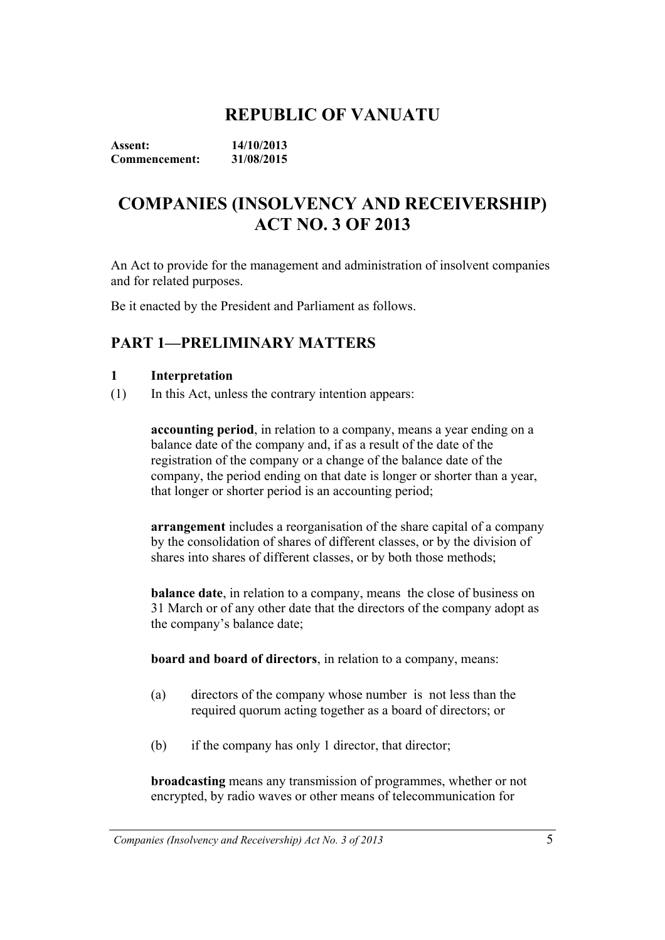# **REPUBLIC OF VANUATU**

**Assent: 14/10/2013 Commencement: 31/08/2015** 

# **COMPANIES (INSOLVENCY AND RECEIVERSHIP) ACT NO. 3 OF 2013**

An Act to provide for the management and administration of insolvent companies and for related purposes.

Be it enacted by the President and Parliament as follows.

# **PART 1—PRELIMINARY MATTERS**

#### **1 Interpretation**

(1) In this Act, unless the contrary intention appears:

**accounting period**, in relation to a company, means a year ending on a balance date of the company and, if as a result of the date of the registration of the company or a change of the balance date of the company, the period ending on that date is longer or shorter than a year, that longer or shorter period is an accounting period;

**arrangement** includes a reorganisation of the share capital of a company by the consolidation of shares of different classes, or by the division of shares into shares of different classes, or by both those methods;

**balance date**, in relation to a company, means the close of business on 31 March or of any other date that the directors of the company adopt as the company's balance date;

**board and board of directors**, in relation to a company, means:

- (a) directors of the company whose number is not less than the required quorum acting together as a board of directors; or
- (b) if the company has only 1 director, that director;

**broadcasting** means any transmission of programmes, whether or not encrypted, by radio waves or other means of telecommunication for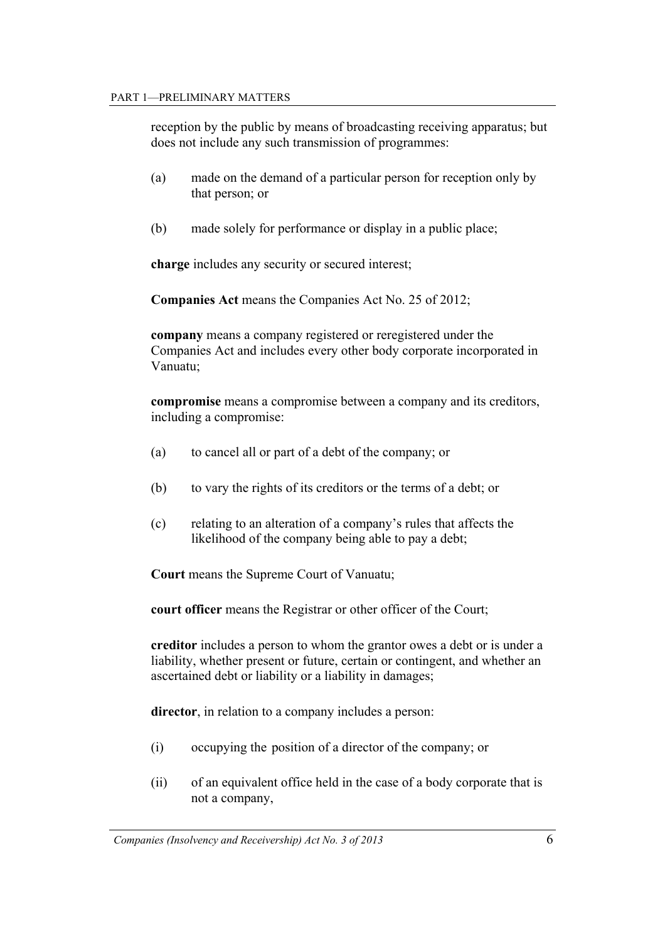reception by the public by means of broadcasting receiving apparatus; but does not include any such transmission of programmes:

- (a) made on the demand of a particular person for reception only by that person; or
- (b) made solely for performance or display in a public place;

**charge** includes any security or secured interest;

**Companies Act** means the Companies Act No. 25 of 2012;

**company** means a company registered or reregistered under the Companies Act and includes every other body corporate incorporated in Vanuatu;

**compromise** means a compromise between a company and its creditors, including a compromise:

- (a) to cancel all or part of a debt of the company; or
- (b) to vary the rights of its creditors or the terms of a debt; or
- (c) relating to an alteration of a company's rules that affects the likelihood of the company being able to pay a debt;

**Court** means the Supreme Court of Vanuatu;

**court officer** means the Registrar or other officer of the Court;

**creditor** includes a person to whom the grantor owes a debt or is under a liability, whether present or future, certain or contingent, and whether an ascertained debt or liability or a liability in damages;

 **director**, in relation to a company includes a person:

- (i) occupying the position of a director of the company; or
- (ii) of an equivalent office held in the case of a body corporate that is not a company,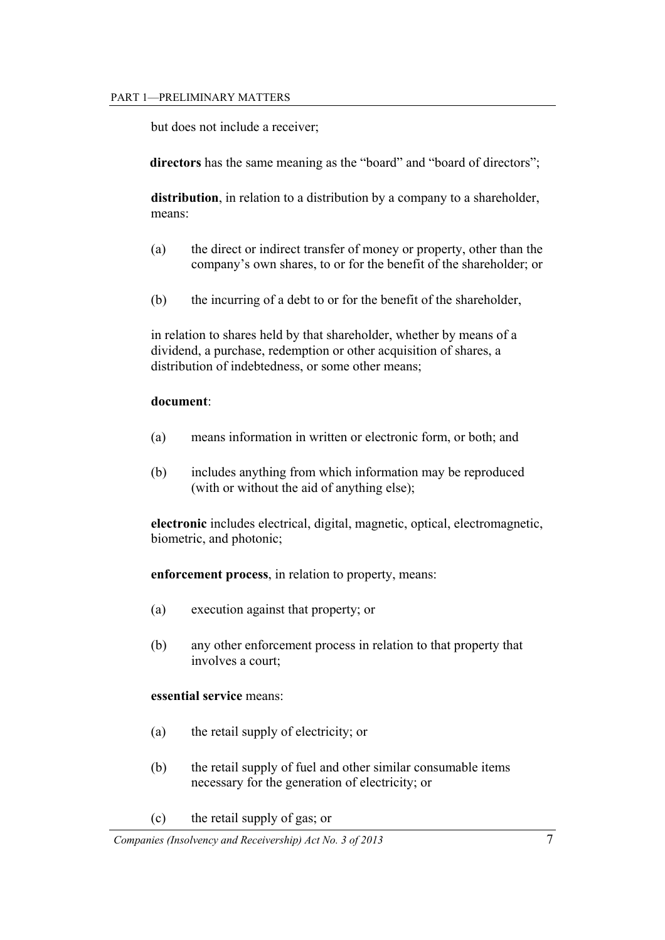but does not include a receiver;

directors has the same meaning as the "board" and "board of directors";

**distribution**, in relation to a distribution by a company to a shareholder, means:

- (a) the direct or indirect transfer of money or property, other than the company's own shares, to or for the benefit of the shareholder; or
- (b) the incurring of a debt to or for the benefit of the shareholder,

in relation to shares held by that shareholder, whether by means of a dividend, a purchase, redemption or other acquisition of shares, a distribution of indebtedness, or some other means;

#### **document**:

- (a) means information in written or electronic form, or both; and
- (b) includes anything from which information may be reproduced (with or without the aid of anything else);

**electronic** includes electrical, digital, magnetic, optical, electromagnetic, biometric, and photonic;

**enforcement process**, in relation to property, means:

- (a) execution against that property; or
- (b) any other enforcement process in relation to that property that involves a court;

#### **essential service** means:

- (a) the retail supply of electricity; or
- (b) the retail supply of fuel and other similar consumable items necessary for the generation of electricity; or
- (c) the retail supply of gas; or

*Companies (Insolvency and Receivership) Act No. 3 of 2013* 7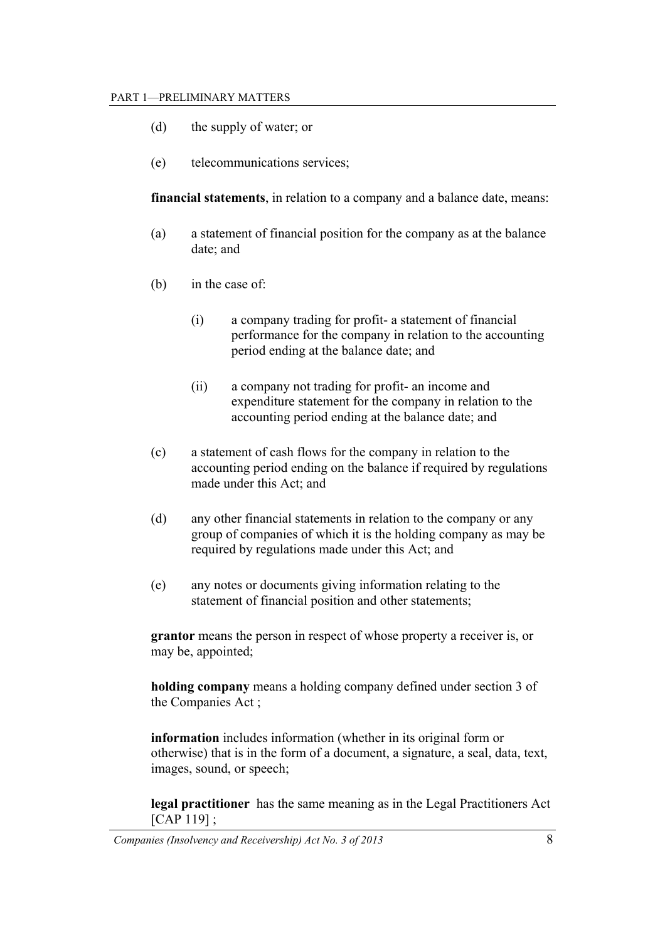- (d) the supply of water; or
- (e) telecommunications services;

**financial statements**, in relation to a company and a balance date, means:

- (a) a statement of financial position for the company as at the balance date; and
- (b) in the case of:
	- (i) a company trading for profit- a statement of financial performance for the company in relation to the accounting period ending at the balance date; and
	- (ii) a company not trading for profit- an income and expenditure statement for the company in relation to the accounting period ending at the balance date; and
- (c) a statement of cash flows for the company in relation to the accounting period ending on the balance if required by regulations made under this Act; and
- (d) any other financial statements in relation to the company or any group of companies of which it is the holding company as may be required by regulations made under this Act; and
- (e) any notes or documents giving information relating to the statement of financial position and other statements;

**grantor** means the person in respect of whose property a receiver is, or may be, appointed;

**holding company** means a holding company defined under section 3 of the Companies Act ;

**information** includes information (whether in its original form or otherwise) that is in the form of a document, a signature, a seal, data, text, images, sound, or speech;

**legal practitioner** has the same meaning as in the Legal Practitioners Act [CAP 119] ;

*Companies (Insolvency and Receivership) Act No. 3 of 2013* 8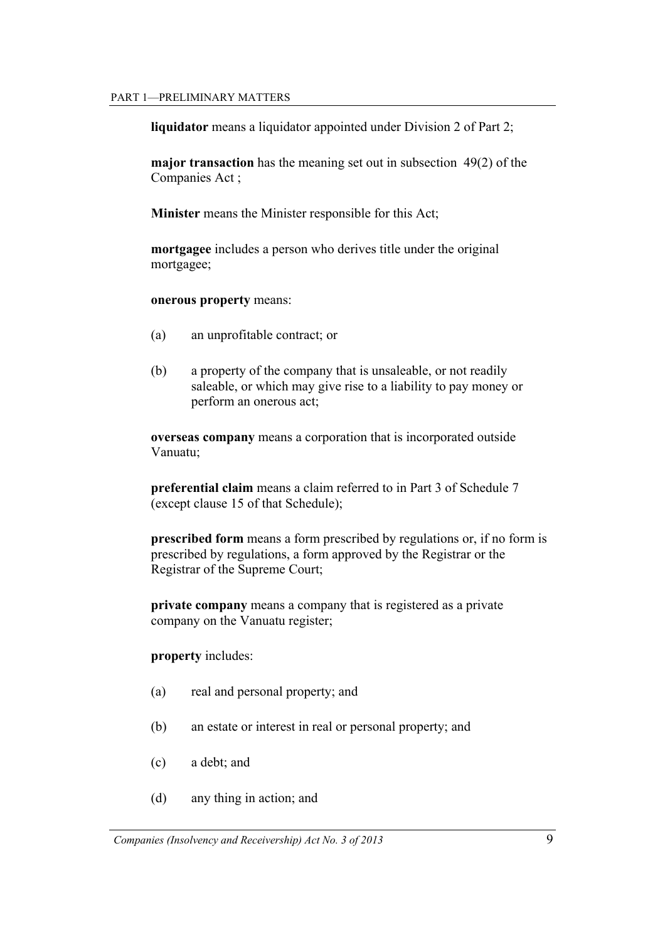**liquidator** means a liquidator appointed under Division 2 of Part 2;

**major transaction** has the meaning set out in subsection 49(2) of the Companies Act ;

**Minister** means the Minister responsible for this Act;

**mortgagee** includes a person who derives title under the original mortgagee;

#### **onerous property** means:

- (a) an unprofitable contract; or
- (b) a property of the company that is unsaleable, or not readily saleable, or which may give rise to a liability to pay money or perform an onerous act;

**overseas company** means a corporation that is incorporated outside Vanuatu;

**preferential claim** means a claim referred to in Part 3 of Schedule 7 (except clause 15 of that Schedule);

**prescribed form** means a form prescribed by regulations or, if no form is prescribed by regulations, a form approved by the Registrar or the Registrar of the Supreme Court;

**private company** means a company that is registered as a private company on the Vanuatu register;

**property** includes:

- (a) real and personal property; and
- (b) an estate or interest in real or personal property; and
- (c) a debt; and
- (d) any thing in action; and

*Companies (Insolvency and Receivership) Act No. 3 of 2013* 9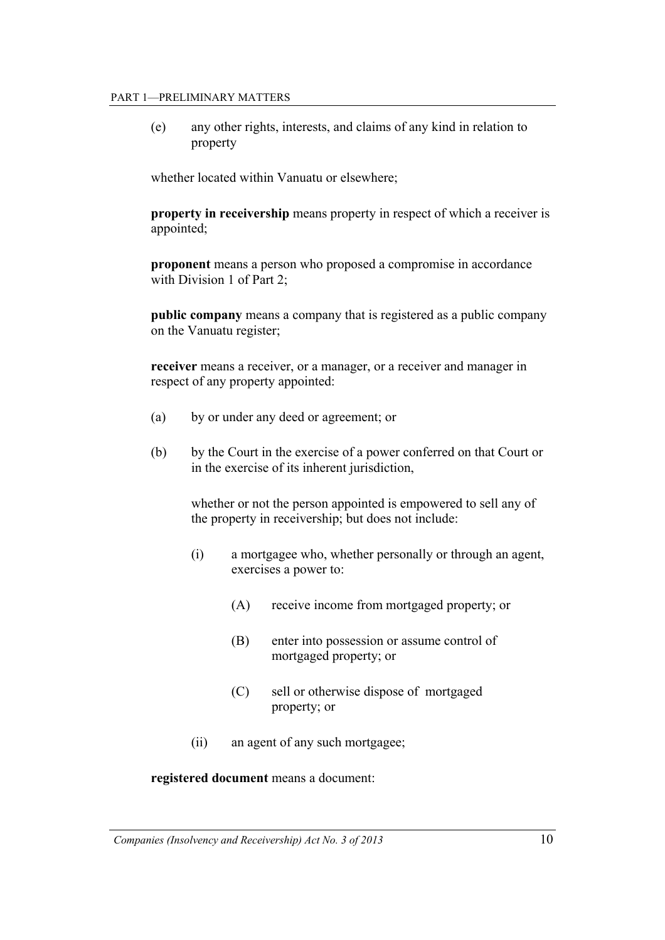#### PART 1—PRELIMINARY MATTERS

(e) any other rights, interests, and claims of any kind in relation to property

whether located within Vanuatu or elsewhere;

**property in receivership** means property in respect of which a receiver is appointed;

**proponent** means a person who proposed a compromise in accordance with Division 1 of Part 2:

**public company** means a company that is registered as a public company on the Vanuatu register;

**receiver** means a receiver, or a manager, or a receiver and manager in respect of any property appointed:

- (a) by or under any deed or agreement; or
- (b) by the Court in the exercise of a power conferred on that Court or in the exercise of its inherent jurisdiction,

 whether or not the person appointed is empowered to sell any of the property in receivership; but does not include:

- (i) a mortgagee who, whether personally or through an agent, exercises a power to:
	- (A) receive income from mortgaged property; or
	- (B) enter into possession or assume control of mortgaged property; or
	- (C) sell or otherwise dispose of mortgaged property; or
- (ii) an agent of any such mortgagee;

#### **registered document** means a document: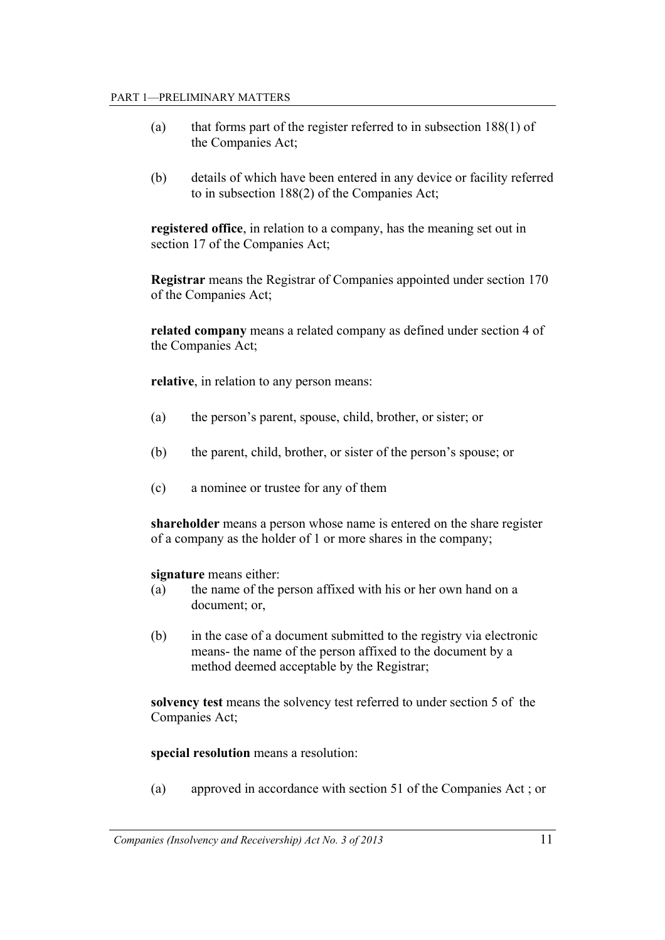- (a) that forms part of the register referred to in subsection 188(1) of the Companies Act;
- (b) details of which have been entered in any device or facility referred to in subsection 188(2) of the Companies Act;

**registered office**, in relation to a company, has the meaning set out in section 17 of the Companies Act;

**Registrar** means the Registrar of Companies appointed under section 170 of the Companies Act;

**related company** means a related company as defined under section 4 of the Companies Act;

**relative**, in relation to any person means:

- (a) the person's parent, spouse, child, brother, or sister; or
- (b) the parent, child, brother, or sister of the person's spouse; or
- (c) a nominee or trustee for any of them

**shareholder** means a person whose name is entered on the share register of a company as the holder of 1 or more shares in the company;

 **signature** means either:

- (a) the name of the person affixed with his or her own hand on a document; or,
- (b) in the case of a document submitted to the registry via electronic means- the name of the person affixed to the document by a method deemed acceptable by the Registrar;

**solvency test** means the solvency test referred to under section 5 of the Companies Act;

#### **special resolution** means a resolution:

(a) approved in accordance with section 51 of the Companies Act ; or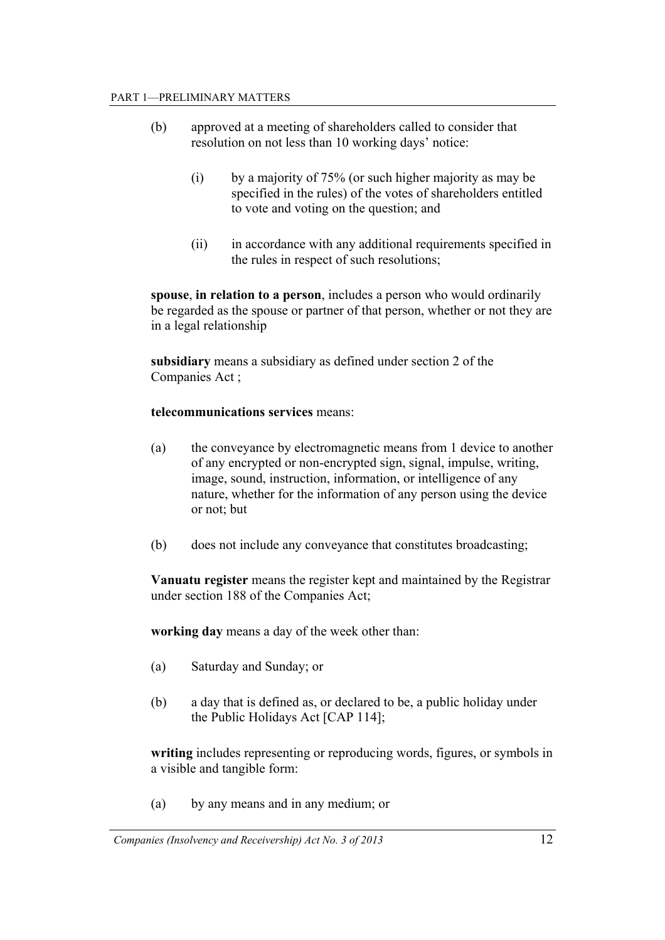- (b) approved at a meeting of shareholders called to consider that resolution on not less than 10 working days' notice:
	- (i) by a majority of 75% (or such higher majority as may be specified in the rules) of the votes of shareholders entitled to vote and voting on the question; and
	- (ii) in accordance with any additional requirements specified in the rules in respect of such resolutions;

**spouse**, **in relation to a person**, includes a person who would ordinarily be regarded as the spouse or partner of that person, whether or not they are in a legal relationship

**subsidiary** means a subsidiary as defined under section 2 of the Companies Act ;

#### **telecommunications services** means:

- (a) the conveyance by electromagnetic means from 1 device to another of any encrypted or non-encrypted sign, signal, impulse, writing, image, sound, instruction, information, or intelligence of any nature, whether for the information of any person using the device or not; but
- (b) does not include any conveyance that constitutes broadcasting;

**Vanuatu register** means the register kept and maintained by the Registrar under section 188 of the Companies Act;

**working day** means a day of the week other than:

- (a) Saturday and Sunday; or
- (b) a day that is defined as, or declared to be, a public holiday under the Public Holidays Act [CAP 114];

**writing** includes representing or reproducing words, figures, or symbols in a visible and tangible form:

(a) by any means and in any medium; or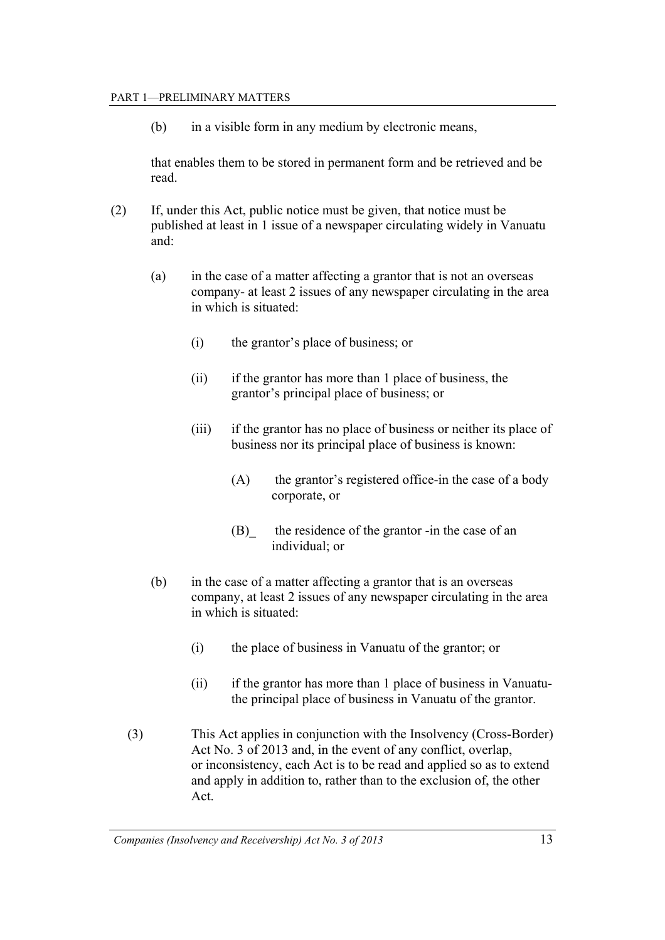(b) in a visible form in any medium by electronic means,

that enables them to be stored in permanent form and be retrieved and be read.

- (2) If, under this Act, public notice must be given, that notice must be published at least in 1 issue of a newspaper circulating widely in Vanuatu and:
	- (a) in the case of a matter affecting a grantor that is not an overseas company- at least 2 issues of any newspaper circulating in the area in which is situated:
		- (i) the grantor's place of business; or
		- (ii) if the grantor has more than 1 place of business, the grantor's principal place of business; or
		- (iii) if the grantor has no place of business or neither its place of business nor its principal place of business is known:
			- (A) the grantor's registered office-in the case of a body corporate, or
			- (B)\_ the residence of the grantor -in the case of an individual; or
	- (b) in the case of a matter affecting a grantor that is an overseas company, at least 2 issues of any newspaper circulating in the area in which is situated:
		- (i) the place of business in Vanuatu of the grantor; or
		- (ii) if the grantor has more than 1 place of business in Vanuatuthe principal place of business in Vanuatu of the grantor.
	- (3) This Act applies in conjunction with the Insolvency (Cross-Border) Act No. 3 of 2013 and, in the event of any conflict, overlap, or inconsistency, each Act is to be read and applied so as to extend and apply in addition to, rather than to the exclusion of, the other Act.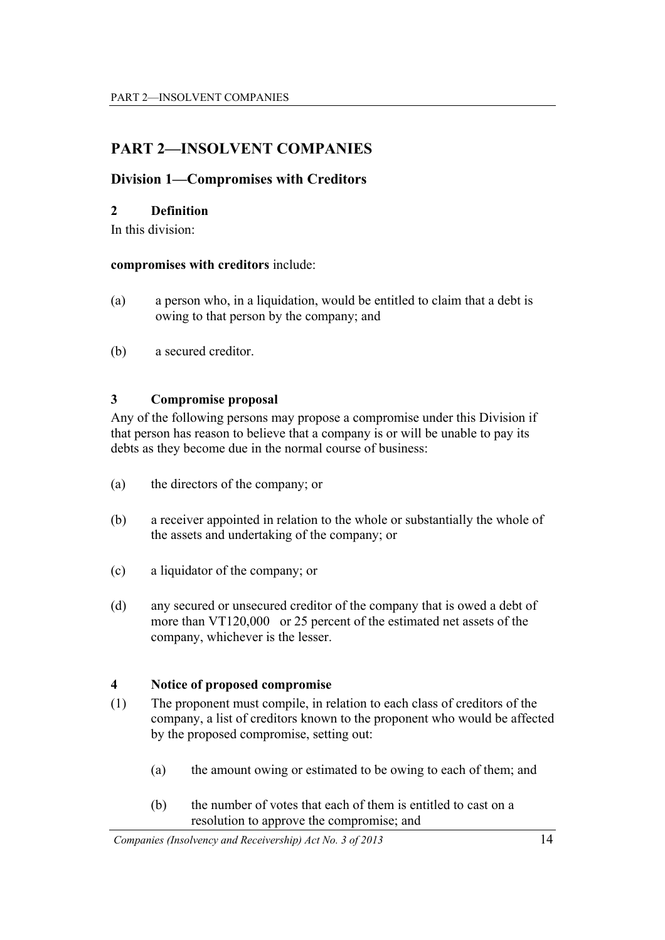# **PART 2—INSOLVENT COMPANIES**

## **Division 1—Compromises with Creditors**

## **2 Definition**

In this division:

#### **compromises with creditors** include:

- (a) a person who, in a liquidation, would be entitled to claim that a debt is owing to that person by the company; and
- (b) a secured creditor.

## **3 Compromise proposal**

Any of the following persons may propose a compromise under this Division if that person has reason to believe that a company is or will be unable to pay its debts as they become due in the normal course of business:

- (a) the directors of the company; or
- (b) a receiver appointed in relation to the whole or substantially the whole of the assets and undertaking of the company; or
- (c) a liquidator of the company; or
- (d) any secured or unsecured creditor of the company that is owed a debt of more than VT120,000 or 25 percent of the estimated net assets of the company, whichever is the lesser.

## **4 Notice of proposed compromise**

- (1) The proponent must compile, in relation to each class of creditors of the company, a list of creditors known to the proponent who would be affected by the proposed compromise, setting out:
	- (a) the amount owing or estimated to be owing to each of them; and
	- (b) the number of votes that each of them is entitled to cast on a resolution to approve the compromise; and

*Companies (Insolvency and Receivership) Act No. 3 of 2013* 14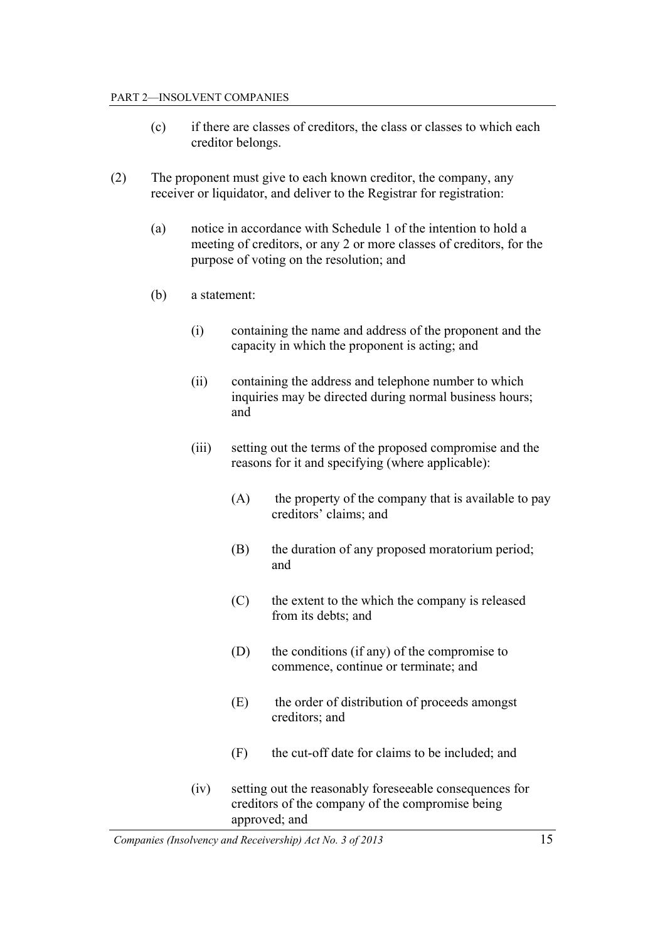#### PART 2—INSOLVENT COMPANIES

- (c) if there are classes of creditors, the class or classes to which each creditor belongs.
- (2) The proponent must give to each known creditor, the company, any receiver or liquidator, and deliver to the Registrar for registration:
	- (a) notice in accordance with Schedule 1 of the intention to hold a meeting of creditors, or any 2 or more classes of creditors, for the purpose of voting on the resolution; and
	- (b) a statement:
		- (i) containing the name and address of the proponent and the capacity in which the proponent is acting; and
		- (ii) containing the address and telephone number to which inquiries may be directed during normal business hours; and
		- (iii) setting out the terms of the proposed compromise and the reasons for it and specifying (where applicable):
			- (A) the property of the company that is available to pay creditors' claims; and
			- (B) the duration of any proposed moratorium period; and
			- (C) the extent to the which the company is released from its debts; and
			- (D) the conditions (if any) of the compromise to commence, continue or terminate; and
			- (E) the order of distribution of proceeds amongst creditors; and
			- (F) the cut-off date for claims to be included; and
		- (iv) setting out the reasonably foreseeable consequences for creditors of the company of the compromise being approved; and

*Companies (Insolvency and Receivership) Act No. 3 of 2013* 15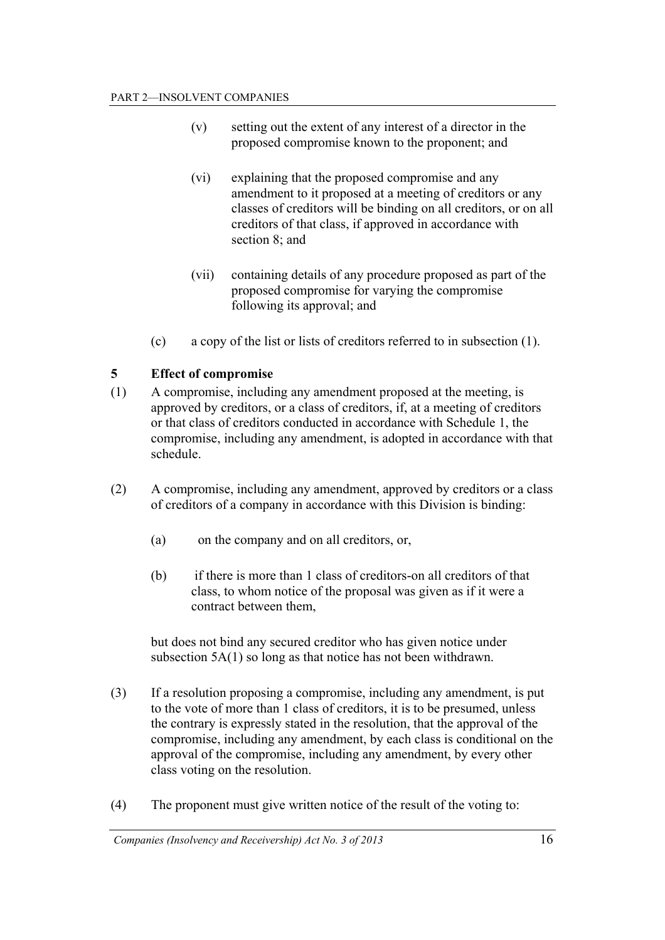- (v) setting out the extent of any interest of a director in the proposed compromise known to the proponent; and
- (vi) explaining that the proposed compromise and any amendment to it proposed at a meeting of creditors or any classes of creditors will be binding on all creditors, or on all creditors of that class, if approved in accordance with section  $8$  and
- (vii) containing details of any procedure proposed as part of the proposed compromise for varying the compromise following its approval; and
- (c) a copy of the list or lists of creditors referred to in subsection (1).

## **5 Effect of compromise**

- (1) A compromise, including any amendment proposed at the meeting, is approved by creditors, or a class of creditors, if, at a meeting of creditors or that class of creditors conducted in accordance with Schedule 1, the compromise, including any amendment, is adopted in accordance with that schedule.
- (2) A compromise, including any amendment, approved by creditors or a class of creditors of a company in accordance with this Division is binding:
	- (a) on the company and on all creditors, or,
	- (b) if there is more than 1 class of creditors-on all creditors of that class, to whom notice of the proposal was given as if it were a contract between them,

 but does not bind any secured creditor who has given notice under subsection 5A(1) so long as that notice has not been withdrawn.

- (3) If a resolution proposing a compromise, including any amendment, is put to the vote of more than 1 class of creditors, it is to be presumed, unless the contrary is expressly stated in the resolution, that the approval of the compromise, including any amendment, by each class is conditional on the approval of the compromise, including any amendment, by every other class voting on the resolution.
- (4) The proponent must give written notice of the result of the voting to: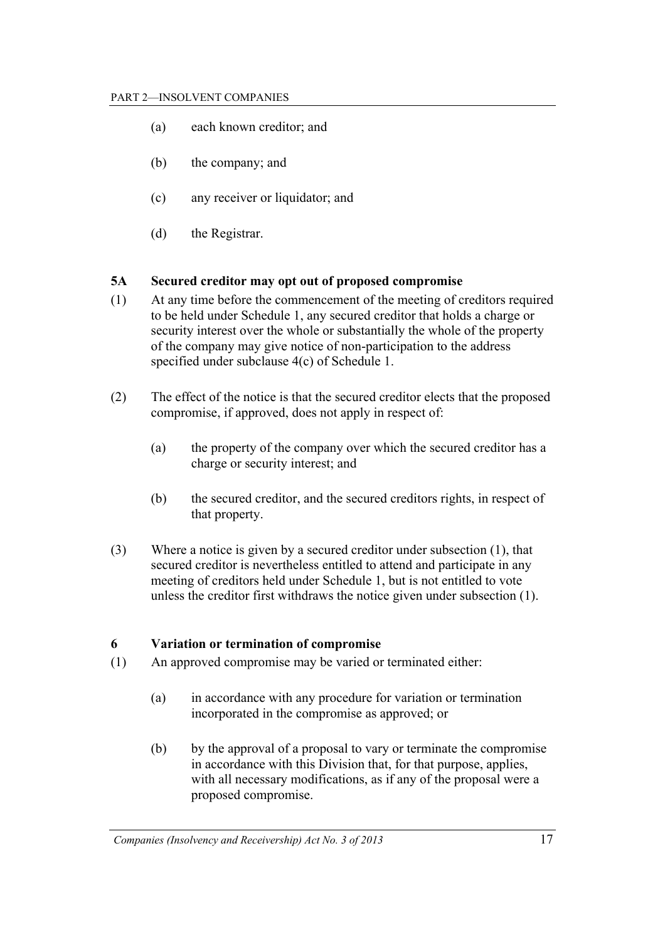- (a) each known creditor; and
- (b) the company; and
- (c) any receiver or liquidator; and
- (d) the Registrar.

## **5A Secured creditor may opt out of proposed compromise**

- (1) At any time before the commencement of the meeting of creditors required to be held under Schedule 1, any secured creditor that holds a charge or security interest over the whole or substantially the whole of the property of the company may give notice of non-participation to the address specified under subclause 4(c) of Schedule 1.
- (2) The effect of the notice is that the secured creditor elects that the proposed compromise, if approved, does not apply in respect of:
	- (a) the property of the company over which the secured creditor has a charge or security interest; and
	- (b) the secured creditor, and the secured creditors rights, in respect of that property.
- (3) Where a notice is given by a secured creditor under subsection (1), that secured creditor is nevertheless entitled to attend and participate in any meeting of creditors held under Schedule 1, but is not entitled to vote unless the creditor first withdraws the notice given under subsection (1).

## **6 Variation or termination of compromise**

- (1) An approved compromise may be varied or terminated either:
	- (a) in accordance with any procedure for variation or termination incorporated in the compromise as approved; or
	- (b) by the approval of a proposal to vary or terminate the compromise in accordance with this Division that, for that purpose, applies, with all necessary modifications, as if any of the proposal were a proposed compromise.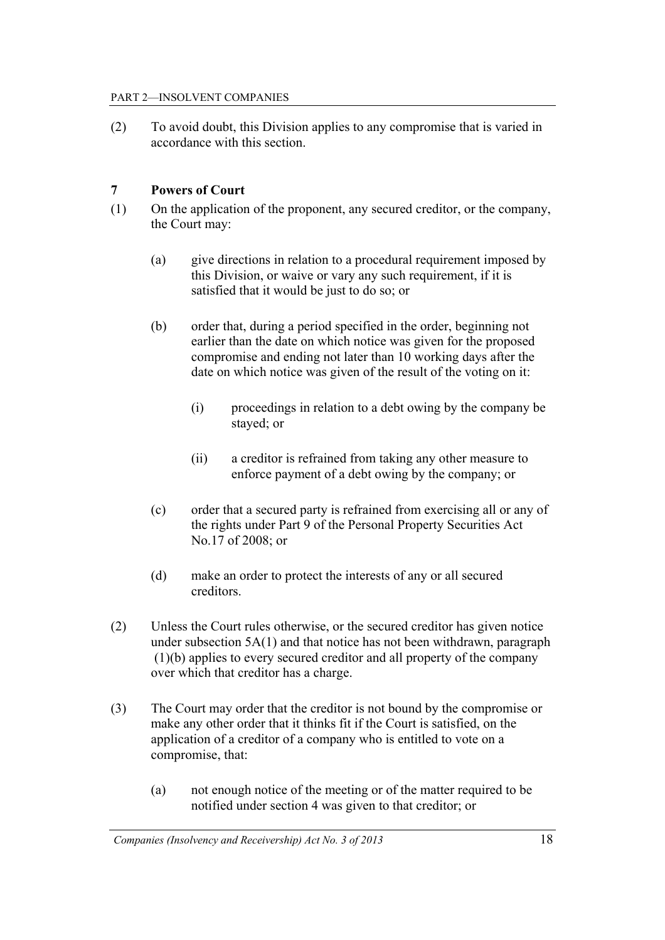(2) To avoid doubt, this Division applies to any compromise that is varied in accordance with this section.

## **7 Powers of Court**

- (1) On the application of the proponent, any secured creditor, or the company, the Court may:
	- (a) give directions in relation to a procedural requirement imposed by this Division, or waive or vary any such requirement, if it is satisfied that it would be just to do so; or
	- (b) order that, during a period specified in the order, beginning not earlier than the date on which notice was given for the proposed compromise and ending not later than 10 working days after the date on which notice was given of the result of the voting on it:
		- (i) proceedings in relation to a debt owing by the company be stayed; or
		- (ii) a creditor is refrained from taking any other measure to enforce payment of a debt owing by the company; or
	- (c) order that a secured party is refrained from exercising all or any of the rights under Part 9 of the Personal Property Securities Act No.17 of 2008; or
	- (d) make an order to protect the interests of any or all secured creditors.
- (2) Unless the Court rules otherwise, or the secured creditor has given notice under subsection 5A(1) and that notice has not been withdrawn, paragraph (1)(b) applies to every secured creditor and all property of the company over which that creditor has a charge.
- (3) The Court may order that the creditor is not bound by the compromise or make any other order that it thinks fit if the Court is satisfied, on the application of a creditor of a company who is entitled to vote on a compromise, that:
	- (a) not enough notice of the meeting or of the matter required to be notified under section 4 was given to that creditor; or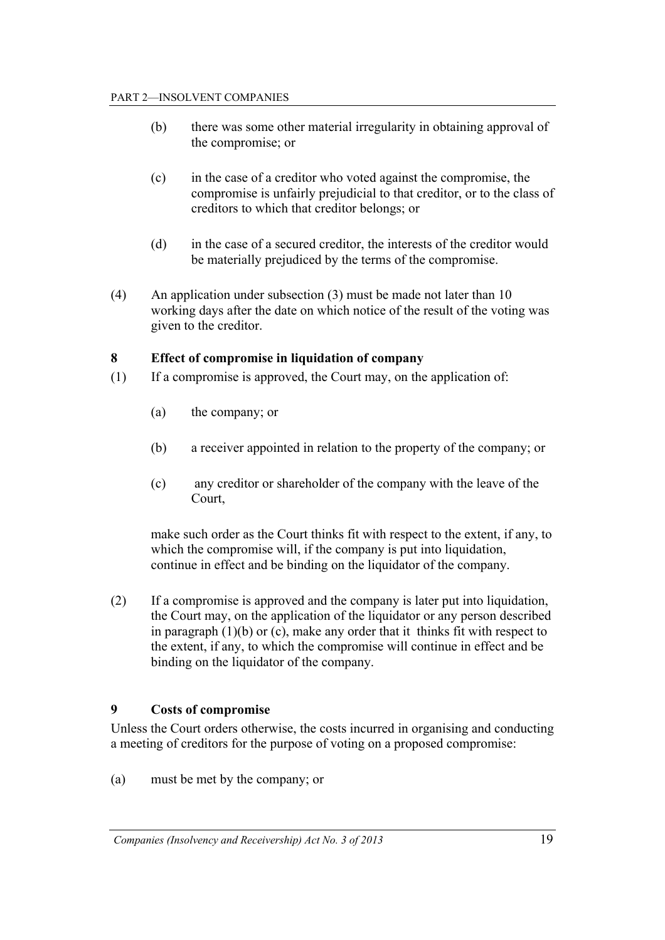- (b) there was some other material irregularity in obtaining approval of the compromise; or
- (c) in the case of a creditor who voted against the compromise, the compromise is unfairly prejudicial to that creditor, or to the class of creditors to which that creditor belongs; or
- (d) in the case of a secured creditor, the interests of the creditor would be materially prejudiced by the terms of the compromise.
- (4) An application under subsection (3) must be made not later than 10 working days after the date on which notice of the result of the voting was given to the creditor.

## **8 Effect of compromise in liquidation of company**

- (1) If a compromise is approved, the Court may, on the application of:
	- (a) the company; or
	- (b) a receiver appointed in relation to the property of the company; or
	- (c) any creditor or shareholder of the company with the leave of the Court,

 make such order as the Court thinks fit with respect to the extent, if any, to which the compromise will, if the company is put into liquidation, continue in effect and be binding on the liquidator of the company.

(2) If a compromise is approved and the company is later put into liquidation, the Court may, on the application of the liquidator or any person described in paragraph (1)(b) or (c), make any order that it thinks fit with respect to the extent, if any, to which the compromise will continue in effect and be binding on the liquidator of the company.

## **9 Costs of compromise**

Unless the Court orders otherwise, the costs incurred in organising and conducting a meeting of creditors for the purpose of voting on a proposed compromise:

(a) must be met by the company; or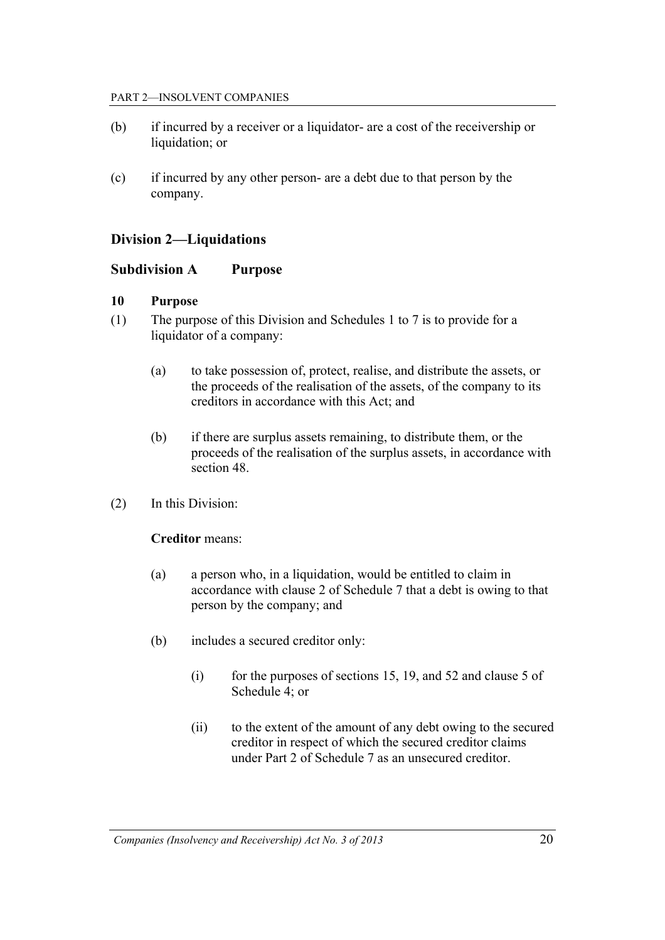- (b) if incurred by a receiver or a liquidator- are a cost of the receivership or liquidation; or
- (c) if incurred by any other person- are a debt due to that person by the company.

## **Division 2—Liquidations**

## **Subdivision A Purpose**

#### **10 Purpose**

- (1) The purpose of this Division and Schedules 1 to 7 is to provide for a liquidator of a company:
	- (a) to take possession of, protect, realise, and distribute the assets, or the proceeds of the realisation of the assets, of the company to its creditors in accordance with this Act; and
	- (b) if there are surplus assets remaining, to distribute them, or the proceeds of the realisation of the surplus assets, in accordance with section 48.
- (2) In this Division:

## **Creditor** means:

- (a) a person who, in a liquidation, would be entitled to claim in accordance with clause 2 of Schedule 7 that a debt is owing to that person by the company; and
- (b) includes a secured creditor only:
	- (i) for the purposes of sections 15, 19, and 52 and clause 5 of Schedule 4; or
	- (ii) to the extent of the amount of any debt owing to the secured creditor in respect of which the secured creditor claims under Part 2 of Schedule 7 as an unsecured creditor.

*Companies (Insolvency and Receivership) Act No. 3 of 2013* 20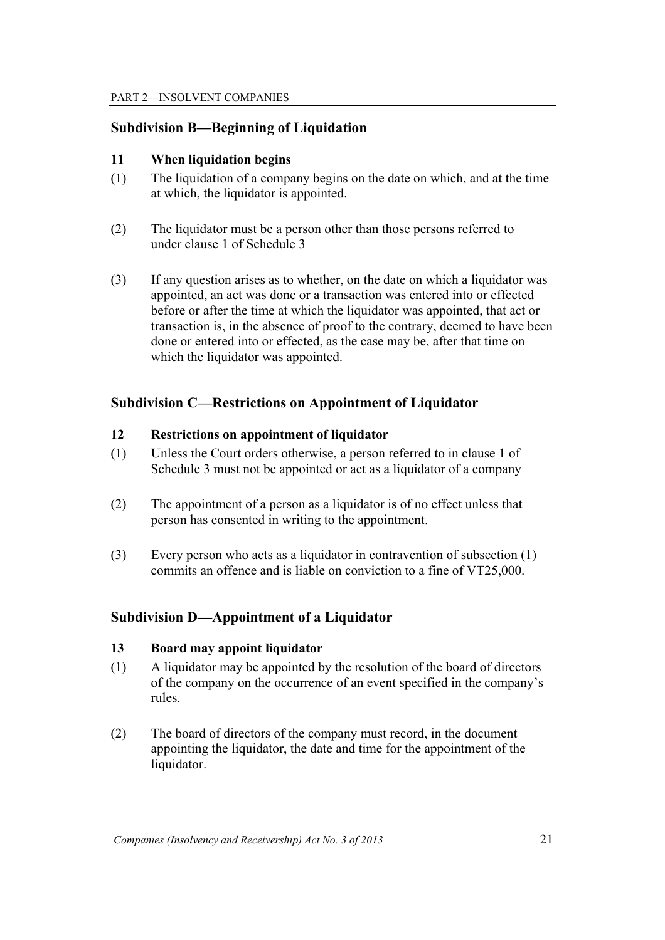## **Subdivision B—Beginning of Liquidation**

#### **11 When liquidation begins**

- (1) The liquidation of a company begins on the date on which, and at the time at which, the liquidator is appointed.
- (2) The liquidator must be a person other than those persons referred to under clause 1 of Schedule 3
- (3) If any question arises as to whether, on the date on which a liquidator was appointed, an act was done or a transaction was entered into or effected before or after the time at which the liquidator was appointed, that act or transaction is, in the absence of proof to the contrary, deemed to have been done or entered into or effected, as the case may be, after that time on which the liquidator was appointed.

## **Subdivision C—Restrictions on Appointment of Liquidator**

#### **12 Restrictions on appointment of liquidator**

- (1) Unless the Court orders otherwise, a person referred to in clause 1 of Schedule 3 must not be appointed or act as a liquidator of a company
- (2) The appointment of a person as a liquidator is of no effect unless that person has consented in writing to the appointment.
- (3) Every person who acts as a liquidator in contravention of subsection (1) commits an offence and is liable on conviction to a fine of VT25,000.

## **Subdivision D—Appointment of a Liquidator**

#### **13 Board may appoint liquidator**

- (1) A liquidator may be appointed by the resolution of the board of directors of the company on the occurrence of an event specified in the company's rules.
- (2) The board of directors of the company must record, in the document appointing the liquidator, the date and time for the appointment of the liquidator.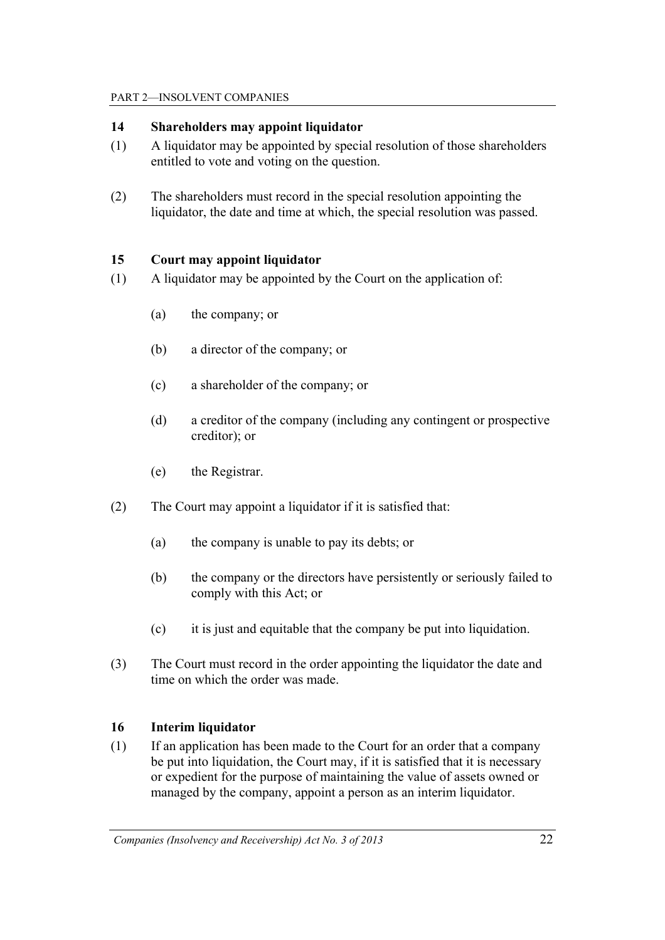#### PART 2—INSOLVENT COMPANIES

#### **14 Shareholders may appoint liquidator**

- (1) A liquidator may be appointed by special resolution of those shareholders entitled to vote and voting on the question.
- (2) The shareholders must record in the special resolution appointing the liquidator, the date and time at which, the special resolution was passed.

#### **15 Court may appoint liquidator**

- (1) A liquidator may be appointed by the Court on the application of:
	- (a) the company; or
	- (b) a director of the company; or
	- (c) a shareholder of the company; or
	- (d) a creditor of the company (including any contingent or prospective creditor); or
	- (e) the Registrar.
- (2) The Court may appoint a liquidator if it is satisfied that:
	- (a) the company is unable to pay its debts; or
	- (b) the company or the directors have persistently or seriously failed to comply with this Act; or
	- (c) it is just and equitable that the company be put into liquidation.
- (3) The Court must record in the order appointing the liquidator the date and time on which the order was made.

## **16 Interim liquidator**

(1) If an application has been made to the Court for an order that a company be put into liquidation, the Court may, if it is satisfied that it is necessary or expedient for the purpose of maintaining the value of assets owned or managed by the company, appoint a person as an interim liquidator.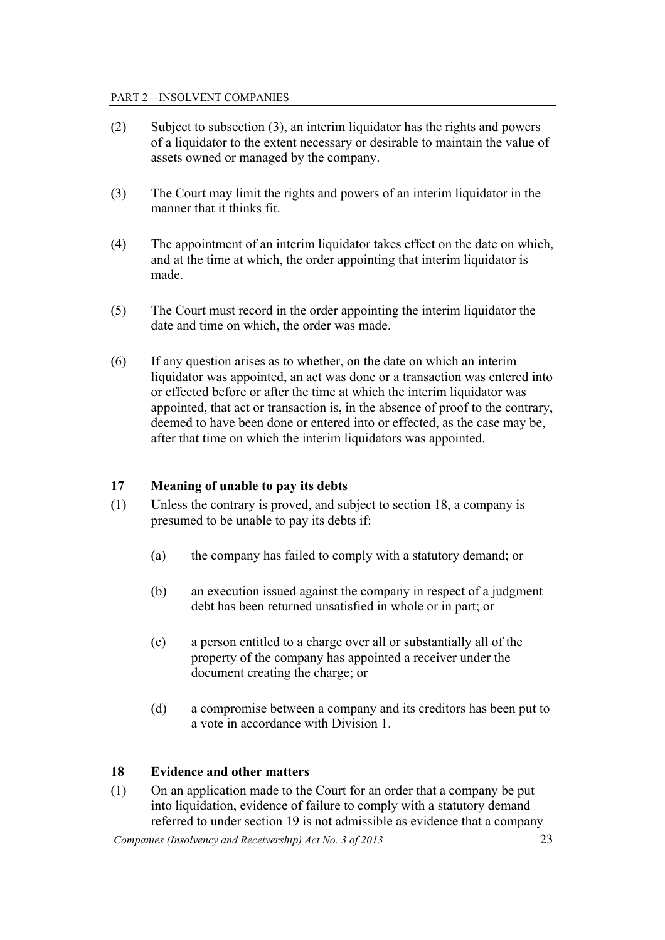- (2) Subject to subsection (3), an interim liquidator has the rights and powers of a liquidator to the extent necessary or desirable to maintain the value of assets owned or managed by the company.
- (3) The Court may limit the rights and powers of an interim liquidator in the manner that it thinks fit.
- (4) The appointment of an interim liquidator takes effect on the date on which, and at the time at which, the order appointing that interim liquidator is made.
- (5) The Court must record in the order appointing the interim liquidator the date and time on which, the order was made.
- (6) If any question arises as to whether, on the date on which an interim liquidator was appointed, an act was done or a transaction was entered into or effected before or after the time at which the interim liquidator was appointed, that act or transaction is, in the absence of proof to the contrary, deemed to have been done or entered into or effected, as the case may be, after that time on which the interim liquidators was appointed.

## **17 Meaning of unable to pay its debts**

- (1) Unless the contrary is proved, and subject to section 18, a company is presumed to be unable to pay its debts if:
	- (a) the company has failed to comply with a statutory demand; or
	- (b) an execution issued against the company in respect of a judgment debt has been returned unsatisfied in whole or in part; or
	- (c) a person entitled to a charge over all or substantially all of the property of the company has appointed a receiver under the document creating the charge; or
	- (d) a compromise between a company and its creditors has been put to a vote in accordance with Division 1.

## **18 Evidence and other matters**

(1) On an application made to the Court for an order that a company be put into liquidation, evidence of failure to comply with a statutory demand referred to under section 19 is not admissible as evidence that a company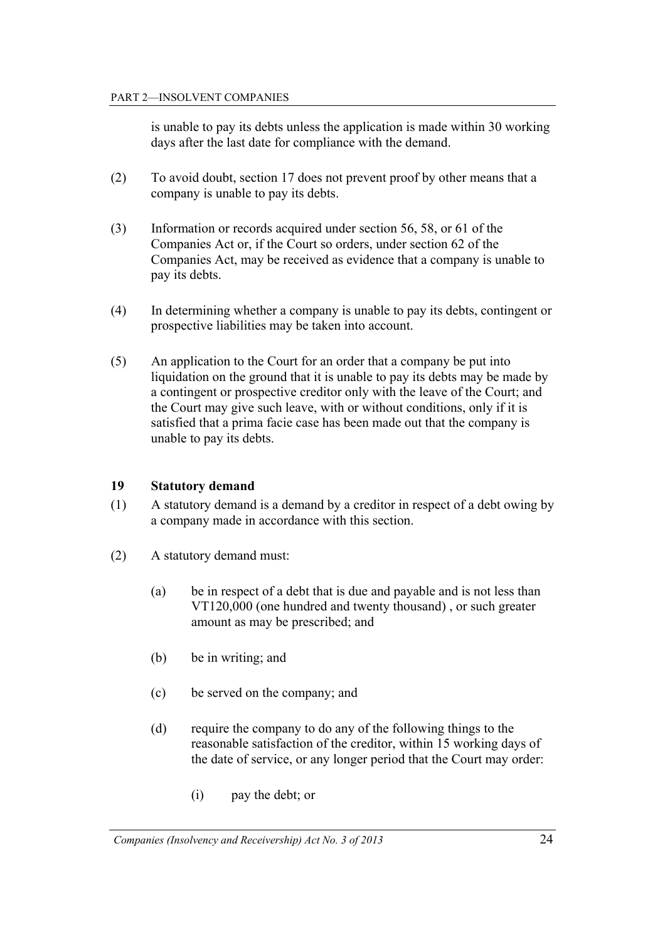is unable to pay its debts unless the application is made within 30 working days after the last date for compliance with the demand.

- (2) To avoid doubt, section 17 does not prevent proof by other means that a company is unable to pay its debts.
- (3) Information or records acquired under section 56, 58, or 61 of the Companies Act or, if the Court so orders, under section 62 of the Companies Act, may be received as evidence that a company is unable to pay its debts.
- (4) In determining whether a company is unable to pay its debts, contingent or prospective liabilities may be taken into account.
- (5) An application to the Court for an order that a company be put into liquidation on the ground that it is unable to pay its debts may be made by a contingent or prospective creditor only with the leave of the Court; and the Court may give such leave, with or without conditions, only if it is satisfied that a prima facie case has been made out that the company is unable to pay its debts.

## **19 Statutory demand**

- (1) A statutory demand is a demand by a creditor in respect of a debt owing by a company made in accordance with this section.
- (2) A statutory demand must:
	- (a) be in respect of a debt that is due and payable and is not less than VT120,000 (one hundred and twenty thousand) , or such greater amount as may be prescribed; and
	- (b) be in writing; and
	- (c) be served on the company; and
	- (d) require the company to do any of the following things to the reasonable satisfaction of the creditor, within 15 working days of the date of service, or any longer period that the Court may order:
		- (i) pay the debt; or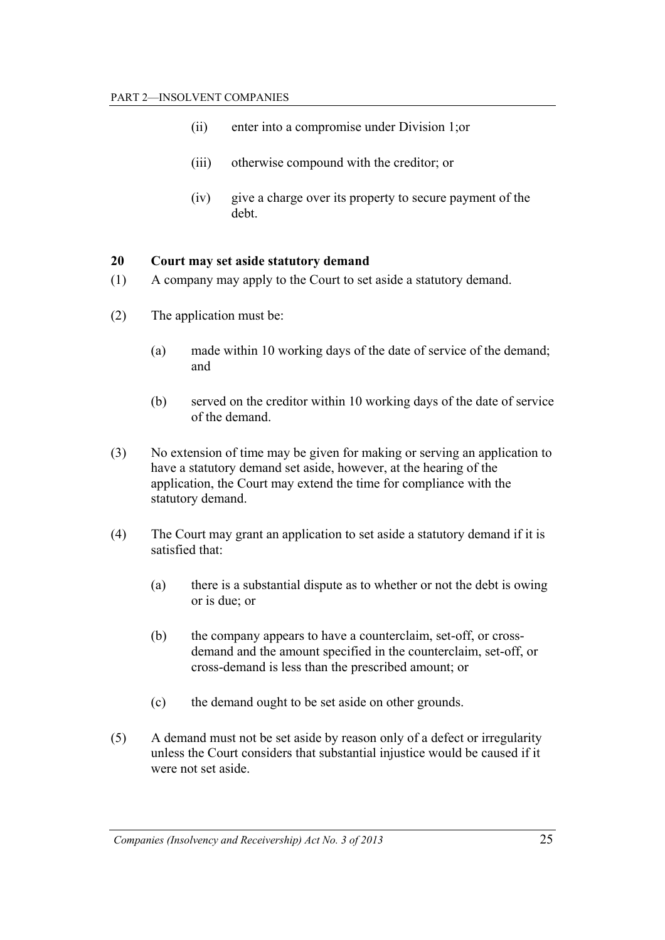- (ii) enter into a compromise under Division 1;or
- (iii) otherwise compound with the creditor; or
- (iv) give a charge over its property to secure payment of the debt.

## **20 Court may set aside statutory demand**

- (1) A company may apply to the Court to set aside a statutory demand.
- (2) The application must be:
	- (a) made within 10 working days of the date of service of the demand; and
	- (b) served on the creditor within 10 working days of the date of service of the demand.
- (3) No extension of time may be given for making or serving an application to have a statutory demand set aside, however, at the hearing of the application, the Court may extend the time for compliance with the statutory demand.
- (4) The Court may grant an application to set aside a statutory demand if it is satisfied that:
	- (a) there is a substantial dispute as to whether or not the debt is owing or is due; or
	- (b) the company appears to have a counterclaim, set-off, or crossdemand and the amount specified in the counterclaim, set-off, or cross-demand is less than the prescribed amount; or
	- (c) the demand ought to be set aside on other grounds.
- (5) A demand must not be set aside by reason only of a defect or irregularity unless the Court considers that substantial injustice would be caused if it were not set aside.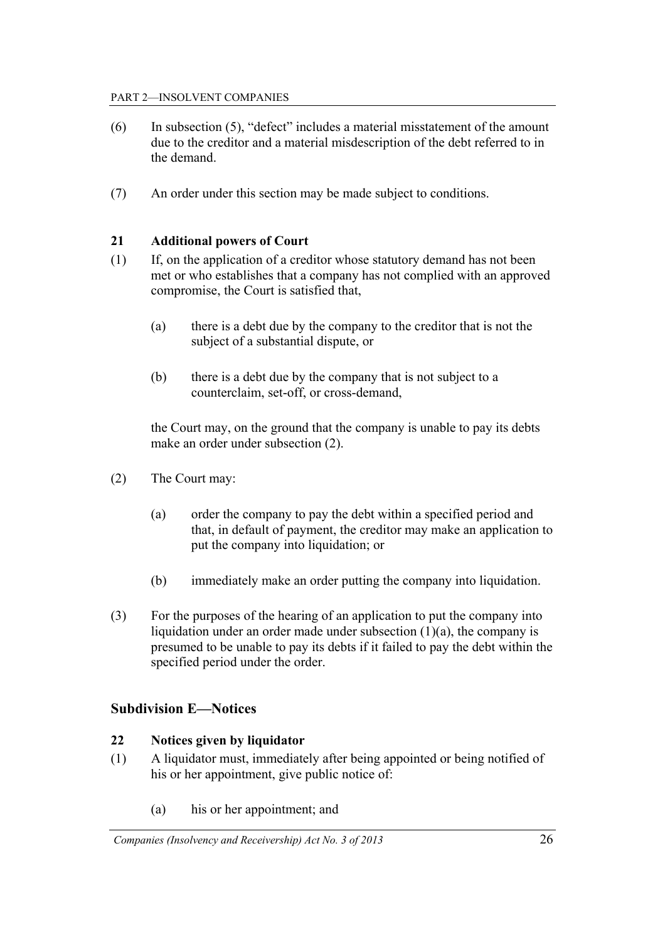- (6) In subsection (5), "defect" includes a material misstatement of the amount due to the creditor and a material misdescription of the debt referred to in the demand.
- (7) An order under this section may be made subject to conditions.

## **21 Additional powers of Court**

- (1) If, on the application of a creditor whose statutory demand has not been met or who establishes that a company has not complied with an approved compromise, the Court is satisfied that,
	- (a) there is a debt due by the company to the creditor that is not the subject of a substantial dispute, or
	- (b) there is a debt due by the company that is not subject to a counterclaim, set-off, or cross-demand,

 the Court may, on the ground that the company is unable to pay its debts make an order under subsection (2).

- (2) The Court may:
	- (a) order the company to pay the debt within a specified period and that, in default of payment, the creditor may make an application to put the company into liquidation; or
	- (b) immediately make an order putting the company into liquidation.
- (3) For the purposes of the hearing of an application to put the company into liquidation under an order made under subsection  $(1)(a)$ , the company is presumed to be unable to pay its debts if it failed to pay the debt within the specified period under the order.

## **Subdivision E—Notices**

## **22 Notices given by liquidator**

- (1) A liquidator must, immediately after being appointed or being notified of his or her appointment, give public notice of:
	- (a) his or her appointment; and

*Companies (Insolvency and Receivership) Act No. 3 of 2013* 26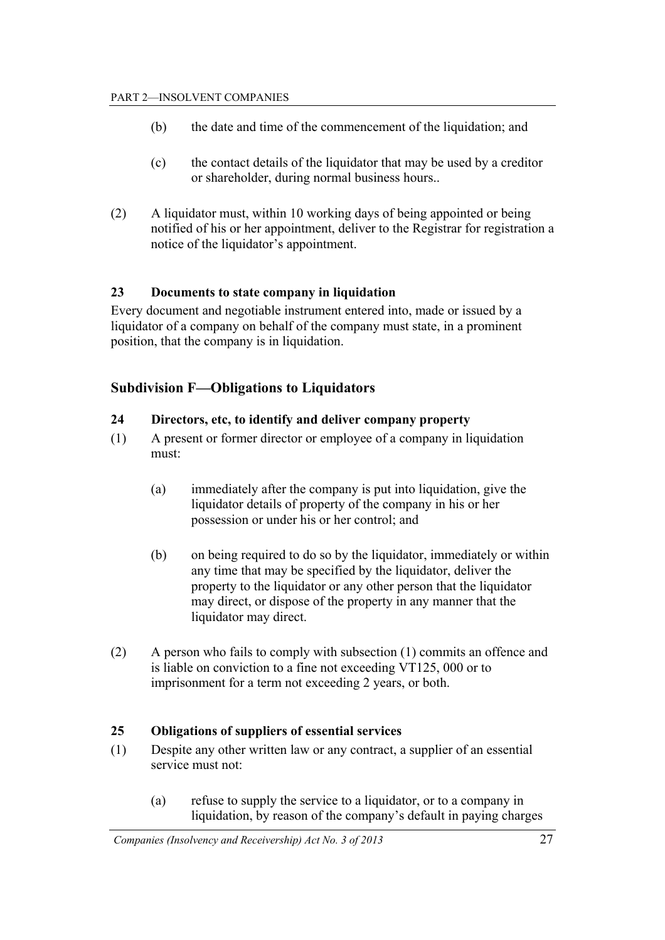- (b) the date and time of the commencement of the liquidation; and
- (c) the contact details of the liquidator that may be used by a creditor or shareholder, during normal business hours..
- (2) A liquidator must, within 10 working days of being appointed or being notified of his or her appointment, deliver to the Registrar for registration a notice of the liquidator's appointment.

## **23 Documents to state company in liquidation**

Every document and negotiable instrument entered into, made or issued by a liquidator of a company on behalf of the company must state, in a prominent position, that the company is in liquidation.

## **Subdivision F—Obligations to Liquidators**

## **24 Directors, etc, to identify and deliver company property**

- (1) A present or former director or employee of a company in liquidation must:
	- (a) immediately after the company is put into liquidation, give the liquidator details of property of the company in his or her possession or under his or her control; and
	- (b) on being required to do so by the liquidator, immediately or within any time that may be specified by the liquidator, deliver the property to the liquidator or any other person that the liquidator may direct, or dispose of the property in any manner that the liquidator may direct.
- (2) A person who fails to comply with subsection (1) commits an offence and is liable on conviction to a fine not exceeding VT125, 000 or to imprisonment for a term not exceeding 2 years, or both.

## **25 Obligations of suppliers of essential services**

- (1) Despite any other written law or any contract, a supplier of an essential service must not:
	- (a) refuse to supply the service to a liquidator, or to a company in liquidation, by reason of the company's default in paying charges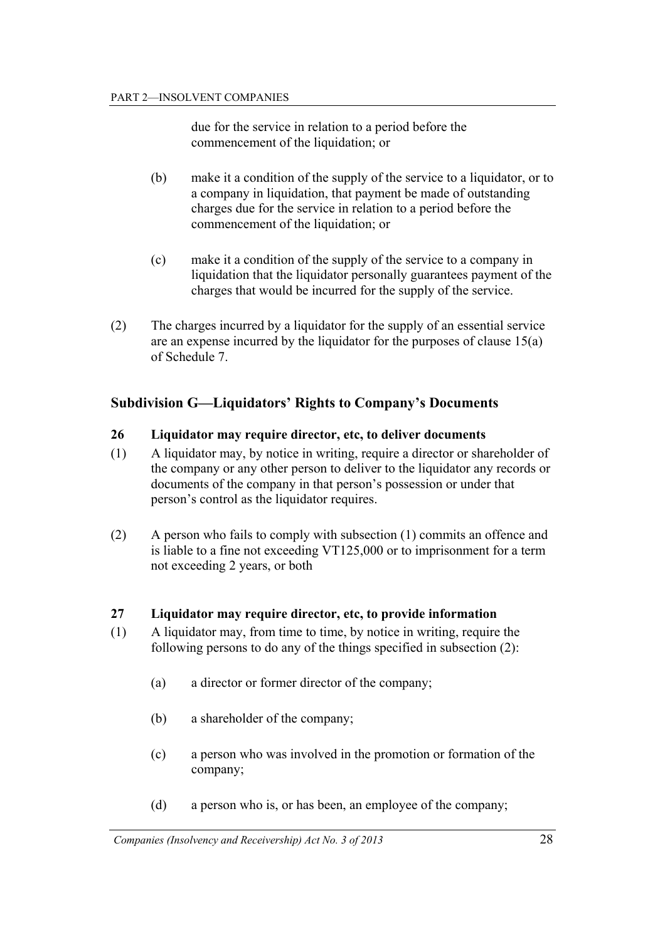due for the service in relation to a period before the commencement of the liquidation; or

- (b) make it a condition of the supply of the service to a liquidator, or to a company in liquidation, that payment be made of outstanding charges due for the service in relation to a period before the commencement of the liquidation; or
- (c) make it a condition of the supply of the service to a company in liquidation that the liquidator personally guarantees payment of the charges that would be incurred for the supply of the service.
- (2) The charges incurred by a liquidator for the supply of an essential service are an expense incurred by the liquidator for the purposes of clause 15(a) of Schedule 7.

## **Subdivision G—Liquidators' Rights to Company's Documents**

## **26 Liquidator may require director, etc, to deliver documents**

- (1) A liquidator may, by notice in writing, require a director or shareholder of the company or any other person to deliver to the liquidator any records or documents of the company in that person's possession or under that person's control as the liquidator requires.
- (2) A person who fails to comply with subsection (1) commits an offence and is liable to a fine not exceeding VT125,000 or to imprisonment for a term not exceeding 2 years, or both

## **27 Liquidator may require director, etc, to provide information**

- (1) A liquidator may, from time to time, by notice in writing, require the following persons to do any of the things specified in subsection (2):
	- (a) a director or former director of the company;
	- (b) a shareholder of the company;
	- (c) a person who was involved in the promotion or formation of the company;
	- (d) a person who is, or has been, an employee of the company;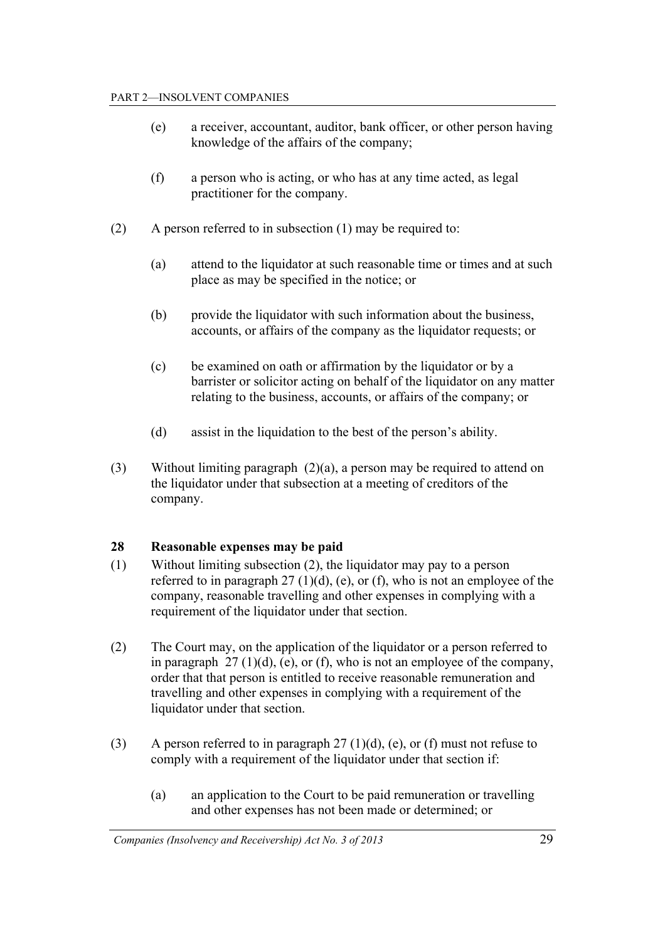- (e) a receiver, accountant, auditor, bank officer, or other person having knowledge of the affairs of the company;
- (f) a person who is acting, or who has at any time acted, as legal practitioner for the company.
- (2) A person referred to in subsection (1) may be required to:
	- (a) attend to the liquidator at such reasonable time or times and at such place as may be specified in the notice; or
	- (b) provide the liquidator with such information about the business, accounts, or affairs of the company as the liquidator requests; or
	- (c) be examined on oath or affirmation by the liquidator or by a barrister or solicitor acting on behalf of the liquidator on any matter relating to the business, accounts, or affairs of the company; or
	- (d) assist in the liquidation to the best of the person's ability.
- (3) Without limiting paragraph (2)(a), a person may be required to attend on the liquidator under that subsection at a meeting of creditors of the company.

## **28 Reasonable expenses may be paid**

- (1) Without limiting subsection (2), the liquidator may pay to a person referred to in paragraph  $27 \text{ (1)(d)}$ , (e), or (f), who is not an employee of the company, reasonable travelling and other expenses in complying with a requirement of the liquidator under that section.
- (2) The Court may, on the application of the liquidator or a person referred to in paragraph  $27 \left(1\right)(d)$ , (e), or (f), who is not an employee of the company, order that that person is entitled to receive reasonable remuneration and travelling and other expenses in complying with a requirement of the liquidator under that section.
- (3) A person referred to in paragraph  $27 \text{ (1)(d)}$ , (e), or (f) must not refuse to comply with a requirement of the liquidator under that section if:
	- (a) an application to the Court to be paid remuneration or travelling and other expenses has not been made or determined; or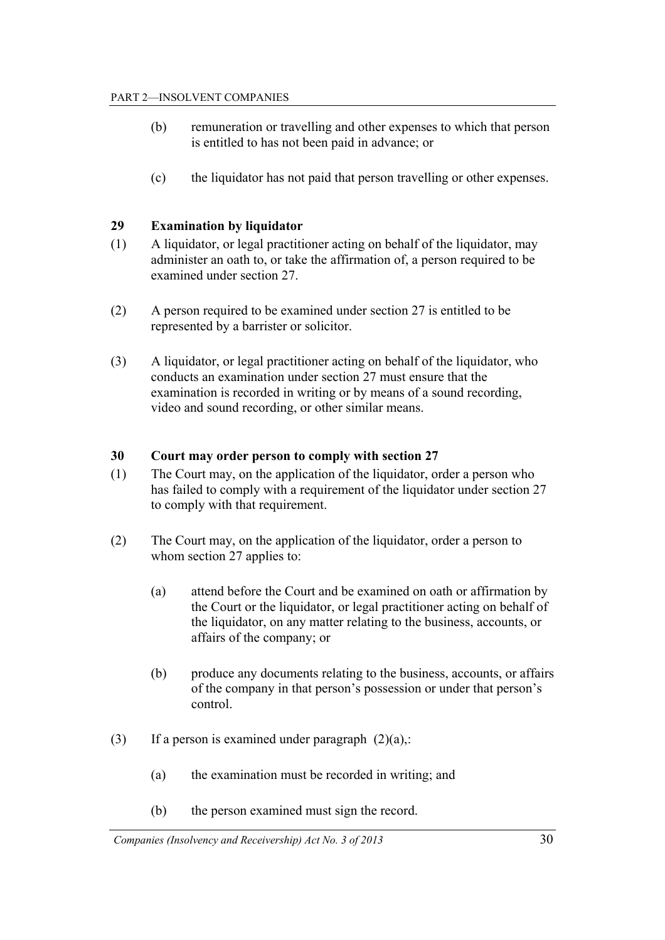- (b) remuneration or travelling and other expenses to which that person is entitled to has not been paid in advance; or
- (c) the liquidator has not paid that person travelling or other expenses.

#### **29 Examination by liquidator**

- (1) A liquidator, or legal practitioner acting on behalf of the liquidator, may administer an oath to, or take the affirmation of, a person required to be examined under section 27.
- (2) A person required to be examined under section 27 is entitled to be represented by a barrister or solicitor.
- (3) A liquidator, or legal practitioner acting on behalf of the liquidator, who conducts an examination under section 27 must ensure that the examination is recorded in writing or by means of a sound recording, video and sound recording, or other similar means.

#### **30 Court may order person to comply with section 27**

- (1) The Court may, on the application of the liquidator, order a person who has failed to comply with a requirement of the liquidator under section 27 to comply with that requirement.
- (2) The Court may, on the application of the liquidator, order a person to whom section 27 applies to:
	- (a) attend before the Court and be examined on oath or affirmation by the Court or the liquidator, or legal practitioner acting on behalf of the liquidator, on any matter relating to the business, accounts, or affairs of the company; or
	- (b) produce any documents relating to the business, accounts, or affairs of the company in that person's possession or under that person's control.
- (3) If a person is examined under paragraph  $(2)(a)$ .
	- (a) the examination must be recorded in writing; and
	- (b) the person examined must sign the record.

*Companies (Insolvency and Receivership) Act No. 3 of 2013* 30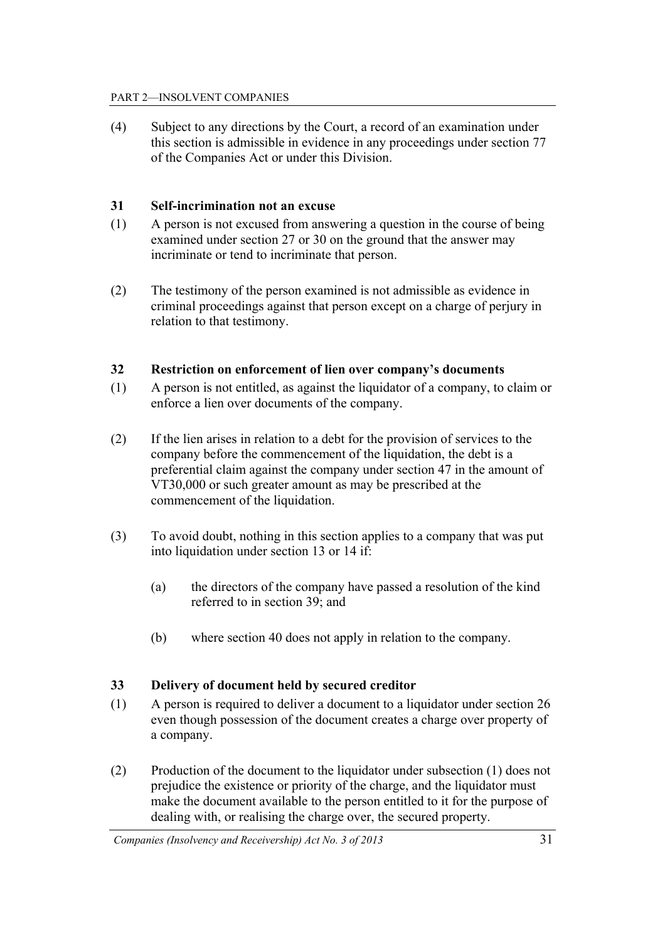#### PART 2—INSOLVENT COMPANIES

(4) Subject to any directions by the Court, a record of an examination under this section is admissible in evidence in any proceedings under section 77 of the Companies Act or under this Division.

#### **31 Self-incrimination not an excuse**

- (1) A person is not excused from answering a question in the course of being examined under section 27 or 30 on the ground that the answer may incriminate or tend to incriminate that person.
- (2) The testimony of the person examined is not admissible as evidence in criminal proceedings against that person except on a charge of perjury in relation to that testimony.

## **32 Restriction on enforcement of lien over company's documents**

- (1) A person is not entitled, as against the liquidator of a company, to claim or enforce a lien over documents of the company.
- (2) If the lien arises in relation to a debt for the provision of services to the company before the commencement of the liquidation, the debt is a preferential claim against the company under section 47 in the amount of VT30,000 or such greater amount as may be prescribed at the commencement of the liquidation.
- (3) To avoid doubt, nothing in this section applies to a company that was put into liquidation under section 13 or 14 if:
	- (a) the directors of the company have passed a resolution of the kind referred to in section 39; and
	- (b) where section 40 does not apply in relation to the company.

#### **33 Delivery of document held by secured creditor**

- (1) A person is required to deliver a document to a liquidator under section 26 even though possession of the document creates a charge over property of a company.
- (2) Production of the document to the liquidator under subsection (1) does not prejudice the existence or priority of the charge, and the liquidator must make the document available to the person entitled to it for the purpose of dealing with, or realising the charge over, the secured property.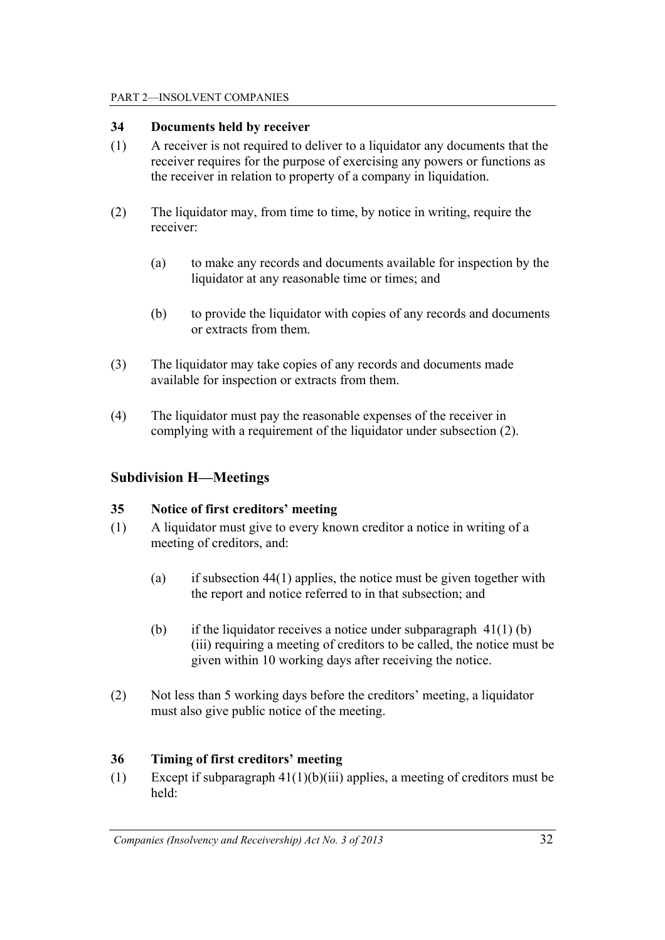#### PART 2—INSOLVENT COMPANIES

#### **34 Documents held by receiver**

- (1) A receiver is not required to deliver to a liquidator any documents that the receiver requires for the purpose of exercising any powers or functions as the receiver in relation to property of a company in liquidation.
- (2) The liquidator may, from time to time, by notice in writing, require the receiver:
	- (a) to make any records and documents available for inspection by the liquidator at any reasonable time or times; and
	- (b) to provide the liquidator with copies of any records and documents or extracts from them.
- (3) The liquidator may take copies of any records and documents made available for inspection or extracts from them.
- (4) The liquidator must pay the reasonable expenses of the receiver in complying with a requirement of the liquidator under subsection (2).

## **Subdivision H—Meetings**

## **35 Notice of first creditors' meeting**

- (1) A liquidator must give to every known creditor a notice in writing of a meeting of creditors, and:
	- (a) if subsection  $44(1)$  applies, the notice must be given together with the report and notice referred to in that subsection; and
	- (b) if the liquidator receives a notice under subparagraph  $41(1)$  (b) (iii) requiring a meeting of creditors to be called, the notice must be given within 10 working days after receiving the notice.
- (2) Not less than 5 working days before the creditors' meeting, a liquidator must also give public notice of the meeting.

## **36 Timing of first creditors' meeting**

(1) Except if subparagraph 41(1)(b)(iii) applies, a meeting of creditors must be held: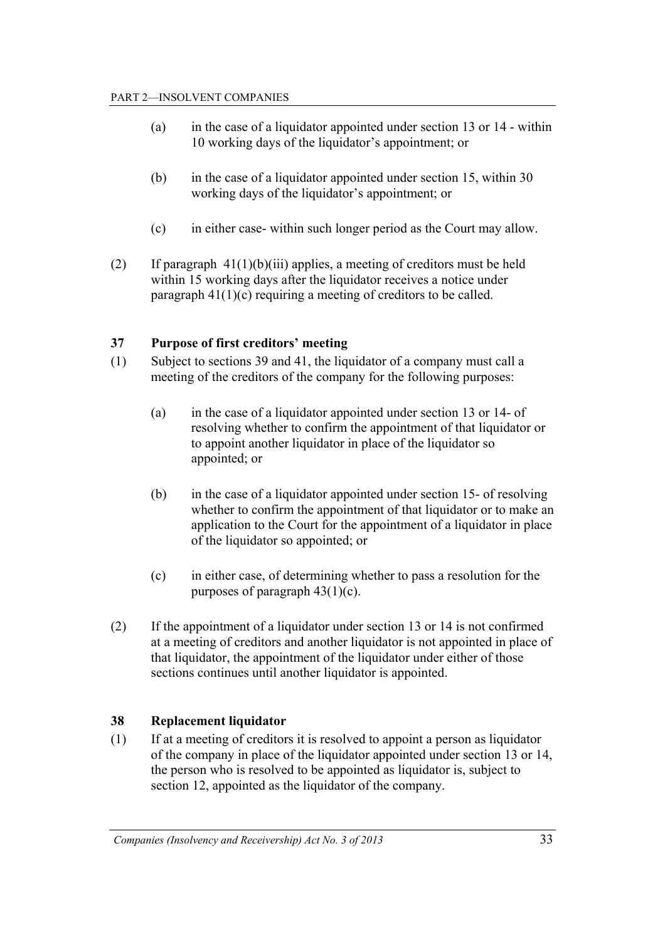- (a) in the case of a liquidator appointed under section 13 or 14 within 10 working days of the liquidator's appointment; or
- (b) in the case of a liquidator appointed under section 15, within 30 working days of the liquidator's appointment; or
- (c) in either case- within such longer period as the Court may allow.
- (2) If paragraph  $41(1)(b)(iii)$  applies, a meeting of creditors must be held within 15 working days after the liquidator receives a notice under paragraph 41(1)(c) requiring a meeting of creditors to be called.

## **37 Purpose of first creditors' meeting**

- (1) Subject to sections 39 and 41, the liquidator of a company must call a meeting of the creditors of the company for the following purposes:
	- (a) in the case of a liquidator appointed under section 13 or 14- of resolving whether to confirm the appointment of that liquidator or to appoint another liquidator in place of the liquidator so appointed; or
	- (b) in the case of a liquidator appointed under section 15- of resolving whether to confirm the appointment of that liquidator or to make an application to the Court for the appointment of a liquidator in place of the liquidator so appointed; or
	- (c) in either case, of determining whether to pass a resolution for the purposes of paragraph 43(1)(c).
- (2) If the appointment of a liquidator under section 13 or 14 is not confirmed at a meeting of creditors and another liquidator is not appointed in place of that liquidator, the appointment of the liquidator under either of those sections continues until another liquidator is appointed.

## **38 Replacement liquidator**

(1) If at a meeting of creditors it is resolved to appoint a person as liquidator of the company in place of the liquidator appointed under section 13 or 14, the person who is resolved to be appointed as liquidator is, subject to section 12, appointed as the liquidator of the company.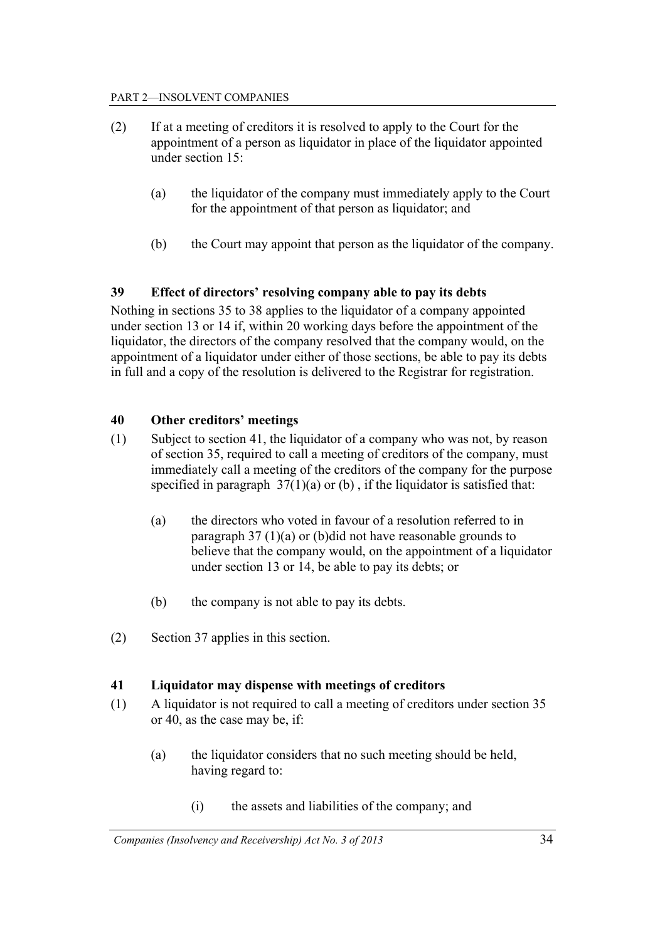- (2) If at a meeting of creditors it is resolved to apply to the Court for the appointment of a person as liquidator in place of the liquidator appointed under section 15:
	- (a) the liquidator of the company must immediately apply to the Court for the appointment of that person as liquidator; and
	- (b) the Court may appoint that person as the liquidator of the company.

## **39 Effect of directors' resolving company able to pay its debts**

Nothing in sections 35 to 38 applies to the liquidator of a company appointed under section 13 or 14 if, within 20 working days before the appointment of the liquidator, the directors of the company resolved that the company would, on the appointment of a liquidator under either of those sections, be able to pay its debts in full and a copy of the resolution is delivered to the Registrar for registration.

## **40 Other creditors' meetings**

- (1) Subject to section 41, the liquidator of a company who was not, by reason of section 35, required to call a meeting of creditors of the company, must immediately call a meeting of the creditors of the company for the purpose specified in paragraph  $37(1)(a)$  or (b), if the liquidator is satisfied that:
	- (a) the directors who voted in favour of a resolution referred to in paragraph 37 (1)(a) or (b)did not have reasonable grounds to believe that the company would, on the appointment of a liquidator under section 13 or 14, be able to pay its debts; or
	- (b) the company is not able to pay its debts.
- (2) Section 37 applies in this section.

## **41 Liquidator may dispense with meetings of creditors**

- (1) A liquidator is not required to call a meeting of creditors under section 35 or 40, as the case may be, if:
	- (a) the liquidator considers that no such meeting should be held, having regard to:
		- (i) the assets and liabilities of the company; and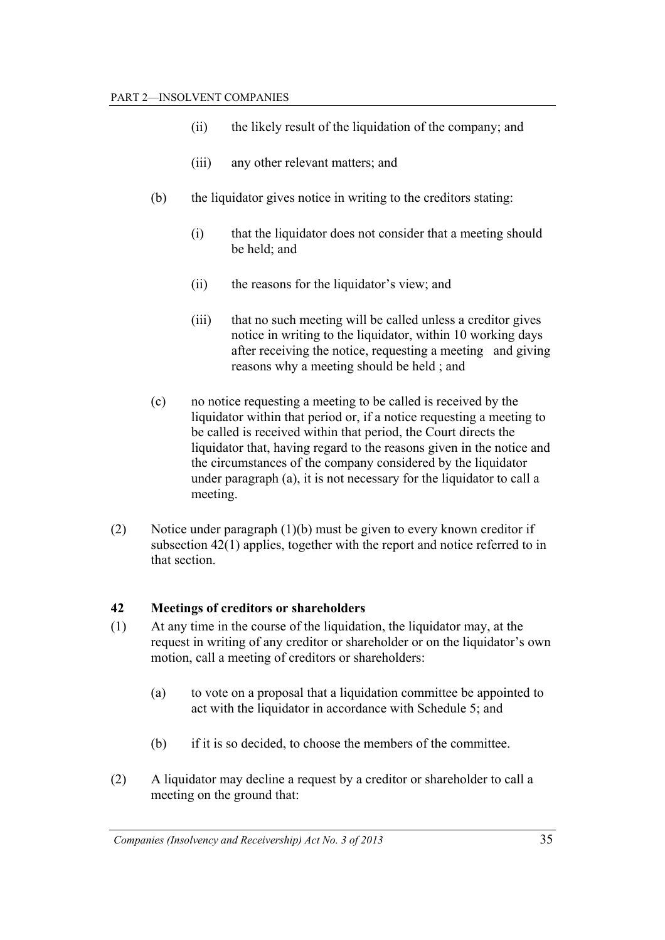- (ii) the likely result of the liquidation of the company; and
- (iii) any other relevant matters; and
- (b) the liquidator gives notice in writing to the creditors stating:
	- (i) that the liquidator does not consider that a meeting should be held; and
	- (ii) the reasons for the liquidator's view; and
	- (iii) that no such meeting will be called unless a creditor gives notice in writing to the liquidator, within 10 working days after receiving the notice, requesting a meeting and giving reasons why a meeting should be held ; and
- (c) no notice requesting a meeting to be called is received by the liquidator within that period or, if a notice requesting a meeting to be called is received within that period, the Court directs the liquidator that, having regard to the reasons given in the notice and the circumstances of the company considered by the liquidator under paragraph (a), it is not necessary for the liquidator to call a meeting.
- (2) Notice under paragraph (1)(b) must be given to every known creditor if subsection 42(1) applies, together with the report and notice referred to in that section.

## **42 Meetings of creditors or shareholders**

- (1) At any time in the course of the liquidation, the liquidator may, at the request in writing of any creditor or shareholder or on the liquidator's own motion, call a meeting of creditors or shareholders:
	- (a) to vote on a proposal that a liquidation committee be appointed to act with the liquidator in accordance with Schedule 5; and
	- (b) if it is so decided, to choose the members of the committee.
- (2) A liquidator may decline a request by a creditor or shareholder to call a meeting on the ground that: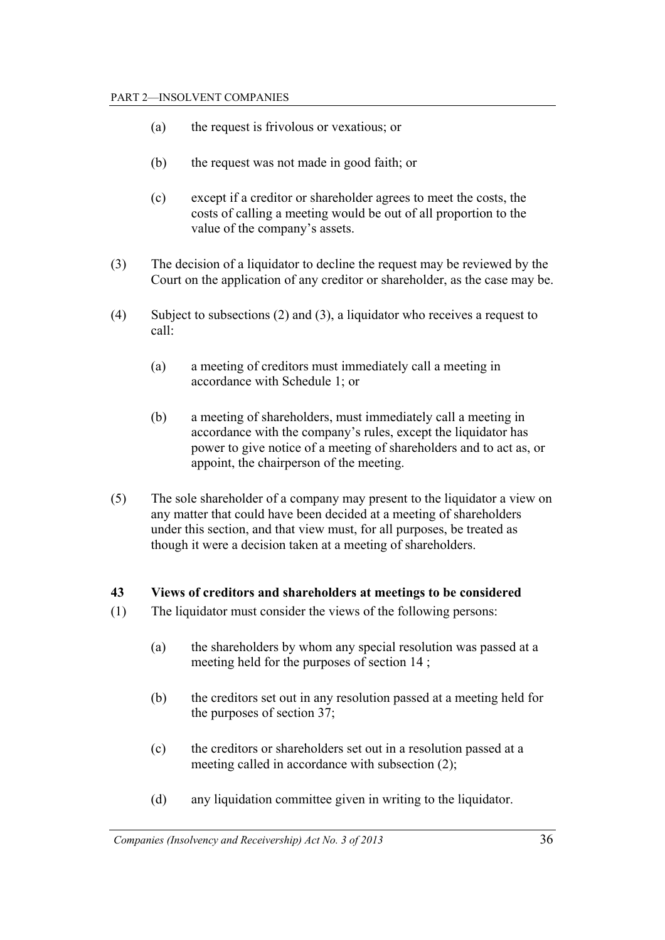- (a) the request is frivolous or vexatious; or
- (b) the request was not made in good faith; or
- (c) except if a creditor or shareholder agrees to meet the costs, the costs of calling a meeting would be out of all proportion to the value of the company's assets.
- (3) The decision of a liquidator to decline the request may be reviewed by the Court on the application of any creditor or shareholder, as the case may be.
- (4) Subject to subsections (2) and (3), a liquidator who receives a request to call:
	- (a) a meeting of creditors must immediately call a meeting in accordance with Schedule 1; or
	- (b) a meeting of shareholders, must immediately call a meeting in accordance with the company's rules, except the liquidator has power to give notice of a meeting of shareholders and to act as, or appoint, the chairperson of the meeting.
- (5) The sole shareholder of a company may present to the liquidator a view on any matter that could have been decided at a meeting of shareholders under this section, and that view must, for all purposes, be treated as though it were a decision taken at a meeting of shareholders.

#### **43 Views of creditors and shareholders at meetings to be considered**

- (1) The liquidator must consider the views of the following persons:
	- (a) the shareholders by whom any special resolution was passed at a meeting held for the purposes of section 14 ;
	- (b) the creditors set out in any resolution passed at a meeting held for the purposes of section 37;
	- (c) the creditors or shareholders set out in a resolution passed at a meeting called in accordance with subsection (2);
	- (d) any liquidation committee given in writing to the liquidator.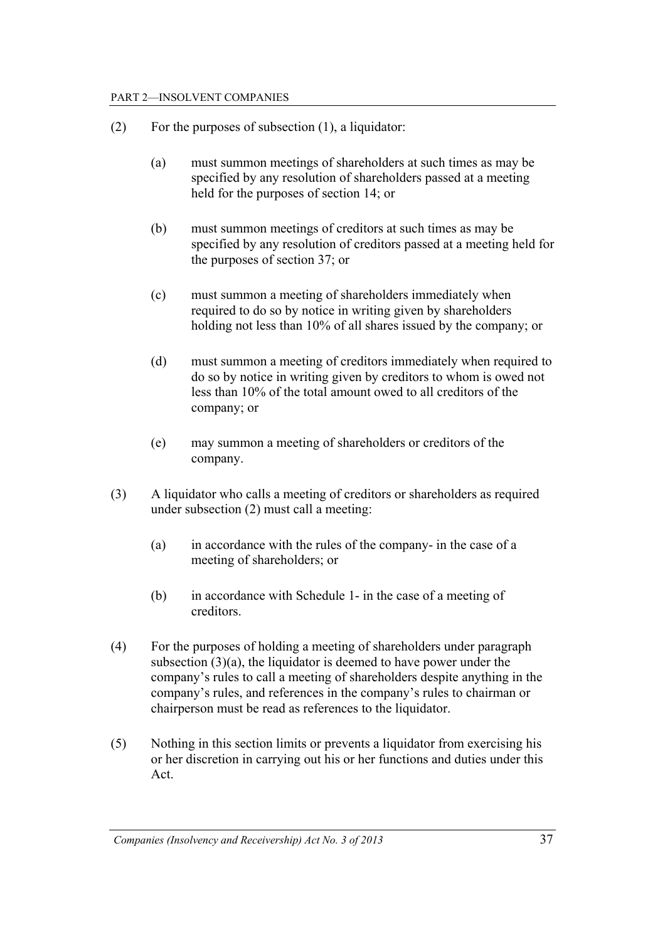#### PART 2—INSOLVENT COMPANIES

- (2) For the purposes of subsection (1), a liquidator:
	- (a) must summon meetings of shareholders at such times as may be specified by any resolution of shareholders passed at a meeting held for the purposes of section 14; or
	- (b) must summon meetings of creditors at such times as may be specified by any resolution of creditors passed at a meeting held for the purposes of section 37; or
	- (c) must summon a meeting of shareholders immediately when required to do so by notice in writing given by shareholders holding not less than 10% of all shares issued by the company; or
	- (d) must summon a meeting of creditors immediately when required to do so by notice in writing given by creditors to whom is owed not less than 10% of the total amount owed to all creditors of the company; or
	- (e) may summon a meeting of shareholders or creditors of the company.
- (3) A liquidator who calls a meeting of creditors or shareholders as required under subsection (2) must call a meeting:
	- (a) in accordance with the rules of the company- in the case of a meeting of shareholders; or
	- (b) in accordance with Schedule 1- in the case of a meeting of creditors.
- (4) For the purposes of holding a meeting of shareholders under paragraph subsection (3)(a), the liquidator is deemed to have power under the company's rules to call a meeting of shareholders despite anything in the company's rules, and references in the company's rules to chairman or chairperson must be read as references to the liquidator.
- (5) Nothing in this section limits or prevents a liquidator from exercising his or her discretion in carrying out his or her functions and duties under this Act.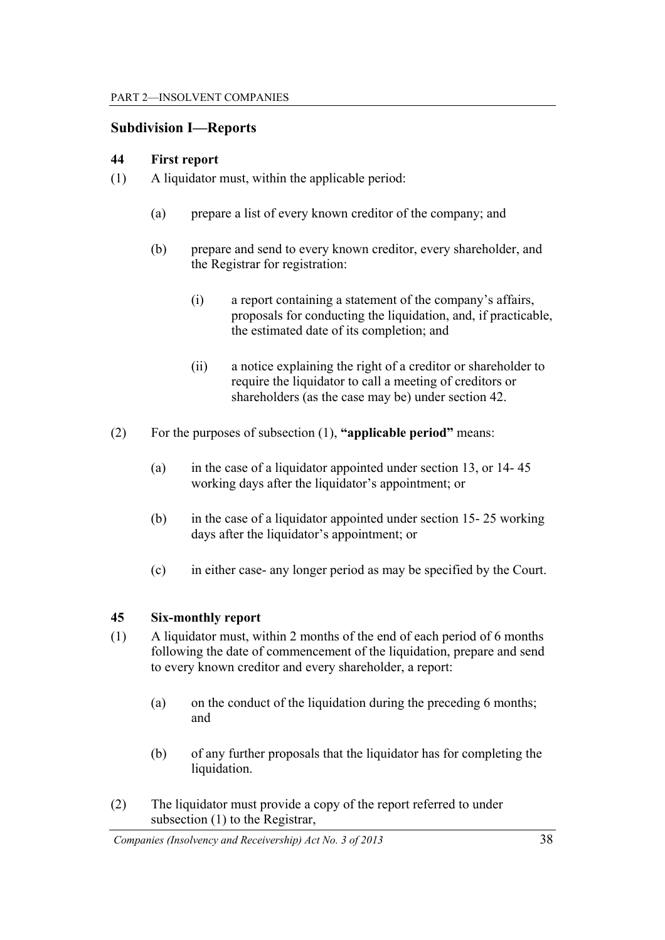### **Subdivision I—Reports**

#### **44 First report**

- (1) A liquidator must, within the applicable period:
	- (a) prepare a list of every known creditor of the company; and
	- (b) prepare and send to every known creditor, every shareholder, and the Registrar for registration:
		- (i) a report containing a statement of the company's affairs, proposals for conducting the liquidation, and, if practicable, the estimated date of its completion; and
		- (ii) a notice explaining the right of a creditor or shareholder to require the liquidator to call a meeting of creditors or shareholders (as the case may be) under section 42.
- (2) For the purposes of subsection (1), **"applicable period"** means:
	- (a) in the case of a liquidator appointed under section 13, or 14- 45 working days after the liquidator's appointment; or
	- (b) in the case of a liquidator appointed under section 15- 25 working days after the liquidator's appointment; or
	- (c) in either case- any longer period as may be specified by the Court.

#### **45 Six-monthly report**

- (1) A liquidator must, within 2 months of the end of each period of 6 months following the date of commencement of the liquidation, prepare and send to every known creditor and every shareholder, a report:
	- (a) on the conduct of the liquidation during the preceding 6 months; and
	- (b) of any further proposals that the liquidator has for completing the liquidation.
- (2) The liquidator must provide a copy of the report referred to under subsection (1) to the Registrar,

*Companies (Insolvency and Receivership) Act No. 3 of 2013* 38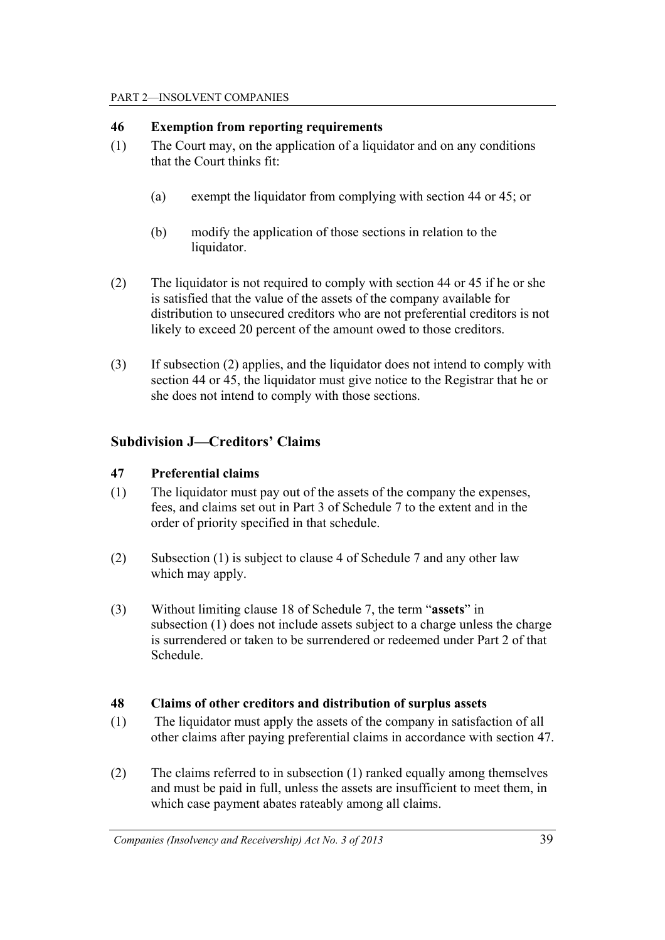## **46 Exemption from reporting requirements**

- (1) The Court may, on the application of a liquidator and on any conditions that the Court thinks fit:
	- (a) exempt the liquidator from complying with section 44 or 45; or
	- (b) modify the application of those sections in relation to the liquidator.
- (2) The liquidator is not required to comply with section 44 or 45 if he or she is satisfied that the value of the assets of the company available for distribution to unsecured creditors who are not preferential creditors is not likely to exceed 20 percent of the amount owed to those creditors.
- (3) If subsection (2) applies, and the liquidator does not intend to comply with section 44 or 45, the liquidator must give notice to the Registrar that he or she does not intend to comply with those sections.

## **Subdivision J—Creditors' Claims**

## **47 Preferential claims**

- (1) The liquidator must pay out of the assets of the company the expenses, fees, and claims set out in Part 3 of Schedule 7 to the extent and in the order of priority specified in that schedule.
- (2) Subsection (1) is subject to clause 4 of Schedule 7 and any other law which may apply.
- (3) Without limiting clause 18 of Schedule 7, the term "**assets**" in subsection (1) does not include assets subject to a charge unless the charge is surrendered or taken to be surrendered or redeemed under Part 2 of that Schedule.

## **48 Claims of other creditors and distribution of surplus assets**

- (1) The liquidator must apply the assets of the company in satisfaction of all other claims after paying preferential claims in accordance with section 47.
- (2) The claims referred to in subsection (1) ranked equally among themselves and must be paid in full, unless the assets are insufficient to meet them, in which case payment abates rateably among all claims.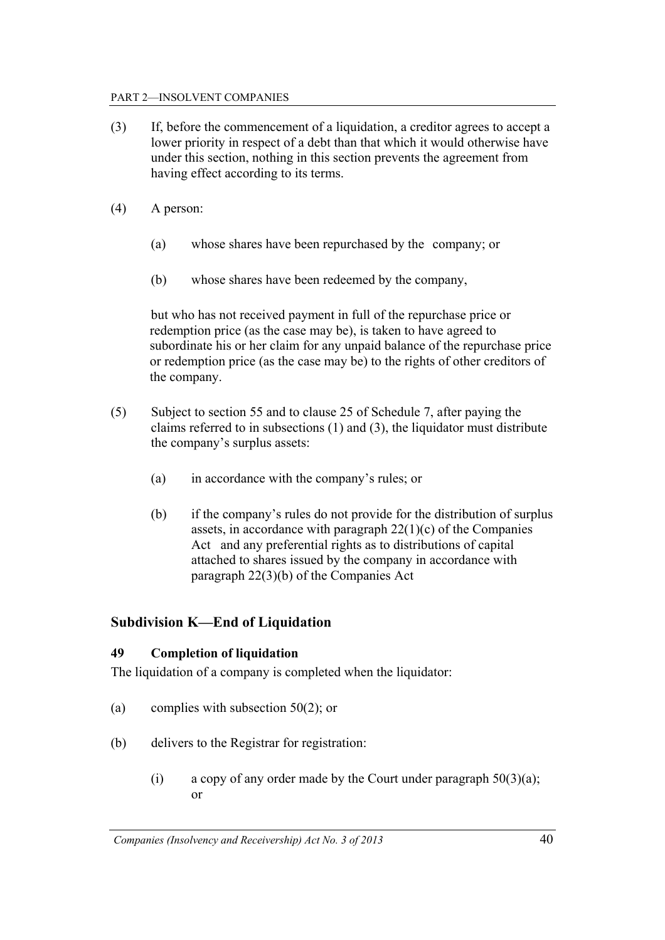#### PART 2—INSOLVENT COMPANIES

- (3) If, before the commencement of a liquidation, a creditor agrees to accept a lower priority in respect of a debt than that which it would otherwise have under this section, nothing in this section prevents the agreement from having effect according to its terms.
- (4) A person:
	- (a) whose shares have been repurchased by the company; or
	- (b) whose shares have been redeemed by the company,

but who has not received payment in full of the repurchase price or redemption price (as the case may be), is taken to have agreed to subordinate his or her claim for any unpaid balance of the repurchase price or redemption price (as the case may be) to the rights of other creditors of the company.

- (5) Subject to section 55 and to clause 25 of Schedule 7, after paying the claims referred to in subsections (1) and (3), the liquidator must distribute the company's surplus assets:
	- (a) in accordance with the company's rules; or
	- (b) if the company's rules do not provide for the distribution of surplus assets, in accordance with paragraph  $22(1)(c)$  of the Companies Act and any preferential rights as to distributions of capital attached to shares issued by the company in accordance with paragraph 22(3)(b) of the Companies Act

## **Subdivision K—End of Liquidation**

### **49 Completion of liquidation**

The liquidation of a company is completed when the liquidator:

- (a) complies with subsection  $50(2)$ ; or
- (b) delivers to the Registrar for registration:
	- (i) a copy of any order made by the Court under paragraph  $50(3)(a)$ ; or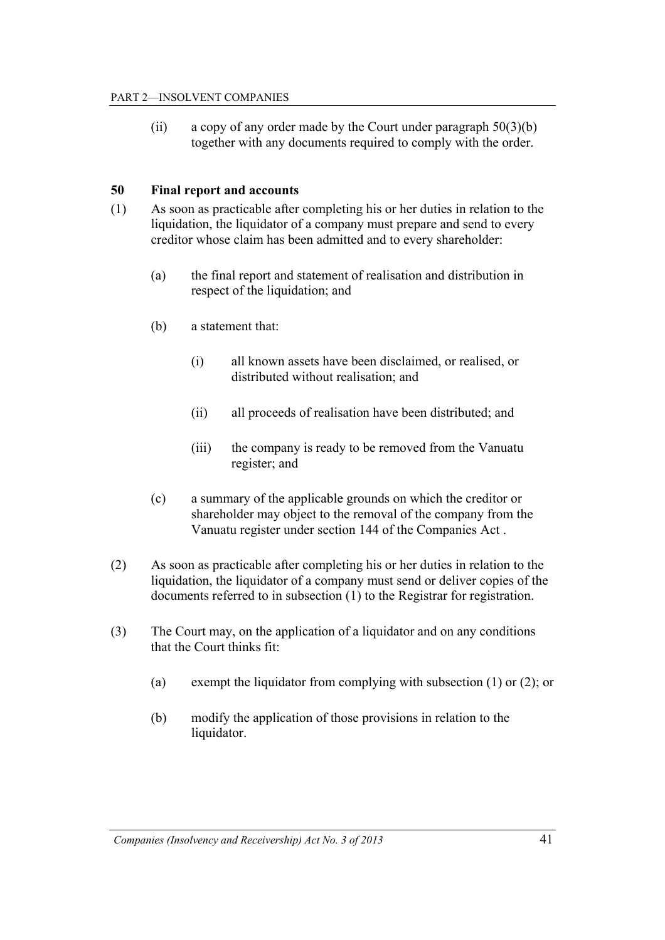(ii) a copy of any order made by the Court under paragraph  $50(3)(b)$ together with any documents required to comply with the order.

#### **50 Final report and accounts**

- (1) As soon as practicable after completing his or her duties in relation to the liquidation, the liquidator of a company must prepare and send to every creditor whose claim has been admitted and to every shareholder:
	- (a) the final report and statement of realisation and distribution in respect of the liquidation; and
	- (b) a statement that:
		- (i) all known assets have been disclaimed, or realised, or distributed without realisation; and
		- (ii) all proceeds of realisation have been distributed; and
		- (iii) the company is ready to be removed from the Vanuatu register; and
	- (c) a summary of the applicable grounds on which the creditor or shareholder may object to the removal of the company from the Vanuatu register under section 144 of the Companies Act .
- (2) As soon as practicable after completing his or her duties in relation to the liquidation, the liquidator of a company must send or deliver copies of the documents referred to in subsection (1) to the Registrar for registration.
- (3) The Court may, on the application of a liquidator and on any conditions that the Court thinks fit:
	- (a) exempt the liquidator from complying with subsection  $(1)$  or  $(2)$ ; or
	- (b) modify the application of those provisions in relation to the liquidator.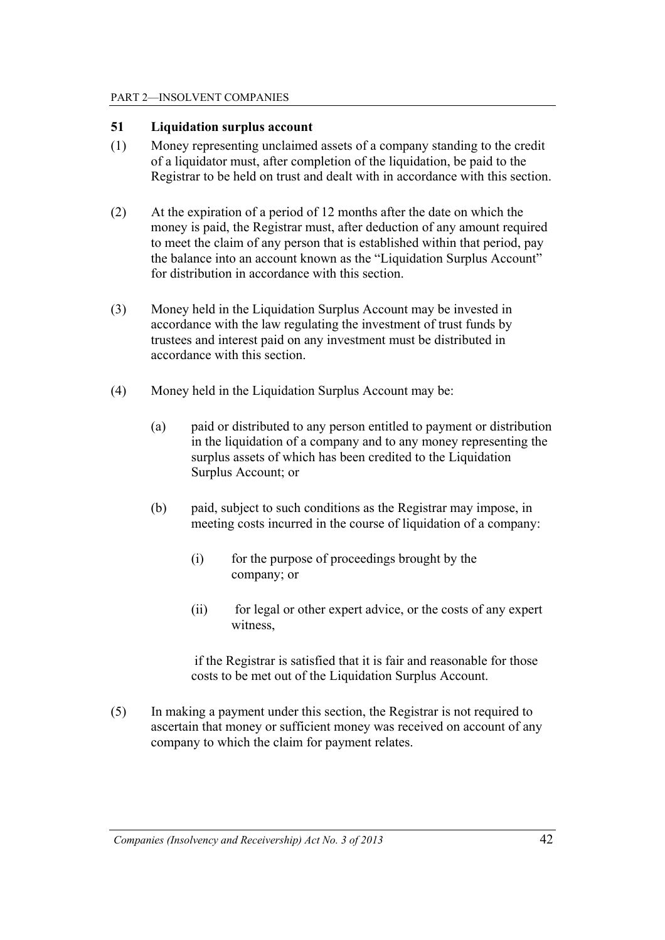### **51 Liquidation surplus account**

- (1) Money representing unclaimed assets of a company standing to the credit of a liquidator must, after completion of the liquidation, be paid to the Registrar to be held on trust and dealt with in accordance with this section.
- (2) At the expiration of a period of 12 months after the date on which the money is paid, the Registrar must, after deduction of any amount required to meet the claim of any person that is established within that period, pay the balance into an account known as the "Liquidation Surplus Account" for distribution in accordance with this section.
- (3) Money held in the Liquidation Surplus Account may be invested in accordance with the law regulating the investment of trust funds by trustees and interest paid on any investment must be distributed in accordance with this section.
- (4) Money held in the Liquidation Surplus Account may be:
	- (a) paid or distributed to any person entitled to payment or distribution in the liquidation of a company and to any money representing the surplus assets of which has been credited to the Liquidation Surplus Account; or
	- (b) paid, subject to such conditions as the Registrar may impose, in meeting costs incurred in the course of liquidation of a company:
		- (i) for the purpose of proceedings brought by the company; or
		- (ii) for legal or other expert advice, or the costs of any expert witness,

 if the Registrar is satisfied that it is fair and reasonable for those costs to be met out of the Liquidation Surplus Account.

(5) In making a payment under this section, the Registrar is not required to ascertain that money or sufficient money was received on account of any company to which the claim for payment relates.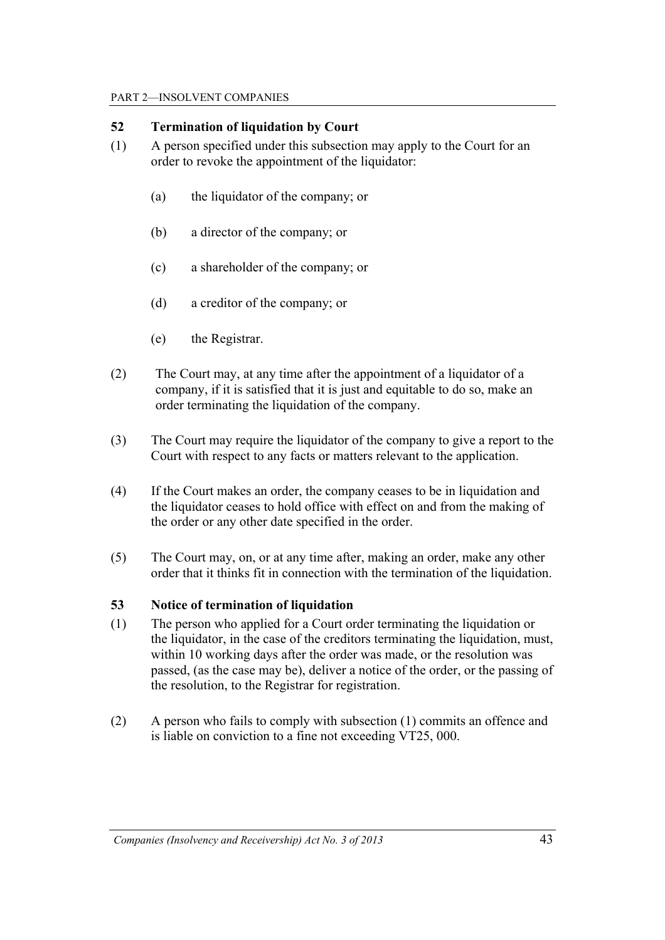## **52 Termination of liquidation by Court**

- (1) A person specified under this subsection may apply to the Court for an order to revoke the appointment of the liquidator:
	- (a) the liquidator of the company; or
	- (b) a director of the company; or
	- (c) a shareholder of the company; or
	- (d) a creditor of the company; or
	- (e) the Registrar.
- (2) The Court may, at any time after the appointment of a liquidator of a company, if it is satisfied that it is just and equitable to do so, make an order terminating the liquidation of the company.
- (3) The Court may require the liquidator of the company to give a report to the Court with respect to any facts or matters relevant to the application.
- (4) If the Court makes an order, the company ceases to be in liquidation and the liquidator ceases to hold office with effect on and from the making of the order or any other date specified in the order.
- (5) The Court may, on, or at any time after, making an order, make any other order that it thinks fit in connection with the termination of the liquidation.

## **53 Notice of termination of liquidation**

- (1) The person who applied for a Court order terminating the liquidation or the liquidator, in the case of the creditors terminating the liquidation, must, within 10 working days after the order was made, or the resolution was passed, (as the case may be), deliver a notice of the order, or the passing of the resolution, to the Registrar for registration.
- (2) A person who fails to comply with subsection (1) commits an offence and is liable on conviction to a fine not exceeding VT25, 000.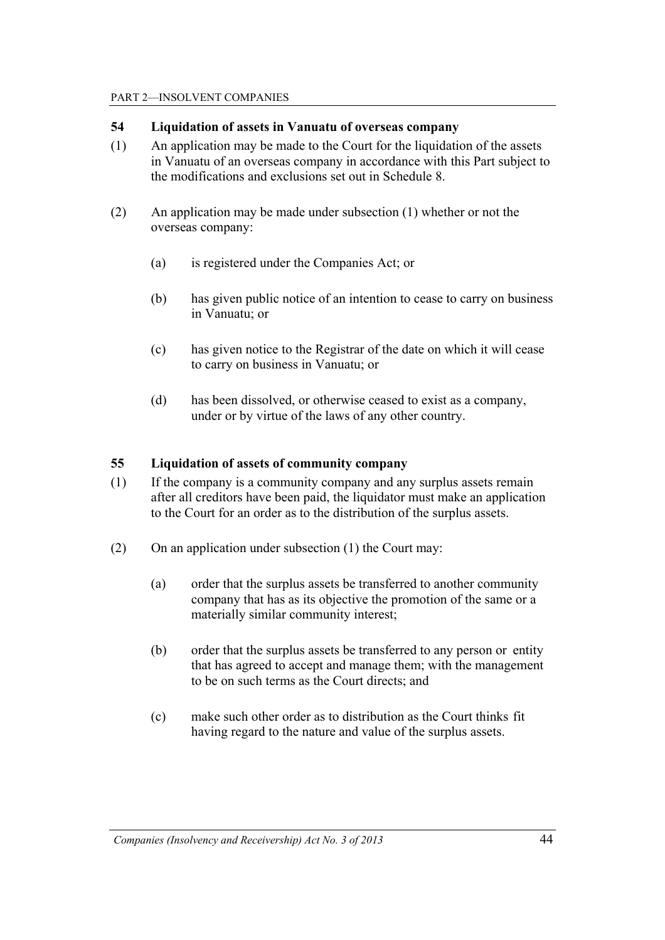### **54 Liquidation of assets in Vanuatu of overseas company**

- (1) An application may be made to the Court for the liquidation of the assets in Vanuatu of an overseas company in accordance with this Part subject to the modifications and exclusions set out in Schedule 8.
- (2) An application may be made under subsection (1) whether or not the overseas company:
	- (a) is registered under the Companies Act; or
	- (b) has given public notice of an intention to cease to carry on business in Vanuatu; or
	- (c) has given notice to the Registrar of the date on which it will cease to carry on business in Vanuatu; or
	- (d) has been dissolved, or otherwise ceased to exist as a company, under or by virtue of the laws of any other country.

#### **55 Liquidation of assets of community company**

- (1) If the company is a community company and any surplus assets remain after all creditors have been paid, the liquidator must make an application to the Court for an order as to the distribution of the surplus assets.
- (2) On an application under subsection (1) the Court may:
	- (a) order that the surplus assets be transferred to another community company that has as its objective the promotion of the same or a materially similar community interest;
	- (b) order that the surplus assets be transferred to any person or entity that has agreed to accept and manage them; with the management to be on such terms as the Court directs; and
	- (c) make such other order as to distribution as the Court thinks fit having regard to the nature and value of the surplus assets.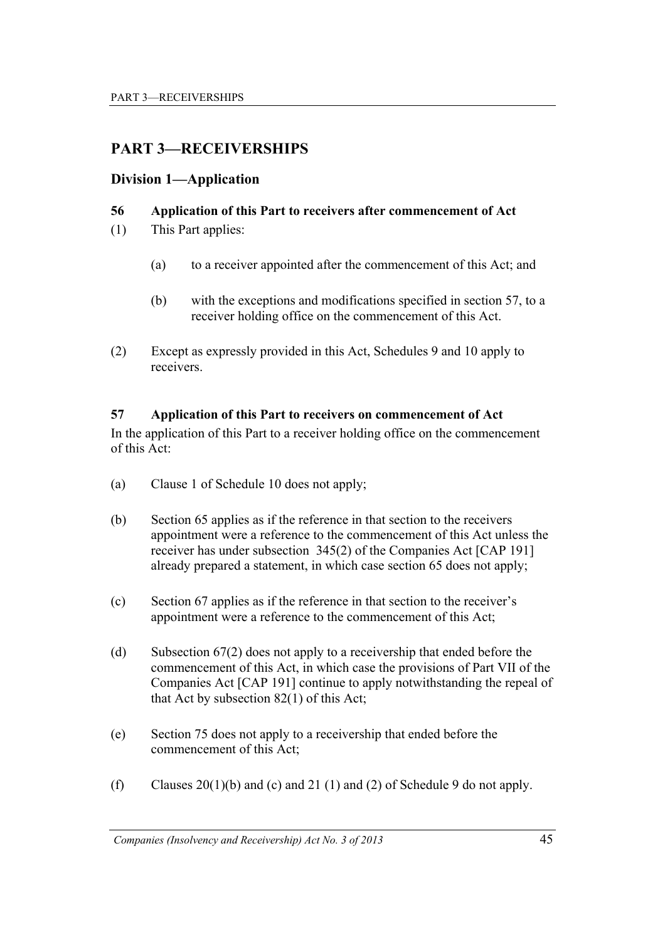# **PART 3—RECEIVERSHIPS**

## **Division 1—Application**

## **56 Application of this Part to receivers after commencement of Act**

- (1) This Part applies:
	- (a) to a receiver appointed after the commencement of this Act; and
	- (b) with the exceptions and modifications specified in section 57, to a receiver holding office on the commencement of this Act.
- (2) Except as expressly provided in this Act, Schedules 9 and 10 apply to receivers.

### **57 Application of this Part to receivers on commencement of Act**

In the application of this Part to a receiver holding office on the commencement of this Act:

- (a) Clause 1 of Schedule 10 does not apply;
- (b) Section 65 applies as if the reference in that section to the receivers appointment were a reference to the commencement of this Act unless the receiver has under subsection 345(2) of the Companies Act [CAP 191] already prepared a statement, in which case section 65 does not apply;
- (c) Section 67 applies as if the reference in that section to the receiver's appointment were a reference to the commencement of this Act;
- (d) Subsection 67(2) does not apply to a receivership that ended before the commencement of this Act, in which case the provisions of Part VII of the Companies Act [CAP 191] continue to apply notwithstanding the repeal of that Act by subsection 82(1) of this Act;
- (e) Section 75 does not apply to a receivership that ended before the commencement of this Act;
- (f) Clauses  $20(1)(b)$  and (c) and 21 (1) and (2) of Schedule 9 do not apply.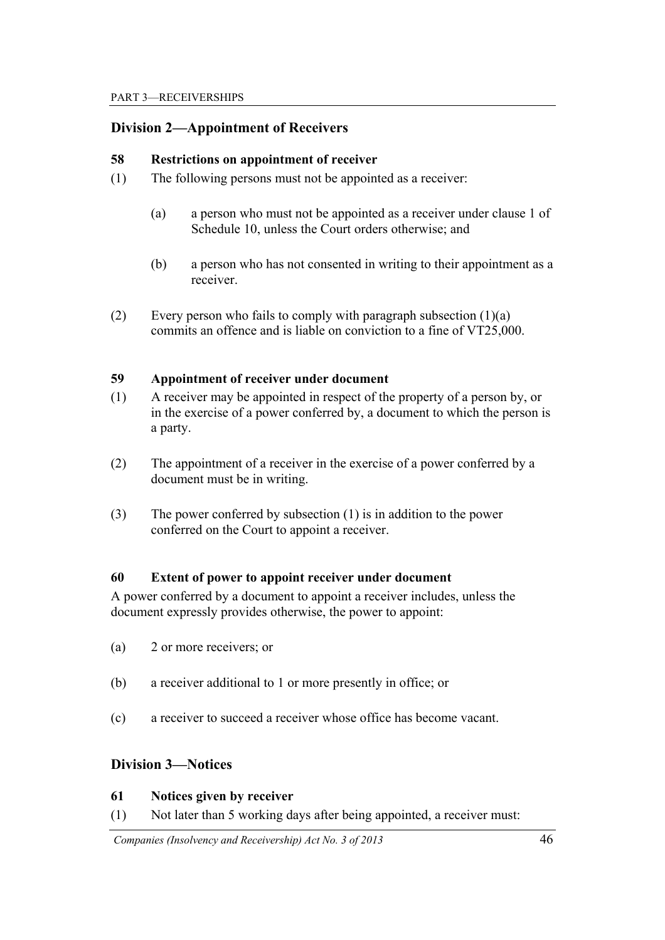## **Division 2—Appointment of Receivers**

#### **58 Restrictions on appointment of receiver**

- (1) The following persons must not be appointed as a receiver:
	- (a) a person who must not be appointed as a receiver under clause 1 of Schedule 10, unless the Court orders otherwise; and
	- (b) a person who has not consented in writing to their appointment as a receiver.
- (2) Every person who fails to comply with paragraph subsection  $(1)(a)$ commits an offence and is liable on conviction to a fine of VT25,000.

#### **59 Appointment of receiver under document**

- (1) A receiver may be appointed in respect of the property of a person by, or in the exercise of a power conferred by, a document to which the person is a party.
- (2) The appointment of a receiver in the exercise of a power conferred by a document must be in writing.
- (3) The power conferred by subsection (1) is in addition to the power conferred on the Court to appoint a receiver.

#### **60 Extent of power to appoint receiver under document**

A power conferred by a document to appoint a receiver includes, unless the document expressly provides otherwise, the power to appoint:

- (a) 2 or more receivers; or
- (b) a receiver additional to 1 or more presently in office; or
- (c) a receiver to succeed a receiver whose office has become vacant.

## **Division 3—Notices**

#### **61 Notices given by receiver**

(1) Not later than 5 working days after being appointed, a receiver must:

 *Companies (Insolvency and Receivership) Act No. 3 of 2013* 46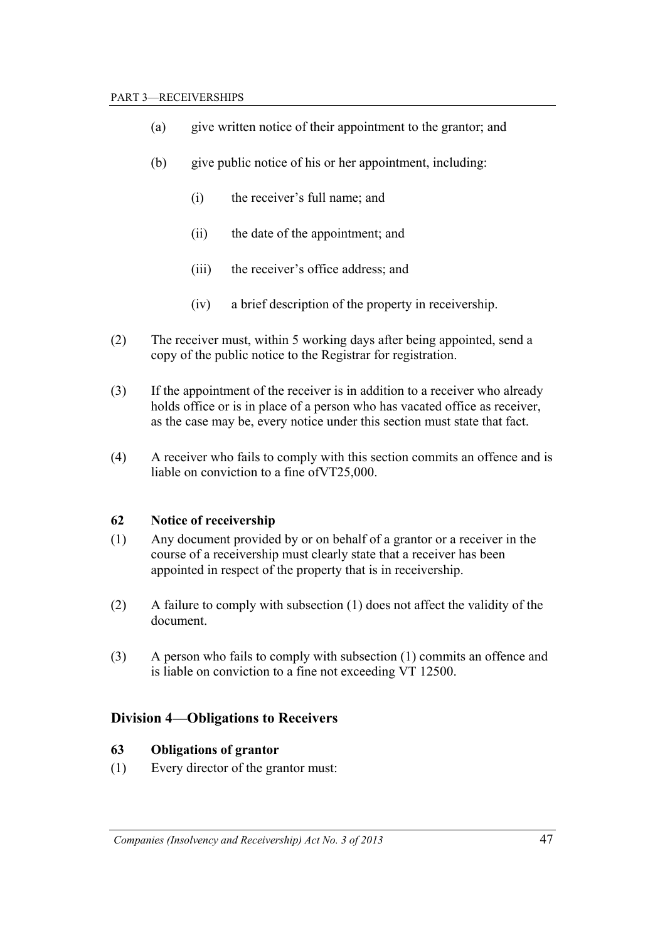- (a) give written notice of their appointment to the grantor; and
- (b) give public notice of his or her appointment, including:
	- (i) the receiver's full name; and
	- (ii) the date of the appointment; and
	- (iii) the receiver's office address; and
	- (iv) a brief description of the property in receivership.
- (2) The receiver must, within 5 working days after being appointed, send a copy of the public notice to the Registrar for registration.
- (3) If the appointment of the receiver is in addition to a receiver who already holds office or is in place of a person who has vacated office as receiver, as the case may be, every notice under this section must state that fact.
- (4) A receiver who fails to comply with this section commits an offence and is liable on conviction to a fine ofVT25,000.

#### **62 Notice of receivership**

- (1) Any document provided by or on behalf of a grantor or a receiver in the course of a receivership must clearly state that a receiver has been appointed in respect of the property that is in receivership.
- (2) A failure to comply with subsection (1) does not affect the validity of the document.
- (3) A person who fails to comply with subsection (1) commits an offence and is liable on conviction to a fine not exceeding VT 12500.

### **Division 4—Obligations to Receivers**

#### **63 Obligations of grantor**

(1) Every director of the grantor must: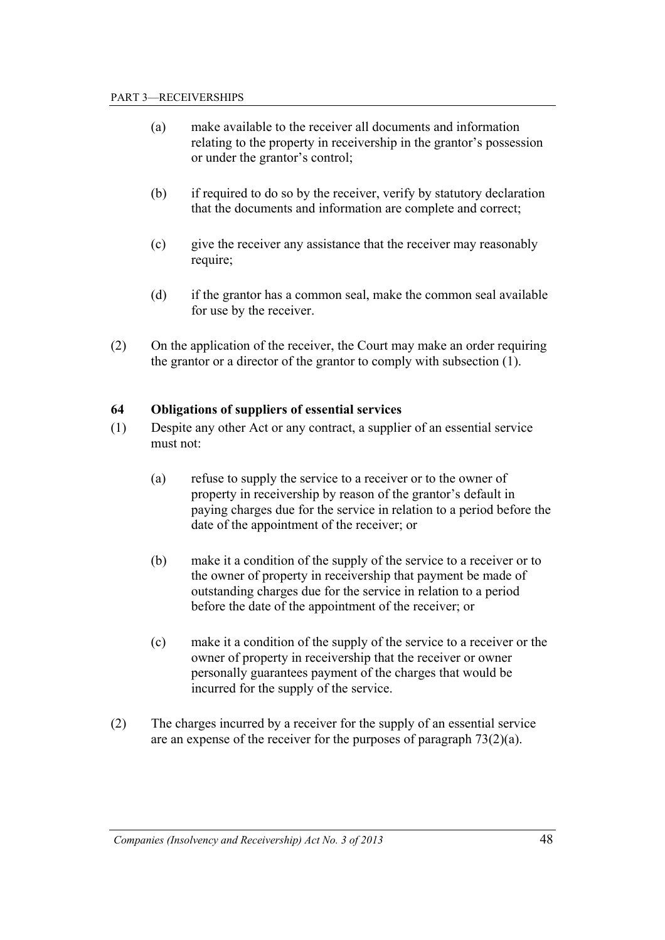- (a) make available to the receiver all documents and information relating to the property in receivership in the grantor's possession or under the grantor's control;
- (b) if required to do so by the receiver, verify by statutory declaration that the documents and information are complete and correct;
- (c) give the receiver any assistance that the receiver may reasonably require;
- (d) if the grantor has a common seal, make the common seal available for use by the receiver.
- (2) On the application of the receiver, the Court may make an order requiring the grantor or a director of the grantor to comply with subsection (1).

#### **64 Obligations of suppliers of essential services**

- (1) Despite any other Act or any contract, a supplier of an essential service must not:
	- (a) refuse to supply the service to a receiver or to the owner of property in receivership by reason of the grantor's default in paying charges due for the service in relation to a period before the date of the appointment of the receiver; or
	- (b) make it a condition of the supply of the service to a receiver or to the owner of property in receivership that payment be made of outstanding charges due for the service in relation to a period before the date of the appointment of the receiver; or
	- (c) make it a condition of the supply of the service to a receiver or the owner of property in receivership that the receiver or owner personally guarantees payment of the charges that would be incurred for the supply of the service.
- (2) The charges incurred by a receiver for the supply of an essential service are an expense of the receiver for the purposes of paragraph 73(2)(a).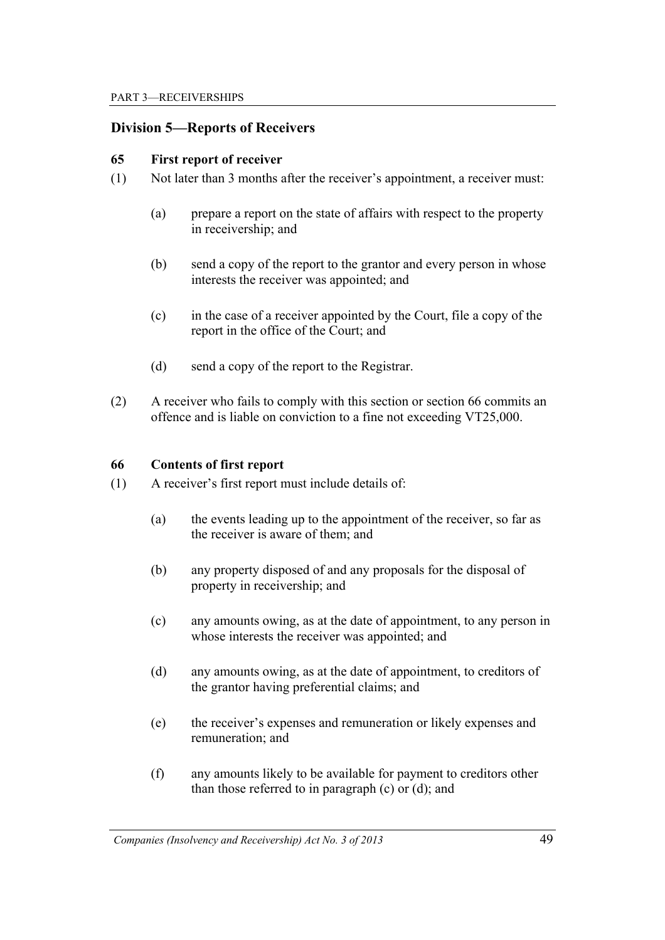### **Division 5—Reports of Receivers**

#### **65 First report of receiver**

- (1) Not later than 3 months after the receiver's appointment, a receiver must:
	- (a) prepare a report on the state of affairs with respect to the property in receivership; and
	- (b) send a copy of the report to the grantor and every person in whose interests the receiver was appointed; and
	- (c) in the case of a receiver appointed by the Court, file a copy of the report in the office of the Court; and
	- (d) send a copy of the report to the Registrar.
- (2) A receiver who fails to comply with this section or section 66 commits an offence and is liable on conviction to a fine not exceeding VT25,000.

#### **66 Contents of first report**

- (1) A receiver's first report must include details of:
	- (a) the events leading up to the appointment of the receiver, so far as the receiver is aware of them; and
	- (b) any property disposed of and any proposals for the disposal of property in receivership; and
	- (c) any amounts owing, as at the date of appointment, to any person in whose interests the receiver was appointed; and
	- (d) any amounts owing, as at the date of appointment, to creditors of the grantor having preferential claims; and
	- (e) the receiver's expenses and remuneration or likely expenses and remuneration; and
	- (f) any amounts likely to be available for payment to creditors other than those referred to in paragraph (c) or (d); and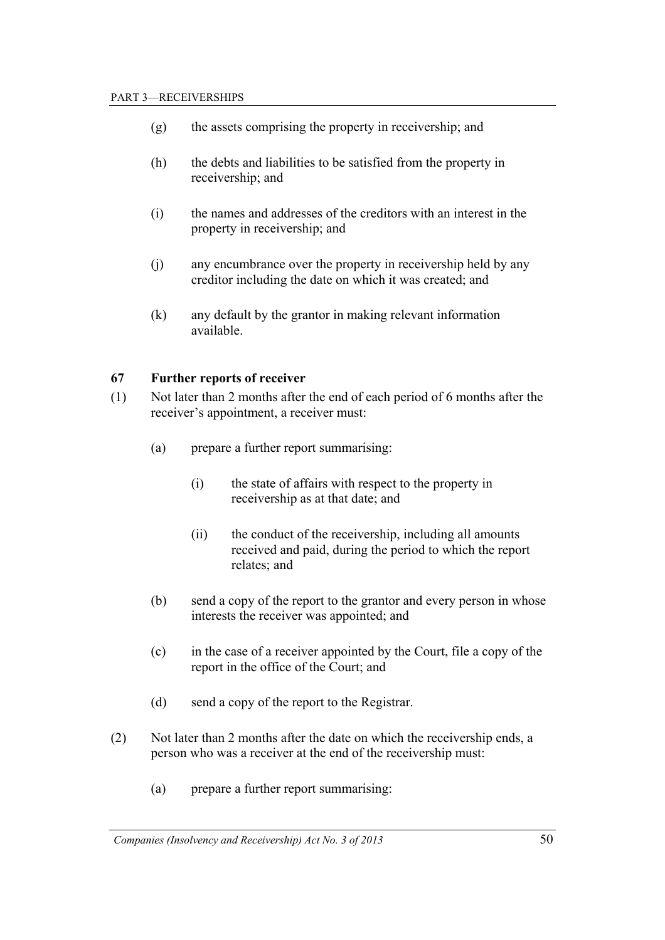- (g) the assets comprising the property in receivership; and
- (h) the debts and liabilities to be satisfied from the property in receivership; and
- (i) the names and addresses of the creditors with an interest in the property in receivership; and
- (j) any encumbrance over the property in receivership held by any creditor including the date on which it was created; and
- (k) any default by the grantor in making relevant information available.

#### **67 Further reports of receiver**

- (1) Not later than 2 months after the end of each period of 6 months after the receiver's appointment, a receiver must:
	- (a) prepare a further report summarising:
		- (i) the state of affairs with respect to the property in receivership as at that date; and
		- (ii) the conduct of the receivership, including all amounts received and paid, during the period to which the report relates; and
	- (b) send a copy of the report to the grantor and every person in whose interests the receiver was appointed; and
	- (c) in the case of a receiver appointed by the Court, file a copy of the report in the office of the Court; and
	- (d) send a copy of the report to the Registrar.
- (2) Not later than 2 months after the date on which the receivership ends, a person who was a receiver at the end of the receivership must:
	- (a) prepare a further report summarising: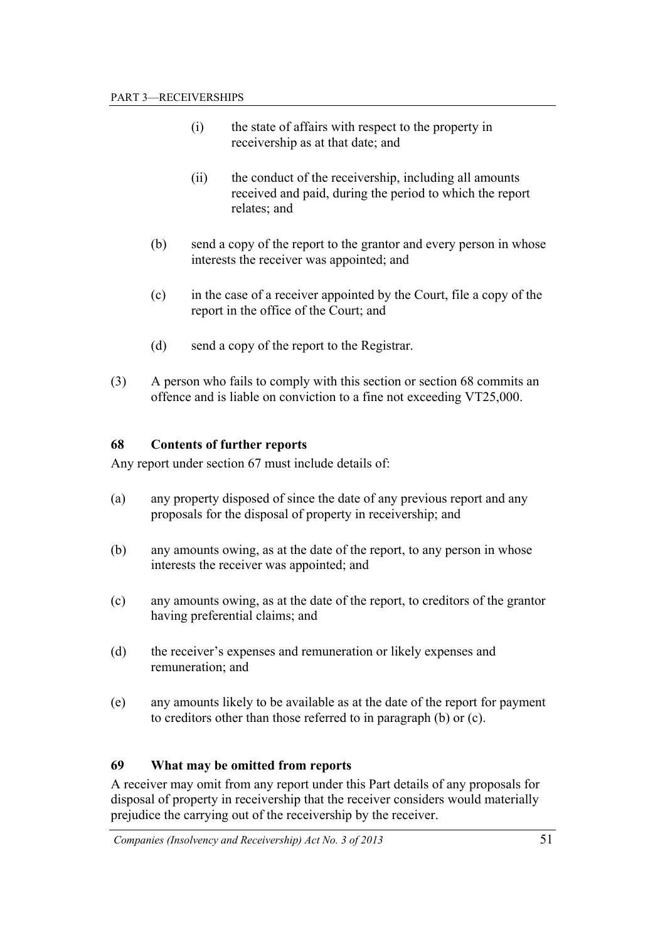- (i) the state of affairs with respect to the property in receivership as at that date; and
- (ii) the conduct of the receivership, including all amounts received and paid, during the period to which the report relates; and
- (b) send a copy of the report to the grantor and every person in whose interests the receiver was appointed; and
- (c) in the case of a receiver appointed by the Court, file a copy of the report in the office of the Court; and
- (d) send a copy of the report to the Registrar.
- (3) A person who fails to comply with this section or section 68 commits an offence and is liable on conviction to a fine not exceeding VT25,000.

#### **68 Contents of further reports**

Any report under section 67 must include details of:

- (a) any property disposed of since the date of any previous report and any proposals for the disposal of property in receivership; and
- (b) any amounts owing, as at the date of the report, to any person in whose interests the receiver was appointed; and
- (c) any amounts owing, as at the date of the report, to creditors of the grantor having preferential claims; and
- (d) the receiver's expenses and remuneration or likely expenses and remuneration; and
- (e) any amounts likely to be available as at the date of the report for payment to creditors other than those referred to in paragraph (b) or (c).

#### **69 What may be omitted from reports**

A receiver may omit from any report under this Part details of any proposals for disposal of property in receivership that the receiver considers would materially prejudice the carrying out of the receivership by the receiver.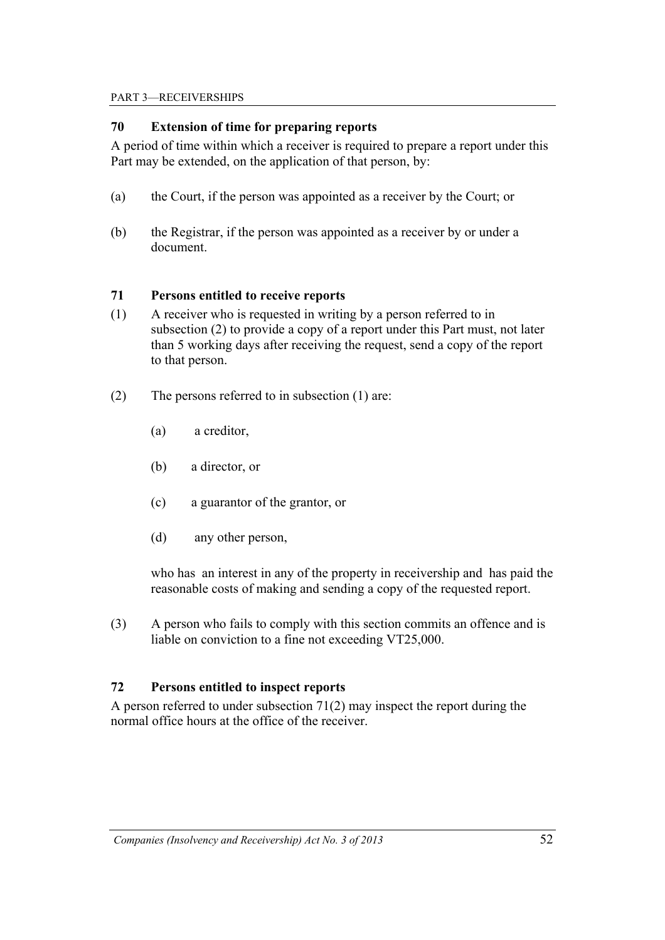#### PART 3—RECEIVERSHIPS

## **70 Extension of time for preparing reports**

A period of time within which a receiver is required to prepare a report under this Part may be extended, on the application of that person, by:

- (a) the Court, if the person was appointed as a receiver by the Court; or
- (b) the Registrar, if the person was appointed as a receiver by or under a document.

### **71 Persons entitled to receive reports**

- (1) A receiver who is requested in writing by a person referred to in subsection (2) to provide a copy of a report under this Part must, not later than 5 working days after receiving the request, send a copy of the report to that person.
- (2) The persons referred to in subsection (1) are:
	- (a) a creditor,
	- (b) a director, or
	- (c) a guarantor of the grantor, or
	- (d) any other person,

 who has an interest in any of the property in receivership and has paid the reasonable costs of making and sending a copy of the requested report.

(3) A person who fails to comply with this section commits an offence and is liable on conviction to a fine not exceeding VT25,000.

### **72 Persons entitled to inspect reports**

A person referred to under subsection 71(2) may inspect the report during the normal office hours at the office of the receiver.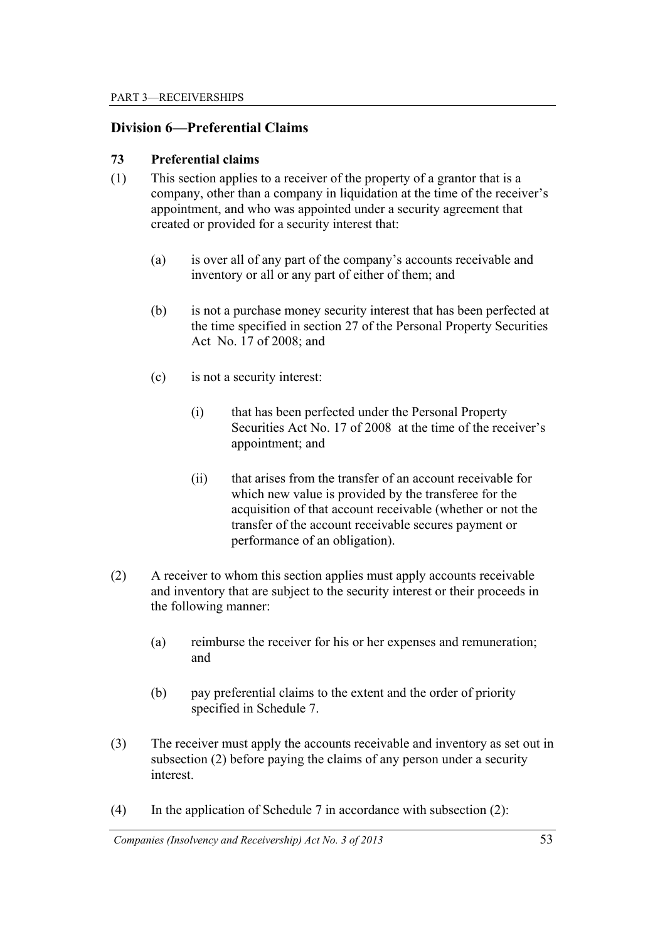### **Division 6—Preferential Claims**

#### **73 Preferential claims**

- (1) This section applies to a receiver of the property of a grantor that is a company, other than a company in liquidation at the time of the receiver's appointment, and who was appointed under a security agreement that created or provided for a security interest that:
	- (a) is over all of any part of the company's accounts receivable and inventory or all or any part of either of them; and
	- (b) is not a purchase money security interest that has been perfected at the time specified in section 27 of the Personal Property Securities Act No. 17 of 2008; and
	- (c) is not a security interest:
		- (i) that has been perfected under the Personal Property Securities Act No. 17 of 2008 at the time of the receiver's appointment; and
		- (ii) that arises from the transfer of an account receivable for which new value is provided by the transferee for the acquisition of that account receivable (whether or not the transfer of the account receivable secures payment or performance of an obligation).
- (2) A receiver to whom this section applies must apply accounts receivable and inventory that are subject to the security interest or their proceeds in the following manner:
	- (a) reimburse the receiver for his or her expenses and remuneration; and
	- (b) pay preferential claims to the extent and the order of priority specified in Schedule 7.
- (3) The receiver must apply the accounts receivable and inventory as set out in subsection (2) before paying the claims of any person under a security interest.
- (4) In the application of Schedule 7 in accordance with subsection (2):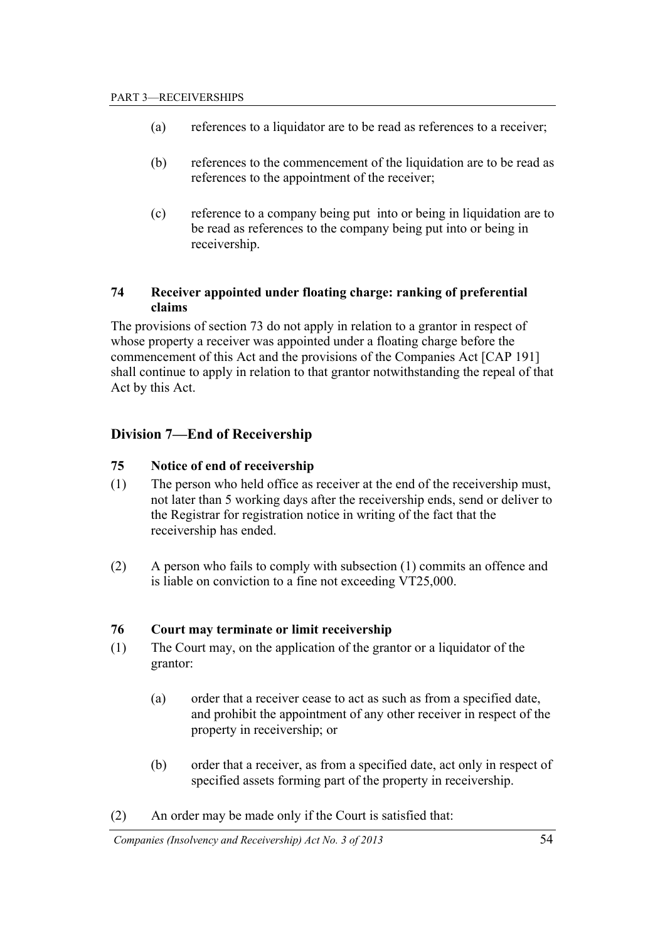- (a) references to a liquidator are to be read as references to a receiver;
- (b) references to the commencement of the liquidation are to be read as references to the appointment of the receiver;
- (c) reference to a company being put into or being in liquidation are to be read as references to the company being put into or being in receivership.

#### **74 Receiver appointed under floating charge: ranking of preferential claims**

The provisions of section 73 do not apply in relation to a grantor in respect of whose property a receiver was appointed under a floating charge before the commencement of this Act and the provisions of the Companies Act [CAP 191] shall continue to apply in relation to that grantor notwithstanding the repeal of that Act by this Act.

## **Division 7—End of Receivership**

#### **75 Notice of end of receivership**

- (1) The person who held office as receiver at the end of the receivership must, not later than 5 working days after the receivership ends, send or deliver to the Registrar for registration notice in writing of the fact that the receivership has ended.
- (2) A person who fails to comply with subsection (1) commits an offence and is liable on conviction to a fine not exceeding VT25,000.

#### **76 Court may terminate or limit receivership**

- (1) The Court may, on the application of the grantor or a liquidator of the grantor:
	- (a) order that a receiver cease to act as such as from a specified date, and prohibit the appointment of any other receiver in respect of the property in receivership; or
	- (b) order that a receiver, as from a specified date, act only in respect of specified assets forming part of the property in receivership.
- (2) An order may be made only if the Court is satisfied that: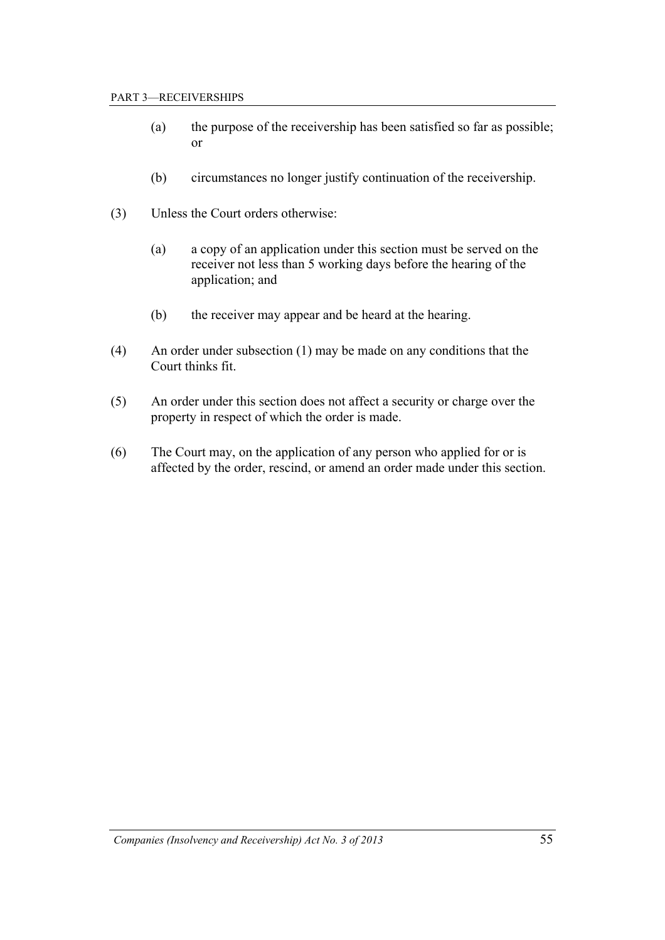- (a) the purpose of the receivership has been satisfied so far as possible; or
- (b) circumstances no longer justify continuation of the receivership.
- (3) Unless the Court orders otherwise:
	- (a) a copy of an application under this section must be served on the receiver not less than 5 working days before the hearing of the application; and
	- (b) the receiver may appear and be heard at the hearing.
- (4) An order under subsection (1) may be made on any conditions that the Court thinks fit.
- (5) An order under this section does not affect a security or charge over the property in respect of which the order is made.
- (6) The Court may, on the application of any person who applied for or is affected by the order, rescind, or amend an order made under this section.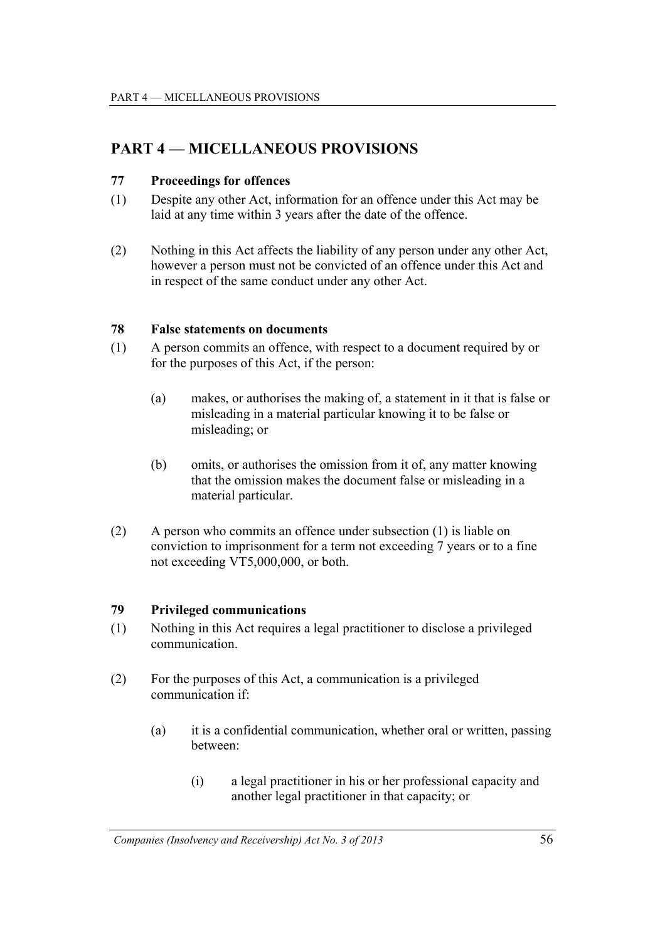# **PART 4 — MICELLANEOUS PROVISIONS**

## **77 Proceedings for offences**

- (1) Despite any other Act, information for an offence under this Act may be laid at any time within 3 years after the date of the offence.
- (2) Nothing in this Act affects the liability of any person under any other Act, however a person must not be convicted of an offence under this Act and in respect of the same conduct under any other Act.

### **78 False statements on documents**

- (1) A person commits an offence, with respect to a document required by or for the purposes of this Act, if the person:
	- (a) makes, or authorises the making of, a statement in it that is false or misleading in a material particular knowing it to be false or misleading; or
	- (b) omits, or authorises the omission from it of, any matter knowing that the omission makes the document false or misleading in a material particular.
- (2) A person who commits an offence under subsection (1) is liable on conviction to imprisonment for a term not exceeding 7 years or to a fine not exceeding VT5,000,000, or both.

### **79 Privileged communications**

- (1) Nothing in this Act requires a legal practitioner to disclose a privileged communication.
- (2) For the purposes of this Act, a communication is a privileged communication if:
	- (a) it is a confidential communication, whether oral or written, passing between:
		- (i) a legal practitioner in his or her professional capacity and another legal practitioner in that capacity; or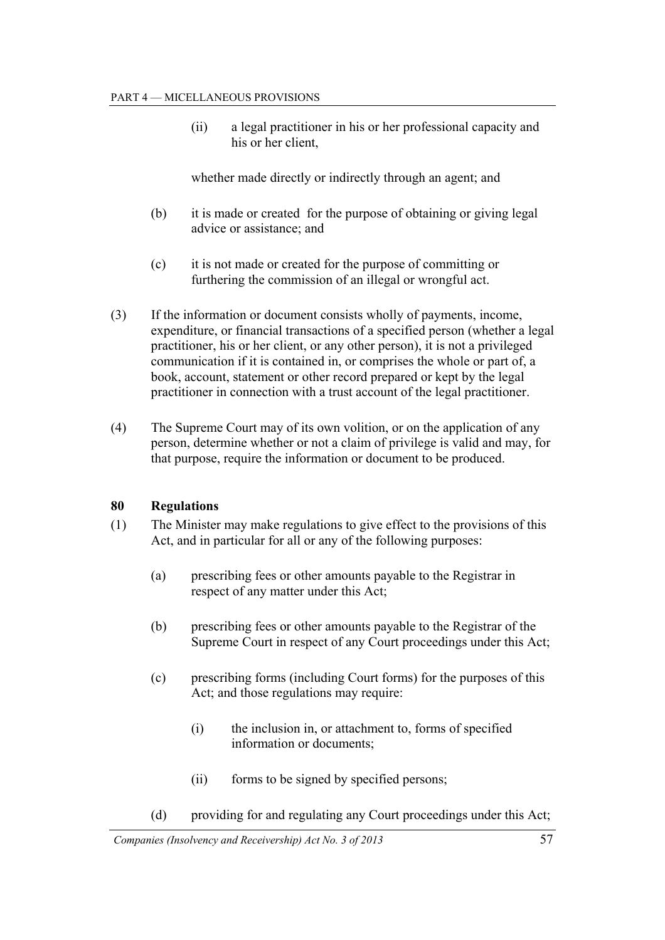(ii) a legal practitioner in his or her professional capacity and his or her client

whether made directly or indirectly through an agent; and

- (b) it is made or created for the purpose of obtaining or giving legal advice or assistance; and
- (c) it is not made or created for the purpose of committing or furthering the commission of an illegal or wrongful act.
- (3) If the information or document consists wholly of payments, income, expenditure, or financial transactions of a specified person (whether a legal practitioner, his or her client, or any other person), it is not a privileged communication if it is contained in, or comprises the whole or part of, a book, account, statement or other record prepared or kept by the legal practitioner in connection with a trust account of the legal practitioner.
- (4) The Supreme Court may of its own volition, or on the application of any person, determine whether or not a claim of privilege is valid and may, for that purpose, require the information or document to be produced.

## **80 Regulations**

- (1) The Minister may make regulations to give effect to the provisions of this Act, and in particular for all or any of the following purposes:
	- (a) prescribing fees or other amounts payable to the Registrar in respect of any matter under this Act;
	- (b) prescribing fees or other amounts payable to the Registrar of the Supreme Court in respect of any Court proceedings under this Act;
	- (c) prescribing forms (including Court forms) for the purposes of this Act; and those regulations may require:
		- (i) the inclusion in, or attachment to, forms of specified information or documents;
		- (ii) forms to be signed by specified persons;
	- (d) providing for and regulating any Court proceedings under this Act;

*Companies (Insolvency and Receivership) Act No. 3 of 2013* 57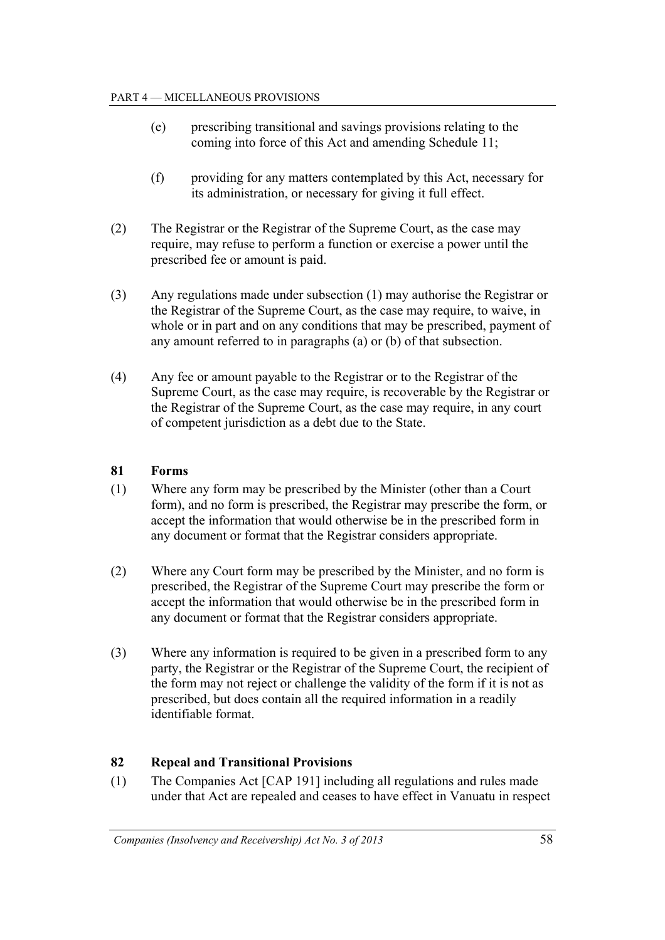- (e) prescribing transitional and savings provisions relating to the coming into force of this Act and amending Schedule 11;
- (f) providing for any matters contemplated by this Act, necessary for its administration, or necessary for giving it full effect.
- (2) The Registrar or the Registrar of the Supreme Court, as the case may require, may refuse to perform a function or exercise a power until the prescribed fee or amount is paid.
- (3) Any regulations made under subsection (1) may authorise the Registrar or the Registrar of the Supreme Court, as the case may require, to waive, in whole or in part and on any conditions that may be prescribed, payment of any amount referred to in paragraphs (a) or (b) of that subsection.
- (4) Any fee or amount payable to the Registrar or to the Registrar of the Supreme Court, as the case may require, is recoverable by the Registrar or the Registrar of the Supreme Court, as the case may require, in any court of competent jurisdiction as a debt due to the State.

## **81 Forms**

- (1) Where any form may be prescribed by the Minister (other than a Court form), and no form is prescribed, the Registrar may prescribe the form, or accept the information that would otherwise be in the prescribed form in any document or format that the Registrar considers appropriate.
- (2) Where any Court form may be prescribed by the Minister, and no form is prescribed, the Registrar of the Supreme Court may prescribe the form or accept the information that would otherwise be in the prescribed form in any document or format that the Registrar considers appropriate.
- (3) Where any information is required to be given in a prescribed form to any party, the Registrar or the Registrar of the Supreme Court, the recipient of the form may not reject or challenge the validity of the form if it is not as prescribed, but does contain all the required information in a readily identifiable format.

## **82 Repeal and Transitional Provisions**

(1) The Companies Act [CAP 191] including all regulations and rules made under that Act are repealed and ceases to have effect in Vanuatu in respect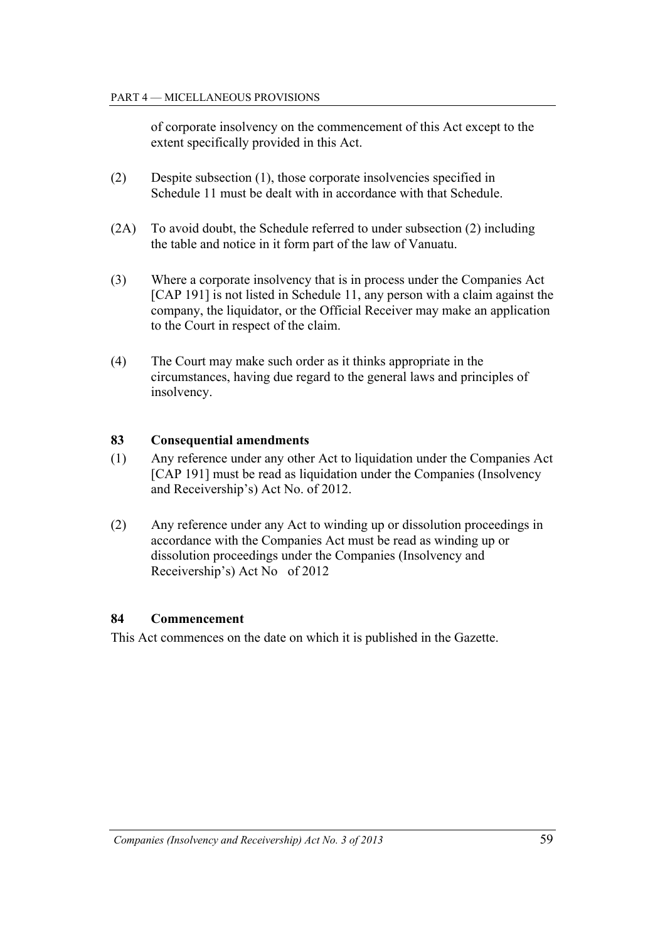of corporate insolvency on the commencement of this Act except to the extent specifically provided in this Act.

- (2) Despite subsection (1), those corporate insolvencies specified in Schedule 11 must be dealt with in accordance with that Schedule.
- (2A) To avoid doubt, the Schedule referred to under subsection (2) including the table and notice in it form part of the law of Vanuatu.
- (3) Where a corporate insolvency that is in process under the Companies Act [CAP 191] is not listed in Schedule 11, any person with a claim against the company, the liquidator, or the Official Receiver may make an application to the Court in respect of the claim.
- (4) The Court may make such order as it thinks appropriate in the circumstances, having due regard to the general laws and principles of insolvency.

#### **83 Consequential amendments**

- (1) Any reference under any other Act to liquidation under the Companies Act [CAP 191] must be read as liquidation under the Companies (Insolvency and Receivership's) Act No. of 2012.
- (2) Any reference under any Act to winding up or dissolution proceedings in accordance with the Companies Act must be read as winding up or dissolution proceedings under the Companies (Insolvency and Receivership's) Act No of 2012

#### **84 Commencement**

This Act commences on the date on which it is published in the Gazette.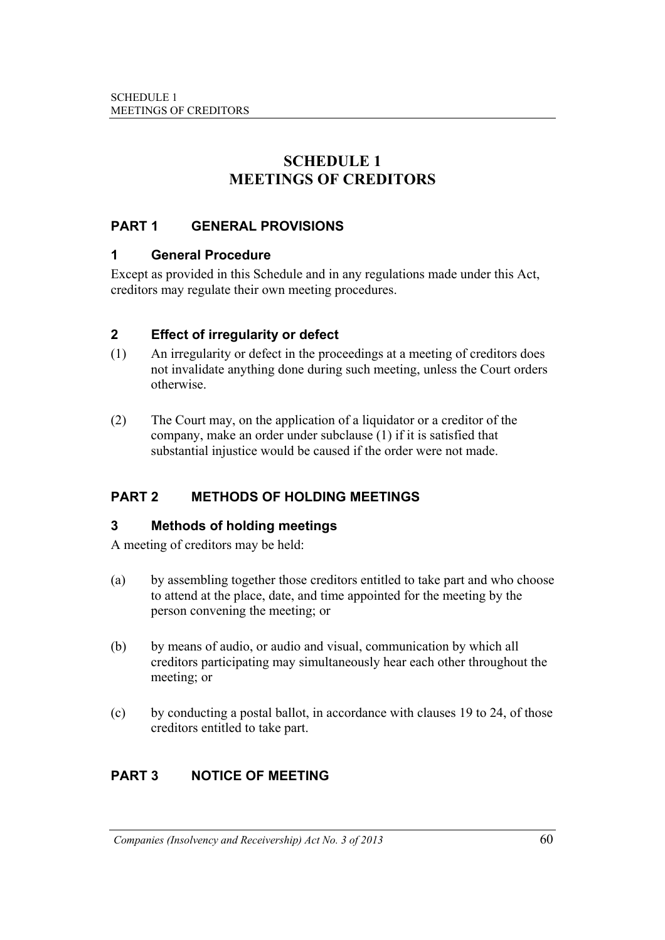# **SCHEDULE 1 MEETINGS OF CREDITORS**

## **PART 1 GENERAL PROVISIONS**

### **1 General Procedure**

Except as provided in this Schedule and in any regulations made under this Act, creditors may regulate their own meeting procedures.

## **2 Effect of irregularity or defect**

- (1) An irregularity or defect in the proceedings at a meeting of creditors does not invalidate anything done during such meeting, unless the Court orders otherwise.
- (2) The Court may, on the application of a liquidator or a creditor of the company, make an order under subclause (1) if it is satisfied that substantial injustice would be caused if the order were not made.

## **PART 2 METHODS OF HOLDING MEETINGS**

## **3 Methods of holding meetings**

A meeting of creditors may be held:

- (a) by assembling together those creditors entitled to take part and who choose to attend at the place, date, and time appointed for the meeting by the person convening the meeting; or
- (b) by means of audio, or audio and visual, communication by which all creditors participating may simultaneously hear each other throughout the meeting; or
- (c) by conducting a postal ballot, in accordance with clauses 19 to 24, of those creditors entitled to take part.

## **PART 3 NOTICE OF MEETING**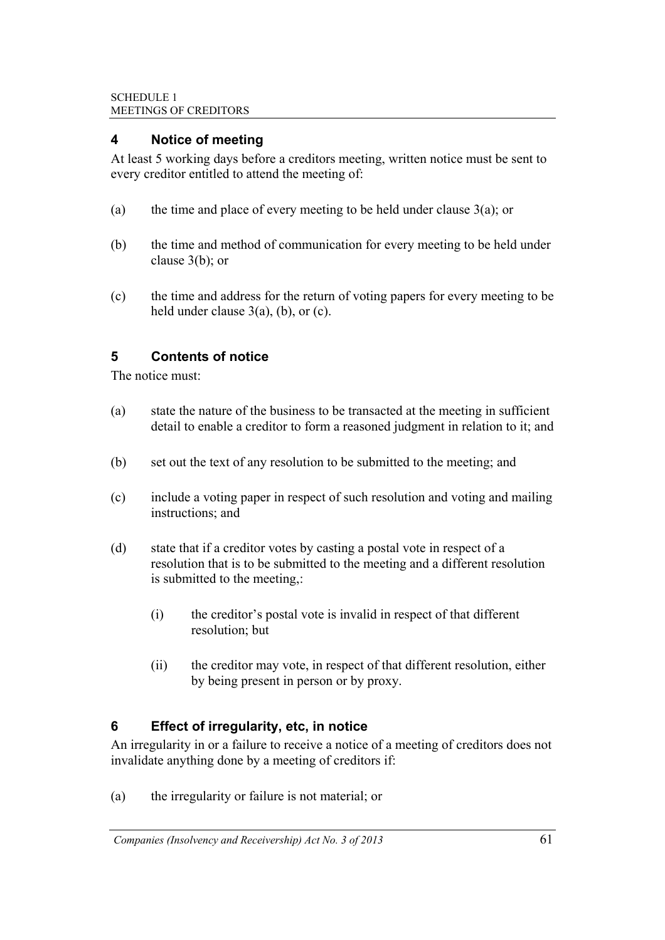## **4 Notice of meeting**

At least 5 working days before a creditors meeting, written notice must be sent to every creditor entitled to attend the meeting of:

- (a) the time and place of every meeting to be held under clause  $3(a)$ ; or
- (b) the time and method of communication for every meeting to be held under clause 3(b); or
- (c) the time and address for the return of voting papers for every meeting to be held under clause  $3(a)$ , (b), or (c).

## **5 Contents of notice**

The notice must:

- (a) state the nature of the business to be transacted at the meeting in sufficient detail to enable a creditor to form a reasoned judgment in relation to it; and
- (b) set out the text of any resolution to be submitted to the meeting; and
- (c) include a voting paper in respect of such resolution and voting and mailing instructions; and
- (d) state that if a creditor votes by casting a postal vote in respect of a resolution that is to be submitted to the meeting and a different resolution is submitted to the meeting,:
	- (i) the creditor's postal vote is invalid in respect of that different resolution; but
	- (ii) the creditor may vote, in respect of that different resolution, either by being present in person or by proxy.

## **6 Effect of irregularity, etc, in notice**

An irregularity in or a failure to receive a notice of a meeting of creditors does not invalidate anything done by a meeting of creditors if:

(a) the irregularity or failure is not material; or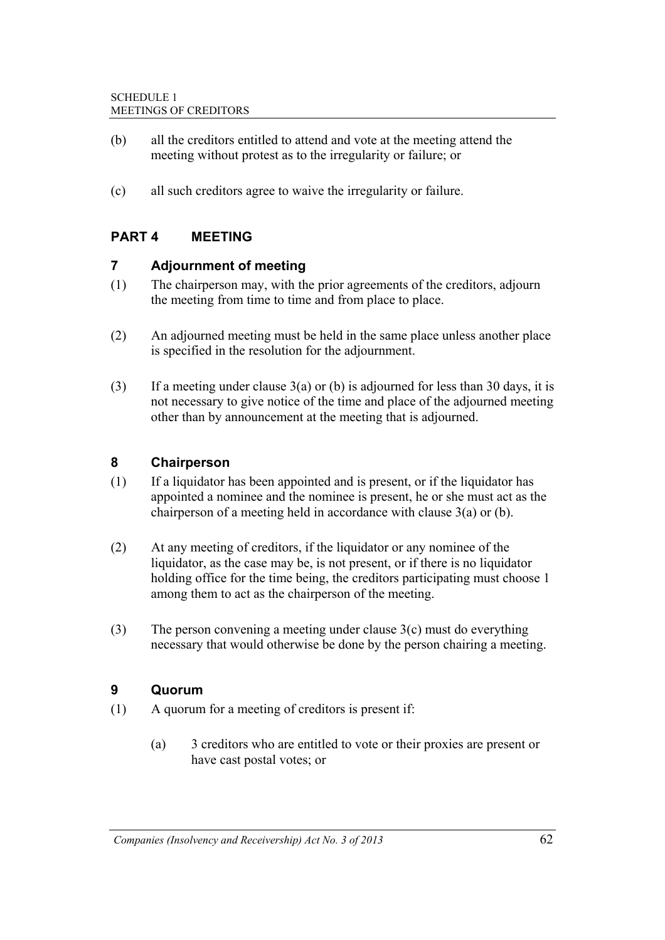- (b) all the creditors entitled to attend and vote at the meeting attend the meeting without protest as to the irregularity or failure; or
- (c) all such creditors agree to waive the irregularity or failure.

## **PART 4 MEETING**

## **7 Adjournment of meeting**

- (1) The chairperson may, with the prior agreements of the creditors, adjourn the meeting from time to time and from place to place.
- (2) An adjourned meeting must be held in the same place unless another place is specified in the resolution for the adjournment.
- (3) If a meeting under clause  $3(a)$  or (b) is adjourned for less than 30 days, it is not necessary to give notice of the time and place of the adjourned meeting other than by announcement at the meeting that is adjourned.

## **8 Chairperson**

- (1) If a liquidator has been appointed and is present, or if the liquidator has appointed a nominee and the nominee is present, he or she must act as the chairperson of a meeting held in accordance with clause 3(a) or (b).
- (2) At any meeting of creditors, if the liquidator or any nominee of the liquidator, as the case may be, is not present, or if there is no liquidator holding office for the time being, the creditors participating must choose 1 among them to act as the chairperson of the meeting.
- (3) The person convening a meeting under clause 3(c) must do everything necessary that would otherwise be done by the person chairing a meeting.

### **9 Quorum**

- (1) A quorum for a meeting of creditors is present if:
	- (a) 3 creditors who are entitled to vote or their proxies are present or have cast postal votes; or

*Companies (Insolvency and Receivership) Act No. 3 of 2013* 62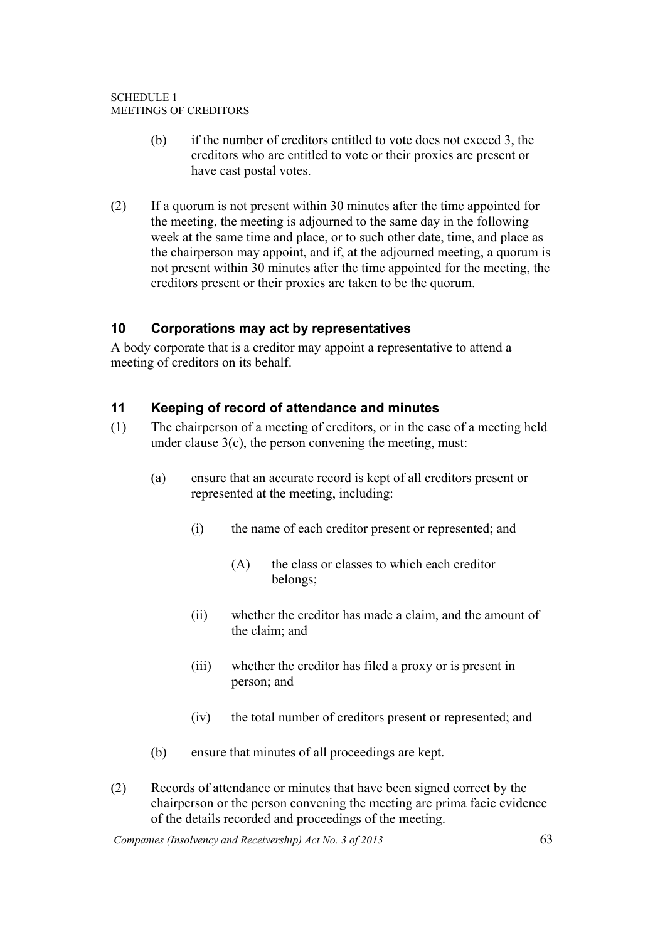- (b) if the number of creditors entitled to vote does not exceed 3, the creditors who are entitled to vote or their proxies are present or have cast postal votes.
- (2) If a quorum is not present within 30 minutes after the time appointed for the meeting, the meeting is adjourned to the same day in the following week at the same time and place, or to such other date, time, and place as the chairperson may appoint, and if, at the adjourned meeting, a quorum is not present within 30 minutes after the time appointed for the meeting, the creditors present or their proxies are taken to be the quorum.

## **10 Corporations may act by representatives**

A body corporate that is a creditor may appoint a representative to attend a meeting of creditors on its behalf.

## **11 Keeping of record of attendance and minutes**

- (1) The chairperson of a meeting of creditors, or in the case of a meeting held under clause  $3(c)$ , the person convening the meeting, must:
	- (a) ensure that an accurate record is kept of all creditors present or represented at the meeting, including:
		- (i) the name of each creditor present or represented; and
			- (A) the class or classes to which each creditor belongs;
		- (ii) whether the creditor has made a claim, and the amount of the claim; and
		- (iii) whether the creditor has filed a proxy or is present in person; and
		- (iv) the total number of creditors present or represented; and
	- (b) ensure that minutes of all proceedings are kept.
- (2) Records of attendance or minutes that have been signed correct by the chairperson or the person convening the meeting are prima facie evidence of the details recorded and proceedings of the meeting.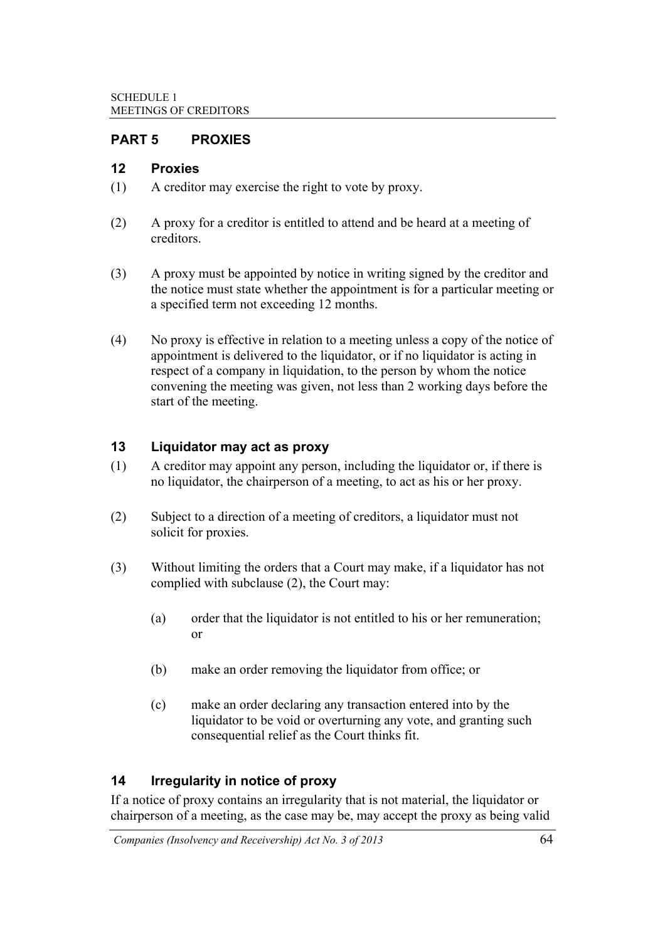## **PART 5 PROXIES**

## **12 Proxies**

- (1) A creditor may exercise the right to vote by proxy.
- (2) A proxy for a creditor is entitled to attend and be heard at a meeting of creditors.
- (3) A proxy must be appointed by notice in writing signed by the creditor and the notice must state whether the appointment is for a particular meeting or a specified term not exceeding 12 months.
- (4) No proxy is effective in relation to a meeting unless a copy of the notice of appointment is delivered to the liquidator, or if no liquidator is acting in respect of a company in liquidation, to the person by whom the notice convening the meeting was given, not less than 2 working days before the start of the meeting.

## **13 Liquidator may act as proxy**

- (1) A creditor may appoint any person, including the liquidator or, if there is no liquidator, the chairperson of a meeting, to act as his or her proxy.
- (2) Subject to a direction of a meeting of creditors, a liquidator must not solicit for proxies.
- (3) Without limiting the orders that a Court may make, if a liquidator has not complied with subclause (2), the Court may:
	- (a) order that the liquidator is not entitled to his or her remuneration; or
	- (b) make an order removing the liquidator from office; or
	- (c) make an order declaring any transaction entered into by the liquidator to be void or overturning any vote, and granting such consequential relief as the Court thinks fit.

## **14 Irregularity in notice of proxy**

If a notice of proxy contains an irregularity that is not material, the liquidator or chairperson of a meeting, as the case may be, may accept the proxy as being valid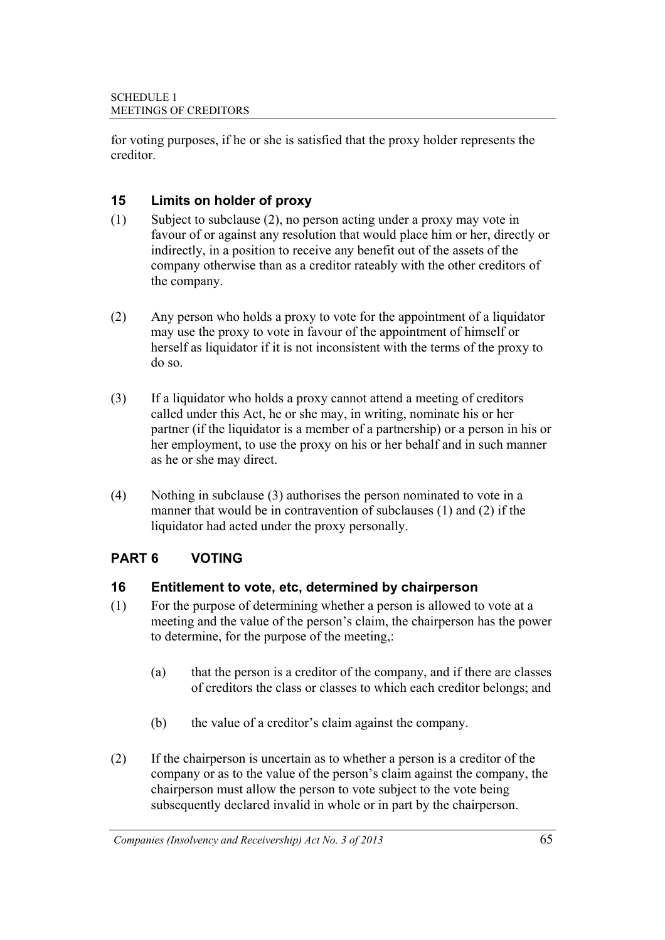for voting purposes, if he or she is satisfied that the proxy holder represents the creditor.

## **15 Limits on holder of proxy**

- (1) Subject to subclause (2), no person acting under a proxy may vote in favour of or against any resolution that would place him or her, directly or indirectly, in a position to receive any benefit out of the assets of the company otherwise than as a creditor rateably with the other creditors of the company.
- (2) Any person who holds a proxy to vote for the appointment of a liquidator may use the proxy to vote in favour of the appointment of himself or herself as liquidator if it is not inconsistent with the terms of the proxy to do so.
- (3) If a liquidator who holds a proxy cannot attend a meeting of creditors called under this Act, he or she may, in writing, nominate his or her partner (if the liquidator is a member of a partnership) or a person in his or her employment, to use the proxy on his or her behalf and in such manner as he or she may direct.
- (4) Nothing in subclause (3) authorises the person nominated to vote in a manner that would be in contravention of subclauses (1) and (2) if the liquidator had acted under the proxy personally.

## **PART 6 VOTING**

## **16 Entitlement to vote, etc, determined by chairperson**

- (1) For the purpose of determining whether a person is allowed to vote at a meeting and the value of the person's claim, the chairperson has the power to determine, for the purpose of the meeting,:
	- (a) that the person is a creditor of the company, and if there are classes of creditors the class or classes to which each creditor belongs; and
	- (b) the value of a creditor's claim against the company.
- (2) If the chairperson is uncertain as to whether a person is a creditor of the company or as to the value of the person's claim against the company, the chairperson must allow the person to vote subject to the vote being subsequently declared invalid in whole or in part by the chairperson.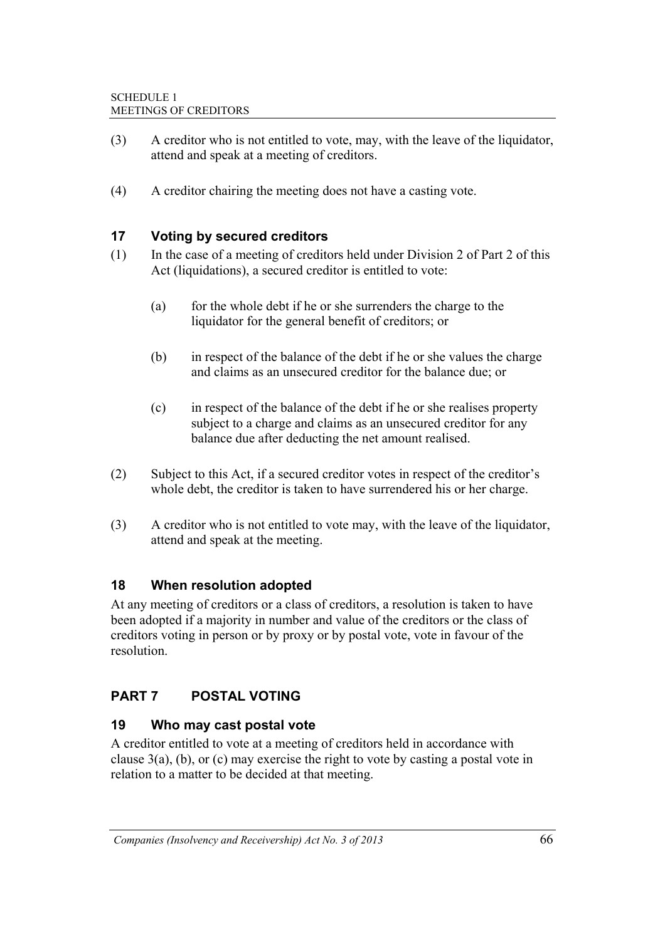- (3) A creditor who is not entitled to vote, may, with the leave of the liquidator, attend and speak at a meeting of creditors.
- (4) A creditor chairing the meeting does not have a casting vote.

## **17 Voting by secured creditors**

- (1) In the case of a meeting of creditors held under Division 2 of Part 2 of this Act (liquidations), a secured creditor is entitled to vote:
	- (a) for the whole debt if he or she surrenders the charge to the liquidator for the general benefit of creditors; or
	- (b) in respect of the balance of the debt if he or she values the charge and claims as an unsecured creditor for the balance due; or
	- (c) in respect of the balance of the debt if he or she realises property subject to a charge and claims as an unsecured creditor for any balance due after deducting the net amount realised.
- (2) Subject to this Act, if a secured creditor votes in respect of the creditor's whole debt, the creditor is taken to have surrendered his or her charge.
- (3) A creditor who is not entitled to vote may, with the leave of the liquidator, attend and speak at the meeting.

### **18 When resolution adopted**

At any meeting of creditors or a class of creditors, a resolution is taken to have been adopted if a majority in number and value of the creditors or the class of creditors voting in person or by proxy or by postal vote, vote in favour of the resolution.

## **PART 7 POSTAL VOTING**

### **19 Who may cast postal vote**

A creditor entitled to vote at a meeting of creditors held in accordance with clause 3(a), (b), or (c) may exercise the right to vote by casting a postal vote in relation to a matter to be decided at that meeting.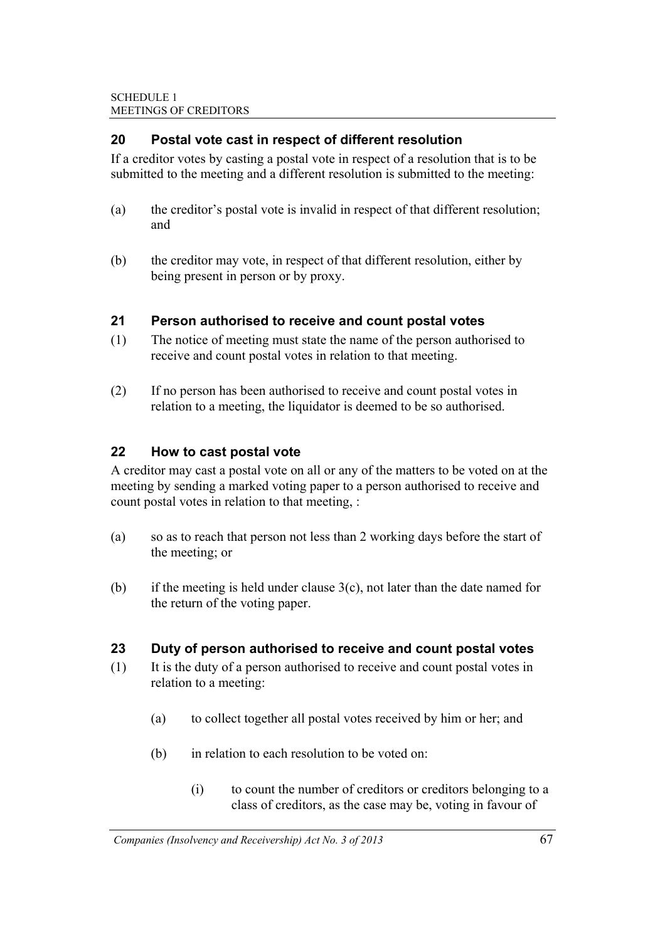## **20 Postal vote cast in respect of different resolution**

If a creditor votes by casting a postal vote in respect of a resolution that is to be submitted to the meeting and a different resolution is submitted to the meeting:

- (a) the creditor's postal vote is invalid in respect of that different resolution; and
- (b) the creditor may vote, in respect of that different resolution, either by being present in person or by proxy.

## **21 Person authorised to receive and count postal votes**

- (1) The notice of meeting must state the name of the person authorised to receive and count postal votes in relation to that meeting.
- (2) If no person has been authorised to receive and count postal votes in relation to a meeting, the liquidator is deemed to be so authorised.

## **22 How to cast postal vote**

A creditor may cast a postal vote on all or any of the matters to be voted on at the meeting by sending a marked voting paper to a person authorised to receive and count postal votes in relation to that meeting, :

- (a) so as to reach that person not less than 2 working days before the start of the meeting; or
- (b) if the meeting is held under clause  $3(c)$ , not later than the date named for the return of the voting paper.

### **23 Duty of person authorised to receive and count postal votes**

- (1) It is the duty of a person authorised to receive and count postal votes in relation to a meeting:
	- (a) to collect together all postal votes received by him or her; and
	- (b) in relation to each resolution to be voted on:
		- (i) to count the number of creditors or creditors belonging to a class of creditors, as the case may be, voting in favour of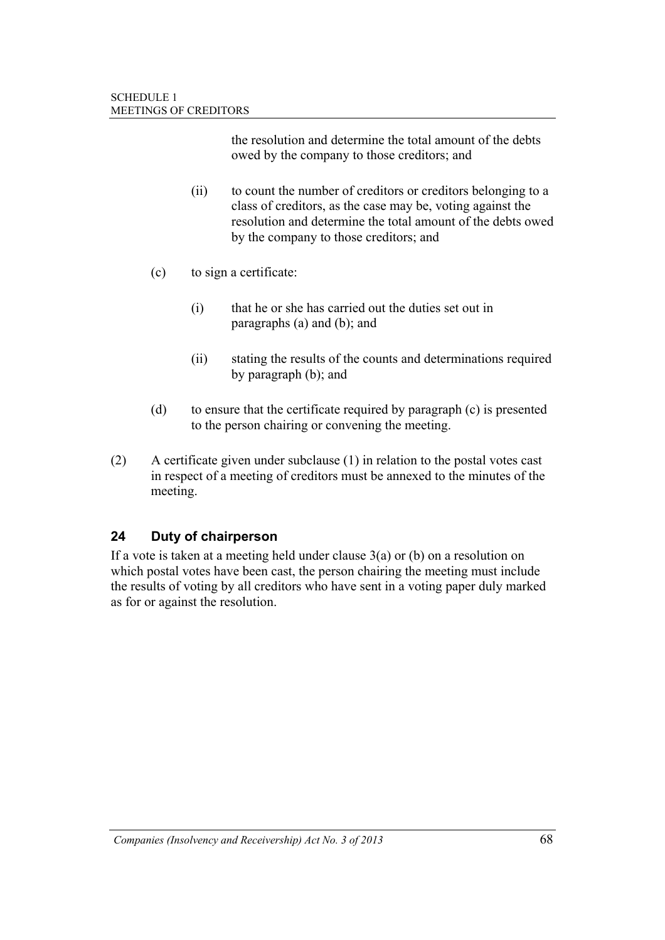the resolution and determine the total amount of the debts owed by the company to those creditors; and

- (ii) to count the number of creditors or creditors belonging to a class of creditors, as the case may be, voting against the resolution and determine the total amount of the debts owed by the company to those creditors; and
- (c) to sign a certificate:
	- (i) that he or she has carried out the duties set out in paragraphs (a) and (b); and
	- (ii) stating the results of the counts and determinations required by paragraph (b); and
- (d) to ensure that the certificate required by paragraph (c) is presented to the person chairing or convening the meeting.
- (2) A certificate given under subclause (1) in relation to the postal votes cast in respect of a meeting of creditors must be annexed to the minutes of the meeting.

## **24 Duty of chairperson**

If a vote is taken at a meeting held under clause 3(a) or (b) on a resolution on which postal votes have been cast, the person chairing the meeting must include the results of voting by all creditors who have sent in a voting paper duly marked as for or against the resolution.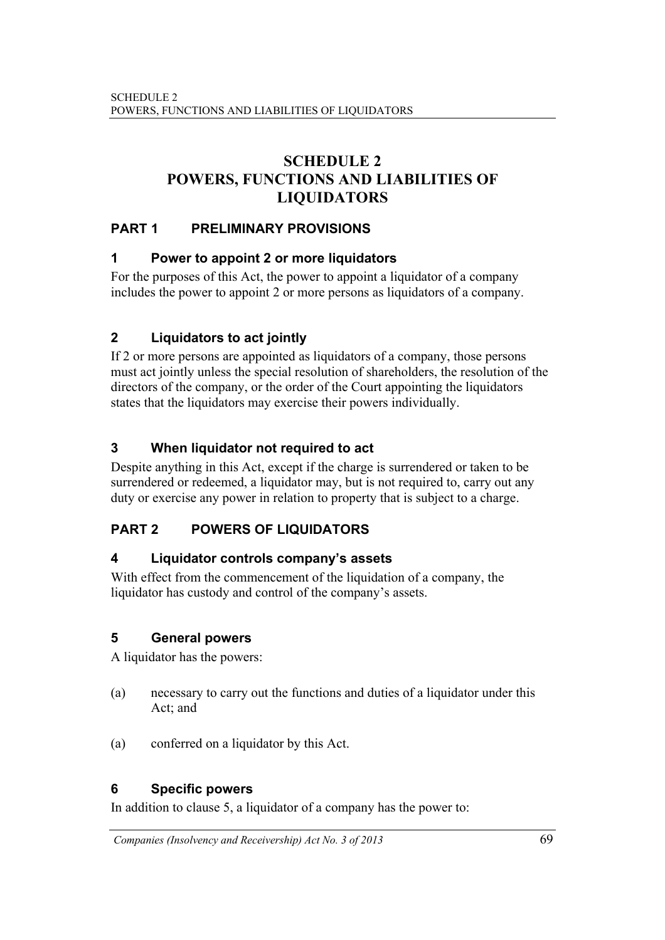# **SCHEDULE 2 POWERS, FUNCTIONS AND LIABILITIES OF LIQUIDATORS**

## **PART 1 PRELIMINARY PROVISIONS**

## **1 Power to appoint 2 or more liquidators**

For the purposes of this Act, the power to appoint a liquidator of a company includes the power to appoint 2 or more persons as liquidators of a company.

# **2 Liquidators to act jointly**

If 2 or more persons are appointed as liquidators of a company, those persons must act jointly unless the special resolution of shareholders, the resolution of the directors of the company, or the order of the Court appointing the liquidators states that the liquidators may exercise their powers individually.

## **3 When liquidator not required to act**

Despite anything in this Act, except if the charge is surrendered or taken to be surrendered or redeemed, a liquidator may, but is not required to, carry out any duty or exercise any power in relation to property that is subject to a charge.

## **PART 2 POWERS OF LIQUIDATORS**

## **4 Liquidator controls company's assets**

With effect from the commencement of the liquidation of a company, the liquidator has custody and control of the company's assets.

## **5 General powers**

A liquidator has the powers:

- (a) necessary to carry out the functions and duties of a liquidator under this Act; and
- (a) conferred on a liquidator by this Act.

## **6 Specific powers**

In addition to clause 5, a liquidator of a company has the power to: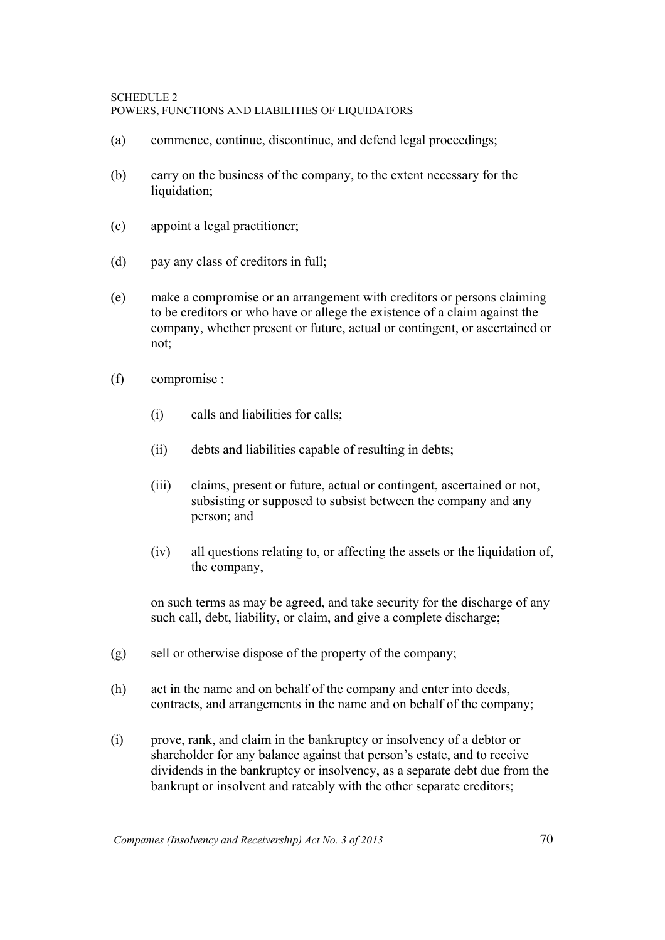- (a) commence, continue, discontinue, and defend legal proceedings;
- (b) carry on the business of the company, to the extent necessary for the liquidation;
- (c) appoint a legal practitioner;
- (d) pay any class of creditors in full;
- (e) make a compromise or an arrangement with creditors or persons claiming to be creditors or who have or allege the existence of a claim against the company, whether present or future, actual or contingent, or ascertained or not;
- (f) compromise :
	- (i) calls and liabilities for calls;
	- (ii) debts and liabilities capable of resulting in debts;
	- (iii) claims, present or future, actual or contingent, ascertained or not, subsisting or supposed to subsist between the company and any person; and
	- (iv) all questions relating to, or affecting the assets or the liquidation of, the company,

 on such terms as may be agreed, and take security for the discharge of any such call, debt, liability, or claim, and give a complete discharge;

- (g) sell or otherwise dispose of the property of the company;
- (h) act in the name and on behalf of the company and enter into deeds, contracts, and arrangements in the name and on behalf of the company;
- (i) prove, rank, and claim in the bankruptcy or insolvency of a debtor or shareholder for any balance against that person's estate, and to receive dividends in the bankruptcy or insolvency, as a separate debt due from the bankrupt or insolvent and rateably with the other separate creditors;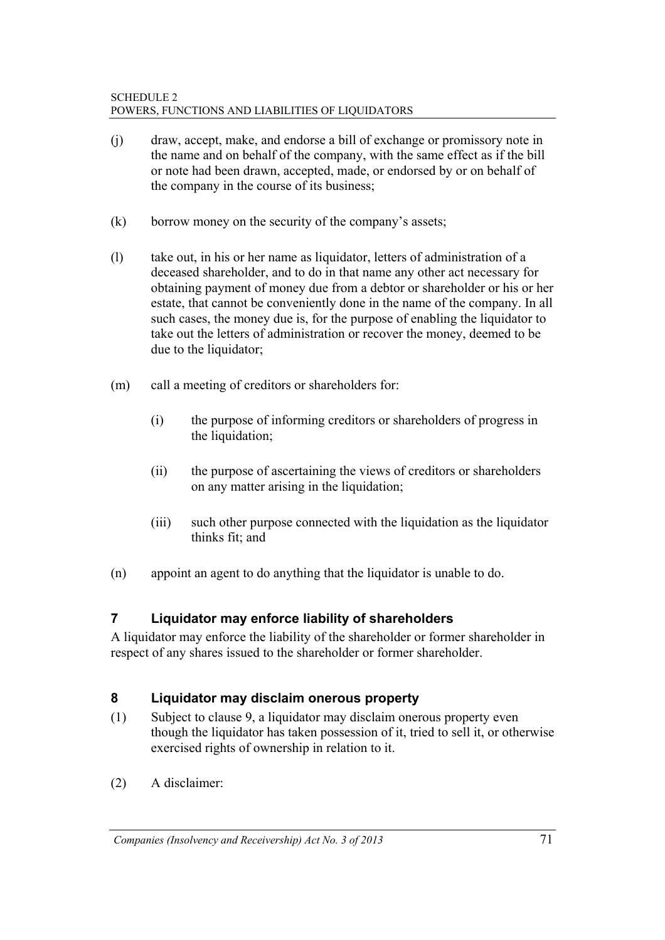- (j) draw, accept, make, and endorse a bill of exchange or promissory note in the name and on behalf of the company, with the same effect as if the bill or note had been drawn, accepted, made, or endorsed by or on behalf of the company in the course of its business;
- (k) borrow money on the security of the company's assets;
- (l) take out, in his or her name as liquidator, letters of administration of a deceased shareholder, and to do in that name any other act necessary for obtaining payment of money due from a debtor or shareholder or his or her estate, that cannot be conveniently done in the name of the company. In all such cases, the money due is, for the purpose of enabling the liquidator to take out the letters of administration or recover the money, deemed to be due to the liquidator;
- (m) call a meeting of creditors or shareholders for:
	- (i) the purpose of informing creditors or shareholders of progress in the liquidation;
	- (ii) the purpose of ascertaining the views of creditors or shareholders on any matter arising in the liquidation;
	- (iii) such other purpose connected with the liquidation as the liquidator thinks fit; and
- (n) appoint an agent to do anything that the liquidator is unable to do.

## **7 Liquidator may enforce liability of shareholders**

A liquidator may enforce the liability of the shareholder or former shareholder in respect of any shares issued to the shareholder or former shareholder.

## **8 Liquidator may disclaim onerous property**

- (1) Subject to clause 9, a liquidator may disclaim onerous property even though the liquidator has taken possession of it, tried to sell it, or otherwise exercised rights of ownership in relation to it.
- (2) A disclaimer: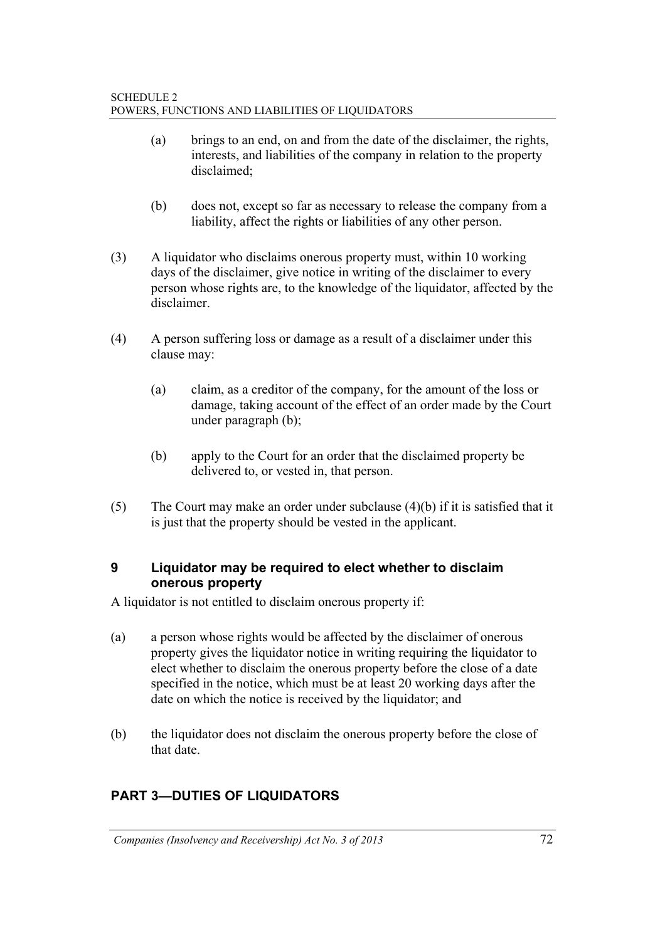- (a) brings to an end, on and from the date of the disclaimer, the rights, interests, and liabilities of the company in relation to the property disclaimed;
- (b) does not, except so far as necessary to release the company from a liability, affect the rights or liabilities of any other person.
- (3) A liquidator who disclaims onerous property must, within 10 working days of the disclaimer, give notice in writing of the disclaimer to every person whose rights are, to the knowledge of the liquidator, affected by the disclaimer.
- (4) A person suffering loss or damage as a result of a disclaimer under this clause may:
	- (a) claim, as a creditor of the company, for the amount of the loss or damage, taking account of the effect of an order made by the Court under paragraph (b);
	- (b) apply to the Court for an order that the disclaimed property be delivered to, or vested in, that person.
- (5) The Court may make an order under subclause (4)(b) if it is satisfied that it is just that the property should be vested in the applicant.

## **9 Liquidator may be required to elect whether to disclaim onerous property**

A liquidator is not entitled to disclaim onerous property if:

- (a) a person whose rights would be affected by the disclaimer of onerous property gives the liquidator notice in writing requiring the liquidator to elect whether to disclaim the onerous property before the close of a date specified in the notice, which must be at least 20 working days after the date on which the notice is received by the liquidator; and
- (b) the liquidator does not disclaim the onerous property before the close of that date.

# **PART 3—DUTIES OF LIQUIDATORS**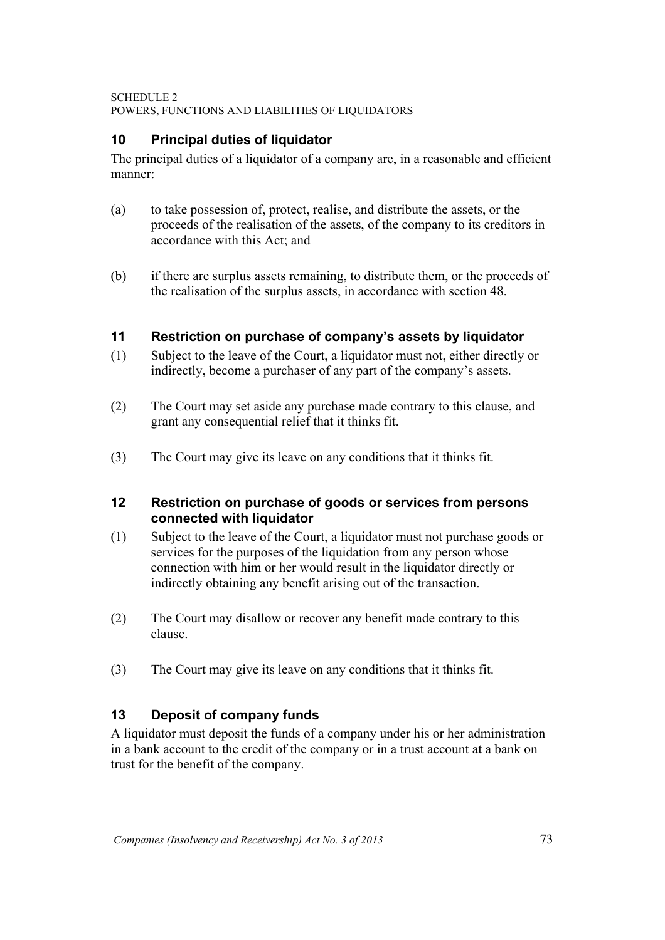## **10 Principal duties of liquidator**

The principal duties of a liquidator of a company are, in a reasonable and efficient manner:

- (a) to take possession of, protect, realise, and distribute the assets, or the proceeds of the realisation of the assets, of the company to its creditors in accordance with this Act: and
- (b) if there are surplus assets remaining, to distribute them, or the proceeds of the realisation of the surplus assets, in accordance with section 48.

#### **11 Restriction on purchase of company's assets by liquidator**

- (1) Subject to the leave of the Court, a liquidator must not, either directly or indirectly, become a purchaser of any part of the company's assets.
- (2) The Court may set aside any purchase made contrary to this clause, and grant any consequential relief that it thinks fit.
- (3) The Court may give its leave on any conditions that it thinks fit.

#### **12 Restriction on purchase of goods or services from persons connected with liquidator**

- (1) Subject to the leave of the Court, a liquidator must not purchase goods or services for the purposes of the liquidation from any person whose connection with him or her would result in the liquidator directly or indirectly obtaining any benefit arising out of the transaction.
- (2) The Court may disallow or recover any benefit made contrary to this clause.
- (3) The Court may give its leave on any conditions that it thinks fit.

## **13 Deposit of company funds**

A liquidator must deposit the funds of a company under his or her administration in a bank account to the credit of the company or in a trust account at a bank on trust for the benefit of the company.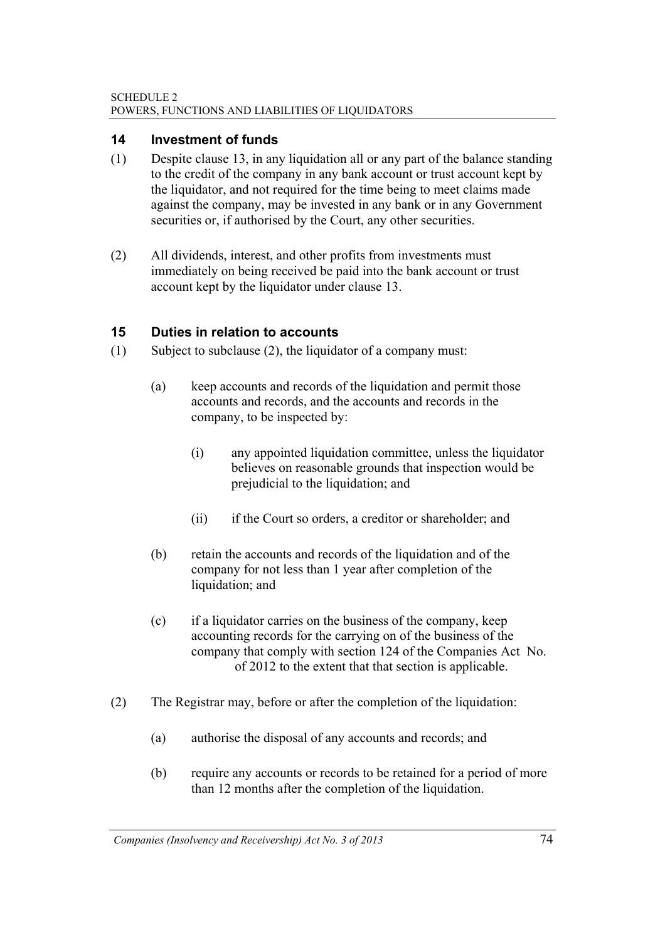## **14 Investment of funds**

- (1) Despite clause 13, in any liquidation all or any part of the balance standing to the credit of the company in any bank account or trust account kept by the liquidator, and not required for the time being to meet claims made against the company, may be invested in any bank or in any Government securities or, if authorised by the Court, any other securities.
- (2) All dividends, interest, and other profits from investments must immediately on being received be paid into the bank account or trust account kept by the liquidator under clause 13.

## **15 Duties in relation to accounts**

- (1) Subject to subclause (2), the liquidator of a company must:
	- (a) keep accounts and records of the liquidation and permit those accounts and records, and the accounts and records in the company, to be inspected by:
		- (i) any appointed liquidation committee, unless the liquidator believes on reasonable grounds that inspection would be prejudicial to the liquidation; and
		- (ii) if the Court so orders, a creditor or shareholder; and
	- (b) retain the accounts and records of the liquidation and of the company for not less than 1 year after completion of the liquidation; and
	- (c) if a liquidator carries on the business of the company, keep accounting records for the carrying on of the business of the company that comply with section 124 of the Companies Act No. of 2012 to the extent that that section is applicable.
- (2) The Registrar may, before or after the completion of the liquidation:
	- (a) authorise the disposal of any accounts and records; and
	- (b) require any accounts or records to be retained for a period of more than 12 months after the completion of the liquidation.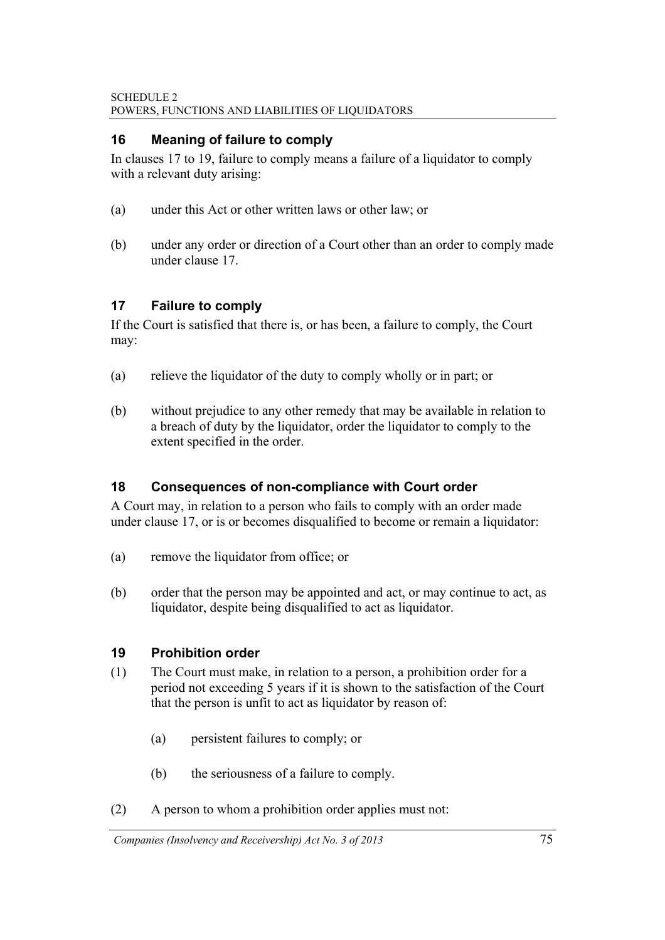## **16 Meaning of failure to comply**

In clauses 17 to 19, failure to comply means a failure of a liquidator to comply with a relevant duty arising:

- (a) under this Act or other written laws or other law; or
- (b) under any order or direction of a Court other than an order to comply made under clause 17.

## **17 Failure to comply**

If the Court is satisfied that there is, or has been, a failure to comply, the Court may:

- (a) relieve the liquidator of the duty to comply wholly or in part; or
- (b) without prejudice to any other remedy that may be available in relation to a breach of duty by the liquidator, order the liquidator to comply to the extent specified in the order.

## **18 Consequences of non-compliance with Court order**

A Court may, in relation to a person who fails to comply with an order made under clause 17, or is or becomes disqualified to become or remain a liquidator:

- (a) remove the liquidator from office; or
- (b) order that the person may be appointed and act, or may continue to act, as liquidator, despite being disqualified to act as liquidator.

## **19 Prohibition order**

- (1) The Court must make, in relation to a person, a prohibition order for a period not exceeding 5 years if it is shown to the satisfaction of the Court that the person is unfit to act as liquidator by reason of:
	- (a) persistent failures to comply; or
	- (b) the seriousness of a failure to comply.
- (2) A person to whom a prohibition order applies must not: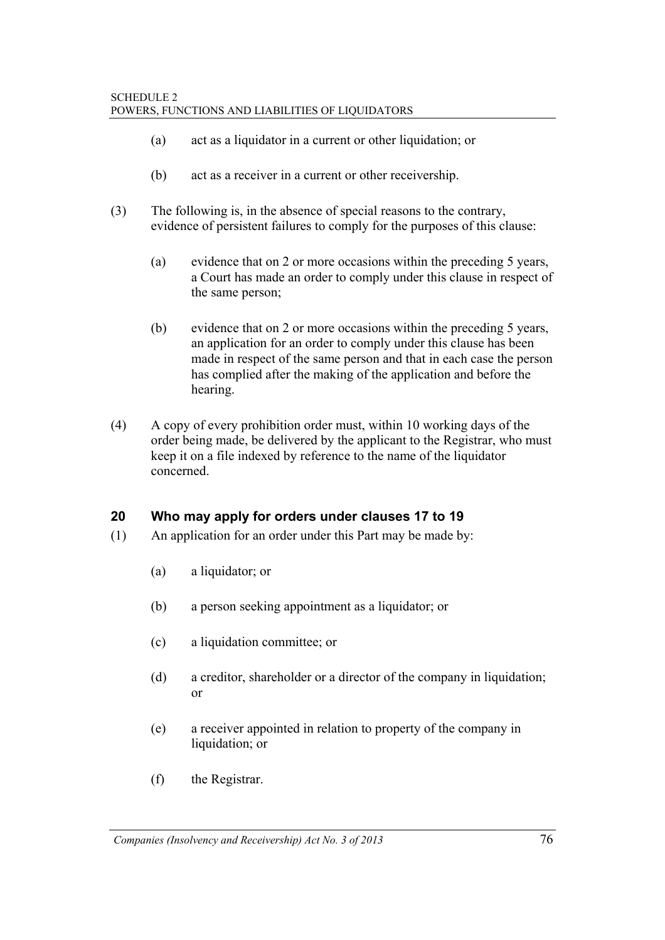- (a) act as a liquidator in a current or other liquidation; or
- (b) act as a receiver in a current or other receivership.
- (3) The following is, in the absence of special reasons to the contrary, evidence of persistent failures to comply for the purposes of this clause:
	- (a) evidence that on 2 or more occasions within the preceding 5 years, a Court has made an order to comply under this clause in respect of the same person;
	- (b) evidence that on 2 or more occasions within the preceding 5 years, an application for an order to comply under this clause has been made in respect of the same person and that in each case the person has complied after the making of the application and before the hearing.
- (4) A copy of every prohibition order must, within 10 working days of the order being made, be delivered by the applicant to the Registrar, who must keep it on a file indexed by reference to the name of the liquidator concerned.

## **20 Who may apply for orders under clauses 17 to 19**

- (1) An application for an order under this Part may be made by:
	- (a) a liquidator; or
	- (b) a person seeking appointment as a liquidator; or
	- (c) a liquidation committee; or
	- (d) a creditor, shareholder or a director of the company in liquidation; or
	- (e) a receiver appointed in relation to property of the company in liquidation; or
	- (f) the Registrar.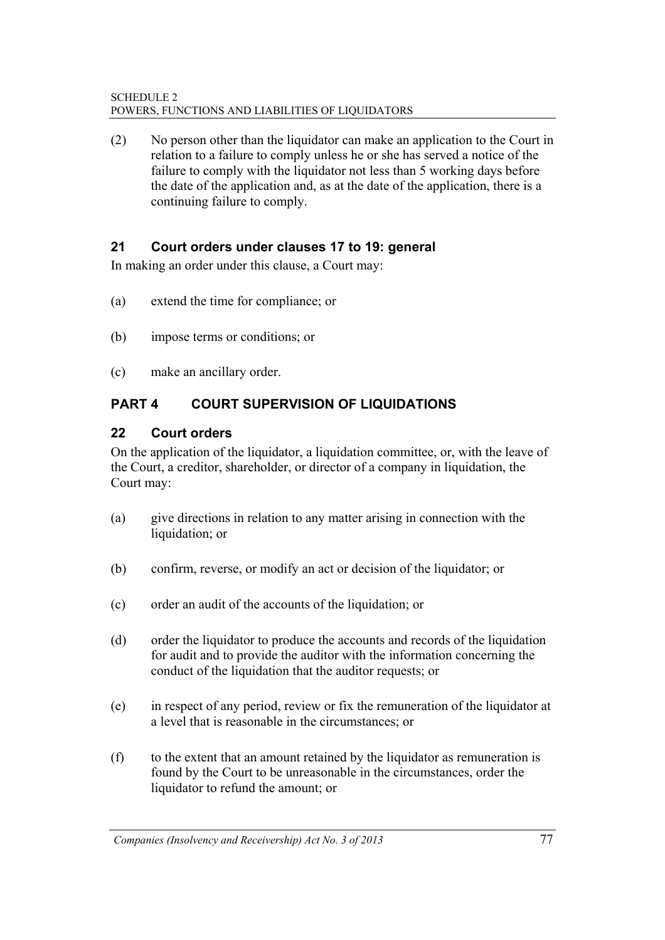(2) No person other than the liquidator can make an application to the Court in relation to a failure to comply unless he or she has served a notice of the failure to comply with the liquidator not less than 5 working days before the date of the application and, as at the date of the application, there is a continuing failure to comply.

## **21 Court orders under clauses 17 to 19: general**

In making an order under this clause, a Court may:

- (a) extend the time for compliance; or
- (b) impose terms or conditions; or
- (c) make an ancillary order.

# **PART 4 COURT SUPERVISION OF LIQUIDATIONS**

## **22 Court orders**

On the application of the liquidator, a liquidation committee, or, with the leave of the Court, a creditor, shareholder, or director of a company in liquidation, the Court may:

- (a) give directions in relation to any matter arising in connection with the liquidation; or
- (b) confirm, reverse, or modify an act or decision of the liquidator; or
- (c) order an audit of the accounts of the liquidation; or
- (d) order the liquidator to produce the accounts and records of the liquidation for audit and to provide the auditor with the information concerning the conduct of the liquidation that the auditor requests; or
- (e) in respect of any period, review or fix the remuneration of the liquidator at a level that is reasonable in the circumstances; or
- (f) to the extent that an amount retained by the liquidator as remuneration is found by the Court to be unreasonable in the circumstances, order the liquidator to refund the amount; or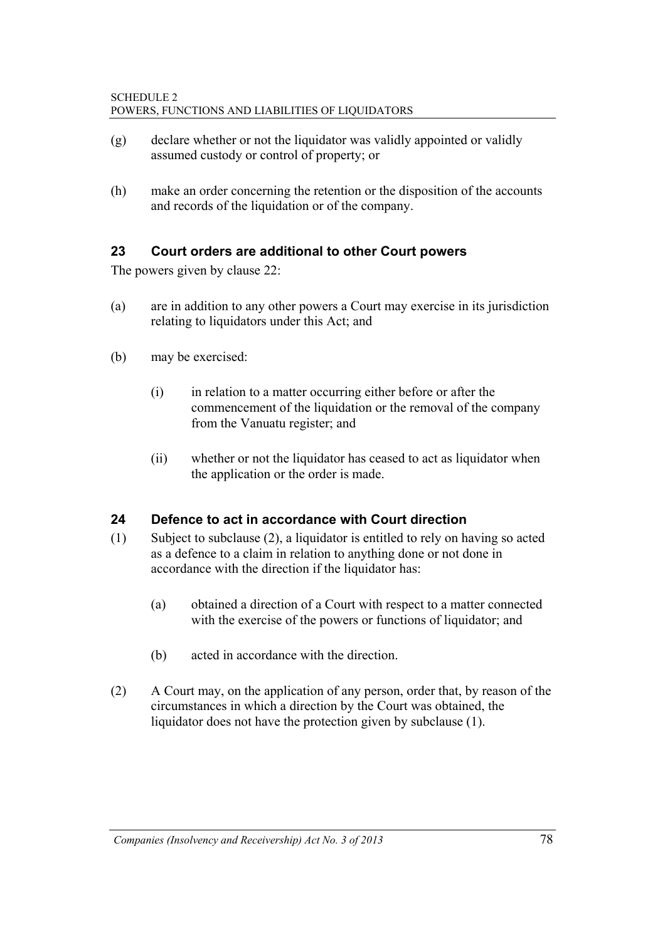- (g) declare whether or not the liquidator was validly appointed or validly assumed custody or control of property; or
- (h) make an order concerning the retention or the disposition of the accounts and records of the liquidation or of the company.

## **23 Court orders are additional to other Court powers**

The powers given by clause 22:

- (a) are in addition to any other powers a Court may exercise in its jurisdiction relating to liquidators under this Act; and
- (b) may be exercised:
	- (i) in relation to a matter occurring either before or after the commencement of the liquidation or the removal of the company from the Vanuatu register; and
	- (ii) whether or not the liquidator has ceased to act as liquidator when the application or the order is made.

## **24 Defence to act in accordance with Court direction**

- (1) Subject to subclause (2), a liquidator is entitled to rely on having so acted as a defence to a claim in relation to anything done or not done in accordance with the direction if the liquidator has:
	- (a) obtained a direction of a Court with respect to a matter connected with the exercise of the powers or functions of liquidator; and
	- (b) acted in accordance with the direction.
- (2) A Court may, on the application of any person, order that, by reason of the circumstances in which a direction by the Court was obtained, the liquidator does not have the protection given by subclause (1).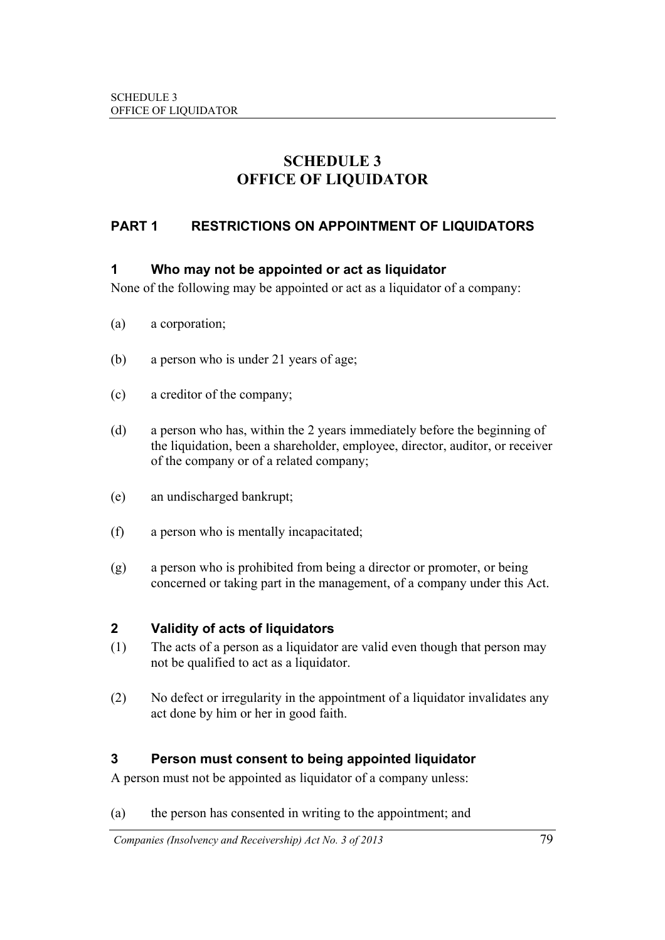# **SCHEDULE 3 OFFICE OF LIQUIDATOR**

## **PART 1 RESTRICTIONS ON APPOINTMENT OF LIQUIDATORS**

#### **1 Who may not be appointed or act as liquidator**

None of the following may be appointed or act as a liquidator of a company:

- (a) a corporation;
- (b) a person who is under 21 years of age;
- (c) a creditor of the company;
- (d) a person who has, within the 2 years immediately before the beginning of the liquidation, been a shareholder, employee, director, auditor, or receiver of the company or of a related company;
- (e) an undischarged bankrupt;
- (f) a person who is mentally incapacitated;
- (g) a person who is prohibited from being a director or promoter, or being concerned or taking part in the management, of a company under this Act.

#### **2 Validity of acts of liquidators**

- (1) The acts of a person as a liquidator are valid even though that person may not be qualified to act as a liquidator.
- (2) No defect or irregularity in the appointment of a liquidator invalidates any act done by him or her in good faith.

## **3 Person must consent to being appointed liquidator**

A person must not be appointed as liquidator of a company unless:

(a) the person has consented in writing to the appointment; and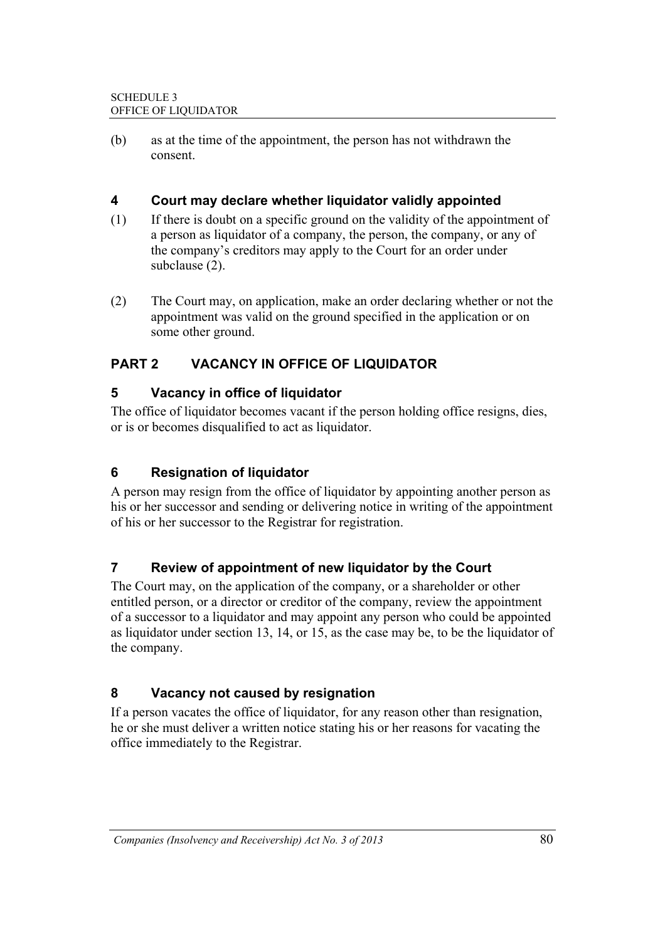(b) as at the time of the appointment, the person has not withdrawn the consent.

## **4 Court may declare whether liquidator validly appointed**

- (1) If there is doubt on a specific ground on the validity of the appointment of a person as liquidator of a company, the person, the company, or any of the company's creditors may apply to the Court for an order under subclause (2).
- (2) The Court may, on application, make an order declaring whether or not the appointment was valid on the ground specified in the application or on some other ground.

## **PART 2 VACANCY IN OFFICE OF LIQUIDATOR**

## **5 Vacancy in office of liquidator**

The office of liquidator becomes vacant if the person holding office resigns, dies, or is or becomes disqualified to act as liquidator.

## **6 Resignation of liquidator**

A person may resign from the office of liquidator by appointing another person as his or her successor and sending or delivering notice in writing of the appointment of his or her successor to the Registrar for registration.

## **7 Review of appointment of new liquidator by the Court**

The Court may, on the application of the company, or a shareholder or other entitled person, or a director or creditor of the company, review the appointment of a successor to a liquidator and may appoint any person who could be appointed as liquidator under section 13, 14, or 15, as the case may be, to be the liquidator of the company.

# **8 Vacancy not caused by resignation**

If a person vacates the office of liquidator, for any reason other than resignation, he or she must deliver a written notice stating his or her reasons for vacating the office immediately to the Registrar.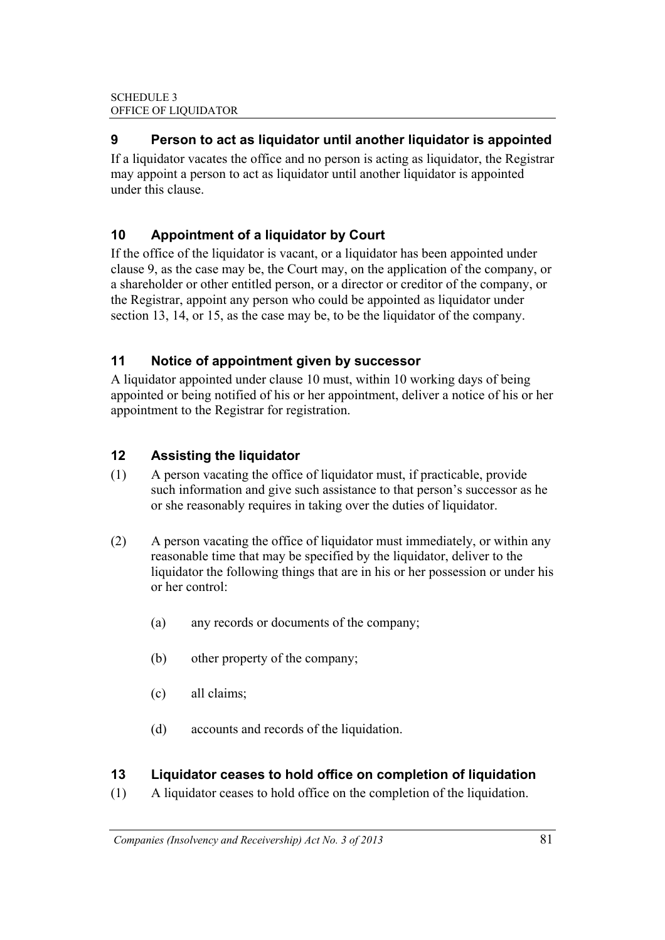## **9 Person to act as liquidator until another liquidator is appointed**

If a liquidator vacates the office and no person is acting as liquidator, the Registrar may appoint a person to act as liquidator until another liquidator is appointed under this clause.

## **10 Appointment of a liquidator by Court**

If the office of the liquidator is vacant, or a liquidator has been appointed under clause 9, as the case may be, the Court may, on the application of the company, or a shareholder or other entitled person, or a director or creditor of the company, or the Registrar, appoint any person who could be appointed as liquidator under section 13, 14, or 15, as the case may be, to be the liquidator of the company.

## **11 Notice of appointment given by successor**

A liquidator appointed under clause 10 must, within 10 working days of being appointed or being notified of his or her appointment, deliver a notice of his or her appointment to the Registrar for registration.

## **12 Assisting the liquidator**

- (1) A person vacating the office of liquidator must, if practicable, provide such information and give such assistance to that person's successor as he or she reasonably requires in taking over the duties of liquidator.
- (2) A person vacating the office of liquidator must immediately, or within any reasonable time that may be specified by the liquidator, deliver to the liquidator the following things that are in his or her possession or under his or her control:
	- (a) any records or documents of the company;
	- (b) other property of the company;
	- (c) all claims;
	- (d) accounts and records of the liquidation.

## **13 Liquidator ceases to hold office on completion of liquidation**

(1) A liquidator ceases to hold office on the completion of the liquidation.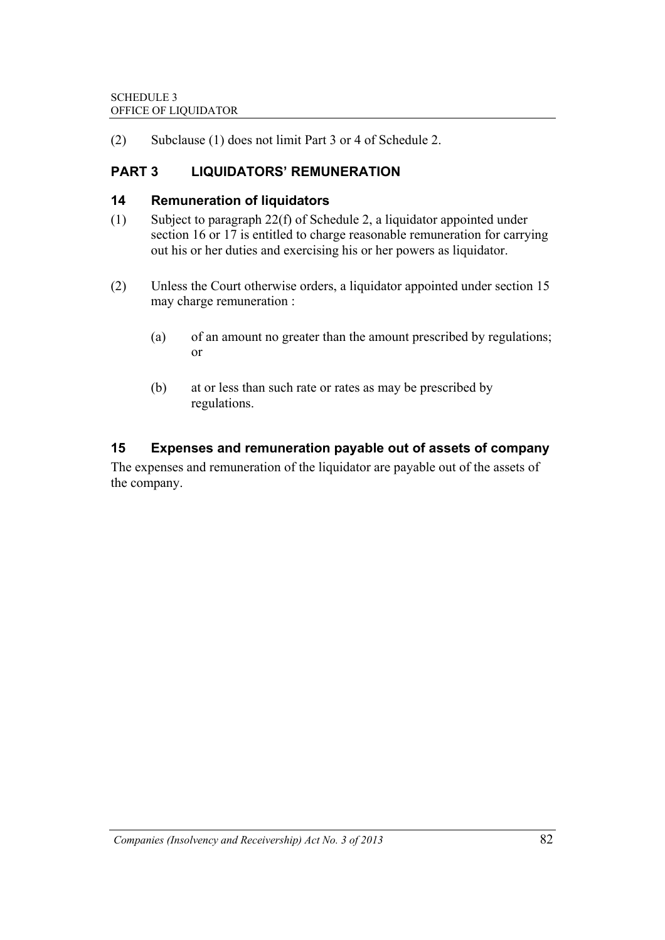(2) Subclause (1) does not limit Part 3 or 4 of Schedule 2.

## **PART 3 LIQUIDATORS' REMUNERATION**

#### **14 Remuneration of liquidators**

- (1) Subject to paragraph 22(f) of Schedule 2, a liquidator appointed under section 16 or 17 is entitled to charge reasonable remuneration for carrying out his or her duties and exercising his or her powers as liquidator.
- (2) Unless the Court otherwise orders, a liquidator appointed under section 15 may charge remuneration :
	- (a) of an amount no greater than the amount prescribed by regulations; or
	- (b) at or less than such rate or rates as may be prescribed by regulations.

## **15 Expenses and remuneration payable out of assets of company**

The expenses and remuneration of the liquidator are payable out of the assets of the company.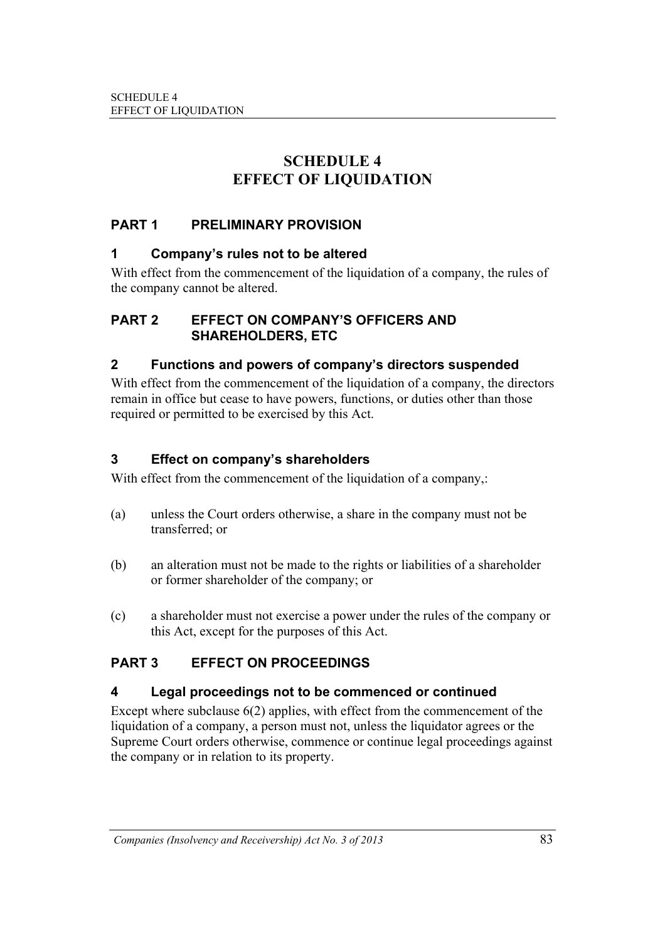# **SCHEDULE 4 EFFECT OF LIQUIDATION**

## **PART 1 PRELIMINARY PROVISION**

#### **1 Company's rules not to be altered**

With effect from the commencement of the liquidation of a company, the rules of the company cannot be altered.

#### **PART 2 EFFECT ON COMPANY'S OFFICERS AND SHAREHOLDERS, ETC**

## **2 Functions and powers of company's directors suspended**

With effect from the commencement of the liquidation of a company, the directors remain in office but cease to have powers, functions, or duties other than those required or permitted to be exercised by this Act.

## **3 Effect on company's shareholders**

With effect from the commencement of the liquidation of a company,:

- (a) unless the Court orders otherwise, a share in the company must not be transferred; or
- (b) an alteration must not be made to the rights or liabilities of a shareholder or former shareholder of the company; or
- (c) a shareholder must not exercise a power under the rules of the company or this Act, except for the purposes of this Act.

## **PART 3 EFFECT ON PROCEEDINGS**

#### **4 Legal proceedings not to be commenced or continued**

Except where subclause 6(2) applies, with effect from the commencement of the liquidation of a company, a person must not, unless the liquidator agrees or the Supreme Court orders otherwise, commence or continue legal proceedings against the company or in relation to its property.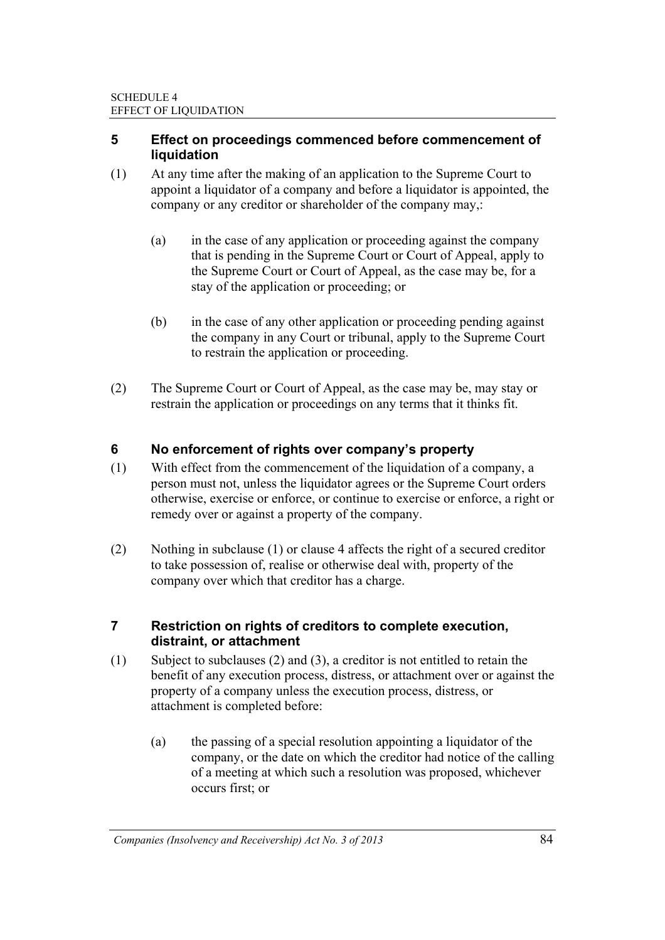#### **5 Effect on proceedings commenced before commencement of liquidation**

- (1) At any time after the making of an application to the Supreme Court to appoint a liquidator of a company and before a liquidator is appointed, the company or any creditor or shareholder of the company may,:
	- (a) in the case of any application or proceeding against the company that is pending in the Supreme Court or Court of Appeal, apply to the Supreme Court or Court of Appeal, as the case may be, for a stay of the application or proceeding; or
	- (b) in the case of any other application or proceeding pending against the company in any Court or tribunal, apply to the Supreme Court to restrain the application or proceeding.
- (2) The Supreme Court or Court of Appeal, as the case may be, may stay or restrain the application or proceedings on any terms that it thinks fit.

## **6 No enforcement of rights over company's property**

- (1) With effect from the commencement of the liquidation of a company, a person must not, unless the liquidator agrees or the Supreme Court orders otherwise, exercise or enforce, or continue to exercise or enforce, a right or remedy over or against a property of the company.
- (2) Nothing in subclause (1) or clause 4 affects the right of a secured creditor to take possession of, realise or otherwise deal with, property of the company over which that creditor has a charge.

#### **7 Restriction on rights of creditors to complete execution, distraint, or attachment**

- (1) Subject to subclauses (2) and (3), a creditor is not entitled to retain the benefit of any execution process, distress, or attachment over or against the property of a company unless the execution process, distress, or attachment is completed before:
	- (a) the passing of a special resolution appointing a liquidator of the company, or the date on which the creditor had notice of the calling of a meeting at which such a resolution was proposed, whichever occurs first; or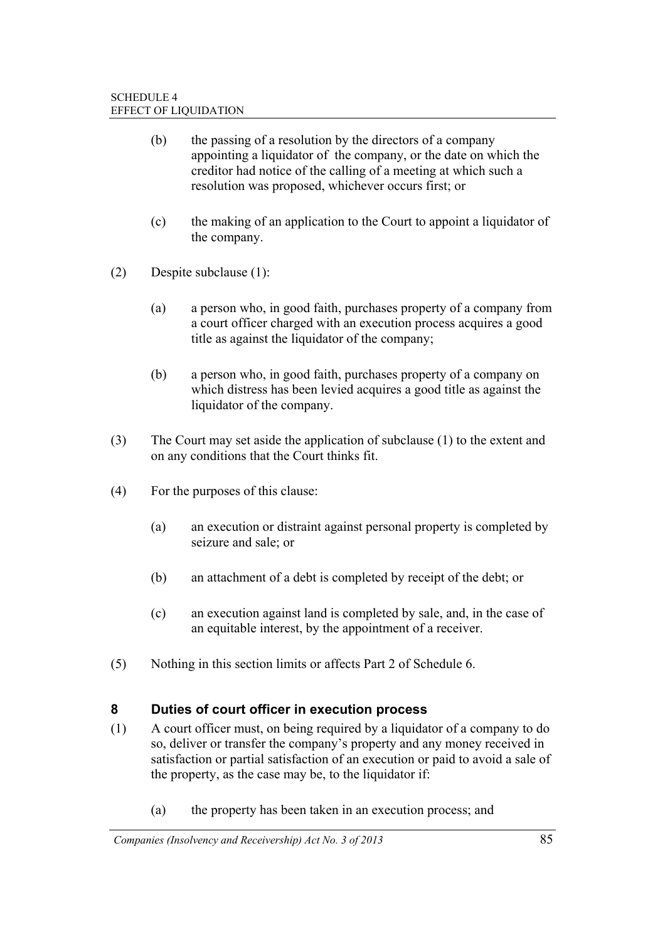- (b) the passing of a resolution by the directors of a company appointing a liquidator of the company, or the date on which the creditor had notice of the calling of a meeting at which such a resolution was proposed, whichever occurs first; or
- (c) the making of an application to the Court to appoint a liquidator of the company.
- (2) Despite subclause (1):
	- (a) a person who, in good faith, purchases property of a company from a court officer charged with an execution process acquires a good title as against the liquidator of the company;
	- (b) a person who, in good faith, purchases property of a company on which distress has been levied acquires a good title as against the liquidator of the company.
- (3) The Court may set aside the application of subclause (1) to the extent and on any conditions that the Court thinks fit.
- (4) For the purposes of this clause:
	- (a) an execution or distraint against personal property is completed by seizure and sale; or
	- (b) an attachment of a debt is completed by receipt of the debt; or
	- (c) an execution against land is completed by sale, and, in the case of an equitable interest, by the appointment of a receiver.
- (5) Nothing in this section limits or affects Part 2 of Schedule 6.

## **8 Duties of court officer in execution process**

- (1) A court officer must, on being required by a liquidator of a company to do so, deliver or transfer the company's property and any money received in satisfaction or partial satisfaction of an execution or paid to avoid a sale of the property, as the case may be, to the liquidator if:
	- (a) the property has been taken in an execution process; and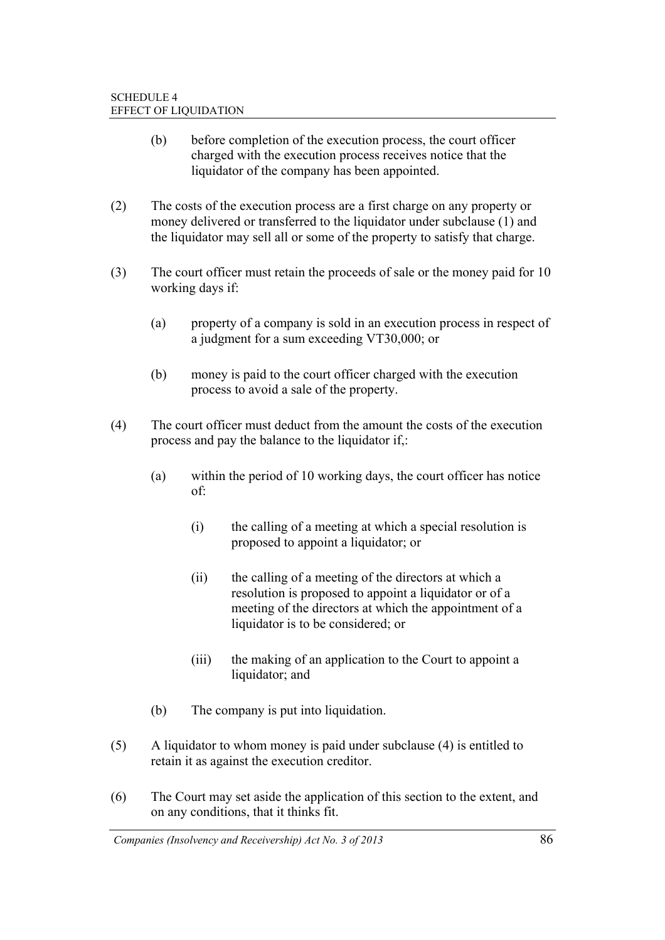- (b) before completion of the execution process, the court officer charged with the execution process receives notice that the liquidator of the company has been appointed.
- (2) The costs of the execution process are a first charge on any property or money delivered or transferred to the liquidator under subclause (1) and the liquidator may sell all or some of the property to satisfy that charge.
- (3) The court officer must retain the proceeds of sale or the money paid for 10 working days if:
	- (a) property of a company is sold in an execution process in respect of a judgment for a sum exceeding VT30,000; or
	- (b) money is paid to the court officer charged with the execution process to avoid a sale of the property.
- (4) The court officer must deduct from the amount the costs of the execution process and pay the balance to the liquidator if,:
	- (a) within the period of 10 working days, the court officer has notice of:
		- (i) the calling of a meeting at which a special resolution is proposed to appoint a liquidator; or
		- (ii) the calling of a meeting of the directors at which a resolution is proposed to appoint a liquidator or of a meeting of the directors at which the appointment of a liquidator is to be considered; or
		- (iii) the making of an application to the Court to appoint a liquidator; and
	- (b) The company is put into liquidation.
- (5) A liquidator to whom money is paid under subclause (4) is entitled to retain it as against the execution creditor.
- (6) The Court may set aside the application of this section to the extent, and on any conditions, that it thinks fit.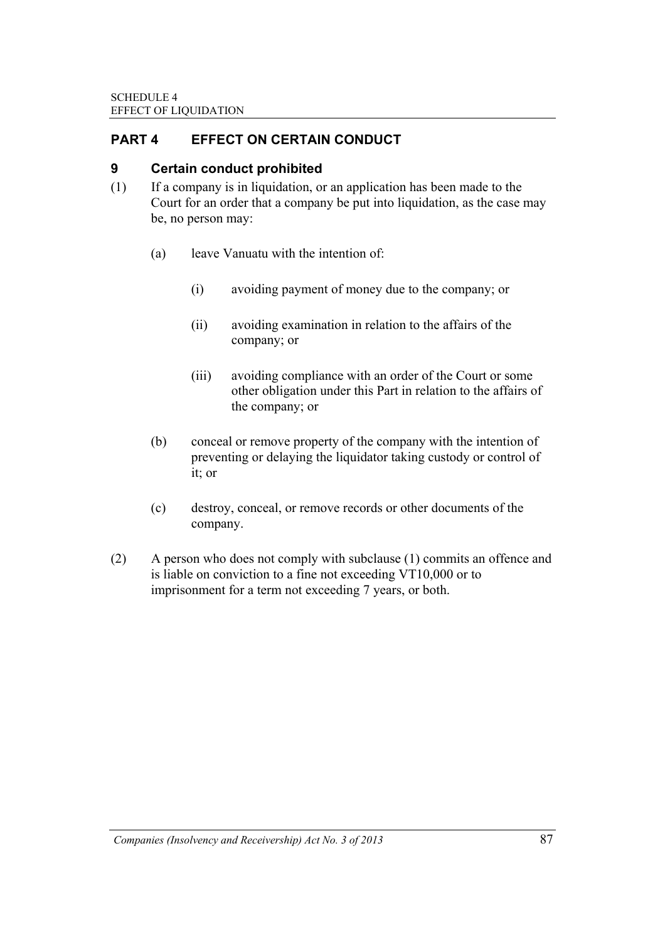## **PART 4 EFFECT ON CERTAIN CONDUCT**

## **9 Certain conduct prohibited**

- (1) If a company is in liquidation, or an application has been made to the Court for an order that a company be put into liquidation, as the case may be, no person may:
	- (a) leave Vanuatu with the intention of:
		- (i) avoiding payment of money due to the company; or
		- (ii) avoiding examination in relation to the affairs of the company; or
		- (iii) avoiding compliance with an order of the Court or some other obligation under this Part in relation to the affairs of the company; or
	- (b) conceal or remove property of the company with the intention of preventing or delaying the liquidator taking custody or control of it; or
	- (c) destroy, conceal, or remove records or other documents of the company.
- (2) A person who does not comply with subclause (1) commits an offence and is liable on conviction to a fine not exceeding VT10,000 or to imprisonment for a term not exceeding 7 years, or both.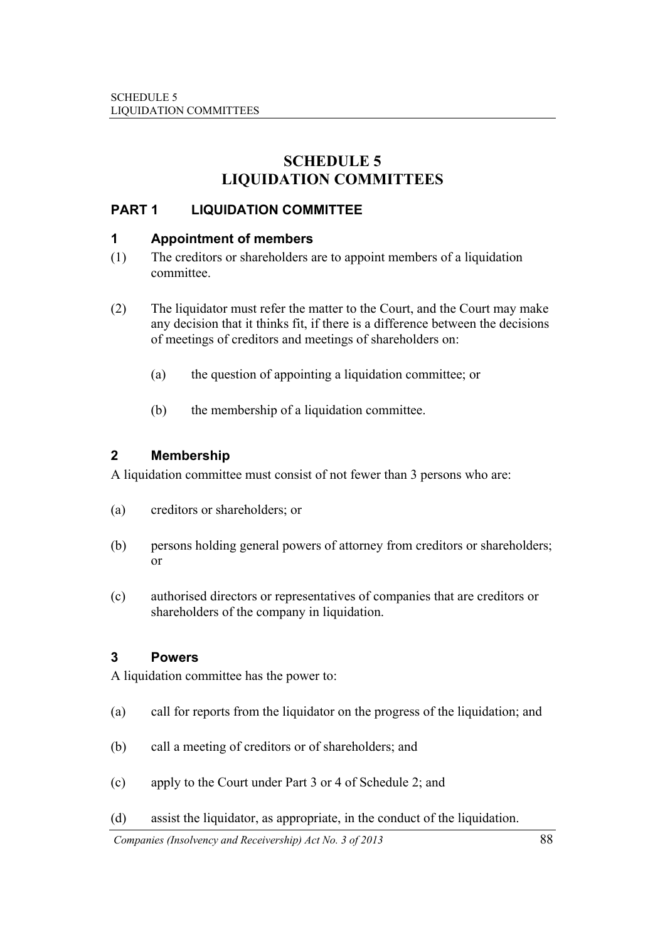## **SCHEDULE 5 LIQUIDATION COMMITTEES**

## **PART 1 LIQUIDATION COMMITTEE**

#### **1 Appointment of members**

- (1) The creditors or shareholders are to appoint members of a liquidation committee.
- (2) The liquidator must refer the matter to the Court, and the Court may make any decision that it thinks fit, if there is a difference between the decisions of meetings of creditors and meetings of shareholders on:
	- (a) the question of appointing a liquidation committee; or
	- (b) the membership of a liquidation committee.

#### **2 Membership**

A liquidation committee must consist of not fewer than 3 persons who are:

- (a) creditors or shareholders; or
- (b) persons holding general powers of attorney from creditors or shareholders; or
- (c) authorised directors or representatives of companies that are creditors or shareholders of the company in liquidation.

## **3 Powers**

A liquidation committee has the power to:

- (a) call for reports from the liquidator on the progress of the liquidation; and
- (b) call a meeting of creditors or of shareholders; and
- (c) apply to the Court under Part 3 or 4 of Schedule 2; and
- (d) assist the liquidator, as appropriate, in the conduct of the liquidation.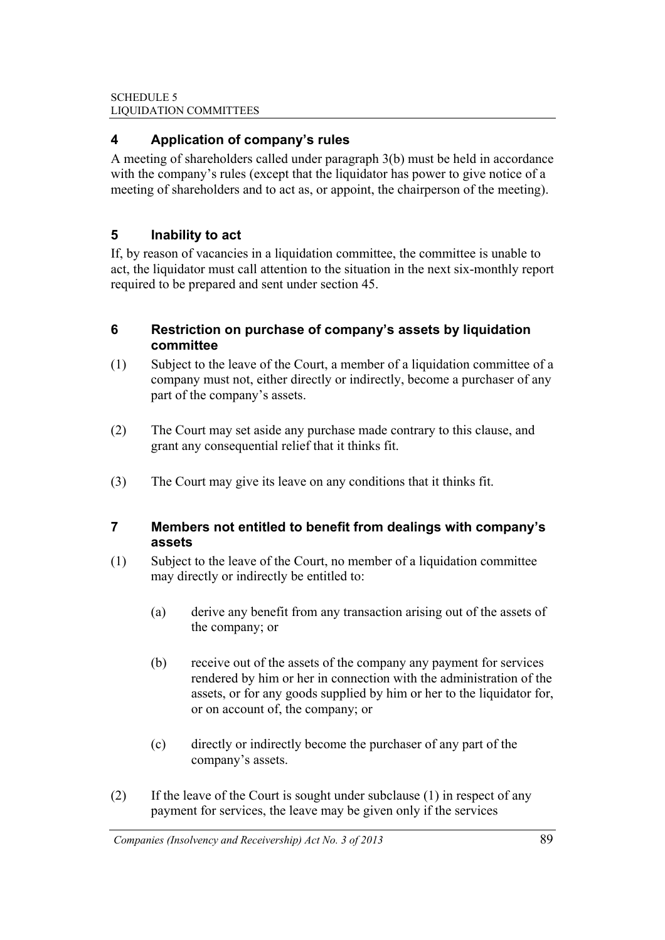## **4 Application of company's rules**

A meeting of shareholders called under paragraph 3(b) must be held in accordance with the company's rules (except that the liquidator has power to give notice of a meeting of shareholders and to act as, or appoint, the chairperson of the meeting).

## **5 Inability to act**

If, by reason of vacancies in a liquidation committee, the committee is unable to act, the liquidator must call attention to the situation in the next six-monthly report required to be prepared and sent under section 45.

#### **6 Restriction on purchase of company's assets by liquidation committee**

- (1) Subject to the leave of the Court, a member of a liquidation committee of a company must not, either directly or indirectly, become a purchaser of any part of the company's assets.
- (2) The Court may set aside any purchase made contrary to this clause, and grant any consequential relief that it thinks fit.
- (3) The Court may give its leave on any conditions that it thinks fit.

#### **7 Members not entitled to benefit from dealings with company's assets**

- (1) Subject to the leave of the Court, no member of a liquidation committee may directly or indirectly be entitled to:
	- (a) derive any benefit from any transaction arising out of the assets of the company; or
	- (b) receive out of the assets of the company any payment for services rendered by him or her in connection with the administration of the assets, or for any goods supplied by him or her to the liquidator for, or on account of, the company; or
	- (c) directly or indirectly become the purchaser of any part of the company's assets.
- (2) If the leave of the Court is sought under subclause (1) in respect of any payment for services, the leave may be given only if the services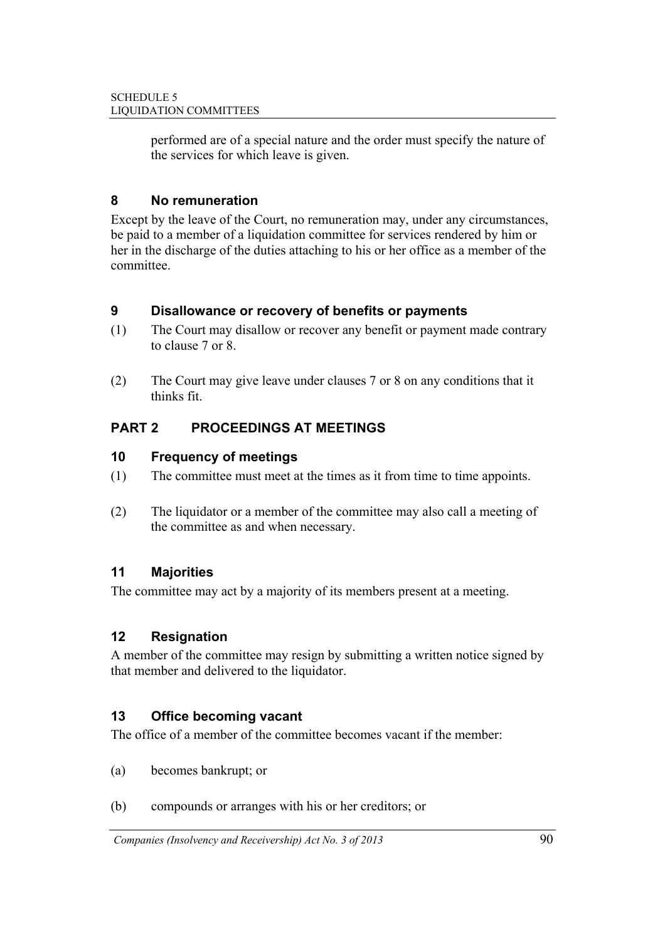performed are of a special nature and the order must specify the nature of the services for which leave is given.

## **8 No remuneration**

Except by the leave of the Court, no remuneration may, under any circumstances, be paid to a member of a liquidation committee for services rendered by him or her in the discharge of the duties attaching to his or her office as a member of the committee.

## **9 Disallowance or recovery of benefits or payments**

- (1) The Court may disallow or recover any benefit or payment made contrary to clause 7 or 8.
- (2) The Court may give leave under clauses 7 or 8 on any conditions that it thinks fit.

# **PART 2 PROCEEDINGS AT MEETINGS**

## **10 Frequency of meetings**

- (1) The committee must meet at the times as it from time to time appoints.
- (2) The liquidator or a member of the committee may also call a meeting of the committee as and when necessary.

## **11 Majorities**

The committee may act by a majority of its members present at a meeting.

## **12 Resignation**

A member of the committee may resign by submitting a written notice signed by that member and delivered to the liquidator.

## **13 Office becoming vacant**

The office of a member of the committee becomes vacant if the member:

- (a) becomes bankrupt; or
- (b) compounds or arranges with his or her creditors; or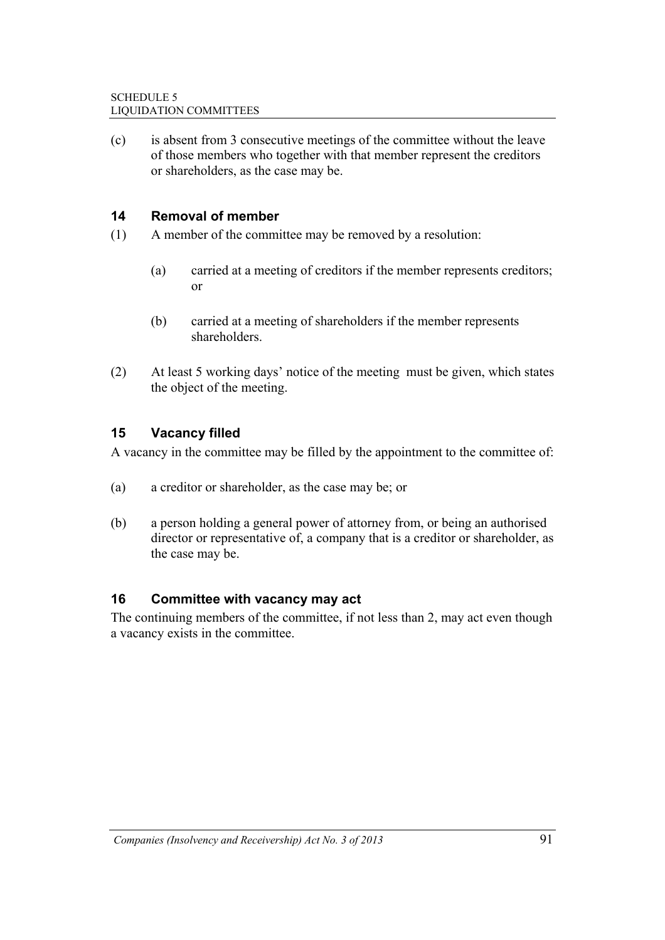(c) is absent from 3 consecutive meetings of the committee without the leave of those members who together with that member represent the creditors or shareholders, as the case may be.

## **14 Removal of member**

- (1) A member of the committee may be removed by a resolution:
	- (a) carried at a meeting of creditors if the member represents creditors; or
	- (b) carried at a meeting of shareholders if the member represents shareholders.
- (2) At least 5 working days' notice of the meeting must be given, which states the object of the meeting.

## **15 Vacancy filled**

A vacancy in the committee may be filled by the appointment to the committee of:

- (a) a creditor or shareholder, as the case may be; or
- (b) a person holding a general power of attorney from, or being an authorised director or representative of, a company that is a creditor or shareholder, as the case may be.

## **16 Committee with vacancy may act**

The continuing members of the committee, if not less than 2, may act even though a vacancy exists in the committee.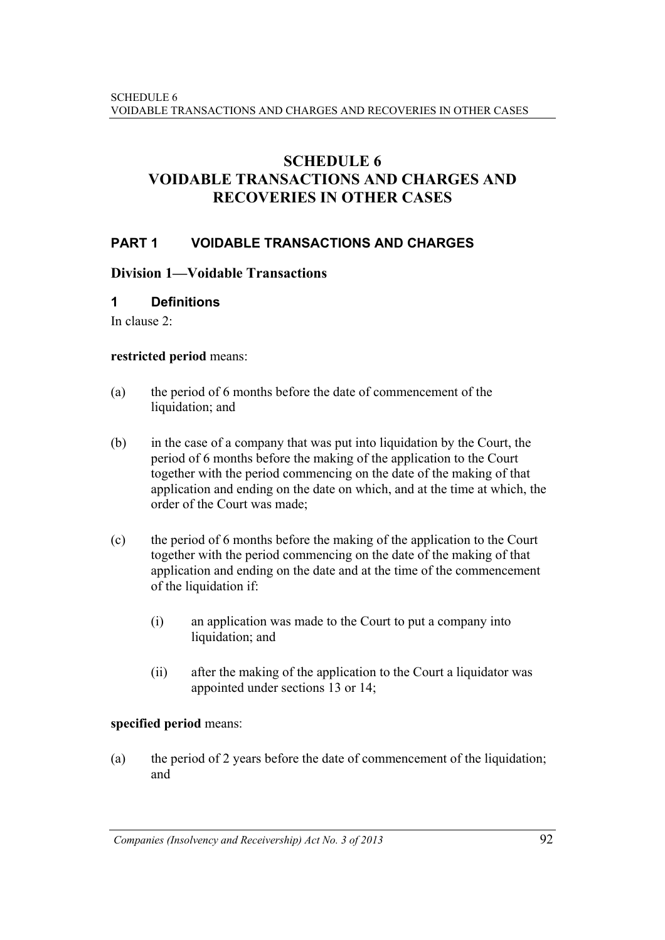# **SCHEDULE 6 VOIDABLE TRANSACTIONS AND CHARGES AND RECOVERIES IN OTHER CASES**

#### **PART 1 VOIDABLE TRANSACTIONS AND CHARGES**

#### **Division 1—Voidable Transactions**

#### **1 Definitions**

In clause 2:

#### **restricted period** means:

- (a) the period of 6 months before the date of commencement of the liquidation; and
- (b) in the case of a company that was put into liquidation by the Court, the period of 6 months before the making of the application to the Court together with the period commencing on the date of the making of that application and ending on the date on which, and at the time at which, the order of the Court was made;
- (c) the period of 6 months before the making of the application to the Court together with the period commencing on the date of the making of that application and ending on the date and at the time of the commencement of the liquidation if:
	- (i) an application was made to the Court to put a company into liquidation; and
	- (ii) after the making of the application to the Court a liquidator was appointed under sections 13 or 14;

#### **specified period** means:

(a) the period of 2 years before the date of commencement of the liquidation; and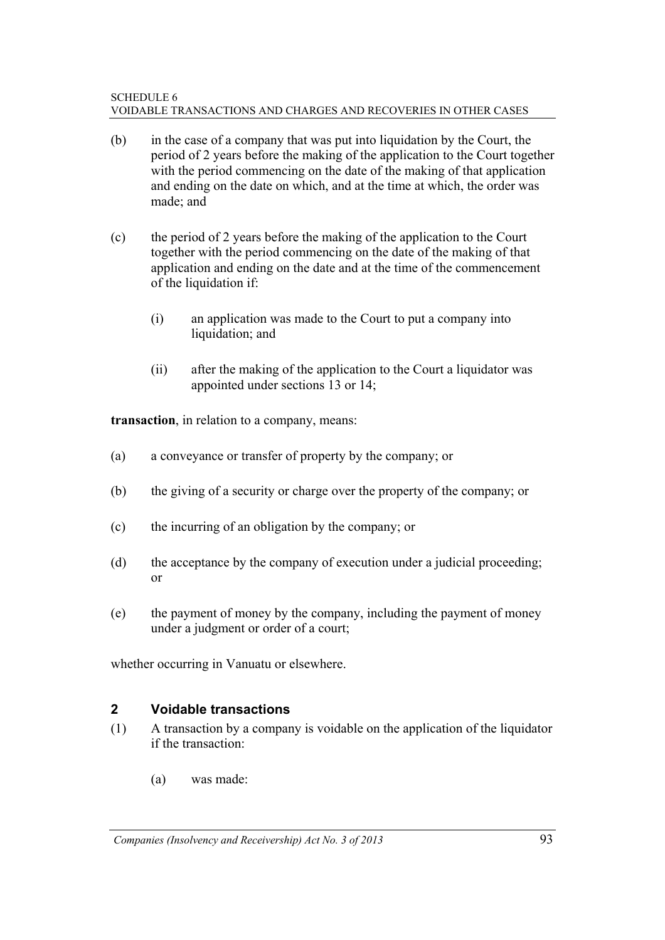#### SCHEDULE 6 VOIDABLE TRANSACTIONS AND CHARGES AND RECOVERIES IN OTHER CASES

- (b) in the case of a company that was put into liquidation by the Court, the period of 2 years before the making of the application to the Court together with the period commencing on the date of the making of that application and ending on the date on which, and at the time at which, the order was made; and
- (c) the period of 2 years before the making of the application to the Court together with the period commencing on the date of the making of that application and ending on the date and at the time of the commencement of the liquidation if:
	- (i) an application was made to the Court to put a company into liquidation; and
	- (ii) after the making of the application to the Court a liquidator was appointed under sections 13 or 14;

**transaction**, in relation to a company, means:

- (a) a conveyance or transfer of property by the company; or
- (b) the giving of a security or charge over the property of the company; or
- (c) the incurring of an obligation by the company; or
- (d) the acceptance by the company of execution under a judicial proceeding; or
- (e) the payment of money by the company, including the payment of money under a judgment or order of a court;

whether occurring in Vanuatu or elsewhere.

#### **2 Voidable transactions**

- (1) A transaction by a company is voidable on the application of the liquidator if the transaction:
	- (a) was made: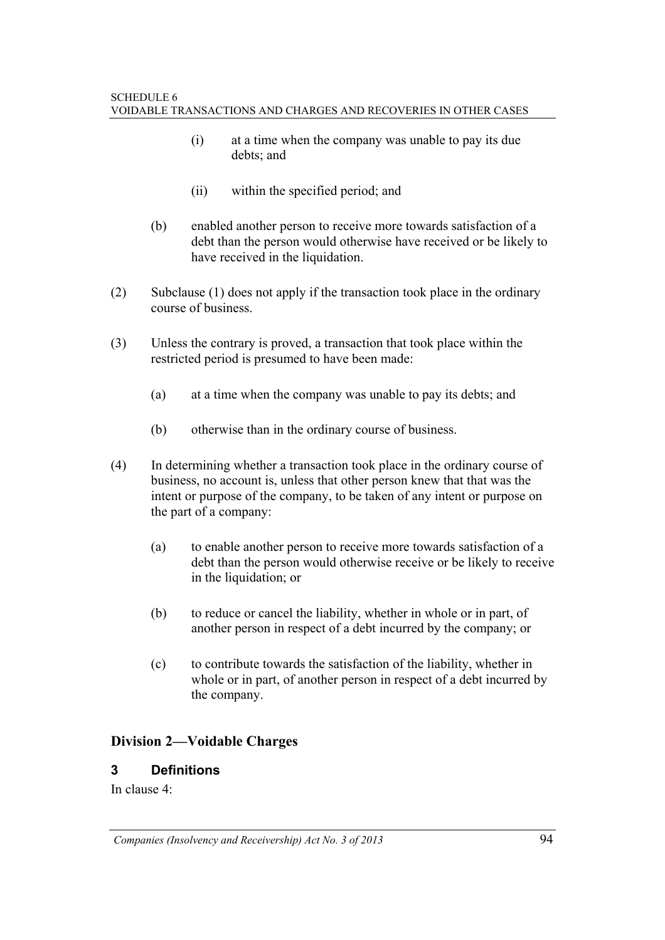- (i) at a time when the company was unable to pay its due debts; and
- (ii) within the specified period; and
- (b) enabled another person to receive more towards satisfaction of a debt than the person would otherwise have received or be likely to have received in the liquidation.
- (2) Subclause (1) does not apply if the transaction took place in the ordinary course of business.
- (3) Unless the contrary is proved, a transaction that took place within the restricted period is presumed to have been made:
	- (a) at a time when the company was unable to pay its debts; and
	- (b) otherwise than in the ordinary course of business.
- (4) In determining whether a transaction took place in the ordinary course of business, no account is, unless that other person knew that that was the intent or purpose of the company, to be taken of any intent or purpose on the part of a company:
	- (a) to enable another person to receive more towards satisfaction of a debt than the person would otherwise receive or be likely to receive in the liquidation; or
	- (b) to reduce or cancel the liability, whether in whole or in part, of another person in respect of a debt incurred by the company; or
	- (c) to contribute towards the satisfaction of the liability, whether in whole or in part, of another person in respect of a debt incurred by the company.

## **Division 2—Voidable Charges**

## **3 Definitions**

In clause 4: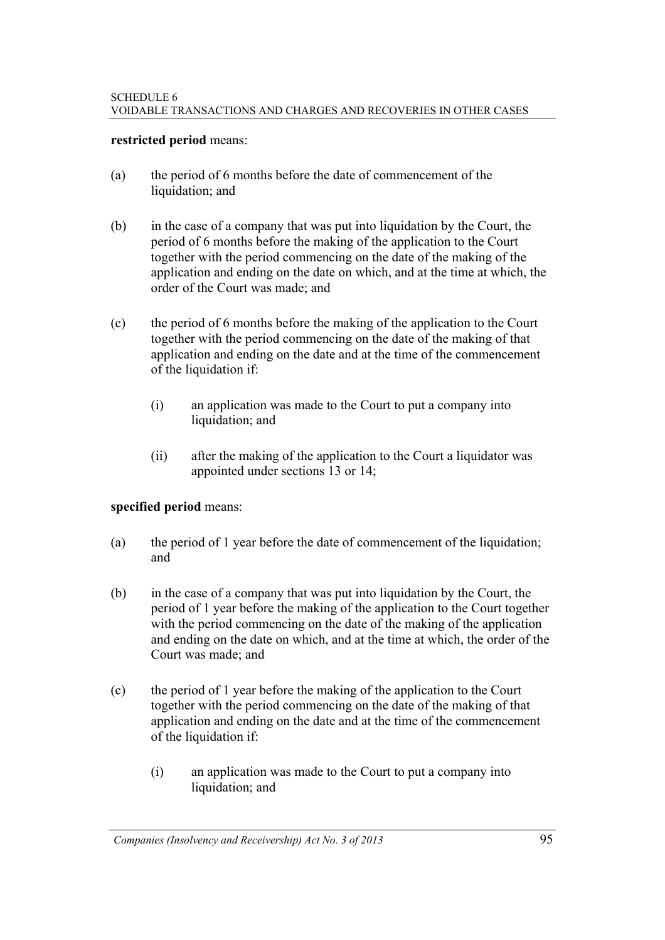#### **restricted period** means:

- (a) the period of 6 months before the date of commencement of the liquidation; and
- (b) in the case of a company that was put into liquidation by the Court, the period of 6 months before the making of the application to the Court together with the period commencing on the date of the making of the application and ending on the date on which, and at the time at which, the order of the Court was made; and
- (c) the period of 6 months before the making of the application to the Court together with the period commencing on the date of the making of that application and ending on the date and at the time of the commencement of the liquidation if:
	- (i) an application was made to the Court to put a company into liquidation; and
	- (ii) after the making of the application to the Court a liquidator was appointed under sections 13 or 14;

#### **specified period** means:

- (a) the period of 1 year before the date of commencement of the liquidation; and
- (b) in the case of a company that was put into liquidation by the Court, the period of 1 year before the making of the application to the Court together with the period commencing on the date of the making of the application and ending on the date on which, and at the time at which, the order of the Court was made; and
- (c) the period of 1 year before the making of the application to the Court together with the period commencing on the date of the making of that application and ending on the date and at the time of the commencement of the liquidation if:
	- (i) an application was made to the Court to put a company into liquidation; and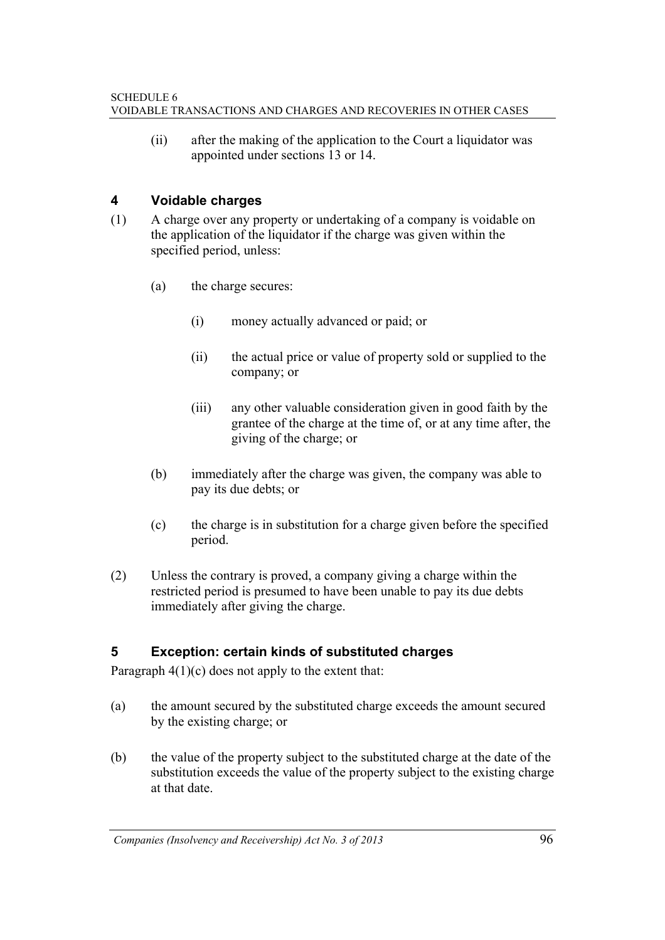(ii) after the making of the application to the Court a liquidator was appointed under sections 13 or 14.

## **4 Voidable charges**

- (1) A charge over any property or undertaking of a company is voidable on the application of the liquidator if the charge was given within the specified period, unless:
	- (a) the charge secures:
		- (i) money actually advanced or paid; or
		- (ii) the actual price or value of property sold or supplied to the company; or
		- (iii) any other valuable consideration given in good faith by the grantee of the charge at the time of, or at any time after, the giving of the charge; or
	- (b) immediately after the charge was given, the company was able to pay its due debts; or
	- (c) the charge is in substitution for a charge given before the specified period.
- (2) Unless the contrary is proved, a company giving a charge within the restricted period is presumed to have been unable to pay its due debts immediately after giving the charge.

## **5 Exception: certain kinds of substituted charges**

Paragraph  $4(1)(c)$  does not apply to the extent that:

- (a) the amount secured by the substituted charge exceeds the amount secured by the existing charge; or
- (b) the value of the property subject to the substituted charge at the date of the substitution exceeds the value of the property subject to the existing charge at that date.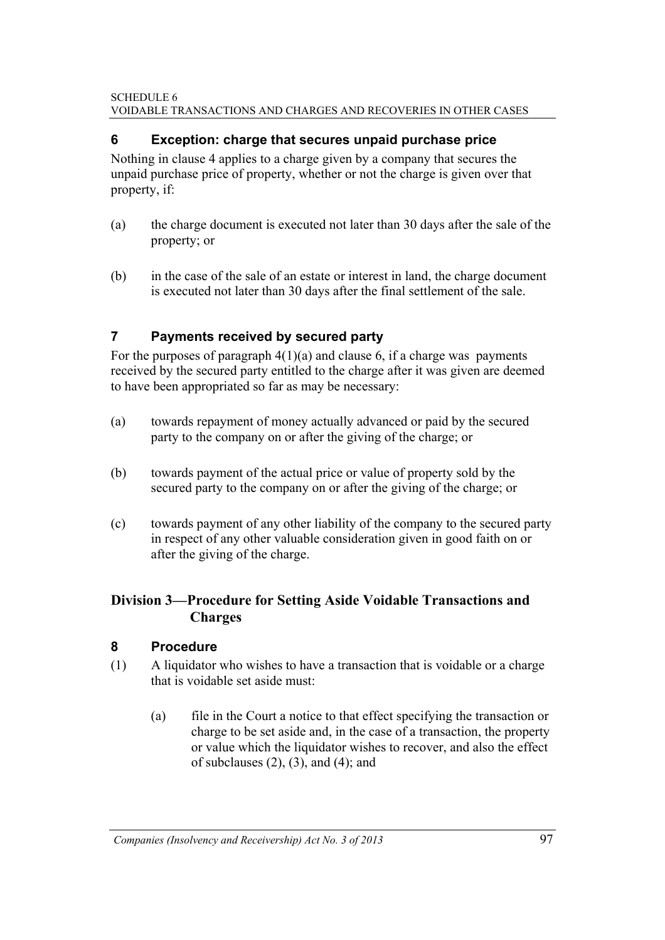#### SCHEDULE 6 VOIDABLE TRANSACTIONS AND CHARGES AND RECOVERIES IN OTHER CASES

#### **6 Exception: charge that secures unpaid purchase price**

Nothing in clause 4 applies to a charge given by a company that secures the unpaid purchase price of property, whether or not the charge is given over that property, if:

- (a) the charge document is executed not later than 30 days after the sale of the property; or
- (b) in the case of the sale of an estate or interest in land, the charge document is executed not later than 30 days after the final settlement of the sale.

## **7 Payments received by secured party**

For the purposes of paragraph  $4(1)(a)$  and clause 6, if a charge was payments received by the secured party entitled to the charge after it was given are deemed to have been appropriated so far as may be necessary:

- (a) towards repayment of money actually advanced or paid by the secured party to the company on or after the giving of the charge; or
- (b) towards payment of the actual price or value of property sold by the secured party to the company on or after the giving of the charge; or
- (c) towards payment of any other liability of the company to the secured party in respect of any other valuable consideration given in good faith on or after the giving of the charge.

## **Division 3—Procedure for Setting Aside Voidable Transactions and Charges**

#### **8 Procedure**

- (1) A liquidator who wishes to have a transaction that is voidable or a charge that is voidable set aside must:
	- (a) file in the Court a notice to that effect specifying the transaction or charge to be set aside and, in the case of a transaction, the property or value which the liquidator wishes to recover, and also the effect of subclauses  $(2)$ ,  $(3)$ , and  $(4)$ ; and

*Companies (Insolvency and Receivership) Act No. 3 of 2013* 97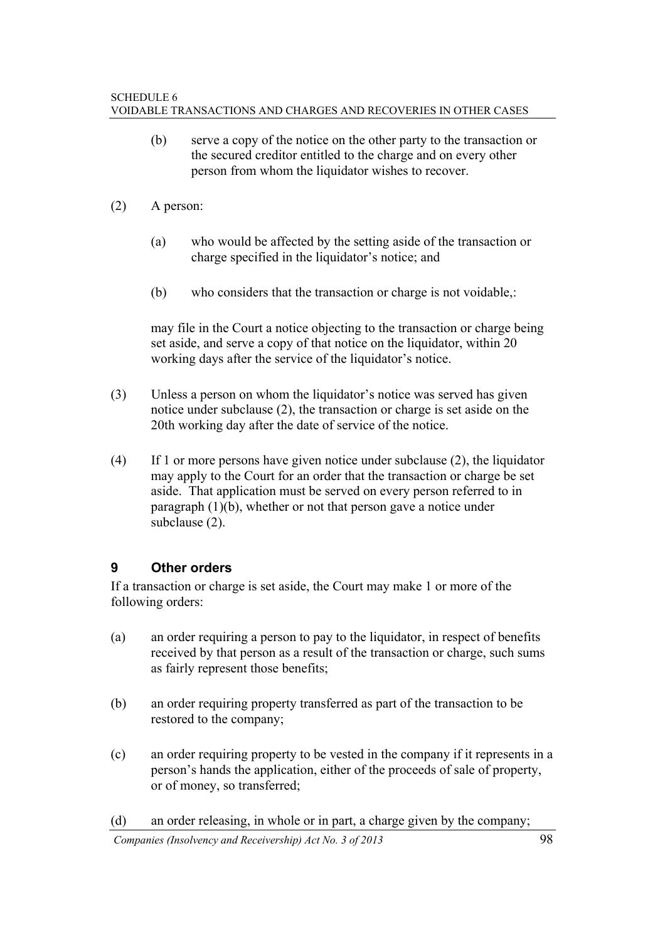- (b) serve a copy of the notice on the other party to the transaction or the secured creditor entitled to the charge and on every other person from whom the liquidator wishes to recover.
- (2) A person:
	- (a) who would be affected by the setting aside of the transaction or charge specified in the liquidator's notice; and
	- (b) who considers that the transaction or charge is not voidable,:

 may file in the Court a notice objecting to the transaction or charge being set aside, and serve a copy of that notice on the liquidator, within 20 working days after the service of the liquidator's notice.

- (3) Unless a person on whom the liquidator's notice was served has given notice under subclause (2), the transaction or charge is set aside on the 20th working day after the date of service of the notice.
- (4) If 1 or more persons have given notice under subclause (2), the liquidator may apply to the Court for an order that the transaction or charge be set aside. That application must be served on every person referred to in paragraph (1)(b), whether or not that person gave a notice under subclause (2).

## **9 Other orders**

If a transaction or charge is set aside, the Court may make 1 or more of the following orders:

- (a) an order requiring a person to pay to the liquidator, in respect of benefits received by that person as a result of the transaction or charge, such sums as fairly represent those benefits;
- (b) an order requiring property transferred as part of the transaction to be restored to the company;
- (c) an order requiring property to be vested in the company if it represents in a person's hands the application, either of the proceeds of sale of property, or of money, so transferred;
- (d) an order releasing, in whole or in part, a charge given by the company;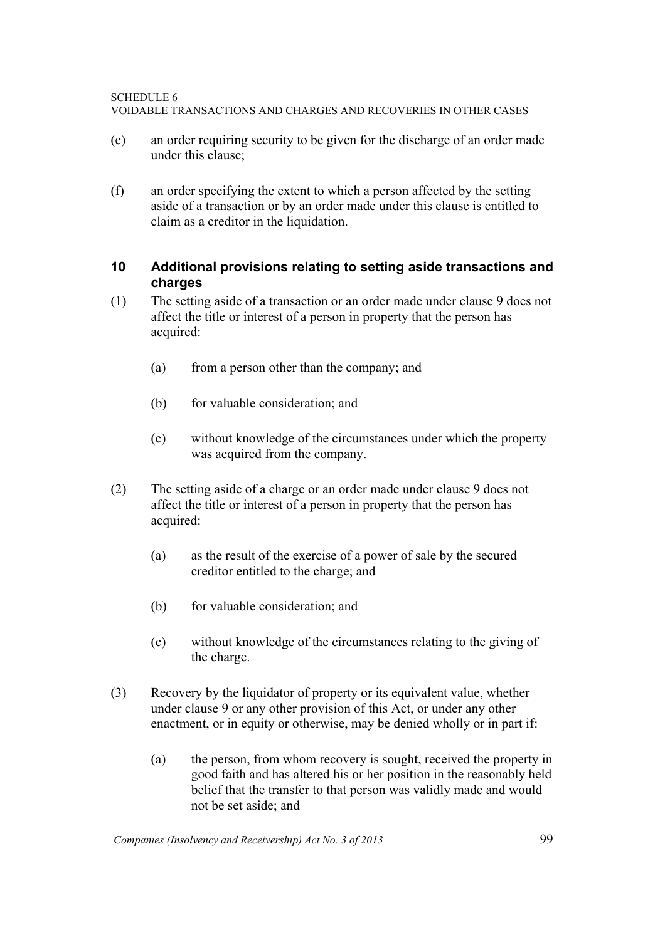- (e) an order requiring security to be given for the discharge of an order made under this clause;
- (f) an order specifying the extent to which a person affected by the setting aside of a transaction or by an order made under this clause is entitled to claim as a creditor in the liquidation.

## **10 Additional provisions relating to setting aside transactions and charges**

- (1) The setting aside of a transaction or an order made under clause 9 does not affect the title or interest of a person in property that the person has acquired:
	- (a) from a person other than the company; and
	- (b) for valuable consideration; and
	- (c) without knowledge of the circumstances under which the property was acquired from the company.
- (2) The setting aside of a charge or an order made under clause 9 does not affect the title or interest of a person in property that the person has acquired:
	- (a) as the result of the exercise of a power of sale by the secured creditor entitled to the charge; and
	- (b) for valuable consideration; and
	- (c) without knowledge of the circumstances relating to the giving of the charge.
- (3) Recovery by the liquidator of property or its equivalent value, whether under clause 9 or any other provision of this Act, or under any other enactment, or in equity or otherwise, may be denied wholly or in part if:
	- (a) the person, from whom recovery is sought, received the property in good faith and has altered his or her position in the reasonably held belief that the transfer to that person was validly made and would not be set aside; and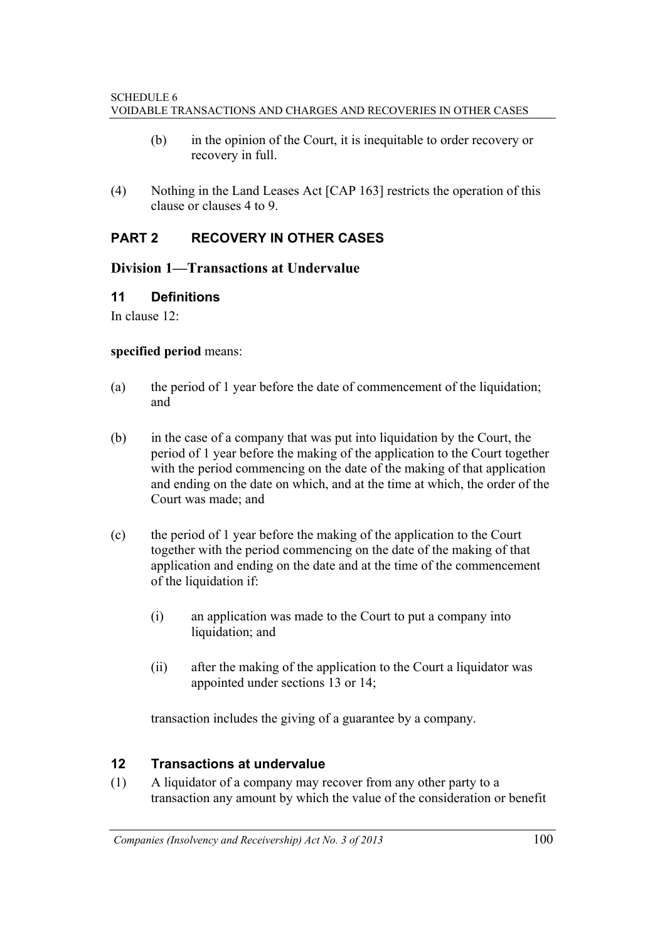- (b) in the opinion of the Court, it is inequitable to order recovery or recovery in full.
- (4) Nothing in the Land Leases Act [CAP 163] restricts the operation of this clause or clauses 4 to 9.

## **PART 2 RECOVERY IN OTHER CASES**

#### **Division 1—Transactions at Undervalue**

#### **11 Definitions**

In clause 12:

#### **specified period** means:

- (a) the period of 1 year before the date of commencement of the liquidation; and
- (b) in the case of a company that was put into liquidation by the Court, the period of 1 year before the making of the application to the Court together with the period commencing on the date of the making of that application and ending on the date on which, and at the time at which, the order of the Court was made; and
- (c) the period of 1 year before the making of the application to the Court together with the period commencing on the date of the making of that application and ending on the date and at the time of the commencement of the liquidation if:
	- (i) an application was made to the Court to put a company into liquidation; and
	- (ii) after the making of the application to the Court a liquidator was appointed under sections 13 or 14;

transaction includes the giving of a guarantee by a company.

## **12 Transactions at undervalue**

(1) A liquidator of a company may recover from any other party to a transaction any amount by which the value of the consideration or benefit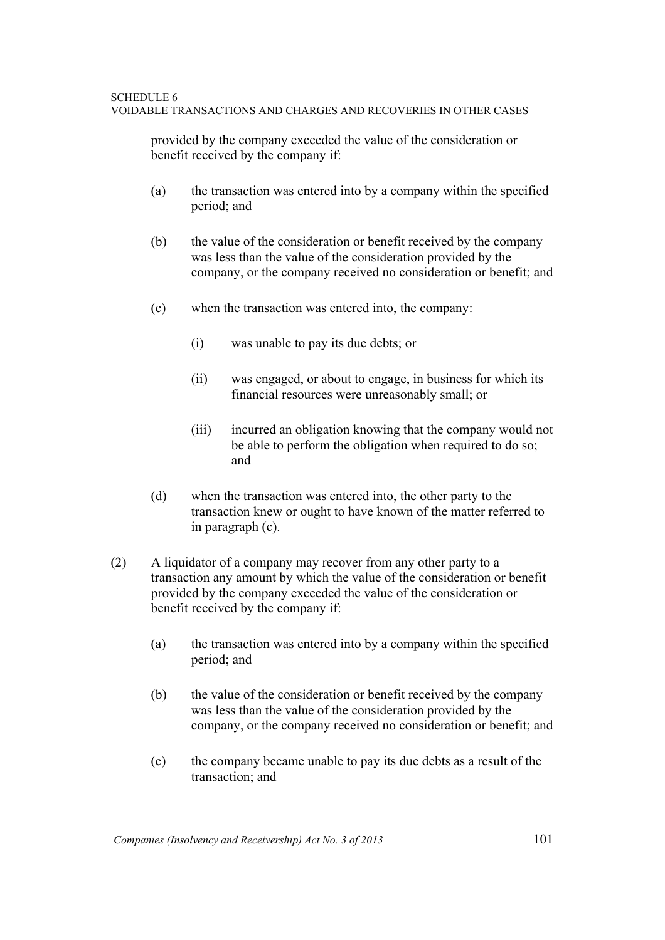provided by the company exceeded the value of the consideration or benefit received by the company if:

- (a) the transaction was entered into by a company within the specified period; and
- (b) the value of the consideration or benefit received by the company was less than the value of the consideration provided by the company, or the company received no consideration or benefit; and
- (c) when the transaction was entered into, the company:
	- (i) was unable to pay its due debts; or
	- (ii) was engaged, or about to engage, in business for which its financial resources were unreasonably small; or
	- (iii) incurred an obligation knowing that the company would not be able to perform the obligation when required to do so; and
- (d) when the transaction was entered into, the other party to the transaction knew or ought to have known of the matter referred to in paragraph (c).
- (2) A liquidator of a company may recover from any other party to a transaction any amount by which the value of the consideration or benefit provided by the company exceeded the value of the consideration or benefit received by the company if:
	- (a) the transaction was entered into by a company within the specified period; and
	- (b) the value of the consideration or benefit received by the company was less than the value of the consideration provided by the company, or the company received no consideration or benefit; and
	- (c) the company became unable to pay its due debts as a result of the transaction; and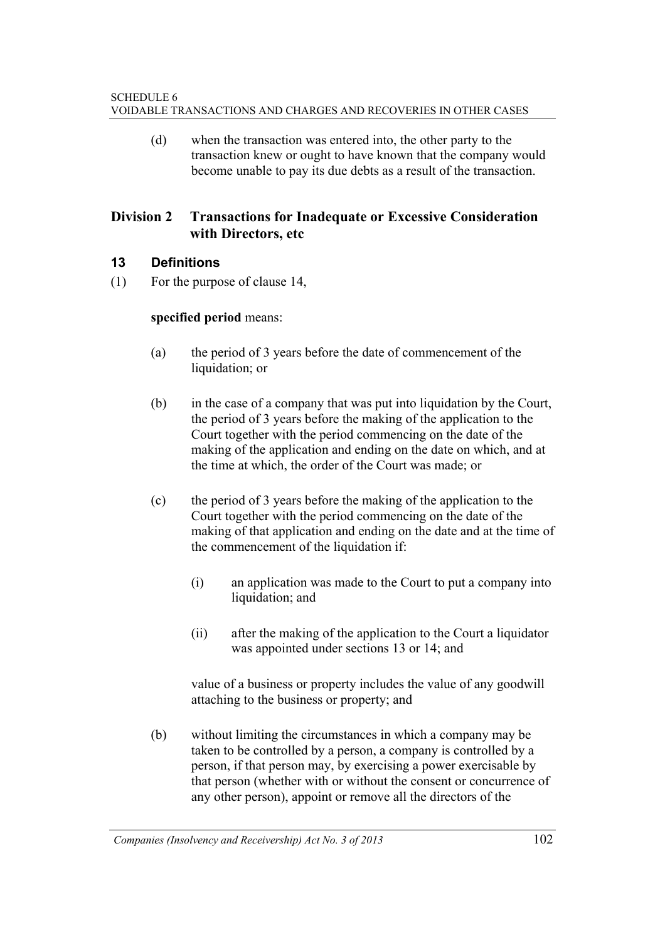(d) when the transaction was entered into, the other party to the transaction knew or ought to have known that the company would become unable to pay its due debts as a result of the transaction.

## **Division 2 Transactions for Inadequate or Excessive Consideration with Directors, etc**

## **13 Definitions**

(1) For the purpose of clause 14,

#### **specified period** means:

- (a) the period of 3 years before the date of commencement of the liquidation; or
- (b) in the case of a company that was put into liquidation by the Court, the period of 3 years before the making of the application to the Court together with the period commencing on the date of the making of the application and ending on the date on which, and at the time at which, the order of the Court was made; or
- (c) the period of 3 years before the making of the application to the Court together with the period commencing on the date of the making of that application and ending on the date and at the time of the commencement of the liquidation if:
	- (i) an application was made to the Court to put a company into liquidation; and
	- (ii) after the making of the application to the Court a liquidator was appointed under sections 13 or 14; and

 value of a business or property includes the value of any goodwill attaching to the business or property; and

(b) without limiting the circumstances in which a company may be taken to be controlled by a person, a company is controlled by a person, if that person may, by exercising a power exercisable by that person (whether with or without the consent or concurrence of any other person), appoint or remove all the directors of the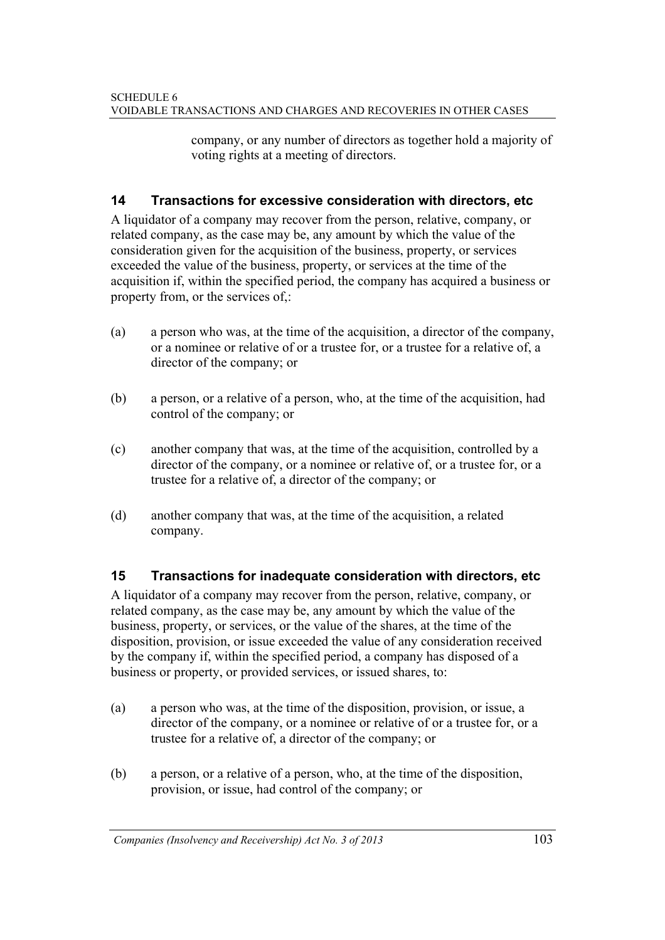company, or any number of directors as together hold a majority of voting rights at a meeting of directors.

## **14 Transactions for excessive consideration with directors, etc**

A liquidator of a company may recover from the person, relative, company, or related company, as the case may be, any amount by which the value of the consideration given for the acquisition of the business, property, or services exceeded the value of the business, property, or services at the time of the acquisition if, within the specified period, the company has acquired a business or property from, or the services of,:

- (a) a person who was, at the time of the acquisition, a director of the company, or a nominee or relative of or a trustee for, or a trustee for a relative of, a director of the company; or
- (b) a person, or a relative of a person, who, at the time of the acquisition, had control of the company; or
- (c) another company that was, at the time of the acquisition, controlled by a director of the company, or a nominee or relative of, or a trustee for, or a trustee for a relative of, a director of the company; or
- (d) another company that was, at the time of the acquisition, a related company.

## **15 Transactions for inadequate consideration with directors, etc**

A liquidator of a company may recover from the person, relative, company, or related company, as the case may be, any amount by which the value of the business, property, or services, or the value of the shares, at the time of the disposition, provision, or issue exceeded the value of any consideration received by the company if, within the specified period, a company has disposed of a business or property, or provided services, or issued shares, to:

- (a) a person who was, at the time of the disposition, provision, or issue, a director of the company, or a nominee or relative of or a trustee for, or a trustee for a relative of, a director of the company; or
- (b) a person, or a relative of a person, who, at the time of the disposition, provision, or issue, had control of the company; or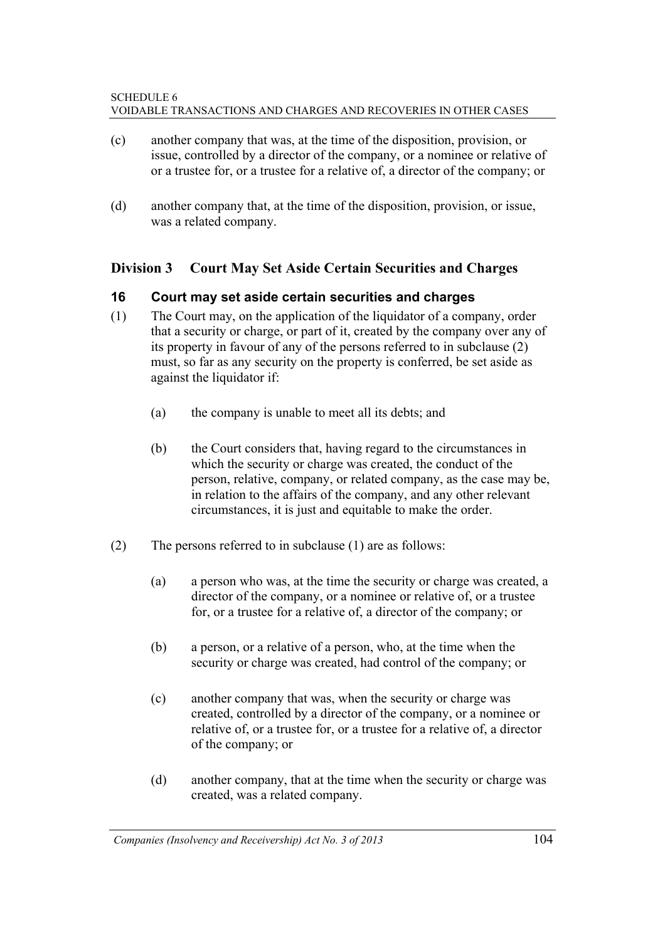- (c) another company that was, at the time of the disposition, provision, or issue, controlled by a director of the company, or a nominee or relative of or a trustee for, or a trustee for a relative of, a director of the company; or
- (d) another company that, at the time of the disposition, provision, or issue, was a related company.

## **Division 3 Court May Set Aside Certain Securities and Charges**

#### **16 Court may set aside certain securities and charges**

- (1) The Court may, on the application of the liquidator of a company, order that a security or charge, or part of it, created by the company over any of its property in favour of any of the persons referred to in subclause (2) must, so far as any security on the property is conferred, be set aside as against the liquidator if:
	- (a) the company is unable to meet all its debts; and
	- (b) the Court considers that, having regard to the circumstances in which the security or charge was created, the conduct of the person, relative, company, or related company, as the case may be, in relation to the affairs of the company, and any other relevant circumstances, it is just and equitable to make the order.
- (2) The persons referred to in subclause (1) are as follows:
	- (a) a person who was, at the time the security or charge was created, a director of the company, or a nominee or relative of, or a trustee for, or a trustee for a relative of, a director of the company; or
	- (b) a person, or a relative of a person, who, at the time when the security or charge was created, had control of the company; or
	- (c) another company that was, when the security or charge was created, controlled by a director of the company, or a nominee or relative of, or a trustee for, or a trustee for a relative of, a director of the company; or
	- (d) another company, that at the time when the security or charge was created, was a related company.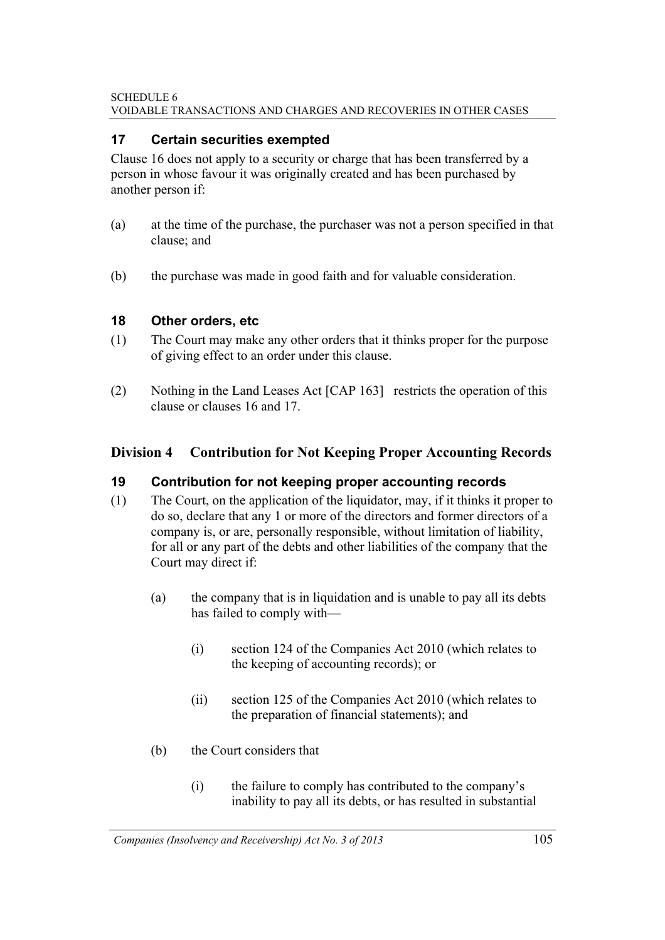#### SCHEDULE 6 VOIDABLE TRANSACTIONS AND CHARGES AND RECOVERIES IN OTHER CASES

## **17 Certain securities exempted**

Clause 16 does not apply to a security or charge that has been transferred by a person in whose favour it was originally created and has been purchased by another person if:

- (a) at the time of the purchase, the purchaser was not a person specified in that clause; and
- (b) the purchase was made in good faith and for valuable consideration.

## **18 Other orders, etc**

- (1) The Court may make any other orders that it thinks proper for the purpose of giving effect to an order under this clause.
- (2) Nothing in the Land Leases Act [CAP 163] restricts the operation of this clause or clauses 16 and 17.

## **Division 4 Contribution for Not Keeping Proper Accounting Records**

## **19 Contribution for not keeping proper accounting records**

- (1) The Court, on the application of the liquidator, may, if it thinks it proper to do so, declare that any 1 or more of the directors and former directors of a company is, or are, personally responsible, without limitation of liability, for all or any part of the debts and other liabilities of the company that the Court may direct if:
	- (a) the company that is in liquidation and is unable to pay all its debts has failed to comply with—
		- (i) section 124 of the Companies Act 2010 (which relates to the keeping of accounting records); or
		- (ii) section 125 of the Companies Act 2010 (which relates to the preparation of financial statements); and
	- (b) the Court considers that
		- (i) the failure to comply has contributed to the company's inability to pay all its debts, or has resulted in substantial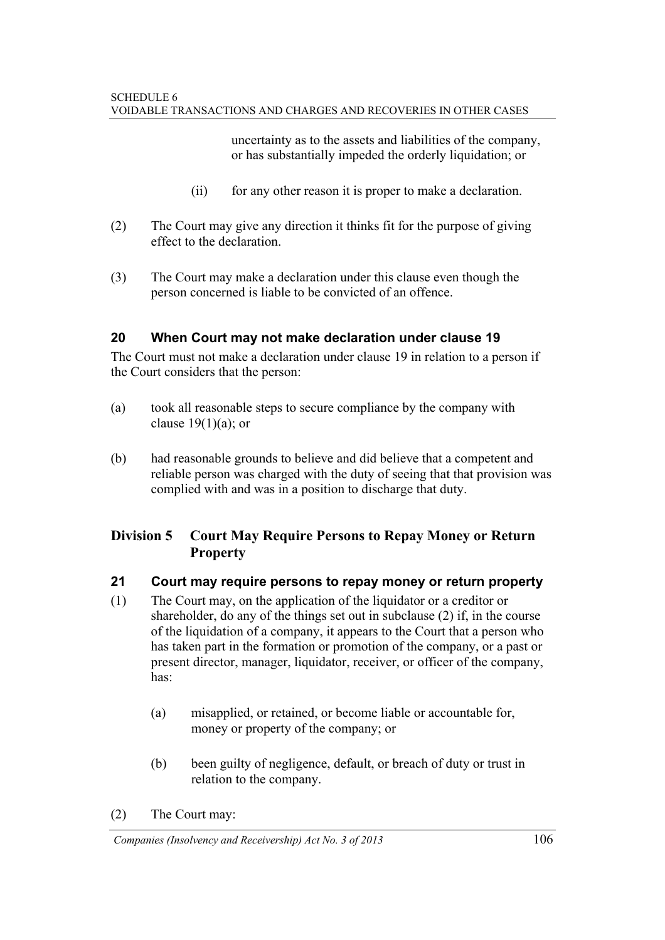uncertainty as to the assets and liabilities of the company, or has substantially impeded the orderly liquidation; or

- (ii) for any other reason it is proper to make a declaration.
- (2) The Court may give any direction it thinks fit for the purpose of giving effect to the declaration.
- (3) The Court may make a declaration under this clause even though the person concerned is liable to be convicted of an offence.

## **20 When Court may not make declaration under clause 19**

The Court must not make a declaration under clause 19 in relation to a person if the Court considers that the person:

- (a) took all reasonable steps to secure compliance by the company with clause  $19(1)(a)$ ; or
- (b) had reasonable grounds to believe and did believe that a competent and reliable person was charged with the duty of seeing that that provision was complied with and was in a position to discharge that duty.

## **Division 5 Court May Require Persons to Repay Money or Return Property**

## **21 Court may require persons to repay money or return property**

- (1) The Court may, on the application of the liquidator or a creditor or shareholder, do any of the things set out in subclause (2) if, in the course of the liquidation of a company, it appears to the Court that a person who has taken part in the formation or promotion of the company, or a past or present director, manager, liquidator, receiver, or officer of the company, has:
	- (a) misapplied, or retained, or become liable or accountable for, money or property of the company; or
	- (b) been guilty of negligence, default, or breach of duty or trust in relation to the company.

(2) The Court may:

*Companies (Insolvency and Receivership) Act No. 3 of 2013* 106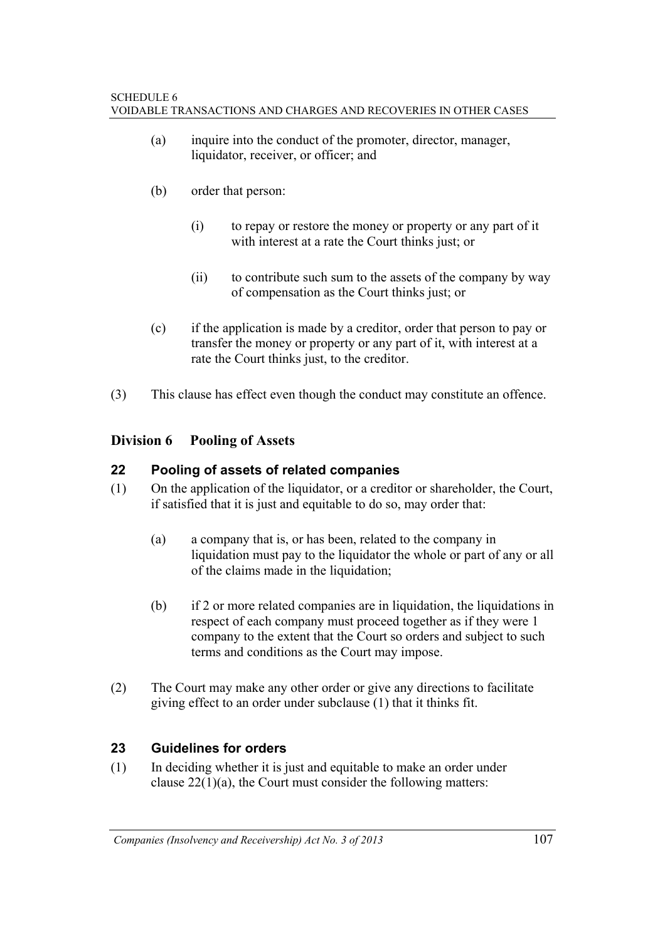- (a) inquire into the conduct of the promoter, director, manager, liquidator, receiver, or officer; and
- (b) order that person:
	- (i) to repay or restore the money or property or any part of it with interest at a rate the Court thinks just; or
	- (ii) to contribute such sum to the assets of the company by way of compensation as the Court thinks just; or
- (c) if the application is made by a creditor, order that person to pay or transfer the money or property or any part of it, with interest at a rate the Court thinks just, to the creditor.
- (3) This clause has effect even though the conduct may constitute an offence.

## **Division 6 Pooling of Assets**

## **22 Pooling of assets of related companies**

- (1) On the application of the liquidator, or a creditor or shareholder, the Court, if satisfied that it is just and equitable to do so, may order that:
	- (a) a company that is, or has been, related to the company in liquidation must pay to the liquidator the whole or part of any or all of the claims made in the liquidation;
	- (b) if 2 or more related companies are in liquidation, the liquidations in respect of each company must proceed together as if they were 1 company to the extent that the Court so orders and subject to such terms and conditions as the Court may impose.
- (2) The Court may make any other order or give any directions to facilitate giving effect to an order under subclause (1) that it thinks fit.

## **23 Guidelines for orders**

(1) In deciding whether it is just and equitable to make an order under clause  $22(1)(a)$ , the Court must consider the following matters: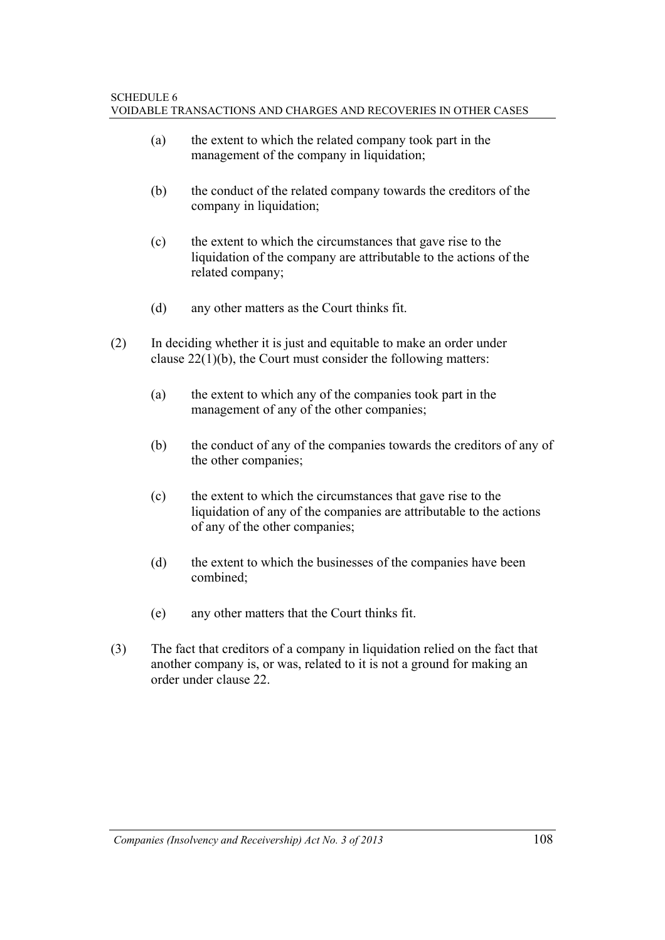- (a) the extent to which the related company took part in the management of the company in liquidation;
- (b) the conduct of the related company towards the creditors of the company in liquidation:
- (c) the extent to which the circumstances that gave rise to the liquidation of the company are attributable to the actions of the related company;
- (d) any other matters as the Court thinks fit.
- (2) In deciding whether it is just and equitable to make an order under clause 22(1)(b), the Court must consider the following matters:
	- (a) the extent to which any of the companies took part in the management of any of the other companies;
	- (b) the conduct of any of the companies towards the creditors of any of the other companies;
	- (c) the extent to which the circumstances that gave rise to the liquidation of any of the companies are attributable to the actions of any of the other companies;
	- (d) the extent to which the businesses of the companies have been combined;
	- (e) any other matters that the Court thinks fit.
- (3) The fact that creditors of a company in liquidation relied on the fact that another company is, or was, related to it is not a ground for making an order under clause 22.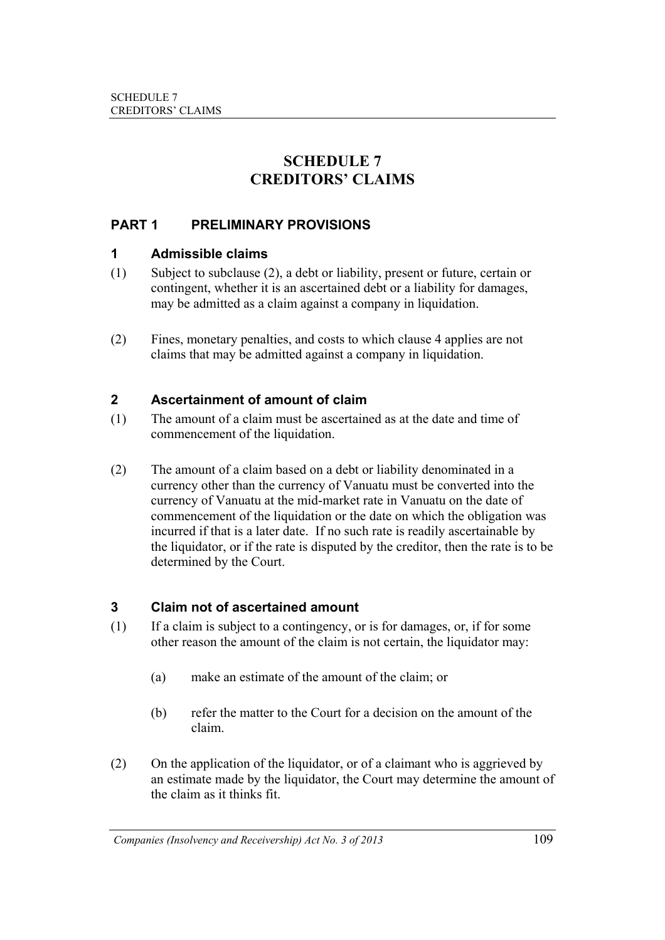## **SCHEDULE 7 CREDITORS' CLAIMS**

## **PART 1 PRELIMINARY PROVISIONS**

#### **1 Admissible claims**

- (1) Subject to subclause (2), a debt or liability, present or future, certain or contingent, whether it is an ascertained debt or a liability for damages, may be admitted as a claim against a company in liquidation.
- (2) Fines, monetary penalties, and costs to which clause 4 applies are not claims that may be admitted against a company in liquidation.

### **2 Ascertainment of amount of claim**

- (1) The amount of a claim must be ascertained as at the date and time of commencement of the liquidation.
- (2) The amount of a claim based on a debt or liability denominated in a currency other than the currency of Vanuatu must be converted into the currency of Vanuatu at the mid-market rate in Vanuatu on the date of commencement of the liquidation or the date on which the obligation was incurred if that is a later date. If no such rate is readily ascertainable by the liquidator, or if the rate is disputed by the creditor, then the rate is to be determined by the Court.

### **3 Claim not of ascertained amount**

- (1) If a claim is subject to a contingency, or is for damages, or, if for some other reason the amount of the claim is not certain, the liquidator may:
	- (a) make an estimate of the amount of the claim; or
	- (b) refer the matter to the Court for a decision on the amount of the claim.
- (2) On the application of the liquidator, or of a claimant who is aggrieved by an estimate made by the liquidator, the Court may determine the amount of the claim as it thinks fit.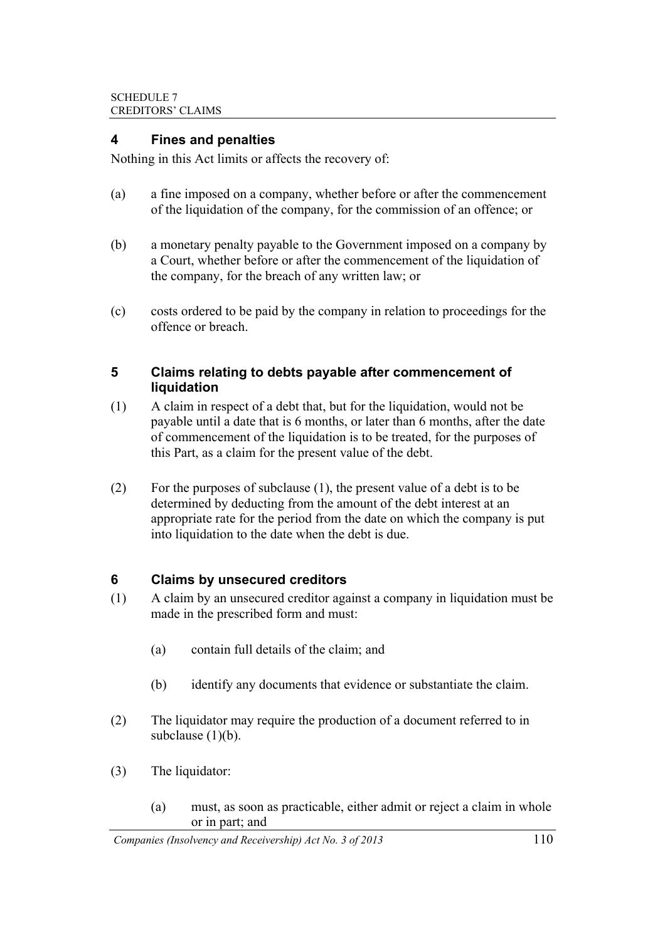#### **4 Fines and penalties**

Nothing in this Act limits or affects the recovery of:

- (a) a fine imposed on a company, whether before or after the commencement of the liquidation of the company, for the commission of an offence; or
- (b) a monetary penalty payable to the Government imposed on a company by a Court, whether before or after the commencement of the liquidation of the company, for the breach of any written law; or
- (c) costs ordered to be paid by the company in relation to proceedings for the offence or breach.

#### **5 Claims relating to debts payable after commencement of liquidation**

- (1) A claim in respect of a debt that, but for the liquidation, would not be payable until a date that is 6 months, or later than 6 months, after the date of commencement of the liquidation is to be treated, for the purposes of this Part, as a claim for the present value of the debt.
- (2) For the purposes of subclause (1), the present value of a debt is to be determined by deducting from the amount of the debt interest at an appropriate rate for the period from the date on which the company is put into liquidation to the date when the debt is due.

### **6 Claims by unsecured creditors**

- (1) A claim by an unsecured creditor against a company in liquidation must be made in the prescribed form and must:
	- (a) contain full details of the claim; and
	- (b) identify any documents that evidence or substantiate the claim.
- (2) The liquidator may require the production of a document referred to in subclause  $(1)(b)$ .
- (3) The liquidator:
	- (a) must, as soon as practicable, either admit or reject a claim in whole or in part; and

*Companies (Insolvency and Receivership) Act No. 3 of 2013* 110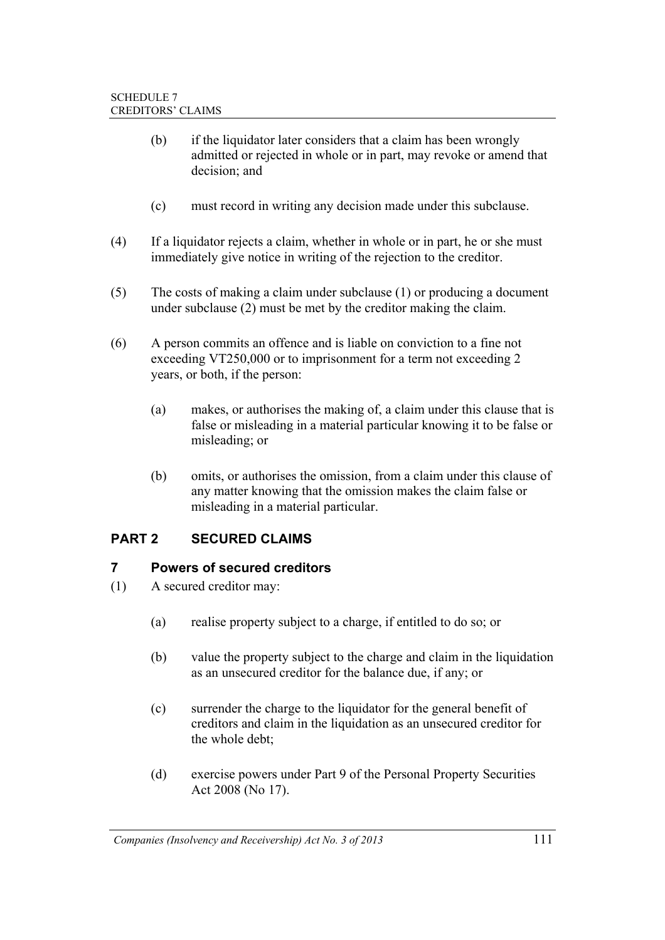- (b) if the liquidator later considers that a claim has been wrongly admitted or rejected in whole or in part, may revoke or amend that decision; and
- (c) must record in writing any decision made under this subclause.
- (4) If a liquidator rejects a claim, whether in whole or in part, he or she must immediately give notice in writing of the rejection to the creditor.
- (5) The costs of making a claim under subclause (1) or producing a document under subclause (2) must be met by the creditor making the claim.
- (6) A person commits an offence and is liable on conviction to a fine not exceeding VT250,000 or to imprisonment for a term not exceeding 2 years, or both, if the person:
	- (a) makes, or authorises the making of, a claim under this clause that is false or misleading in a material particular knowing it to be false or misleading; or
	- (b) omits, or authorises the omission, from a claim under this clause of any matter knowing that the omission makes the claim false or misleading in a material particular.

## **PART 2 SECURED CLAIMS**

#### **7 Powers of secured creditors**

- (1) A secured creditor may:
	- (a) realise property subject to a charge, if entitled to do so; or
	- (b) value the property subject to the charge and claim in the liquidation as an unsecured creditor for the balance due, if any; or
	- (c) surrender the charge to the liquidator for the general benefit of creditors and claim in the liquidation as an unsecured creditor for the whole debt;
	- (d) exercise powers under Part 9 of the Personal Property Securities Act 2008 (No 17).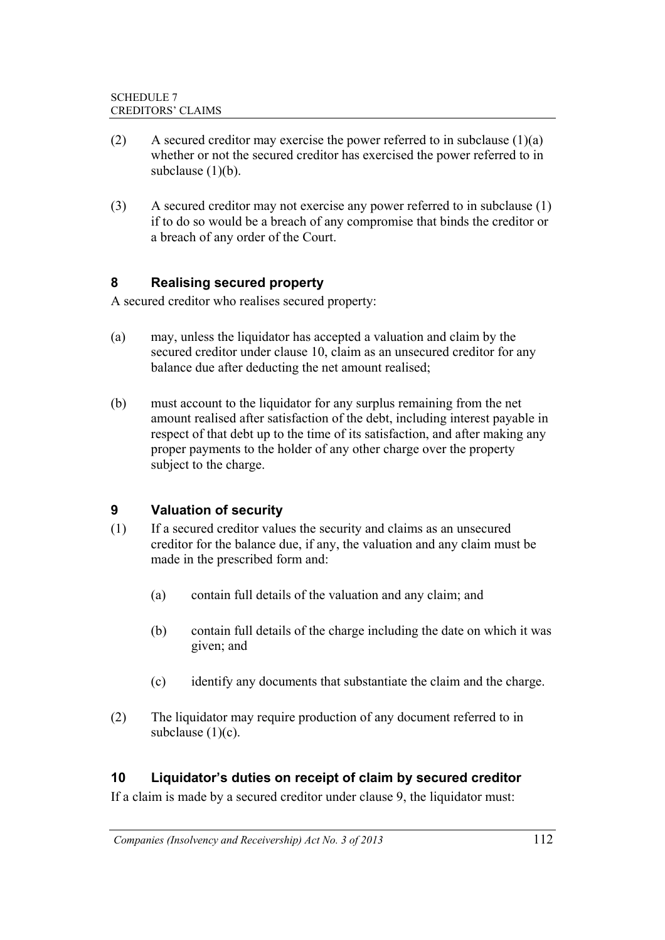- (2) A secured creditor may exercise the power referred to in subclause  $(1)(a)$ whether or not the secured creditor has exercised the power referred to in subclause  $(1)(b)$ .
- (3) A secured creditor may not exercise any power referred to in subclause (1) if to do so would be a breach of any compromise that binds the creditor or a breach of any order of the Court.

## **8 Realising secured property**

A secured creditor who realises secured property:

- (a) may, unless the liquidator has accepted a valuation and claim by the secured creditor under clause 10, claim as an unsecured creditor for any balance due after deducting the net amount realised;
- (b) must account to the liquidator for any surplus remaining from the net amount realised after satisfaction of the debt, including interest payable in respect of that debt up to the time of its satisfaction, and after making any proper payments to the holder of any other charge over the property subject to the charge.

## **9 Valuation of security**

- (1) If a secured creditor values the security and claims as an unsecured creditor for the balance due, if any, the valuation and any claim must be made in the prescribed form and:
	- (a) contain full details of the valuation and any claim; and
	- (b) contain full details of the charge including the date on which it was given; and
	- (c) identify any documents that substantiate the claim and the charge.
- (2) The liquidator may require production of any document referred to in subclause (1)(c).

### **10 Liquidator's duties on receipt of claim by secured creditor**

If a claim is made by a secured creditor under clause 9, the liquidator must: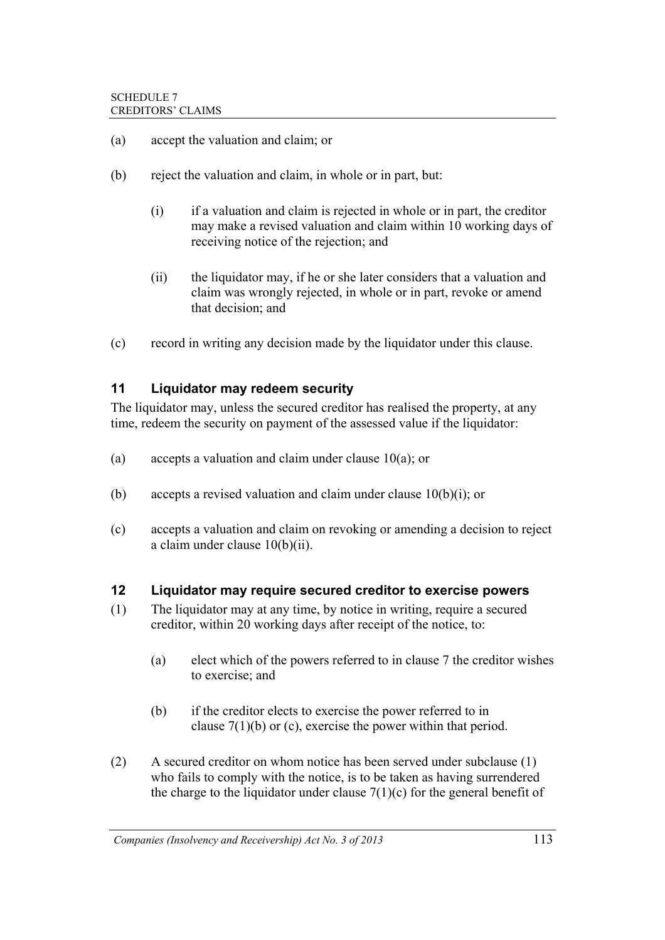- (a) accept the valuation and claim; or
- (b) reject the valuation and claim, in whole or in part, but:
	- (i) if a valuation and claim is rejected in whole or in part, the creditor may make a revised valuation and claim within 10 working days of receiving notice of the rejection; and
	- (ii) the liquidator may, if he or she later considers that a valuation and claim was wrongly rejected, in whole or in part, revoke or amend that decision; and
- (c) record in writing any decision made by the liquidator under this clause.

#### **11 Liquidator may redeem security**

The liquidator may, unless the secured creditor has realised the property, at any time, redeem the security on payment of the assessed value if the liquidator:

- (a) accepts a valuation and claim under clause 10(a); or
- (b) accepts a revised valuation and claim under clause 10(b)(i); or
- (c) accepts a valuation and claim on revoking or amending a decision to reject a claim under clause 10(b)(ii).

#### **12 Liquidator may require secured creditor to exercise powers**

- (1) The liquidator may at any time, by notice in writing, require a secured creditor, within 20 working days after receipt of the notice, to:
	- (a) elect which of the powers referred to in clause 7 the creditor wishes to exercise; and
	- (b) if the creditor elects to exercise the power referred to in clause 7(1)(b) or (c), exercise the power within that period.
- (2) A secured creditor on whom notice has been served under subclause (1) who fails to comply with the notice, is to be taken as having surrendered the charge to the liquidator under clause  $7(1)(c)$  for the general benefit of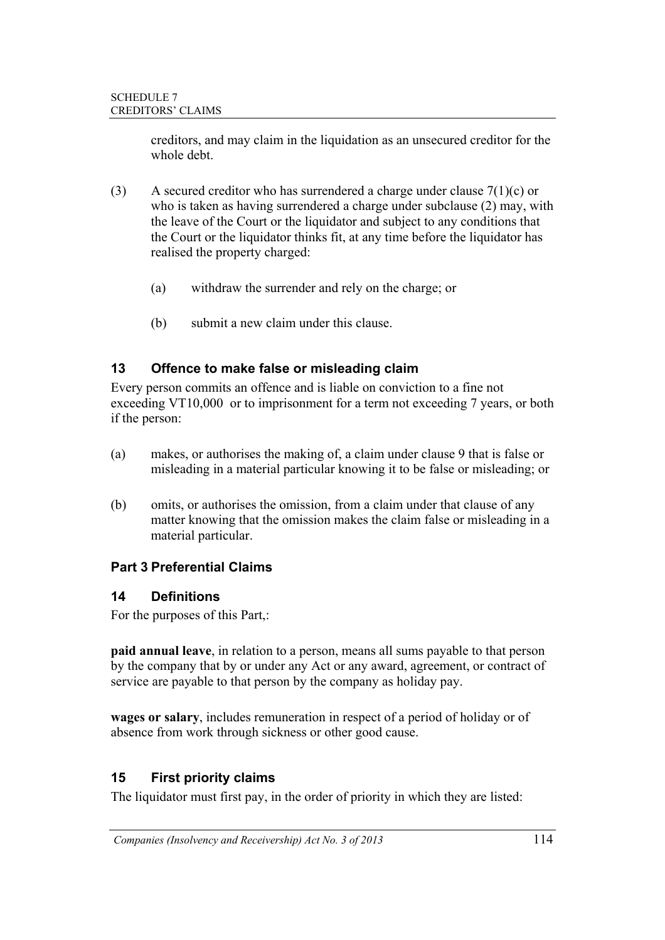creditors, and may claim in the liquidation as an unsecured creditor for the whole debt.

- (3) A secured creditor who has surrendered a charge under clause  $7(1)(c)$  or who is taken as having surrendered a charge under subclause (2) may, with the leave of the Court or the liquidator and subject to any conditions that the Court or the liquidator thinks fit, at any time before the liquidator has realised the property charged:
	- (a) withdraw the surrender and rely on the charge; or
	- (b) submit a new claim under this clause.

## **13 Offence to make false or misleading claim**

Every person commits an offence and is liable on conviction to a fine not exceeding VT10,000 or to imprisonment for a term not exceeding 7 years, or both if the person:

- (a) makes, or authorises the making of, a claim under clause 9 that is false or misleading in a material particular knowing it to be false or misleading; or
- (b) omits, or authorises the omission, from a claim under that clause of any matter knowing that the omission makes the claim false or misleading in a material particular.

## **Part 3 Preferential Claims**

### **14 Definitions**

For the purposes of this Part,:

**paid annual leave**, in relation to a person, means all sums payable to that person by the company that by or under any Act or any award, agreement, or contract of service are payable to that person by the company as holiday pay.

**wages or salary**, includes remuneration in respect of a period of holiday or of absence from work through sickness or other good cause.

## **15 First priority claims**

The liquidator must first pay, in the order of priority in which they are listed: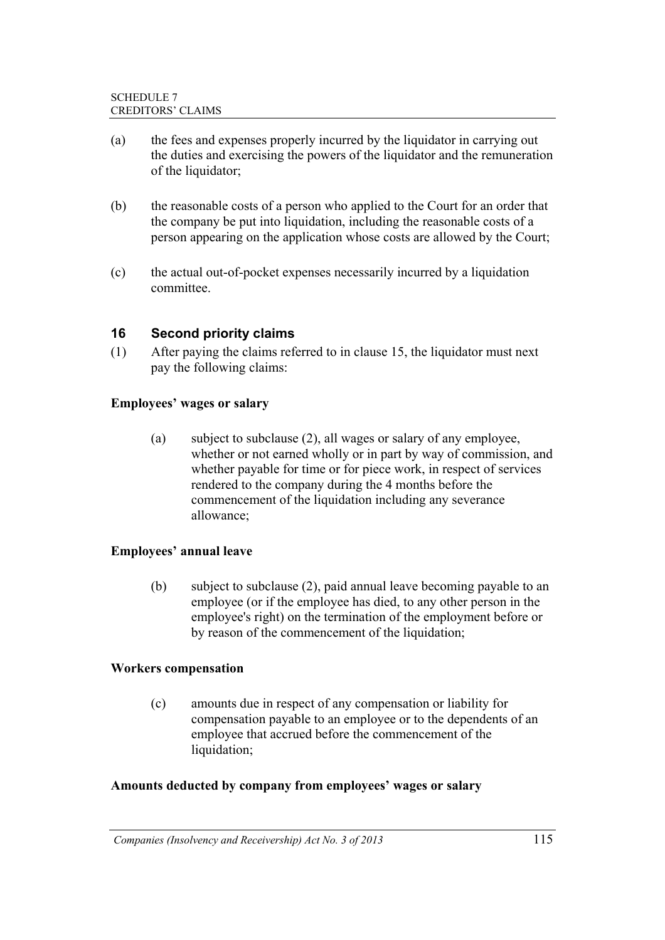- (a) the fees and expenses properly incurred by the liquidator in carrying out the duties and exercising the powers of the liquidator and the remuneration of the liquidator;
- (b) the reasonable costs of a person who applied to the Court for an order that the company be put into liquidation, including the reasonable costs of a person appearing on the application whose costs are allowed by the Court;
- (c) the actual out-of-pocket expenses necessarily incurred by a liquidation committee.

#### **16 Second priority claims**

(1) After paying the claims referred to in clause 15, the liquidator must next pay the following claims:

#### **Employees' wages or salary**

(a) subject to subclause (2), all wages or salary of any employee, whether or not earned wholly or in part by way of commission, and whether payable for time or for piece work, in respect of services rendered to the company during the 4 months before the commencement of the liquidation including any severance allowance;

#### **Employees' annual leave**

(b) subject to subclause (2), paid annual leave becoming payable to an employee (or if the employee has died, to any other person in the employee's right) on the termination of the employment before or by reason of the commencement of the liquidation;

#### **Workers compensation**

(c) amounts due in respect of any compensation or liability for compensation payable to an employee or to the dependents of an employee that accrued before the commencement of the liquidation;

#### **Amounts deducted by company from employees' wages or salary**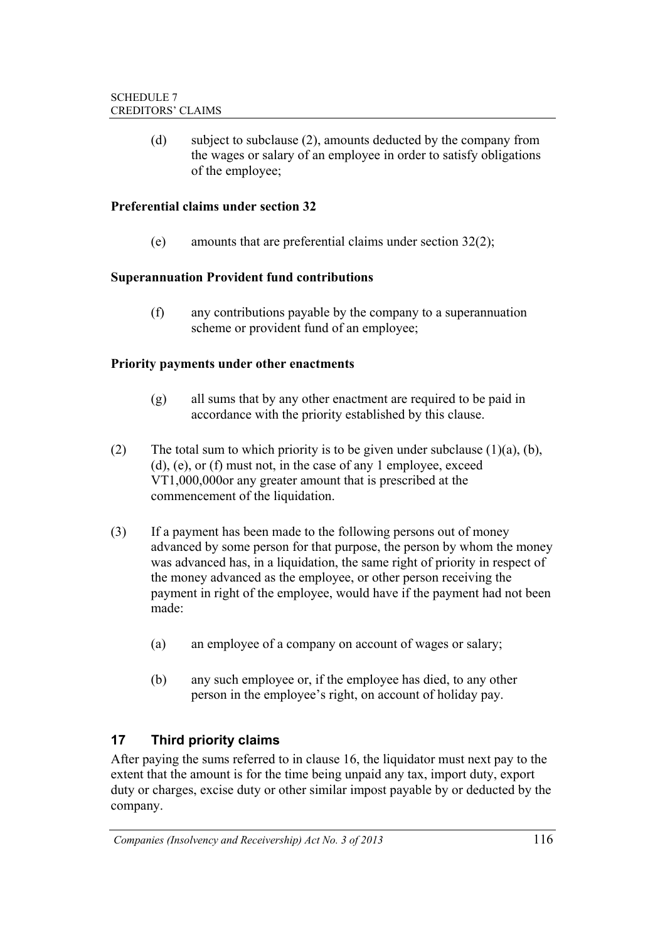(d) subject to subclause (2), amounts deducted by the company from the wages or salary of an employee in order to satisfy obligations of the employee;

#### **Preferential claims under section 32**

(e) amounts that are preferential claims under section 32(2);

#### **Superannuation Provident fund contributions**

(f) any contributions payable by the company to a superannuation scheme or provident fund of an employee;

#### **Priority payments under other enactments**

- (g) all sums that by any other enactment are required to be paid in accordance with the priority established by this clause.
- (2) The total sum to which priority is to be given under subclause  $(1)(a)$ ,  $(b)$ , (d), (e), or (f) must not, in the case of any 1 employee, exceed VT1,000,000or any greater amount that is prescribed at the commencement of the liquidation.
- (3) If a payment has been made to the following persons out of money advanced by some person for that purpose, the person by whom the money was advanced has, in a liquidation, the same right of priority in respect of the money advanced as the employee, or other person receiving the payment in right of the employee, would have if the payment had not been made:
	- (a) an employee of a company on account of wages or salary;
	- (b) any such employee or, if the employee has died, to any other person in the employee's right, on account of holiday pay.

### **17 Third priority claims**

After paying the sums referred to in clause 16, the liquidator must next pay to the extent that the amount is for the time being unpaid any tax, import duty, export duty or charges, excise duty or other similar impost payable by or deducted by the company.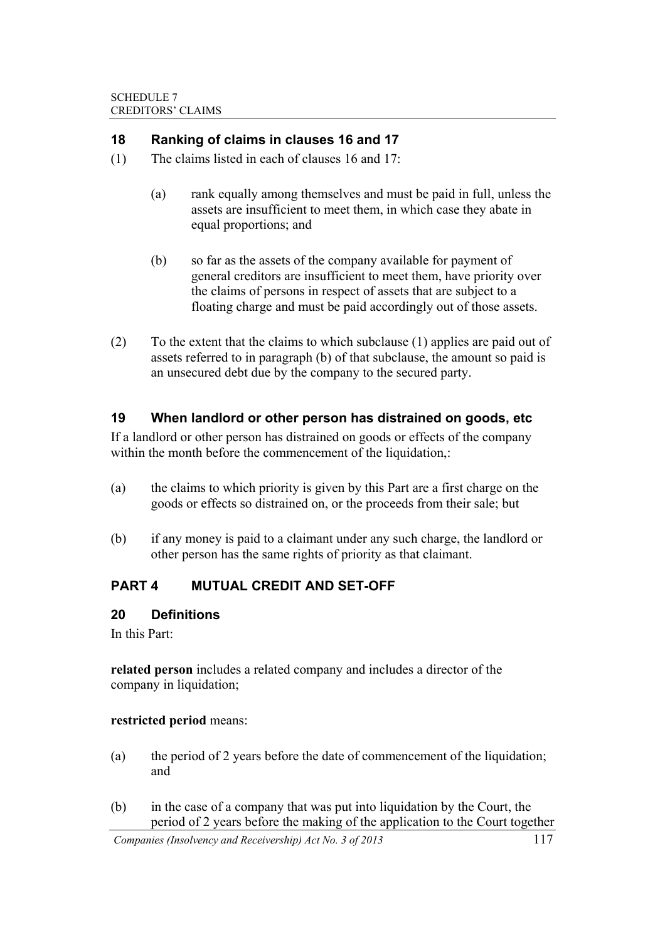#### **18 Ranking of claims in clauses 16 and 17**

- (1) The claims listed in each of clauses 16 and 17:
	- (a) rank equally among themselves and must be paid in full, unless the assets are insufficient to meet them, in which case they abate in equal proportions; and
	- (b) so far as the assets of the company available for payment of general creditors are insufficient to meet them, have priority over the claims of persons in respect of assets that are subject to a floating charge and must be paid accordingly out of those assets.
- (2) To the extent that the claims to which subclause (1) applies are paid out of assets referred to in paragraph (b) of that subclause, the amount so paid is an unsecured debt due by the company to the secured party.

#### **19 When landlord or other person has distrained on goods, etc**

If a landlord or other person has distrained on goods or effects of the company within the month before the commencement of the liquidation,:

- (a) the claims to which priority is given by this Part are a first charge on the goods or effects so distrained on, or the proceeds from their sale; but
- (b) if any money is paid to a claimant under any such charge, the landlord or other person has the same rights of priority as that claimant.

### **PART 4 MUTUAL CREDIT AND SET-OFF**

#### **20 Definitions**

In this Part:

**related person** includes a related company and includes a director of the company in liquidation;

#### **restricted period** means:

- (a) the period of 2 years before the date of commencement of the liquidation; and
- (b) in the case of a company that was put into liquidation by the Court, the period of 2 years before the making of the application to the Court together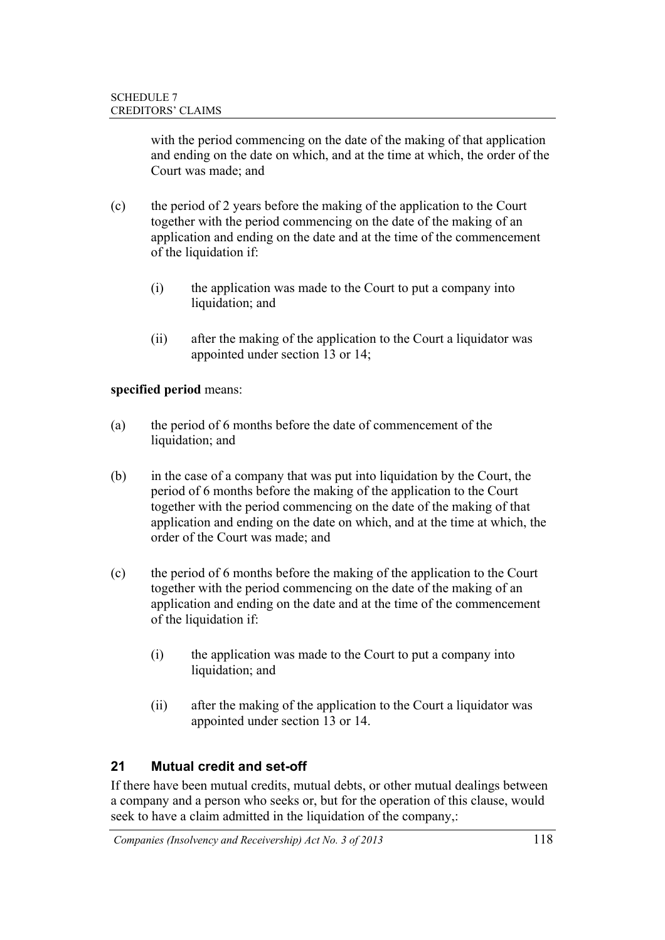with the period commencing on the date of the making of that application and ending on the date on which, and at the time at which, the order of the Court was made; and

- (c) the period of 2 years before the making of the application to the Court together with the period commencing on the date of the making of an application and ending on the date and at the time of the commencement of the liquidation if:
	- (i) the application was made to the Court to put a company into liquidation; and
	- (ii) after the making of the application to the Court a liquidator was appointed under section 13 or 14;

### **specified period** means:

- (a) the period of 6 months before the date of commencement of the liquidation; and
- (b) in the case of a company that was put into liquidation by the Court, the period of 6 months before the making of the application to the Court together with the period commencing on the date of the making of that application and ending on the date on which, and at the time at which, the order of the Court was made; and
- (c) the period of 6 months before the making of the application to the Court together with the period commencing on the date of the making of an application and ending on the date and at the time of the commencement of the liquidation if:
	- (i) the application was made to the Court to put a company into liquidation; and
	- (ii) after the making of the application to the Court a liquidator was appointed under section 13 or 14.

### **21 Mutual credit and set-off**

If there have been mutual credits, mutual debts, or other mutual dealings between a company and a person who seeks or, but for the operation of this clause, would seek to have a claim admitted in the liquidation of the company,: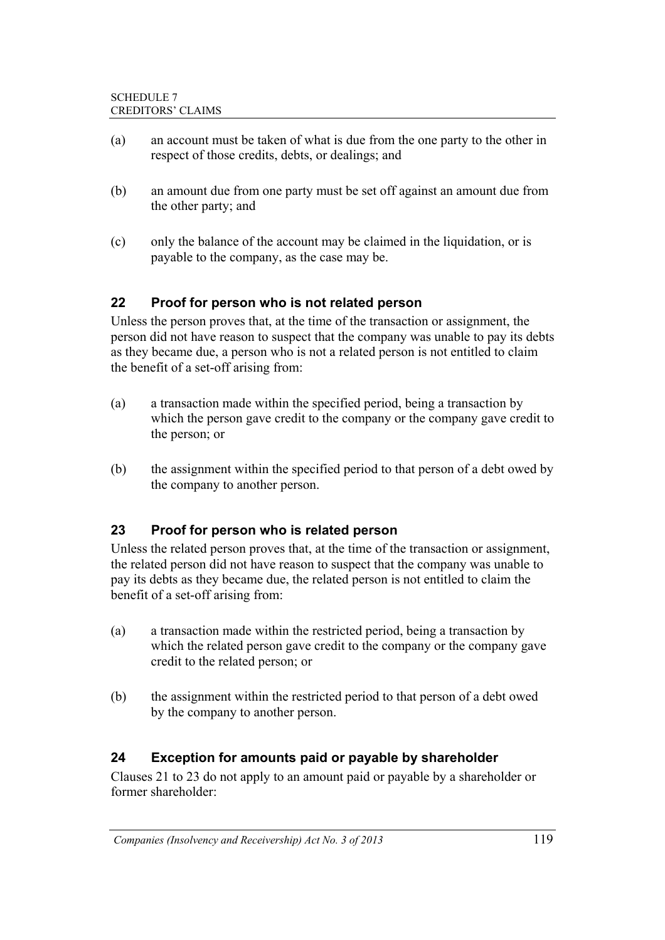- (a) an account must be taken of what is due from the one party to the other in respect of those credits, debts, or dealings; and
- (b) an amount due from one party must be set off against an amount due from the other party; and
- (c) only the balance of the account may be claimed in the liquidation, or is payable to the company, as the case may be.

## **22 Proof for person who is not related person**

Unless the person proves that, at the time of the transaction or assignment, the person did not have reason to suspect that the company was unable to pay its debts as they became due, a person who is not a related person is not entitled to claim the benefit of a set-off arising from:

- (a) a transaction made within the specified period, being a transaction by which the person gave credit to the company or the company gave credit to the person; or
- (b) the assignment within the specified period to that person of a debt owed by the company to another person.

### **23 Proof for person who is related person**

Unless the related person proves that, at the time of the transaction or assignment, the related person did not have reason to suspect that the company was unable to pay its debts as they became due, the related person is not entitled to claim the benefit of a set-off arising from:

- (a) a transaction made within the restricted period, being a transaction by which the related person gave credit to the company or the company gave credit to the related person; or
- (b) the assignment within the restricted period to that person of a debt owed by the company to another person.

### **24 Exception for amounts paid or payable by shareholder**

Clauses 21 to 23 do not apply to an amount paid or payable by a shareholder or former shareholder: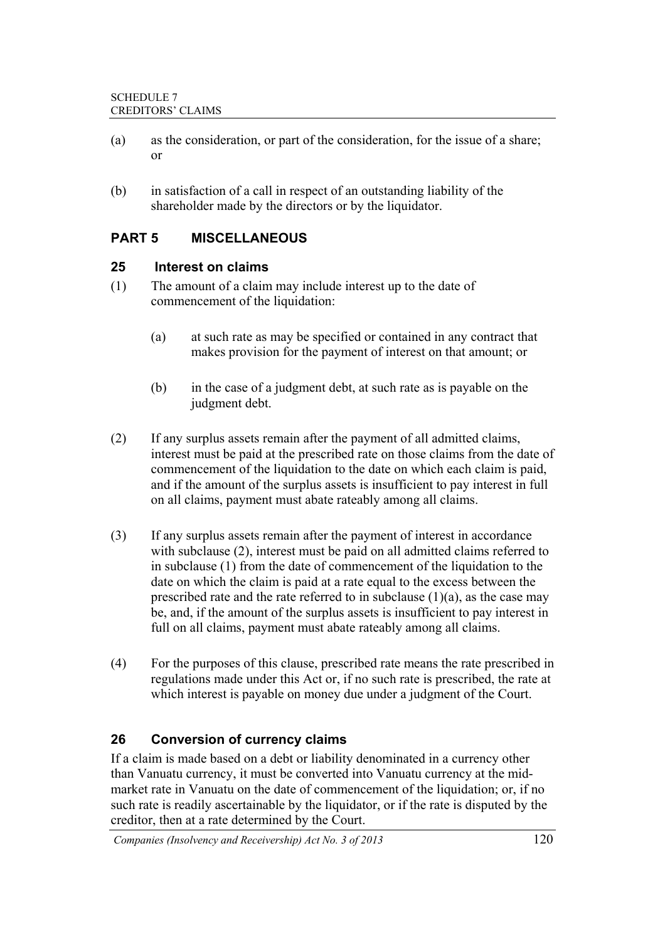- (a) as the consideration, or part of the consideration, for the issue of a share; or
- (b) in satisfaction of a call in respect of an outstanding liability of the shareholder made by the directors or by the liquidator.

## **PART 5 MISCELLANEOUS**

#### **25 Interest on claims**

- (1) The amount of a claim may include interest up to the date of commencement of the liquidation:
	- (a) at such rate as may be specified or contained in any contract that makes provision for the payment of interest on that amount; or
	- (b) in the case of a judgment debt, at such rate as is payable on the judgment debt.
- (2) If any surplus assets remain after the payment of all admitted claims, interest must be paid at the prescribed rate on those claims from the date of commencement of the liquidation to the date on which each claim is paid, and if the amount of the surplus assets is insufficient to pay interest in full on all claims, payment must abate rateably among all claims.
- (3) If any surplus assets remain after the payment of interest in accordance with subclause (2), interest must be paid on all admitted claims referred to in subclause (1) from the date of commencement of the liquidation to the date on which the claim is paid at a rate equal to the excess between the prescribed rate and the rate referred to in subclause  $(1)(a)$ , as the case may be, and, if the amount of the surplus assets is insufficient to pay interest in full on all claims, payment must abate rateably among all claims.
- (4) For the purposes of this clause, prescribed rate means the rate prescribed in regulations made under this Act or, if no such rate is prescribed, the rate at which interest is payable on money due under a judgment of the Court.

### **26 Conversion of currency claims**

If a claim is made based on a debt or liability denominated in a currency other than Vanuatu currency, it must be converted into Vanuatu currency at the midmarket rate in Vanuatu on the date of commencement of the liquidation; or, if no such rate is readily ascertainable by the liquidator, or if the rate is disputed by the creditor, then at a rate determined by the Court.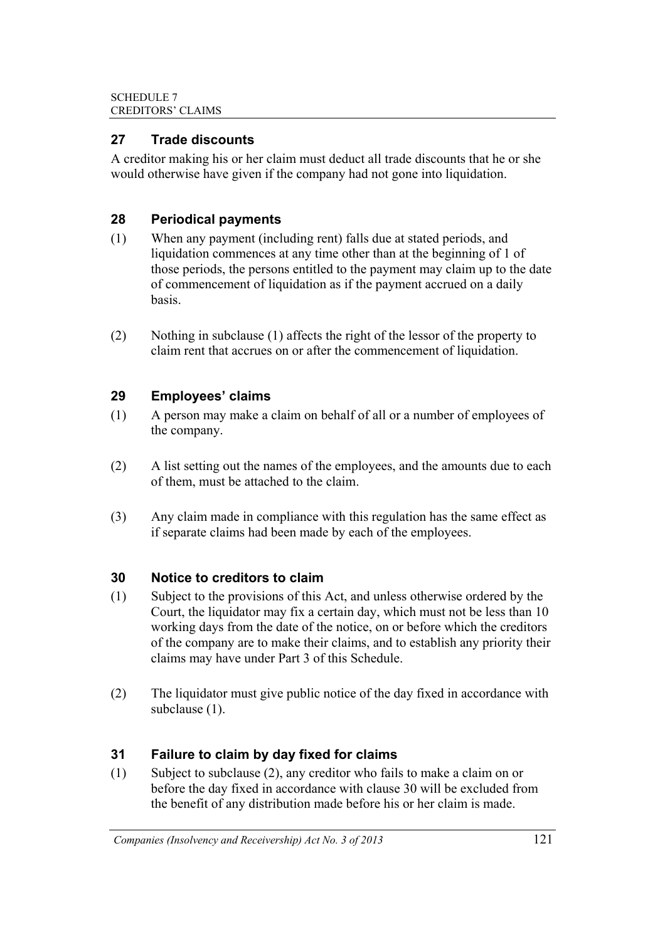### **27 Trade discounts**

A creditor making his or her claim must deduct all trade discounts that he or she would otherwise have given if the company had not gone into liquidation.

## **28 Periodical payments**

- (1) When any payment (including rent) falls due at stated periods, and liquidation commences at any time other than at the beginning of 1 of those periods, the persons entitled to the payment may claim up to the date of commencement of liquidation as if the payment accrued on a daily basis.
- (2) Nothing in subclause (1) affects the right of the lessor of the property to claim rent that accrues on or after the commencement of liquidation.

## **29 Employees' claims**

- (1) A person may make a claim on behalf of all or a number of employees of the company.
- (2) A list setting out the names of the employees, and the amounts due to each of them, must be attached to the claim.
- (3) Any claim made in compliance with this regulation has the same effect as if separate claims had been made by each of the employees.

## **30 Notice to creditors to claim**

- (1) Subject to the provisions of this Act, and unless otherwise ordered by the Court, the liquidator may fix a certain day, which must not be less than 10 working days from the date of the notice, on or before which the creditors of the company are to make their claims, and to establish any priority their claims may have under Part 3 of this Schedule.
- (2) The liquidator must give public notice of the day fixed in accordance with subclause (1).

## **31 Failure to claim by day fixed for claims**

(1) Subject to subclause (2), any creditor who fails to make a claim on or before the day fixed in accordance with clause 30 will be excluded from the benefit of any distribution made before his or her claim is made.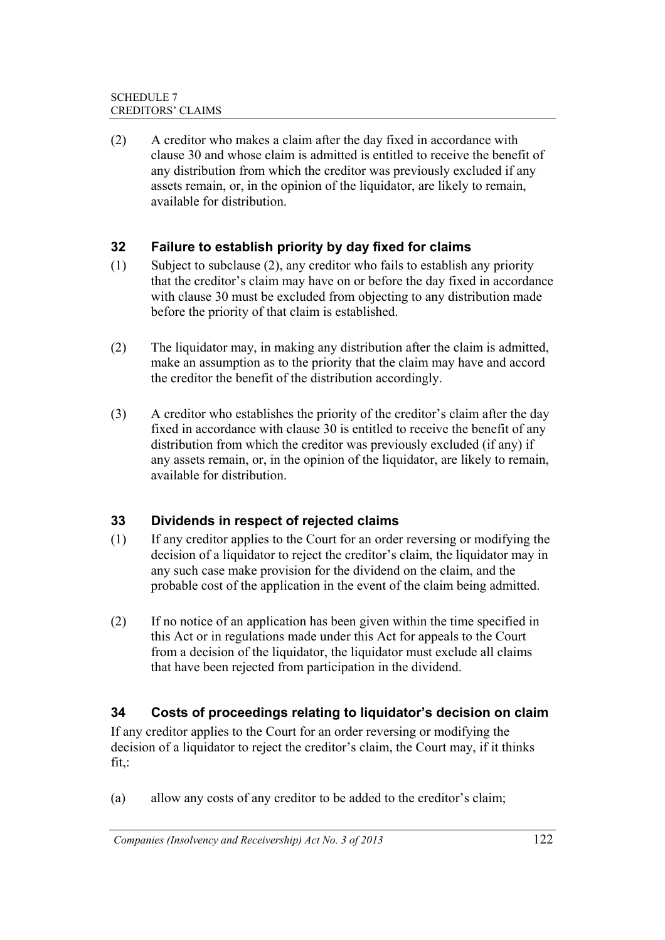(2) A creditor who makes a claim after the day fixed in accordance with clause 30 and whose claim is admitted is entitled to receive the benefit of any distribution from which the creditor was previously excluded if any assets remain, or, in the opinion of the liquidator, are likely to remain, available for distribution.

## **32 Failure to establish priority by day fixed for claims**

- (1) Subject to subclause (2), any creditor who fails to establish any priority that the creditor's claim may have on or before the day fixed in accordance with clause 30 must be excluded from objecting to any distribution made before the priority of that claim is established.
- (2) The liquidator may, in making any distribution after the claim is admitted, make an assumption as to the priority that the claim may have and accord the creditor the benefit of the distribution accordingly.
- (3) A creditor who establishes the priority of the creditor's claim after the day fixed in accordance with clause 30 is entitled to receive the benefit of any distribution from which the creditor was previously excluded (if any) if any assets remain, or, in the opinion of the liquidator, are likely to remain, available for distribution.

## **33 Dividends in respect of rejected claims**

- (1) If any creditor applies to the Court for an order reversing or modifying the decision of a liquidator to reject the creditor's claim, the liquidator may in any such case make provision for the dividend on the claim, and the probable cost of the application in the event of the claim being admitted.
- (2) If no notice of an application has been given within the time specified in this Act or in regulations made under this Act for appeals to the Court from a decision of the liquidator, the liquidator must exclude all claims that have been rejected from participation in the dividend.

## **34 Costs of proceedings relating to liquidator's decision on claim**

If any creditor applies to the Court for an order reversing or modifying the decision of a liquidator to reject the creditor's claim, the Court may, if it thinks fit,:

(a) allow any costs of any creditor to be added to the creditor's claim;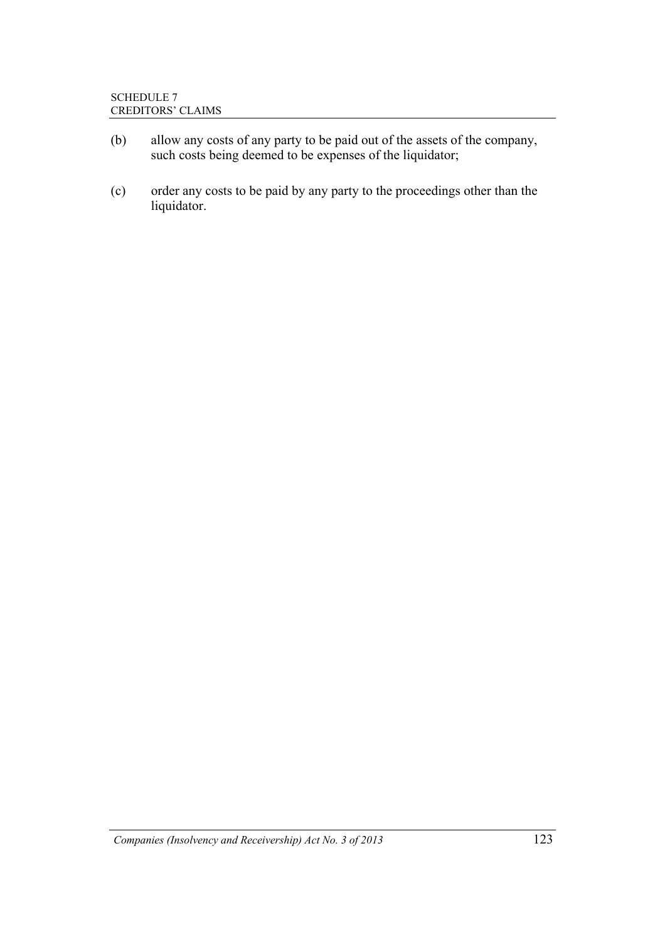- (b) allow any costs of any party to be paid out of the assets of the company, such costs being deemed to be expenses of the liquidator;
- (c) order any costs to be paid by any party to the proceedings other than the liquidator.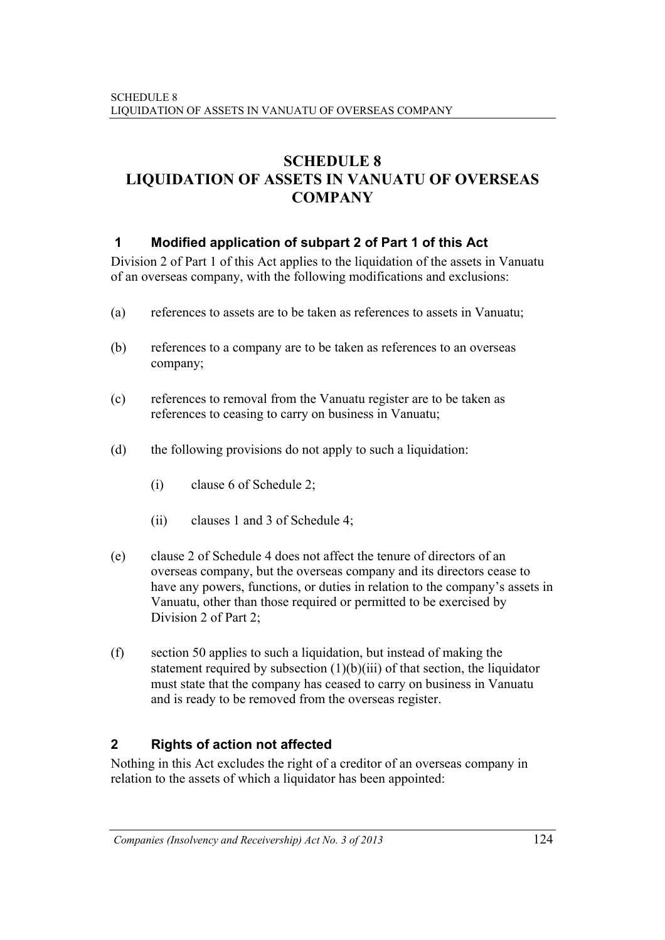# **SCHEDULE 8 LIQUIDATION OF ASSETS IN VANUATU OF OVERSEAS COMPANY**

## **1 Modified application of subpart 2 of Part 1 of this Act**

Division 2 of Part 1 of this Act applies to the liquidation of the assets in Vanuatu of an overseas company, with the following modifications and exclusions:

- (a) references to assets are to be taken as references to assets in Vanuatu;
- (b) references to a company are to be taken as references to an overseas company;
- (c) references to removal from the Vanuatu register are to be taken as references to ceasing to carry on business in Vanuatu;
- (d) the following provisions do not apply to such a liquidation:
	- (i) clause 6 of Schedule 2;
	- (ii) clauses 1 and 3 of Schedule 4;
- (e) clause 2 of Schedule 4 does not affect the tenure of directors of an overseas company, but the overseas company and its directors cease to have any powers, functions, or duties in relation to the company's assets in Vanuatu, other than those required or permitted to be exercised by Division 2 of Part 2;
- (f) section 50 applies to such a liquidation, but instead of making the statement required by subsection  $(1)(b)(iii)$  of that section, the liquidator must state that the company has ceased to carry on business in Vanuatu and is ready to be removed from the overseas register.

## **2 Rights of action not affected**

Nothing in this Act excludes the right of a creditor of an overseas company in relation to the assets of which a liquidator has been appointed: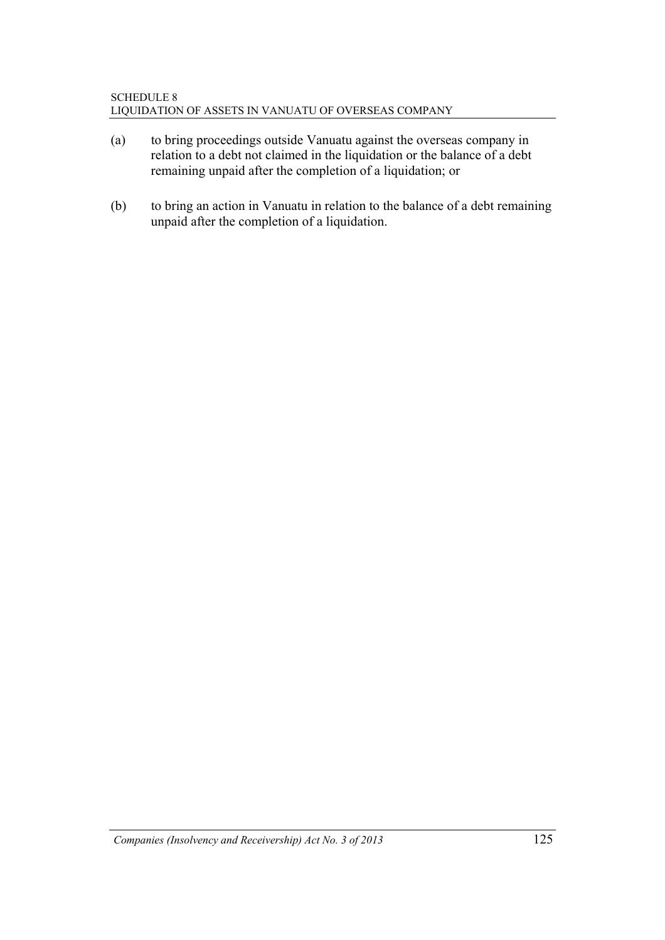- (a) to bring proceedings outside Vanuatu against the overseas company in relation to a debt not claimed in the liquidation or the balance of a debt remaining unpaid after the completion of a liquidation; or
- (b) to bring an action in Vanuatu in relation to the balance of a debt remaining unpaid after the completion of a liquidation.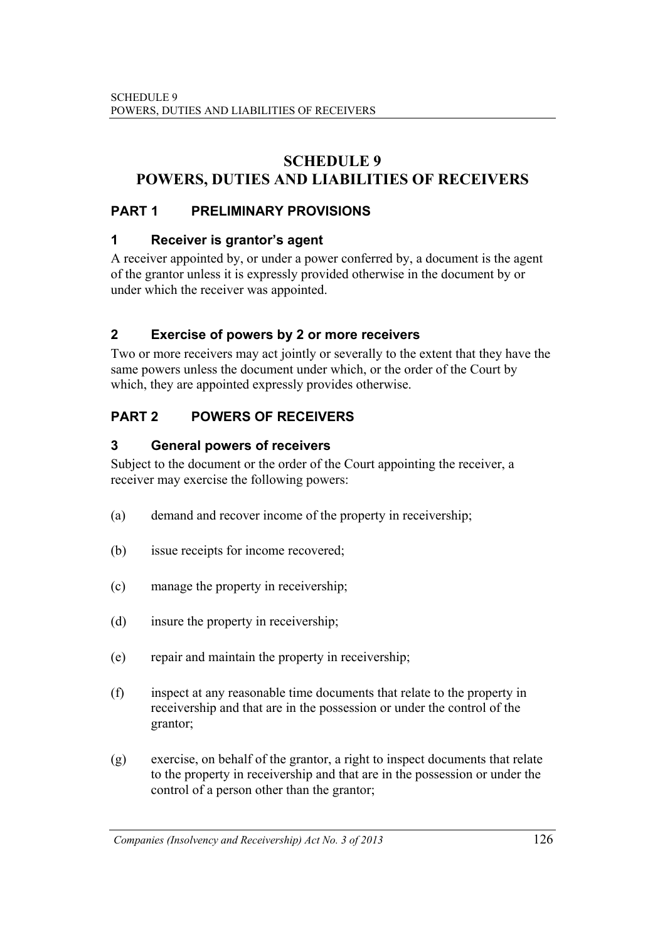# **SCHEDULE 9 POWERS, DUTIES AND LIABILITIES OF RECEIVERS**

## **PART 1 PRELIMINARY PROVISIONS**

## **1 Receiver is grantor's agent**

A receiver appointed by, or under a power conferred by, a document is the agent of the grantor unless it is expressly provided otherwise in the document by or under which the receiver was appointed.

## **2 Exercise of powers by 2 or more receivers**

Two or more receivers may act jointly or severally to the extent that they have the same powers unless the document under which, or the order of the Court by which, they are appointed expressly provides otherwise.

## **PART 2 POWERS OF RECEIVERS**

## **3 General powers of receivers**

Subject to the document or the order of the Court appointing the receiver, a receiver may exercise the following powers:

- (a) demand and recover income of the property in receivership;
- (b) issue receipts for income recovered;
- (c) manage the property in receivership;
- (d) insure the property in receivership;
- (e) repair and maintain the property in receivership;
- (f) inspect at any reasonable time documents that relate to the property in receivership and that are in the possession or under the control of the grantor;
- (g) exercise, on behalf of the grantor, a right to inspect documents that relate to the property in receivership and that are in the possession or under the control of a person other than the grantor;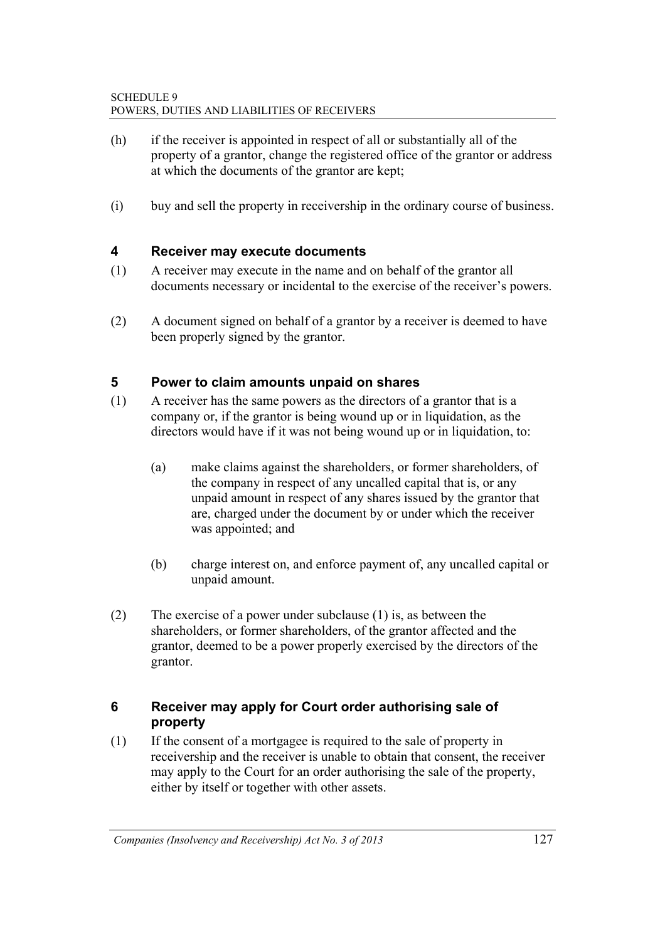- (h) if the receiver is appointed in respect of all or substantially all of the property of a grantor, change the registered office of the grantor or address at which the documents of the grantor are kept;
- (i) buy and sell the property in receivership in the ordinary course of business.

#### **4 Receiver may execute documents**

- (1) A receiver may execute in the name and on behalf of the grantor all documents necessary or incidental to the exercise of the receiver's powers.
- (2) A document signed on behalf of a grantor by a receiver is deemed to have been properly signed by the grantor.

#### **5 Power to claim amounts unpaid on shares**

- (1) A receiver has the same powers as the directors of a grantor that is a company or, if the grantor is being wound up or in liquidation, as the directors would have if it was not being wound up or in liquidation, to:
	- (a) make claims against the shareholders, or former shareholders, of the company in respect of any uncalled capital that is, or any unpaid amount in respect of any shares issued by the grantor that are, charged under the document by or under which the receiver was appointed; and
	- (b) charge interest on, and enforce payment of, any uncalled capital or unpaid amount.
- (2) The exercise of a power under subclause (1) is, as between the shareholders, or former shareholders, of the grantor affected and the grantor, deemed to be a power properly exercised by the directors of the grantor.

#### **6 Receiver may apply for Court order authorising sale of property**

(1) If the consent of a mortgagee is required to the sale of property in receivership and the receiver is unable to obtain that consent, the receiver may apply to the Court for an order authorising the sale of the property, either by itself or together with other assets.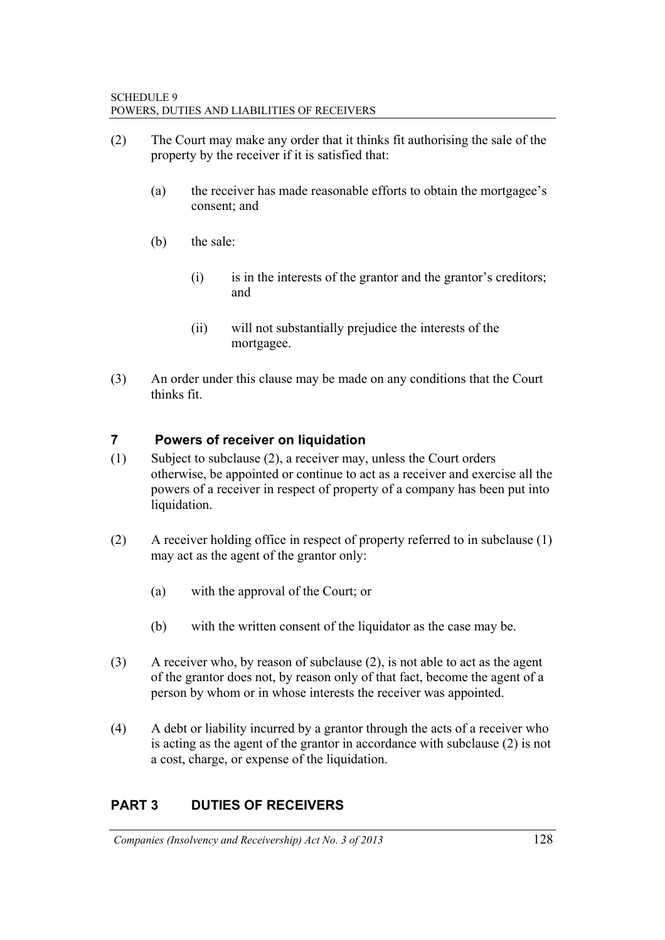- (2) The Court may make any order that it thinks fit authorising the sale of the property by the receiver if it is satisfied that:
	- (a) the receiver has made reasonable efforts to obtain the mortgagee's consent; and
	- (b) the sale:
		- $(i)$  is in the interests of the grantor and the grantor's creditors; and
		- (ii) will not substantially prejudice the interests of the mortgagee.
- (3) An order under this clause may be made on any conditions that the Court thinks fit.

### **7 Powers of receiver on liquidation**

- (1) Subject to subclause (2), a receiver may, unless the Court orders otherwise, be appointed or continue to act as a receiver and exercise all the powers of a receiver in respect of property of a company has been put into liquidation.
- (2) A receiver holding office in respect of property referred to in subclause (1) may act as the agent of the grantor only:
	- (a) with the approval of the Court; or
	- (b) with the written consent of the liquidator as the case may be.
- (3) A receiver who, by reason of subclause (2), is not able to act as the agent of the grantor does not, by reason only of that fact, become the agent of a person by whom or in whose interests the receiver was appointed.
- (4) A debt or liability incurred by a grantor through the acts of a receiver who is acting as the agent of the grantor in accordance with subclause (2) is not a cost, charge, or expense of the liquidation.

# **PART 3 DUTIES OF RECEIVERS**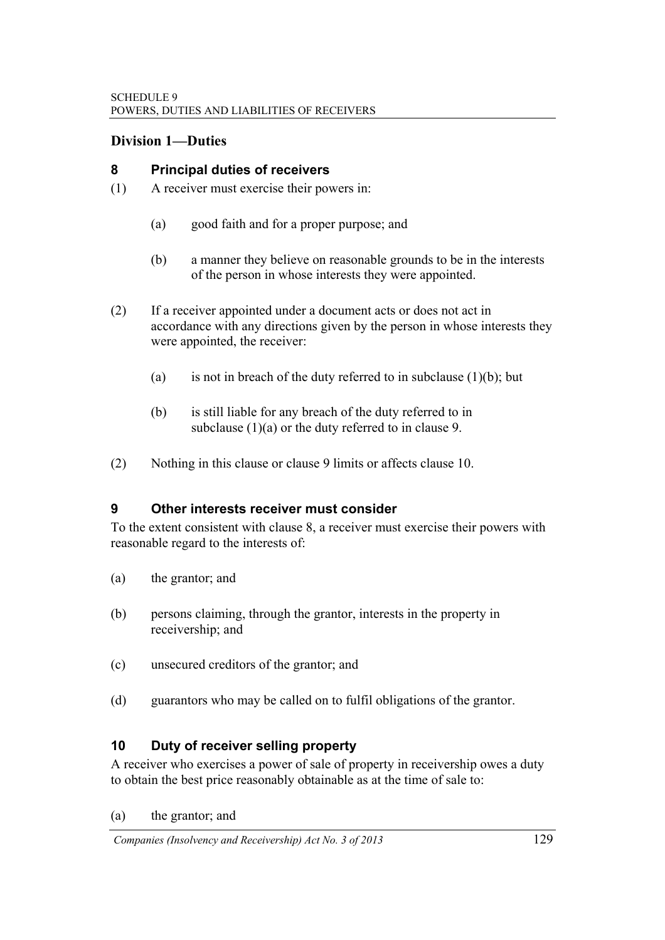#### **Division 1—Duties**

#### **8 Principal duties of receivers**

- (1) A receiver must exercise their powers in:
	- (a) good faith and for a proper purpose; and
	- (b) a manner they believe on reasonable grounds to be in the interests of the person in whose interests they were appointed.
- (2) If a receiver appointed under a document acts or does not act in accordance with any directions given by the person in whose interests they were appointed, the receiver:
	- (a) is not in breach of the duty referred to in subclause  $(1)(b)$ ; but
	- (b) is still liable for any breach of the duty referred to in subclause (1)(a) or the duty referred to in clause 9.
- (2) Nothing in this clause or clause 9 limits or affects clause 10.

#### **9 Other interests receiver must consider**

To the extent consistent with clause 8, a receiver must exercise their powers with reasonable regard to the interests of:

- (a) the grantor; and
- (b) persons claiming, through the grantor, interests in the property in receivership; and
- (c) unsecured creditors of the grantor; and
- (d) guarantors who may be called on to fulfil obligations of the grantor.

### **10 Duty of receiver selling property**

A receiver who exercises a power of sale of property in receivership owes a duty to obtain the best price reasonably obtainable as at the time of sale to:

(a) the grantor; and

*Companies (Insolvency and Receivership) Act No. 3 of 2013* 129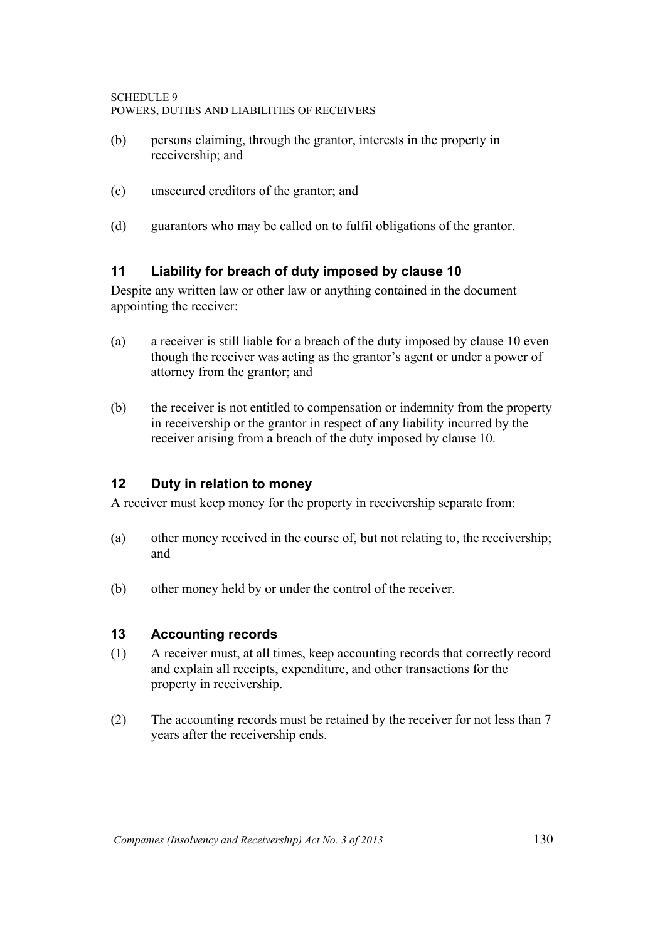- (b) persons claiming, through the grantor, interests in the property in receivership; and
- (c) unsecured creditors of the grantor; and
- (d) guarantors who may be called on to fulfil obligations of the grantor.

### **11 Liability for breach of duty imposed by clause 10**

Despite any written law or other law or anything contained in the document appointing the receiver:

- (a) a receiver is still liable for a breach of the duty imposed by clause 10 even though the receiver was acting as the grantor's agent or under a power of attorney from the grantor; and
- (b) the receiver is not entitled to compensation or indemnity from the property in receivership or the grantor in respect of any liability incurred by the receiver arising from a breach of the duty imposed by clause 10.

### **12 Duty in relation to money**

A receiver must keep money for the property in receivership separate from:

- (a) other money received in the course of, but not relating to, the receivership; and
- (b) other money held by or under the control of the receiver.

#### **13 Accounting records**

- (1) A receiver must, at all times, keep accounting records that correctly record and explain all receipts, expenditure, and other transactions for the property in receivership.
- (2) The accounting records must be retained by the receiver for not less than 7 years after the receivership ends.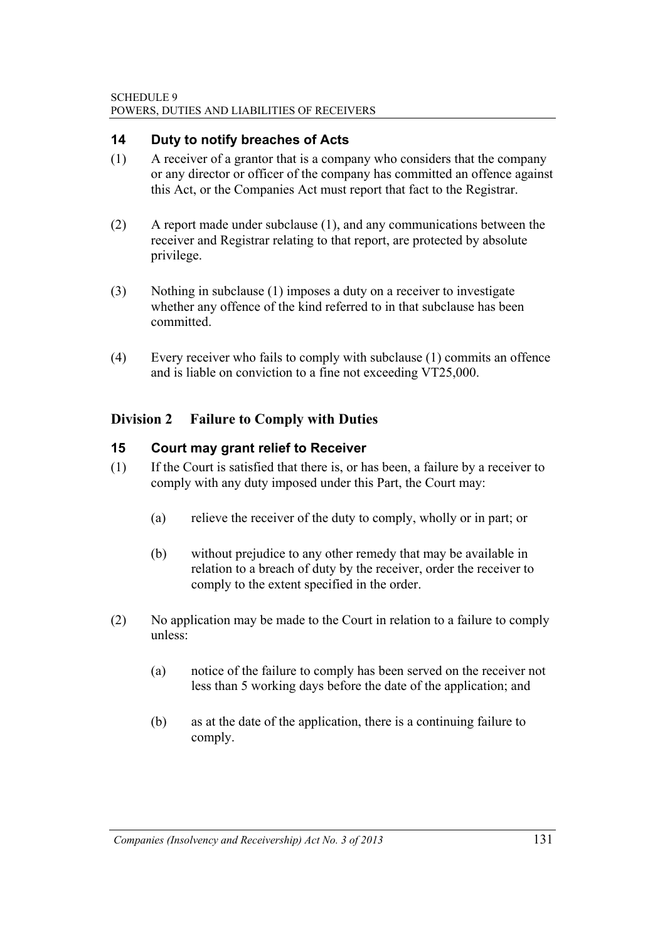### **14 Duty to notify breaches of Acts**

- (1) A receiver of a grantor that is a company who considers that the company or any director or officer of the company has committed an offence against this Act, or the Companies Act must report that fact to the Registrar.
- (2) A report made under subclause (1), and any communications between the receiver and Registrar relating to that report, are protected by absolute privilege.
- (3) Nothing in subclause (1) imposes a duty on a receiver to investigate whether any offence of the kind referred to in that subclause has been committed.
- (4) Every receiver who fails to comply with subclause (1) commits an offence and is liable on conviction to a fine not exceeding VT25,000.

### **Division 2 Failure to Comply with Duties**

#### **15 Court may grant relief to Receiver**

- (1) If the Court is satisfied that there is, or has been, a failure by a receiver to comply with any duty imposed under this Part, the Court may:
	- (a) relieve the receiver of the duty to comply, wholly or in part; or
	- (b) without prejudice to any other remedy that may be available in relation to a breach of duty by the receiver, order the receiver to comply to the extent specified in the order.
- (2) No application may be made to the Court in relation to a failure to comply unless:
	- (a) notice of the failure to comply has been served on the receiver not less than 5 working days before the date of the application; and
	- (b) as at the date of the application, there is a continuing failure to comply.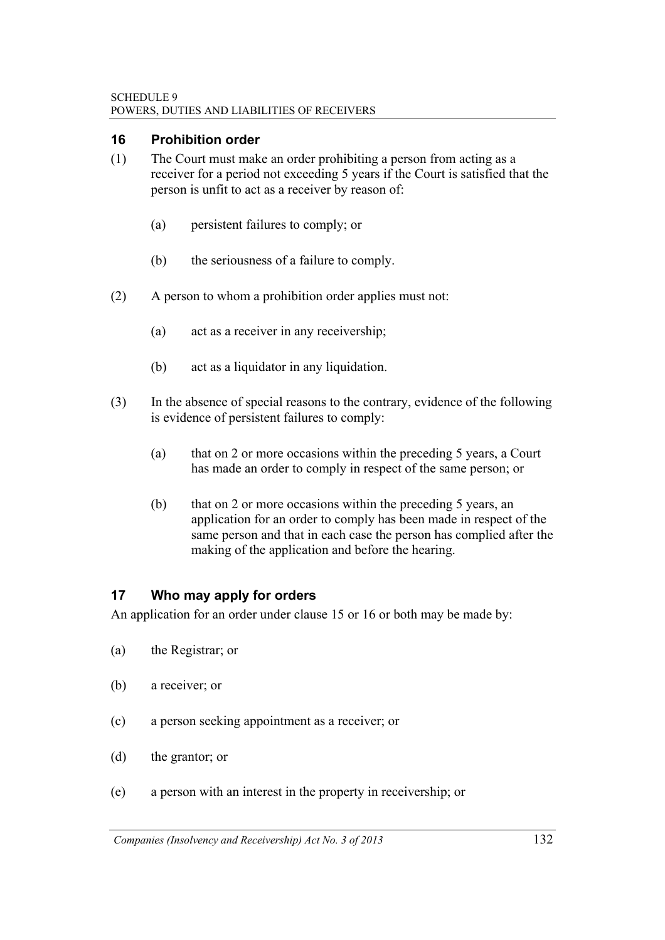#### **16 Prohibition order**

- (1) The Court must make an order prohibiting a person from acting as a receiver for a period not exceeding 5 years if the Court is satisfied that the person is unfit to act as a receiver by reason of:
	- (a) persistent failures to comply; or
	- (b) the seriousness of a failure to comply.
- (2) A person to whom a prohibition order applies must not:
	- (a) act as a receiver in any receivership;
	- (b) act as a liquidator in any liquidation.
- (3) In the absence of special reasons to the contrary, evidence of the following is evidence of persistent failures to comply:
	- (a) that on 2 or more occasions within the preceding 5 years, a Court has made an order to comply in respect of the same person; or
	- (b) that on 2 or more occasions within the preceding 5 years, an application for an order to comply has been made in respect of the same person and that in each case the person has complied after the making of the application and before the hearing.

#### **17 Who may apply for orders**

An application for an order under clause 15 or 16 or both may be made by:

- (a) the Registrar; or
- (b) a receiver; or
- (c) a person seeking appointment as a receiver; or
- (d) the grantor; or
- (e) a person with an interest in the property in receivership; or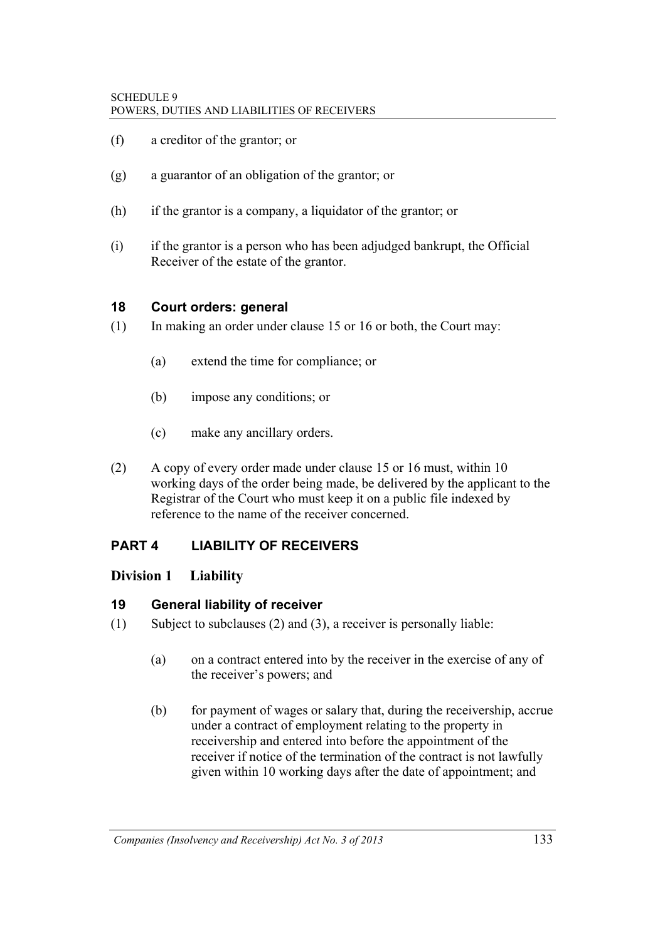- (f) a creditor of the grantor; or
- (g) a guarantor of an obligation of the grantor; or
- (h) if the grantor is a company, a liquidator of the grantor; or
- (i) if the grantor is a person who has been adjudged bankrupt, the Official Receiver of the estate of the grantor.

#### **18 Court orders: general**

- (1) In making an order under clause 15 or 16 or both, the Court may:
	- (a) extend the time for compliance; or
	- (b) impose any conditions; or
	- (c) make any ancillary orders.
- (2) A copy of every order made under clause 15 or 16 must, within 10 working days of the order being made, be delivered by the applicant to the Registrar of the Court who must keep it on a public file indexed by reference to the name of the receiver concerned.

#### **PART 4 LIABILITY OF RECEIVERS**

#### **Division 1 Liability**

#### **19 General liability of receiver**

- (1) Subject to subclauses (2) and (3), a receiver is personally liable:
	- (a) on a contract entered into by the receiver in the exercise of any of the receiver's powers; and
	- (b) for payment of wages or salary that, during the receivership, accrue under a contract of employment relating to the property in receivership and entered into before the appointment of the receiver if notice of the termination of the contract is not lawfully given within 10 working days after the date of appointment; and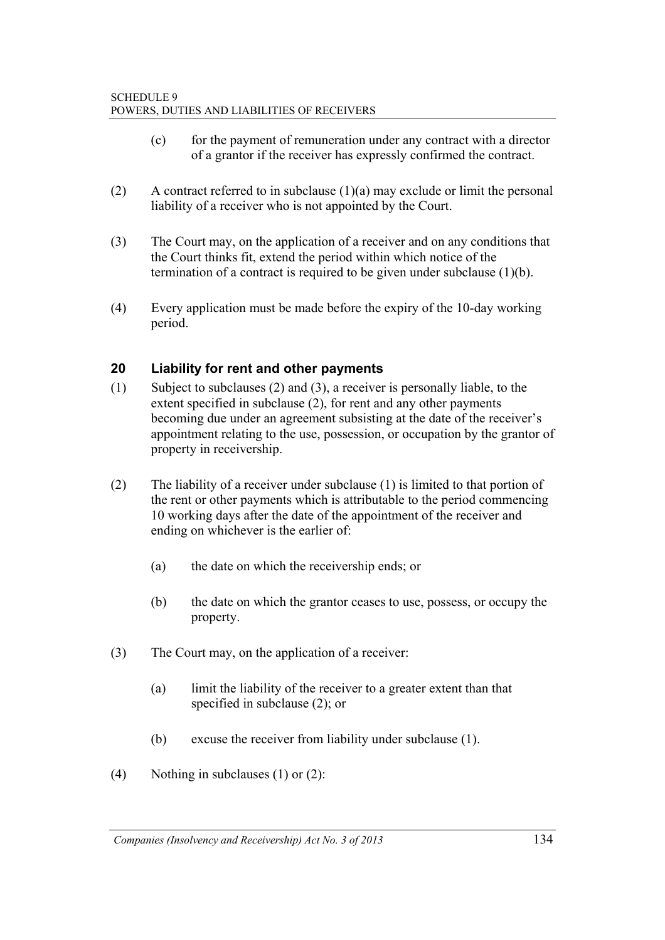- (c) for the payment of remuneration under any contract with a director of a grantor if the receiver has expressly confirmed the contract.
- (2) A contract referred to in subclause  $(1)(a)$  may exclude or limit the personal liability of a receiver who is not appointed by the Court.
- (3) The Court may, on the application of a receiver and on any conditions that the Court thinks fit, extend the period within which notice of the termination of a contract is required to be given under subclause (1)(b).
- (4) Every application must be made before the expiry of the 10-day working period.

### **20 Liability for rent and other payments**

- (1) Subject to subclauses (2) and (3), a receiver is personally liable, to the extent specified in subclause (2), for rent and any other payments becoming due under an agreement subsisting at the date of the receiver's appointment relating to the use, possession, or occupation by the grantor of property in receivership.
- (2) The liability of a receiver under subclause (1) is limited to that portion of the rent or other payments which is attributable to the period commencing 10 working days after the date of the appointment of the receiver and ending on whichever is the earlier of:
	- (a) the date on which the receivership ends; or
	- (b) the date on which the grantor ceases to use, possess, or occupy the property.
- (3) The Court may, on the application of a receiver:
	- (a) limit the liability of the receiver to a greater extent than that specified in subclause (2); or
	- (b) excuse the receiver from liability under subclause (1).
- (4) Nothing in subclauses  $(1)$  or  $(2)$ :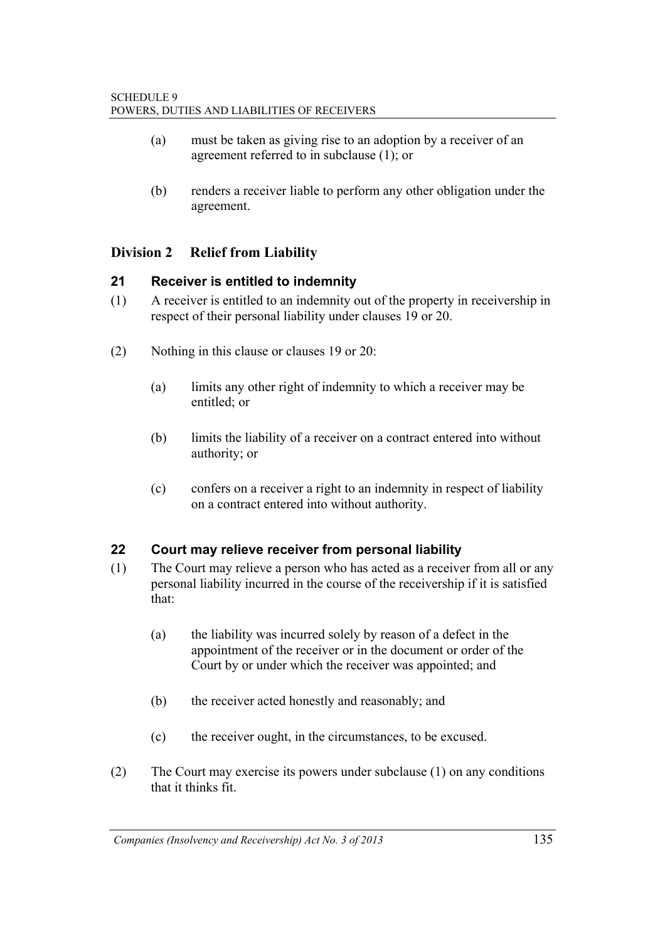- (a) must be taken as giving rise to an adoption by a receiver of an agreement referred to in subclause (1); or
- (b) renders a receiver liable to perform any other obligation under the agreement.

## **Division 2 Relief from Liability**

### **21 Receiver is entitled to indemnity**

- (1) A receiver is entitled to an indemnity out of the property in receivership in respect of their personal liability under clauses 19 or 20.
- (2) Nothing in this clause or clauses 19 or 20:
	- (a) limits any other right of indemnity to which a receiver may be entitled; or
	- (b) limits the liability of a receiver on a contract entered into without authority; or
	- (c) confers on a receiver a right to an indemnity in respect of liability on a contract entered into without authority.

### **22 Court may relieve receiver from personal liability**

- (1) The Court may relieve a person who has acted as a receiver from all or any personal liability incurred in the course of the receivership if it is satisfied that:
	- (a) the liability was incurred solely by reason of a defect in the appointment of the receiver or in the document or order of the Court by or under which the receiver was appointed; and
	- (b) the receiver acted honestly and reasonably; and
	- (c) the receiver ought, in the circumstances, to be excused.
- (2) The Court may exercise its powers under subclause (1) on any conditions that it thinks fit.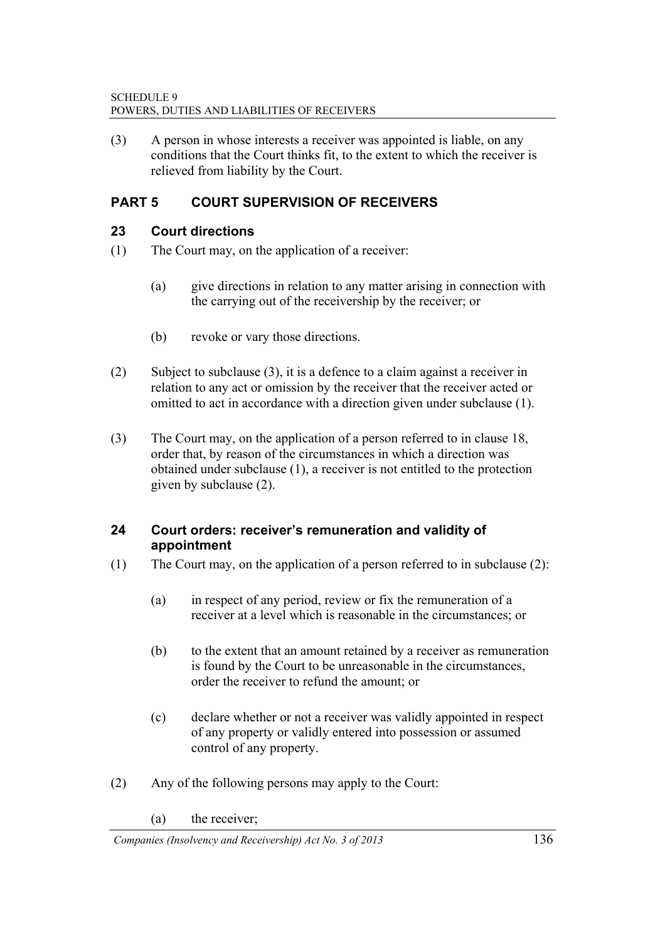(3) A person in whose interests a receiver was appointed is liable, on any conditions that the Court thinks fit, to the extent to which the receiver is relieved from liability by the Court.

## **PART 5 COURT SUPERVISION OF RECEIVERS**

#### **23 Court directions**

- (1) The Court may, on the application of a receiver:
	- (a) give directions in relation to any matter arising in connection with the carrying out of the receivership by the receiver; or
	- (b) revoke or vary those directions.
- (2) Subject to subclause (3), it is a defence to a claim against a receiver in relation to any act or omission by the receiver that the receiver acted or omitted to act in accordance with a direction given under subclause (1).
- (3) The Court may, on the application of a person referred to in clause 18, order that, by reason of the circumstances in which a direction was obtained under subclause (1), a receiver is not entitled to the protection given by subclause (2).

#### **24 Court orders: receiver's remuneration and validity of appointment**

- (1) The Court may, on the application of a person referred to in subclause (2):
	- (a) in respect of any period, review or fix the remuneration of a receiver at a level which is reasonable in the circumstances; or
	- (b) to the extent that an amount retained by a receiver as remuneration is found by the Court to be unreasonable in the circumstances, order the receiver to refund the amount; or
	- (c) declare whether or not a receiver was validly appointed in respect of any property or validly entered into possession or assumed control of any property.
- (2) Any of the following persons may apply to the Court:
	- (a) the receiver;

*Companies (Insolvency and Receivership) Act No. 3 of 2013* 136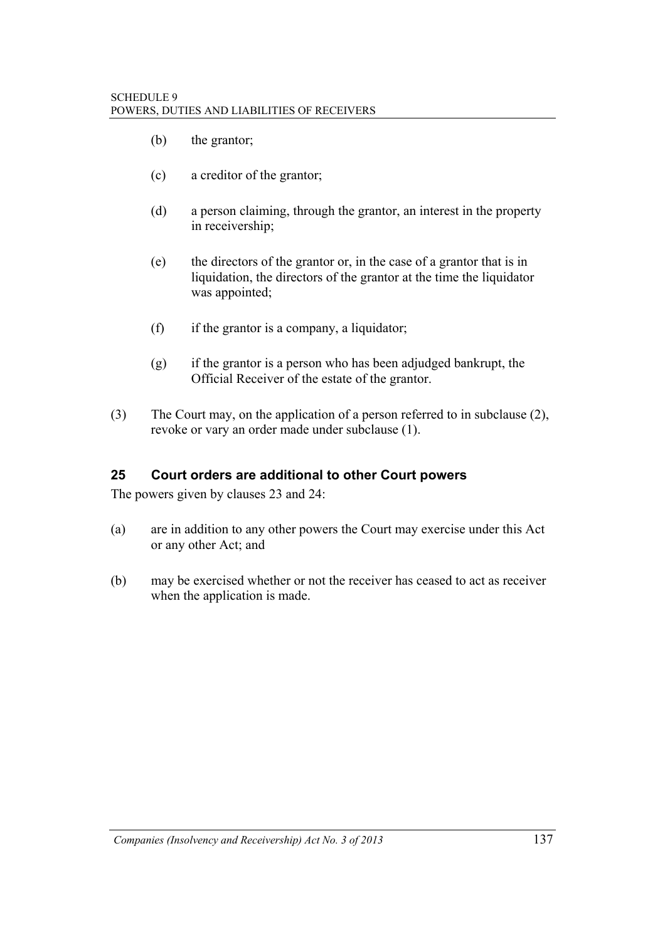- (b) the grantor;
- (c) a creditor of the grantor;
- (d) a person claiming, through the grantor, an interest in the property in receivership;
- (e) the directors of the grantor or, in the case of a grantor that is in liquidation, the directors of the grantor at the time the liquidator was appointed;
- (f) if the grantor is a company, a liquidator;
- (g) if the grantor is a person who has been adjudged bankrupt, the Official Receiver of the estate of the grantor.
- (3) The Court may, on the application of a person referred to in subclause (2), revoke or vary an order made under subclause (1).

#### **25 Court orders are additional to other Court powers**

The powers given by clauses 23 and 24:

- (a) are in addition to any other powers the Court may exercise under this Act or any other Act; and
- (b) may be exercised whether or not the receiver has ceased to act as receiver when the application is made.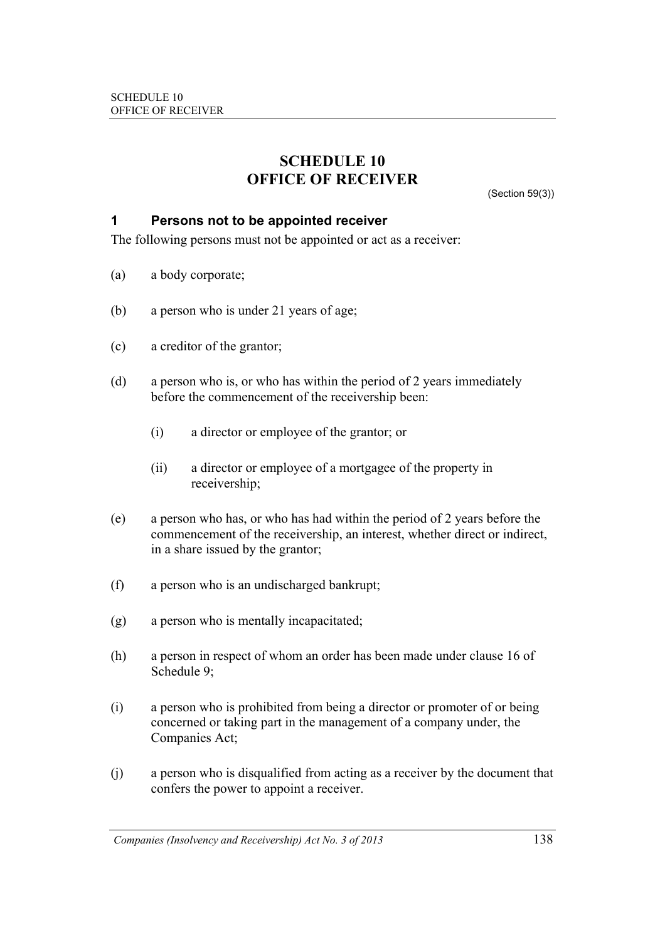## **SCHEDULE 10 OFFICE OF RECEIVER**

(Section 59(3))

#### **1 Persons not to be appointed receiver**

The following persons must not be appointed or act as a receiver:

- (a) a body corporate;
- (b) a person who is under 21 years of age;
- (c) a creditor of the grantor;
- (d) a person who is, or who has within the period of 2 years immediately before the commencement of the receivership been:
	- (i) a director or employee of the grantor; or
	- (ii) a director or employee of a mortgagee of the property in receivership;
- (e) a person who has, or who has had within the period of 2 years before the commencement of the receivership, an interest, whether direct or indirect, in a share issued by the grantor;
- (f) a person who is an undischarged bankrupt;
- (g) a person who is mentally incapacitated;
- (h) a person in respect of whom an order has been made under clause 16 of Schedule 9;
- (i) a person who is prohibited from being a director or promoter of or being concerned or taking part in the management of a company under, the Companies Act;
- (j) a person who is disqualified from acting as a receiver by the document that confers the power to appoint a receiver.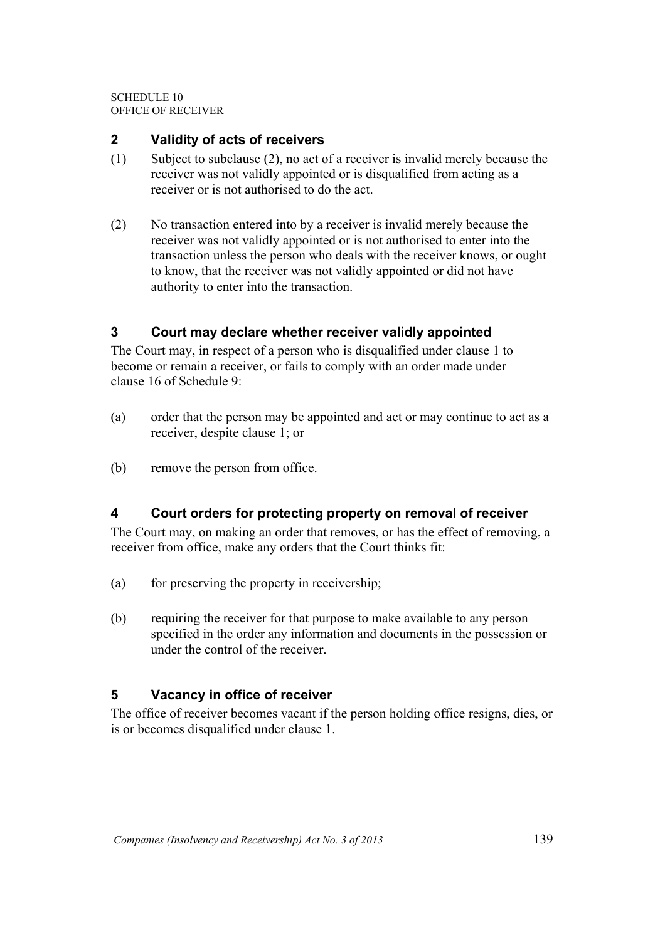#### **2 Validity of acts of receivers**

- (1) Subject to subclause (2), no act of a receiver is invalid merely because the receiver was not validly appointed or is disqualified from acting as a receiver or is not authorised to do the act.
- (2) No transaction entered into by a receiver is invalid merely because the receiver was not validly appointed or is not authorised to enter into the transaction unless the person who deals with the receiver knows, or ought to know, that the receiver was not validly appointed or did not have authority to enter into the transaction.

### **3 Court may declare whether receiver validly appointed**

The Court may, in respect of a person who is disqualified under clause 1 to become or remain a receiver, or fails to comply with an order made under clause 16 of Schedule 9:

- (a) order that the person may be appointed and act or may continue to act as a receiver, despite clause 1; or
- (b) remove the person from office.

### **4 Court orders for protecting property on removal of receiver**

The Court may, on making an order that removes, or has the effect of removing, a receiver from office, make any orders that the Court thinks fit:

- (a) for preserving the property in receivership;
- (b) requiring the receiver for that purpose to make available to any person specified in the order any information and documents in the possession or under the control of the receiver.

### **5 Vacancy in office of receiver**

The office of receiver becomes vacant if the person holding office resigns, dies, or is or becomes disqualified under clause 1.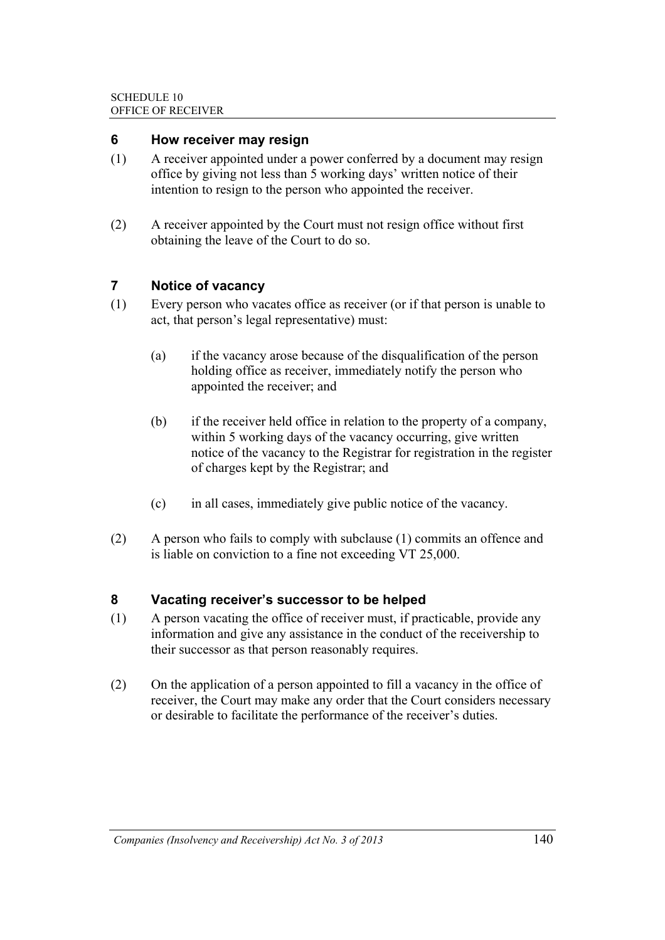#### **6 How receiver may resign**

- (1) A receiver appointed under a power conferred by a document may resign office by giving not less than 5 working days' written notice of their intention to resign to the person who appointed the receiver.
- (2) A receiver appointed by the Court must not resign office without first obtaining the leave of the Court to do so.

### **7 Notice of vacancy**

- (1) Every person who vacates office as receiver (or if that person is unable to act, that person's legal representative) must:
	- (a) if the vacancy arose because of the disqualification of the person holding office as receiver, immediately notify the person who appointed the receiver; and
	- (b) if the receiver held office in relation to the property of a company, within 5 working days of the vacancy occurring, give written notice of the vacancy to the Registrar for registration in the register of charges kept by the Registrar; and
	- (c) in all cases, immediately give public notice of the vacancy.
- (2) A person who fails to comply with subclause (1) commits an offence and is liable on conviction to a fine not exceeding VT 25,000.

### **8 Vacating receiver's successor to be helped**

- (1) A person vacating the office of receiver must, if practicable, provide any information and give any assistance in the conduct of the receivership to their successor as that person reasonably requires.
- (2) On the application of a person appointed to fill a vacancy in the office of receiver, the Court may make any order that the Court considers necessary or desirable to facilitate the performance of the receiver's duties.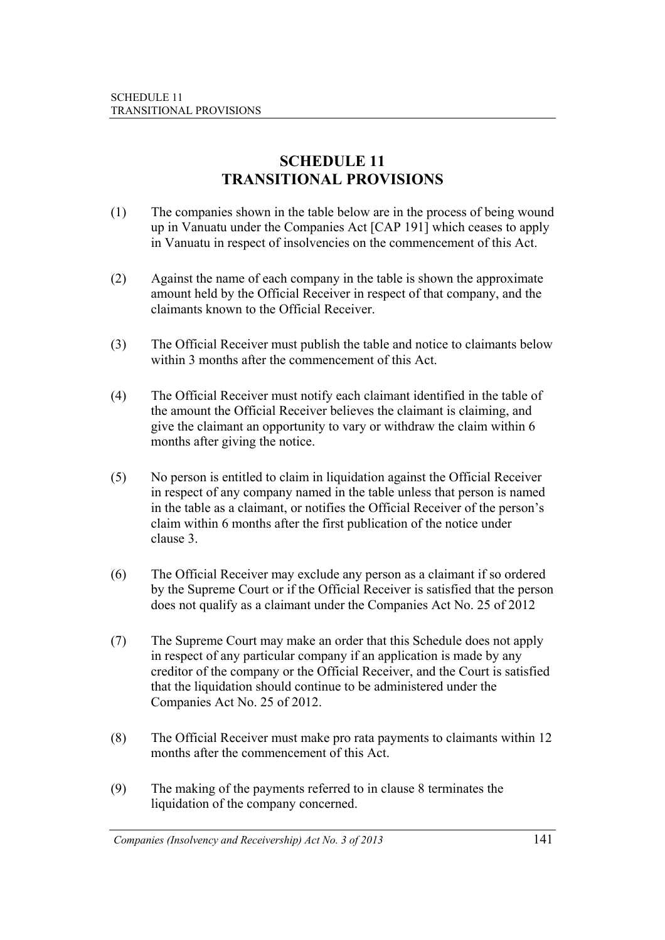# **SCHEDULE 11 TRANSITIONAL PROVISIONS**

- (1) The companies shown in the table below are in the process of being wound up in Vanuatu under the Companies Act [CAP 191] which ceases to apply in Vanuatu in respect of insolvencies on the commencement of this Act.
- (2) Against the name of each company in the table is shown the approximate amount held by the Official Receiver in respect of that company, and the claimants known to the Official Receiver.
- (3) The Official Receiver must publish the table and notice to claimants below within 3 months after the commencement of this Act.
- (4) The Official Receiver must notify each claimant identified in the table of the amount the Official Receiver believes the claimant is claiming, and give the claimant an opportunity to vary or withdraw the claim within 6 months after giving the notice.
- (5) No person is entitled to claim in liquidation against the Official Receiver in respect of any company named in the table unless that person is named in the table as a claimant, or notifies the Official Receiver of the person's claim within 6 months after the first publication of the notice under clause 3.
- (6) The Official Receiver may exclude any person as a claimant if so ordered by the Supreme Court or if the Official Receiver is satisfied that the person does not qualify as a claimant under the Companies Act No. 25 of 2012
- (7) The Supreme Court may make an order that this Schedule does not apply in respect of any particular company if an application is made by any creditor of the company or the Official Receiver, and the Court is satisfied that the liquidation should continue to be administered under the Companies Act No. 25 of 2012.
- (8) The Official Receiver must make pro rata payments to claimants within 12 months after the commencement of this Act.
- (9) The making of the payments referred to in clause 8 terminates the liquidation of the company concerned.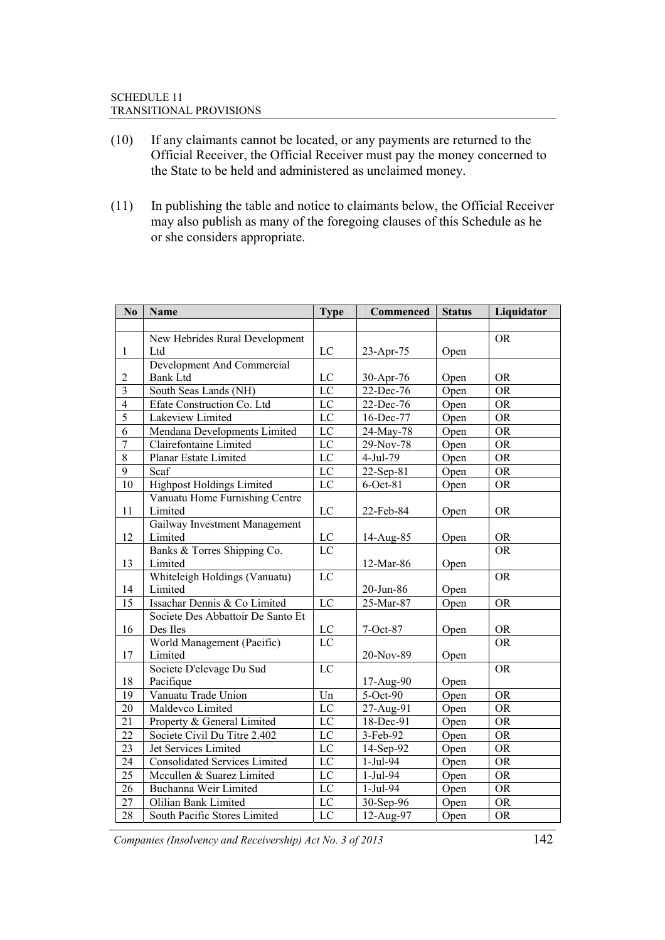#### SCHEDULE 11 TRANSITIONAL PROVISIONS

- (10) If any claimants cannot be located, or any payments are returned to the Official Receiver, the Official Receiver must pay the money concerned to the State to be held and administered as unclaimed money.
- (11) In publishing the table and notice to claimants below, the Official Receiver may also publish as many of the foregoing clauses of this Schedule as he or she considers appropriate.

| N <sub>0</sub>          | Name                                 | <b>Type</b>     | Commenced | <b>Status</b> | Liquidator |
|-------------------------|--------------------------------------|-----------------|-----------|---------------|------------|
|                         |                                      |                 |           |               |            |
|                         | New Hebrides Rural Development       |                 |           |               | <b>OR</b>  |
| $\mathbf{1}$            | Ltd                                  | $_{\rm LC}$     | 23-Apr-75 | Open          |            |
|                         | Development And Commercial           |                 |           |               |            |
| $\mathfrak{2}$          | <b>Bank Ltd</b>                      | $_{\rm LC}$     | 30-Apr-76 | Open          | <b>OR</b>  |
| $\overline{\mathbf{3}}$ | South Seas Lands (NH)                | $\rm LC$        | 22-Dec-76 | Open          | <b>OR</b>  |
| $\overline{4}$          | Efate Construction Co. Ltd           | $\overline{LC}$ | 22-Dec-76 | Open          | <b>OR</b>  |
| $\overline{5}$          | Lakeview Limited                     | $\rm LC$        | 16-Dec-77 | Open          | <b>OR</b>  |
| $\overline{6}$          | Mendana Developments Limited         | $\overline{LC}$ | 24-May-78 | Open          | <b>OR</b>  |
| $\overline{7}$          | Clairefontaine Limited               | $\overline{LC}$ | 29-Nov-78 | Open          | <b>OR</b>  |
| $\overline{8}$          | Planar Estate Limited                | $\overline{L}C$ | 4-Jul-79  | Open          | <b>OR</b>  |
| $\overline{9}$          | Scaf                                 | $\overline{LC}$ | 22-Sep-81 | Open          | <b>OR</b>  |
| 10                      | <b>Highpost Holdings Limited</b>     | $\overline{LC}$ | 6-Oct-81  | Open          | <b>OR</b>  |
|                         | Vanuatu Home Furnishing Centre       |                 |           |               |            |
| 11                      | Limited                              | $_{\rm LC}$     | 22-Feb-84 | Open          | <b>OR</b>  |
|                         | Gailway Investment Management        |                 |           |               |            |
| 12                      | Limited                              | ${\rm LC}$      | 14-Aug-85 | Open          | <b>OR</b>  |
|                         | Banks & Torres Shipping Co.          | $_{\rm LC}$     |           |               | <b>OR</b>  |
| 13                      | Limited                              |                 | 12-Mar-86 | Open          |            |
|                         | Whiteleigh Holdings (Vanuatu)        | LC              |           |               | <b>OR</b>  |
| 14                      | Limited                              |                 | 20-Jun-86 | Open          |            |
| $\overline{15}$         | Issachar Dennis & Co Limited         | $\overline{LC}$ | 25-Mar-87 | Open          | <b>OR</b>  |
|                         | Societe Des Abbattoir De Santo Et    |                 |           |               |            |
| 16                      | Des Iles                             | $\rm LC$        | 7-Oct-87  | Open          | <b>OR</b>  |
|                         | World Management (Pacific)           | $\overline{LC}$ |           |               | <b>OR</b>  |
| 17                      | Limited                              |                 | 20-Nov-89 | Open          |            |
|                         | Societe D'elevage Du Sud             | LC              |           |               | <b>OR</b>  |
| 18                      | Pacifique                            |                 | 17-Aug-90 | Open          |            |
| 19                      | Vanuatu Trade Union                  | Un              | 5-Oct-90  | Open          | <b>OR</b>  |
| $20\,$                  | Maldevco Limited                     | $\rm LC$        | 27-Aug-91 | Open          | <b>OR</b>  |
| 21                      | Property & General Limited           | $_{\rm LC}$     | 18-Dec-91 | Open          | <b>OR</b>  |
| 22                      | Societe Civil Du Titre 2.402         | $\overline{LC}$ | 3-Feb-92  | Open          | <b>OR</b>  |
| 23                      | Jet Services Limited                 | $\rm LC$        | 14-Sep-92 | Open          | <b>OR</b>  |
| 24                      | <b>Consolidated Services Limited</b> | $\overline{LC}$ | 1-Jul-94  | Open          | <b>OR</b>  |
| 25                      | Mccullen & Suarez Limited            | $\overline{LC}$ | 1-Jul-94  | Open          | <b>OR</b>  |
| 26                      | Buchanna Weir Limited                | $\overline{LC}$ | 1-Jul-94  | Open          | <b>OR</b>  |
| 27                      | Olilian Bank Limited                 | $\overline{LC}$ | 30-Sep-96 | Open          | <b>OR</b>  |
| $\overline{28}$         | South Pacific Stores Limited         | LC              | 12-Aug-97 | Open          | <b>OR</b>  |

*Companies (Insolvency and Receivership) Act No. 3 of 2013* 142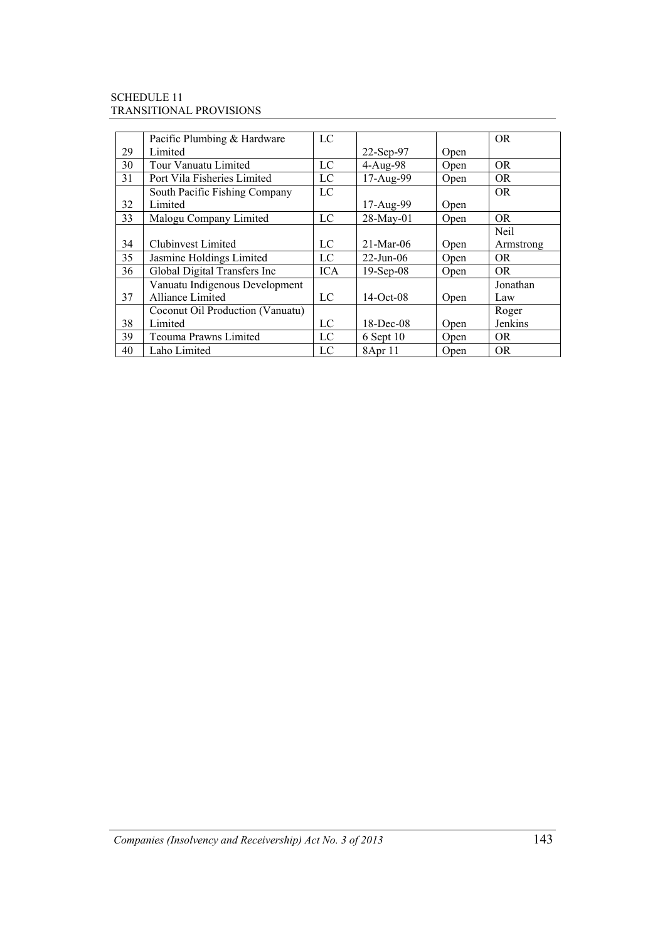#### SCHEDULE 11 TRANSITIONAL PROVISIONS

|    | Pacific Plumbing & Hardware      | LC         |                 |      | OR.         |
|----|----------------------------------|------------|-----------------|------|-------------|
| 29 | Limited                          |            | 22-Sep-97       | Open |             |
| 30 | Tour Vanuatu Limited             | LC         | $4-Aug-98$      | Open | OR.         |
| 31 | Port Vila Fisheries Limited      | LC         | 17-Aug-99       | Open | OR.         |
|    | South Pacific Fishing Company    | LC         |                 |      | <b>OR</b>   |
| 32 | Limited                          |            | 17-Aug-99       | Open |             |
| 33 | Malogu Company Limited           | LC         | 28-May-01       | Open | <b>OR</b>   |
|    |                                  |            |                 |      | <b>Neil</b> |
| 34 | <b>Clubinvest Limited</b>        | LC         | $21-Mar-06$     | Open | Armstrong   |
| 35 | Jasmine Holdings Limited         | LC         | $22$ -Jun-06    | Open | OR.         |
| 36 | Global Digital Transfers Inc     | <b>ICA</b> | $19-$ Sep $-08$ | Open | OR.         |
|    | Vanuatu Indigenous Development   |            |                 |      | Jonathan    |
| 37 | Alliance Limited                 | LC         | $14-Oct-08$     | Open | Law         |
|    | Coconut Oil Production (Vanuatu) |            |                 |      | Roger       |
| 38 | Limited                          | LC         | $18$ -Dec-08    | Open | Jenkins     |
| 39 | Teouma Prawns Limited            | LC         | $6$ Sept 10     | Open | OR.         |
| 40 | Laho Limited                     | LC         | 8Apr 11         | Open | OR.         |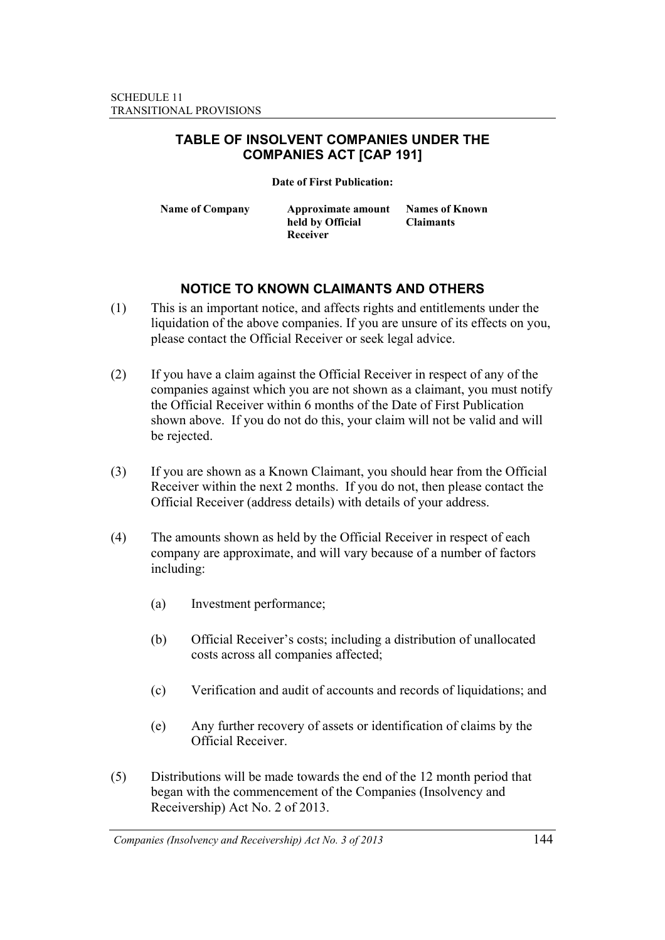### **TABLE OF INSOLVENT COMPANIES UNDER THE COMPANIES ACT [CAP 191]**

**Date of First Publication:** 

**Name of Company Approximate amount held by Official Receiver** 

**Names of Known Claimants** 

## **NOTICE TO KNOWN CLAIMANTS AND OTHERS**

- (1) This is an important notice, and affects rights and entitlements under the liquidation of the above companies. If you are unsure of its effects on you, please contact the Official Receiver or seek legal advice.
- (2) If you have a claim against the Official Receiver in respect of any of the companies against which you are not shown as a claimant, you must notify the Official Receiver within 6 months of the Date of First Publication shown above. If you do not do this, your claim will not be valid and will be rejected.
- (3) If you are shown as a Known Claimant, you should hear from the Official Receiver within the next 2 months. If you do not, then please contact the Official Receiver (address details) with details of your address.
- (4) The amounts shown as held by the Official Receiver in respect of each company are approximate, and will vary because of a number of factors including:
	- (a) Investment performance;
	- (b) Official Receiver's costs; including a distribution of unallocated costs across all companies affected;
	- (c) Verification and audit of accounts and records of liquidations; and
	- (e) Any further recovery of assets or identification of claims by the Official Receiver.
- (5) Distributions will be made towards the end of the 12 month period that began with the commencement of the Companies (Insolvency and Receivership) Act No. 2 of 2013.